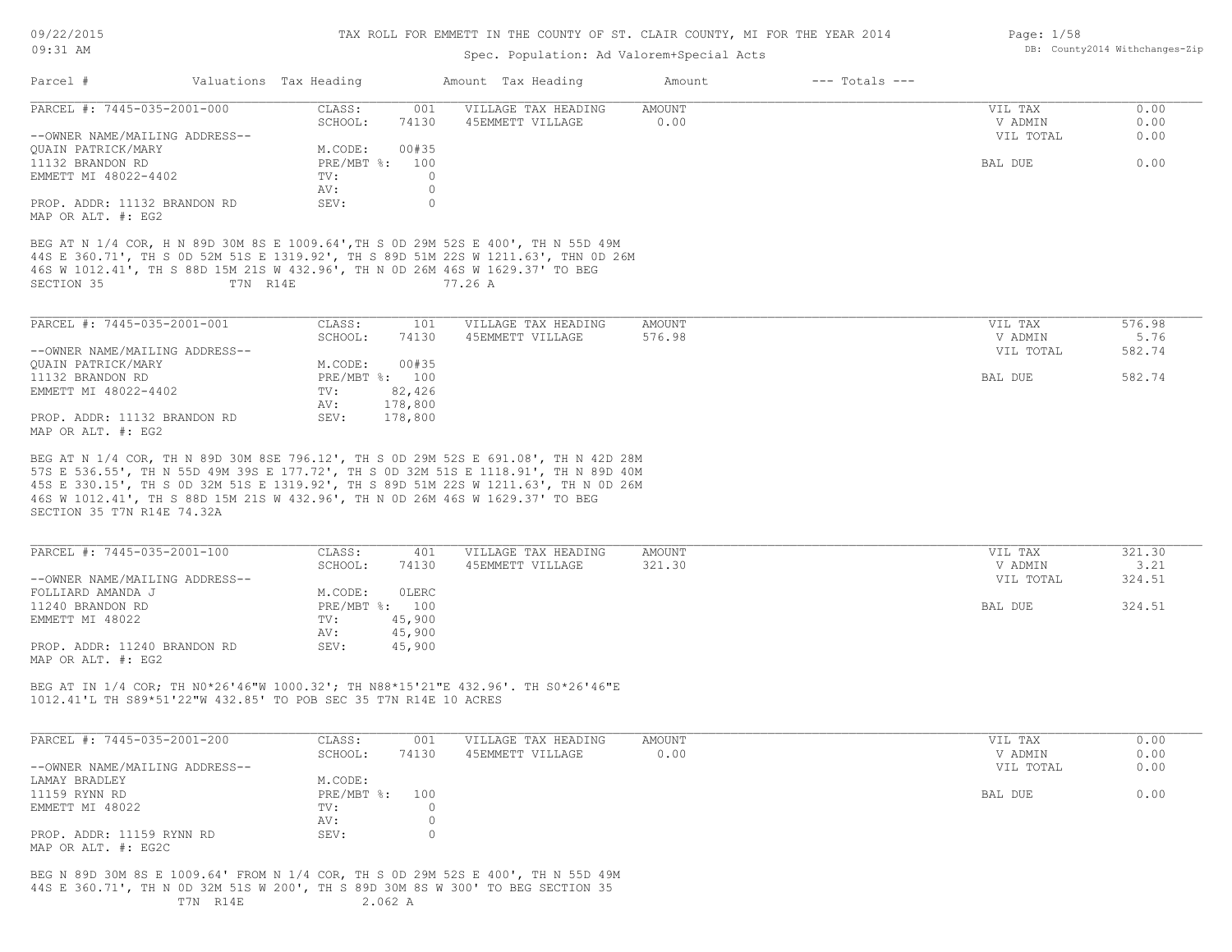| 09/22/2015 |  |
|------------|--|
| $09:31$ AM |  |

Page: 1/58

DB: County2014 Withchanges-Zip

## Spec. Population: Ad Valorem+Special Acts

| Parcel #                                                                                                                                                                                                                                                               |          | Valuations Tax Heading |              | Amount Tax Heading                                                               | Amount           | $---$ Totals $---$ |                    |                |
|------------------------------------------------------------------------------------------------------------------------------------------------------------------------------------------------------------------------------------------------------------------------|----------|------------------------|--------------|----------------------------------------------------------------------------------|------------------|--------------------|--------------------|----------------|
| PARCEL #: 7445-035-2001-000                                                                                                                                                                                                                                            |          | CLASS:<br>SCHOOL:      | 001<br>74130 | VILLAGE TAX HEADING<br>45EMMETT VILLAGE                                          | AMOUNT<br>0.00   |                    | VIL TAX<br>V ADMIN | 0.00<br>0.00   |
| --OWNER NAME/MAILING ADDRESS--                                                                                                                                                                                                                                         |          |                        |              |                                                                                  |                  |                    | VIL TOTAL          | 0.00           |
| OUAIN PATRICK/MARY                                                                                                                                                                                                                                                     |          | M.CODE:                | 00#35        |                                                                                  |                  |                    |                    |                |
| 11132 BRANDON RD                                                                                                                                                                                                                                                       |          | PRE/MBT %: 100         |              |                                                                                  |                  |                    | BAL DUE            | 0.00           |
| EMMETT MI 48022-4402                                                                                                                                                                                                                                                   |          | TV:                    | $\circ$      |                                                                                  |                  |                    |                    |                |
|                                                                                                                                                                                                                                                                        |          | AV:                    | $\circ$      |                                                                                  |                  |                    |                    |                |
| PROP. ADDR: 11132 BRANDON RD                                                                                                                                                                                                                                           |          | SEV:                   | $\circ$      |                                                                                  |                  |                    |                    |                |
| MAP OR ALT. #: EG2                                                                                                                                                                                                                                                     |          |                        |              |                                                                                  |                  |                    |                    |                |
| BEG AT N 1/4 COR, H N 89D 30M 8S E 1009.64', TH S 0D 29M 52S E 400', TH N 55D 49M<br>44S E 360.71', TH S OD 52M 51S E 1319.92', TH S 89D 51M 22S W 1211.63', THN OD 26M<br>46S W 1012.41', TH S 88D 15M 21S W 432.96', TH N 0D 26M 46S W 1629.37' TO BEG<br>SECTION 35 | T7N R14E |                        |              | 77.26 A                                                                          |                  |                    |                    |                |
| PARCEL #: 7445-035-2001-001                                                                                                                                                                                                                                            |          | CLASS:                 | 101          | VILLAGE TAX HEADING                                                              | AMOUNT           |                    | VIL TAX            | 576.98         |
|                                                                                                                                                                                                                                                                        |          | SCHOOL:                | 74130        | 45EMMETT VILLAGE                                                                 | 576.98           |                    | V ADMIN            | 5.76           |
| --OWNER NAME/MAILING ADDRESS--                                                                                                                                                                                                                                         |          |                        |              |                                                                                  |                  |                    | VIL TOTAL          | 582.74         |
| QUAIN PATRICK/MARY                                                                                                                                                                                                                                                     |          | M.CODE:                | 00#35        |                                                                                  |                  |                    |                    |                |
| 11132 BRANDON RD                                                                                                                                                                                                                                                       |          | PRE/MBT %: 100         |              |                                                                                  |                  |                    | BAL DUE            | 582.74         |
| EMMETT MI 48022-4402                                                                                                                                                                                                                                                   |          | TV:                    | 82,426       |                                                                                  |                  |                    |                    |                |
|                                                                                                                                                                                                                                                                        |          | AV:                    | 178,800      |                                                                                  |                  |                    |                    |                |
| PROP. ADDR: 11132 BRANDON RD                                                                                                                                                                                                                                           |          | SEV:                   | 178,800      |                                                                                  |                  |                    |                    |                |
| MAP OR ALT. #: EG2                                                                                                                                                                                                                                                     |          |                        |              |                                                                                  |                  |                    |                    |                |
|                                                                                                                                                                                                                                                                        |          |                        |              |                                                                                  |                  |                    |                    |                |
| PARCEL #: 7445-035-2001-100                                                                                                                                                                                                                                            |          | CLASS:<br>SCHOOL:      | 401<br>74130 | VILLAGE TAX HEADING<br>45EMMETT VILLAGE                                          | AMOUNT<br>321.30 |                    | VIL TAX<br>V ADMIN | 321.30<br>3.21 |
| --OWNER NAME/MAILING ADDRESS--                                                                                                                                                                                                                                         |          |                        |              |                                                                                  |                  |                    | VIL TOTAL          | 324.51         |
| FOLLIARD AMANDA J                                                                                                                                                                                                                                                      |          | M.CODE:                | OLERC        |                                                                                  |                  |                    |                    |                |
| 11240 BRANDON RD                                                                                                                                                                                                                                                       |          | PRE/MBT %: 100         |              |                                                                                  |                  |                    | BAL DUE            | 324.51         |
| EMMETT MI 48022                                                                                                                                                                                                                                                        |          | TV:                    | 45,900       |                                                                                  |                  |                    |                    |                |
|                                                                                                                                                                                                                                                                        |          | AV:                    | 45,900       |                                                                                  |                  |                    |                    |                |
| PROP. ADDR: 11240 BRANDON RD                                                                                                                                                                                                                                           |          | SEV:                   | 45,900       |                                                                                  |                  |                    |                    |                |
| MAP OR ALT. #: EG2                                                                                                                                                                                                                                                     |          |                        |              |                                                                                  |                  |                    |                    |                |
| BEG AT IN 1/4 COR; TH NO*26'46"W 1000.32'; TH N88*15'21"E 432.96'. TH SO*26'46"E<br>1012.41'L TH S89*51'22"W 432.85' TO POB SEC 35 T7N R14E 10 ACRES                                                                                                                   |          |                        |              |                                                                                  |                  |                    |                    |                |
| PARCEL #: 7445-035-2001-200                                                                                                                                                                                                                                            |          | CLASS:                 | 001          | VILLAGE TAX HEADING                                                              | AMOUNT           |                    | VIL TAX            | 0.00           |
|                                                                                                                                                                                                                                                                        |          | SCHOOL:                | 74130        | 45EMMETT VILLAGE                                                                 | 0.00             |                    | V ADMIN            | 0.00           |
| --OWNER NAME/MAILING ADDRESS--                                                                                                                                                                                                                                         |          |                        |              |                                                                                  |                  |                    | VIL TOTAL          | 0.00           |
| LAMAY BRADLEY                                                                                                                                                                                                                                                          |          | M.CODE:                |              |                                                                                  |                  |                    |                    |                |
| 11159 RYNN RD                                                                                                                                                                                                                                                          |          | $PRE/MBT$ $\div$       | 100          |                                                                                  |                  |                    | BAL DUE            | 0.00           |
| EMMETT MI 48022                                                                                                                                                                                                                                                        |          | TV:                    | $\Omega$     |                                                                                  |                  |                    |                    |                |
|                                                                                                                                                                                                                                                                        |          | AV:                    | 0            |                                                                                  |                  |                    |                    |                |
| PROP. ADDR: 11159 RYNN RD                                                                                                                                                                                                                                              |          | SEV:                   | $\circ$      |                                                                                  |                  |                    |                    |                |
| MAP OR ALT. #: EG2C                                                                                                                                                                                                                                                    |          |                        |              |                                                                                  |                  |                    |                    |                |
| 44S E 360.71', TH N OD 32M 51S W 200', TH S 89D 30M 8S W 300' TO BEG SECTION 35                                                                                                                                                                                        | T7N R14E |                        | 2.062 A      | BEG N 89D 30M 8S E 1009.64' FROM N 1/4 COR, TH S 0D 29M 52S E 400', TH N 55D 49M |                  |                    |                    |                |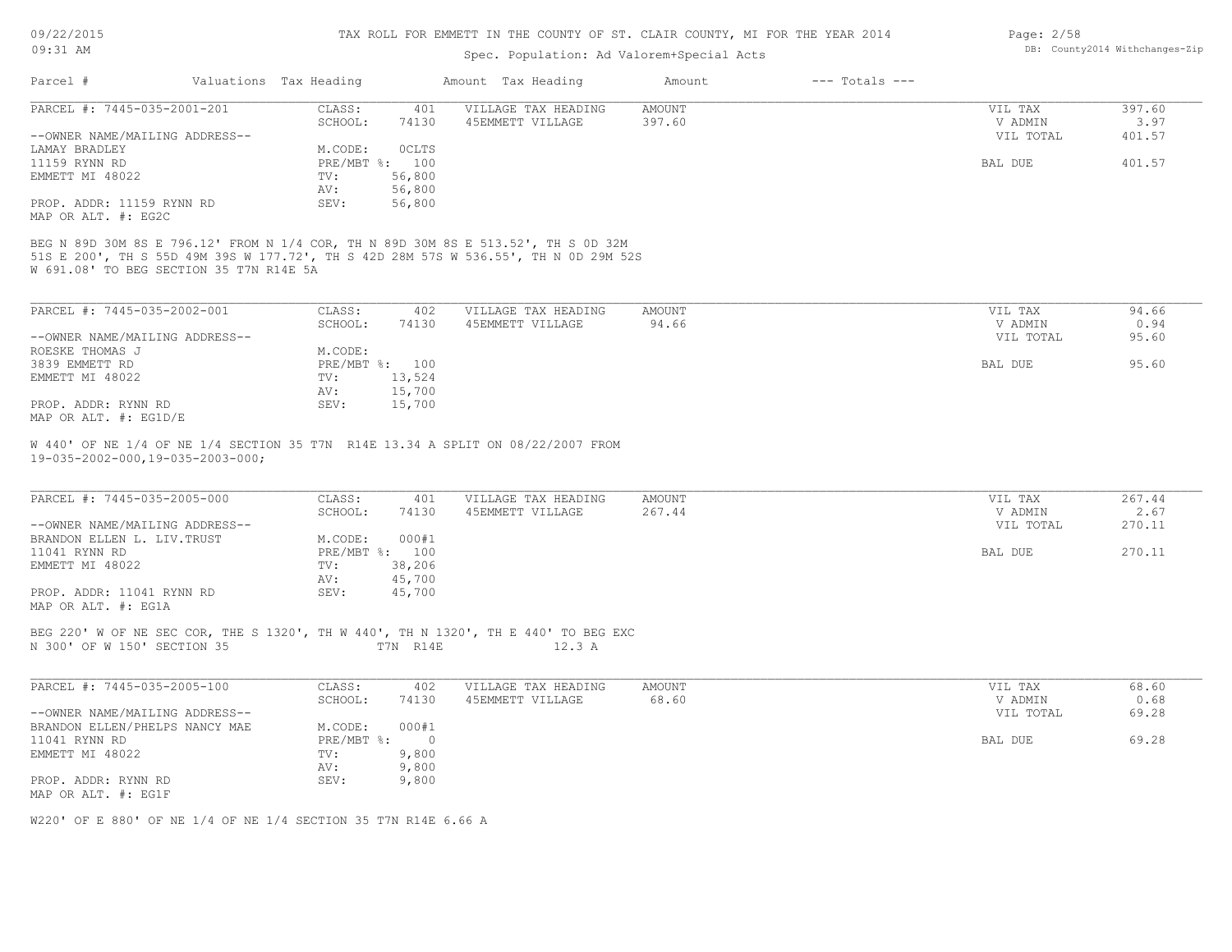| 09/22/2015                     |                                                 | TAX ROLL FOR EMMETT IN THE COUNTY OF ST. CLAIR COUNTY, MI FOR THE YEAR 2014 | Page: 2/58     |                                                                                                                                                                          |               |                    |                                |        |  |
|--------------------------------|-------------------------------------------------|-----------------------------------------------------------------------------|----------------|--------------------------------------------------------------------------------------------------------------------------------------------------------------------------|---------------|--------------------|--------------------------------|--------|--|
| $09:31$ AM                     | Spec. Population: Ad Valorem+Special Acts       |                                                                             |                |                                                                                                                                                                          |               |                    | DB: County2014 Withchanges-Zip |        |  |
| Parcel #                       |                                                 | Valuations Tax Heading                                                      |                |                                                                                                                                                                          |               |                    |                                |        |  |
|                                |                                                 |                                                                             |                | Amount Tax Heading                                                                                                                                                       | Amount        | $---$ Totals $---$ |                                |        |  |
| PARCEL #: 7445-035-2001-201    |                                                 | CLASS:                                                                      | 401            | VILLAGE TAX HEADING                                                                                                                                                      | <b>AMOUNT</b> |                    | VIL TAX                        | 397.60 |  |
|                                |                                                 | SCHOOL:                                                                     | 74130          | 45EMMETT VILLAGE                                                                                                                                                         | 397.60        |                    | V ADMIN                        | 3.97   |  |
| --OWNER NAME/MAILING ADDRESS-- |                                                 |                                                                             |                |                                                                                                                                                                          |               |                    | VIL TOTAL                      | 401.57 |  |
| LAMAY BRADLEY                  |                                                 | M.CODE:                                                                     | OCLTS          |                                                                                                                                                                          |               |                    |                                |        |  |
| 11159 RYNN RD                  |                                                 |                                                                             | PRE/MBT %: 100 |                                                                                                                                                                          |               |                    | BAL DUE                        | 401.57 |  |
| EMMETT MI 48022                |                                                 | TV:                                                                         | 56,800         |                                                                                                                                                                          |               |                    |                                |        |  |
|                                |                                                 | AV:                                                                         | 56,800         |                                                                                                                                                                          |               |                    |                                |        |  |
| PROP. ADDR: 11159 RYNN RD      |                                                 | SEV:                                                                        | 56,800         |                                                                                                                                                                          |               |                    |                                |        |  |
| MAP OR ALT. #: EG2C            |                                                 |                                                                             |                |                                                                                                                                                                          |               |                    |                                |        |  |
|                                | W 691.08' TO BEG SECTION 35 T7N R14E 5A         |                                                                             |                | BEG N 89D 30M 8S E 796.12' FROM N 1/4 COR, TH N 89D 30M 8S E 513.52', TH S OD 32M<br>51S E 200', TH S 55D 49M 39S W 177.72', TH S 42D 28M 57S W 536.55', TH N OD 29M 52S |               |                    |                                |        |  |
| PARCEL #: 7445-035-2002-001    |                                                 | CLASS:                                                                      | 402            | VILLAGE TAX HEADING                                                                                                                                                      | AMOUNT        |                    | VIL TAX                        | 94.66  |  |
|                                |                                                 | SCHOOL:                                                                     | 74130          | 45EMMETT VILLAGE                                                                                                                                                         | 94.66         |                    | V ADMIN                        | 0.94   |  |
| --OWNER NAME/MAILING ADDRESS-- |                                                 |                                                                             |                |                                                                                                                                                                          |               |                    | VIL TOTAL                      | 95.60  |  |
| ROESKE THOMAS J                |                                                 | M.CODE:                                                                     |                |                                                                                                                                                                          |               |                    |                                |        |  |
| 3839 EMMETT RD                 |                                                 |                                                                             | PRE/MBT %: 100 |                                                                                                                                                                          |               |                    | BAL DUE                        | 95.60  |  |
| EMMETT MI 48022                |                                                 | TV:                                                                         | 13,524         |                                                                                                                                                                          |               |                    |                                |        |  |
|                                |                                                 | AV:                                                                         | 15,700         |                                                                                                                                                                          |               |                    |                                |        |  |
| PROP. ADDR: RYNN RD            |                                                 | SEV:                                                                        | 15,700         |                                                                                                                                                                          |               |                    |                                |        |  |
| MAP OR ALT. #: EG1D/E          |                                                 |                                                                             |                |                                                                                                                                                                          |               |                    |                                |        |  |
|                                |                                                 |                                                                             |                |                                                                                                                                                                          |               |                    |                                |        |  |
|                                | $19 - 035 - 2002 - 000, 19 - 035 - 2003 - 000;$ |                                                                             |                | W 440' OF NE 1/4 OF NE 1/4 SECTION 35 T7N R14E 13.34 A SPLIT ON 08/22/2007 FROM                                                                                          |               |                    |                                |        |  |
| PARCEL #: 7445-035-2005-000    |                                                 | CLASS:                                                                      | 401            | VILLAGE TAX HEADING                                                                                                                                                      | AMOUNT        |                    | VIL TAX                        | 267.44 |  |
|                                |                                                 | SCHOOL:                                                                     | 74130          | 45EMMETT VILLAGE                                                                                                                                                         | 267.44        |                    | V ADMIN                        | 2.67   |  |
| --OWNER NAME/MAILING ADDRESS-- |                                                 |                                                                             |                |                                                                                                                                                                          |               |                    | VIL TOTAL                      | 270.11 |  |
| BRANDON ELLEN L. LIV. TRUST    |                                                 | M.CODE:                                                                     | 000#1          |                                                                                                                                                                          |               |                    |                                |        |  |
| 11041 RYNN RD                  |                                                 |                                                                             | PRE/MBT %: 100 |                                                                                                                                                                          |               |                    | BAL DUE                        | 270.11 |  |
| EMMETT MI 48022                |                                                 | TV:                                                                         | 38,206         |                                                                                                                                                                          |               |                    |                                |        |  |
|                                |                                                 | AV:                                                                         | 45,700         |                                                                                                                                                                          |               |                    |                                |        |  |
| PROP. ADDR: 11041 RYNN RD      |                                                 | SEV:                                                                        | 45,700         |                                                                                                                                                                          |               |                    |                                |        |  |
| MAP OR ALT. #: EG1A            |                                                 |                                                                             |                |                                                                                                                                                                          |               |                    |                                |        |  |
|                                |                                                 |                                                                             |                |                                                                                                                                                                          |               |                    |                                |        |  |
| N 300' OF W 150' SECTION 35    |                                                 |                                                                             | T7N R14E       | BEG 220' W OF NE SEC COR, THE S 1320', TH W 440', TH N 1320', TH E 440' TO BEG EXC<br>12.3 A                                                                             |               |                    |                                |        |  |
|                                |                                                 |                                                                             |                |                                                                                                                                                                          |               |                    |                                |        |  |
| PARCEL #: 7445-035-2005-100    |                                                 | CLASS:                                                                      | 402            | VILLAGE TAX HEADING                                                                                                                                                      | <b>AMOUNT</b> |                    | VIL TAX                        | 68.60  |  |
|                                |                                                 | SCHOOL:                                                                     | 74130          | 45EMMETT VILLAGE                                                                                                                                                         | 68.60         |                    | V ADMIN                        | 0.68   |  |
| --OWNER NAME/MAILING ADDRESS-- |                                                 |                                                                             |                |                                                                                                                                                                          |               |                    | VIL TOTAL                      | 69.28  |  |
|                                |                                                 |                                                                             |                |                                                                                                                                                                          |               |                    |                                |        |  |

| --OWNER NAME/MAILING ADDRESS-- |            |       |  | VIL TOTAL | 69.28 |
|--------------------------------|------------|-------|--|-----------|-------|
| BRANDON ELLEN/PHELPS NANCY MAE | M.CODE:    | 000#1 |  |           |       |
| 11041 RYNN RD                  | PRE/MBT %: | - 0   |  | BAL DUE   | 69.28 |
| EMMETT MI 48022                | TV:        | 9,800 |  |           |       |
|                                | AV:        | 9,800 |  |           |       |
| PROP. ADDR: RYNN RD            | SEV:       | 9,800 |  |           |       |
| MAP OR ALT. #: EG1F            |            |       |  |           |       |

W220' OF E 880' OF NE 1/4 OF NE 1/4 SECTION 35 T7N R14E 6.66 A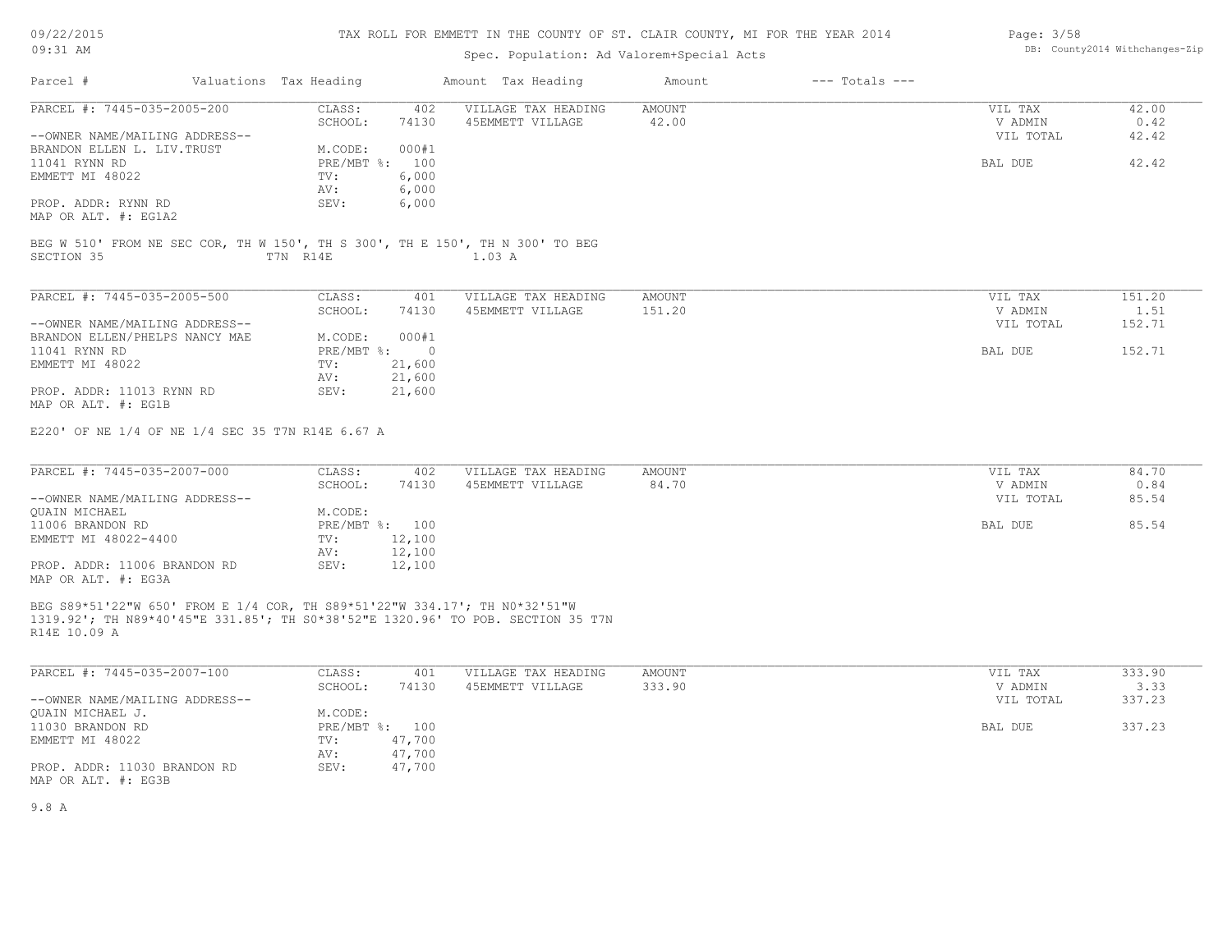09/22/2015 09:31 AM

## TAX ROLL FOR EMMETT IN THE COUNTY OF ST. CLAIR COUNTY, MI FOR THE YEAR 2014

## Spec. Population: Ad Valorem+Special Acts

| Page: 3/58 |                                |
|------------|--------------------------------|
|            | DB: County2014 Withchanges-Zip |

| Parcel #                                                                                   | Valuations Tax Heading |                | Amount Tax Heading                                                              | Amount          | $---$ Totals $---$ |                    |               |
|--------------------------------------------------------------------------------------------|------------------------|----------------|---------------------------------------------------------------------------------|-----------------|--------------------|--------------------|---------------|
| PARCEL #: 7445-035-2005-200                                                                | CLASS:<br>SCHOOL:      | 402<br>74130   | VILLAGE TAX HEADING<br>45EMMETT VILLAGE                                         | AMOUNT<br>42.00 |                    | VIL TAX<br>V ADMIN | 42.00<br>0.42 |
| --OWNER NAME/MAILING ADDRESS--                                                             |                        |                |                                                                                 |                 |                    | VIL TOTAL          | 42.42         |
| BRANDON ELLEN L. LIV. TRUST                                                                | M.CODE:                | 000#1          |                                                                                 |                 |                    |                    |               |
| 11041 RYNN RD                                                                              |                        | PRE/MBT %: 100 |                                                                                 |                 |                    | BAL DUE            | 42.42         |
| EMMETT MI 48022                                                                            | TV:                    | 6,000          |                                                                                 |                 |                    |                    |               |
|                                                                                            | AV:                    | 6,000          |                                                                                 |                 |                    |                    |               |
| PROP. ADDR: RYNN RD                                                                        | SEV:                   | 6,000          |                                                                                 |                 |                    |                    |               |
| MAP OR ALT. #: EG1A2                                                                       |                        |                |                                                                                 |                 |                    |                    |               |
|                                                                                            |                        |                | BEG W 510' FROM NE SEC COR, TH W 150', TH S 300', TH E 150', TH N 300' TO BEG   |                 |                    |                    |               |
| SECTION 35                                                                                 | T7N R14E               |                | 1.03 A                                                                          |                 |                    |                    |               |
|                                                                                            |                        |                |                                                                                 |                 |                    |                    |               |
| PARCEL #: 7445-035-2005-500                                                                | CLASS:                 | 401            | VILLAGE TAX HEADING                                                             | AMOUNT          |                    | VIL TAX            | 151.20        |
|                                                                                            | SCHOOL:                | 74130          | 45EMMETT VILLAGE                                                                | 151.20          |                    | V ADMIN            | 1.51          |
| --OWNER NAME/MAILING ADDRESS--                                                             |                        |                |                                                                                 |                 |                    | VIL TOTAL          | 152.71        |
| BRANDON ELLEN/PHELPS NANCY MAE                                                             | M.CODE:                | 000#1          |                                                                                 |                 |                    |                    |               |
| 11041 RYNN RD                                                                              | PRE/MBT %:             | $\overline{0}$ |                                                                                 |                 |                    | BAL DUE            | 152.71        |
| EMMETT MI 48022                                                                            | TV:                    | 21,600         |                                                                                 |                 |                    |                    |               |
|                                                                                            | AV:                    | 21,600         |                                                                                 |                 |                    |                    |               |
| PROP. ADDR: 11013 RYNN RD<br>MAP OR ALT. #: EG1B                                           | SEV:                   | 21,600         |                                                                                 |                 |                    |                    |               |
| PARCEL #: 7445-035-2007-000                                                                | CLASS:<br>SCHOOL:      | 402<br>74130   | VILLAGE TAX HEADING<br>45EMMETT VILLAGE                                         | AMOUNT<br>84.70 |                    | VIL TAX<br>V ADMIN | 84.70<br>0.84 |
| --OWNER NAME/MAILING ADDRESS--                                                             |                        |                |                                                                                 |                 |                    | VIL TOTAL          | 85.54         |
| <b>OUAIN MICHAEL</b>                                                                       | M.CODE:                |                |                                                                                 |                 |                    |                    |               |
| 11006 BRANDON RD                                                                           |                        | PRE/MBT %: 100 |                                                                                 |                 |                    | BAL DUE            | 85.54         |
| EMMETT MI 48022-4400                                                                       | TV:                    | 12,100         |                                                                                 |                 |                    |                    |               |
|                                                                                            | AV:                    | 12,100         |                                                                                 |                 |                    |                    |               |
| PROP. ADDR: 11006 BRANDON RD<br>MAP OR ALT. #: EG3A                                        | SEV:                   | 12,100         |                                                                                 |                 |                    |                    |               |
| BEG S89*51'22"W 650' FROM E 1/4 COR, TH S89*51'22"W 334.17'; TH NO*32'51"W<br>R14E 10.09 A |                        |                | 1319.92'; TH N89*40'45"E 331.85'; TH S0*38'52"E 1320.96' TO POB. SECTION 35 T7N |                 |                    |                    |               |
| PARCEL #: 7445-035-2007-100                                                                | CLASS:                 | 401            | VILLAGE TAX HEADING                                                             | <b>AMOUNT</b>   |                    | VIL TAX            | 333.90        |
|                                                                                            | SCHOOL:                | 74130          | 45EMMETT VILLAGE                                                                | 333.90          |                    | V ADMIN            | 3.33          |
| --OWNER NAME/MAILING ADDRESS--                                                             |                        |                |                                                                                 |                 |                    | VIL TOTAL          | 337.23        |
| QUAIN MICHAEL J.                                                                           | M.CODE:                |                |                                                                                 |                 |                    |                    |               |
| 11030 BRANDON RD                                                                           |                        | PRE/MBT %: 100 |                                                                                 |                 |                    | BAL DUE            | 337.23        |
| EMMETT MI 48022                                                                            | TV:                    | 47,700         |                                                                                 |                 |                    |                    |               |
|                                                                                            | AV:                    | 47,700         |                                                                                 |                 |                    |                    |               |
| PROP. ADDR: 11030 BRANDON RD<br>MAP OR ALT. #: EG3B                                        | SEV:                   | 47,700         |                                                                                 |                 |                    |                    |               |

9.8 A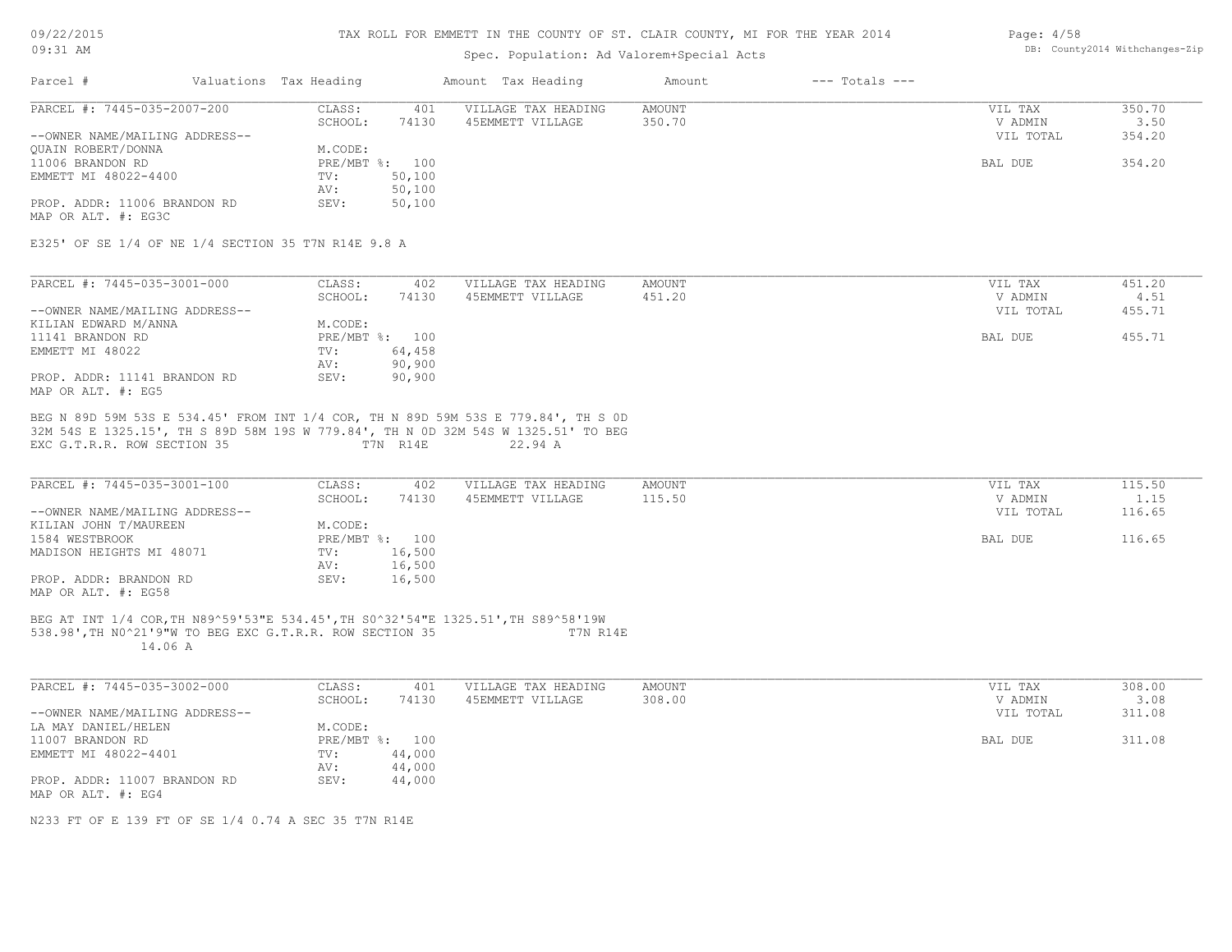| 09/22/2015 |  |
|------------|--|
| $09:31$ AM |  |

## Spec. Population: Ad Valorem+Special Acts

#### Page: 4/58 DB: County2014 Withchanges-Zip

| Valuations Tax Heading<br>Parcel #                                                                                                                       |                           | Amount Tax Heading  | $---$ Totals $---$<br>Amount |           |        |
|----------------------------------------------------------------------------------------------------------------------------------------------------------|---------------------------|---------------------|------------------------------|-----------|--------|
| PARCEL #: 7445-035-2007-200                                                                                                                              | CLASS:<br>401             | VILLAGE TAX HEADING | <b>AMOUNT</b>                | VIL TAX   | 350.70 |
|                                                                                                                                                          | SCHOOL:<br>74130          | 45EMMETT VILLAGE    | 350.70                       | V ADMIN   | 3.50   |
| --OWNER NAME/MAILING ADDRESS--                                                                                                                           |                           |                     |                              | VIL TOTAL | 354.20 |
| QUAIN ROBERT/DONNA                                                                                                                                       | M.CODE:                   |                     |                              |           |        |
| 11006 BRANDON RD                                                                                                                                         | PRE/MBT %: 100            |                     |                              | BAL DUE   | 354.20 |
| EMMETT MI 48022-4400                                                                                                                                     | 50,100<br>TV:             |                     |                              |           |        |
|                                                                                                                                                          | AV:<br>50,100             |                     |                              |           |        |
| PROP. ADDR: 11006 BRANDON RD<br>MAP OR ALT. #: EG3C                                                                                                      | 50,100<br>SEV:            |                     |                              |           |        |
| E325' OF SE 1/4 OF NE 1/4 SECTION 35 T7N R14E 9.8 A                                                                                                      |                           |                     |                              |           |        |
| PARCEL #: 7445-035-3001-000                                                                                                                              | CLASS:<br>402             | VILLAGE TAX HEADING | AMOUNT                       | VIL TAX   | 451.20 |
|                                                                                                                                                          | SCHOOL:<br>74130          | 45EMMETT VILLAGE    | 451.20                       | V ADMIN   | 4.51   |
| --OWNER NAME/MAILING ADDRESS--                                                                                                                           |                           |                     |                              | VIL TOTAL | 455.71 |
| KILIAN EDWARD M/ANNA                                                                                                                                     | M.CODE:                   |                     |                              |           |        |
| 11141 BRANDON RD                                                                                                                                         | PRE/MBT %: 100            |                     |                              | BAL DUE   | 455.71 |
| EMMETT MI 48022                                                                                                                                          | TV:<br>64,458             |                     |                              |           |        |
|                                                                                                                                                          | 90,900<br>AV:             |                     |                              |           |        |
| PROP. ADDR: 11141 BRANDON RD<br>MAP OR ALT. #: EG5                                                                                                       | SEV:<br>90,900            |                     |                              |           |        |
| 32M 54S E 1325.15', TH S 89D 58M 19S W 779.84', TH N OD 32M 54S W 1325.51' TO BEG<br>EXC G.T.R.R. ROW SECTION 35                                         | T7N R14E                  | 22.94 A             |                              |           |        |
| PARCEL #: 7445-035-3001-100                                                                                                                              | CLASS:<br>402             | VILLAGE TAX HEADING | <b>AMOUNT</b>                | VIL TAX   | 115.50 |
|                                                                                                                                                          | SCHOOL:<br>74130          | 45EMMETT VILLAGE    | 115.50                       | V ADMIN   | 1.15   |
| --OWNER NAME/MAILING ADDRESS--                                                                                                                           |                           |                     |                              | VIL TOTAL | 116.65 |
| KILIAN JOHN T/MAUREEN                                                                                                                                    | M.CODE:                   |                     |                              |           |        |
| 1584 WESTBROOK                                                                                                                                           | PRE/MBT %: 100            |                     |                              | BAL DUE   | 116.65 |
| MADISON HEIGHTS MI 48071                                                                                                                                 | 16,500<br>TV:             |                     |                              |           |        |
|                                                                                                                                                          | 16,500<br>AV:             |                     |                              |           |        |
| PROP. ADDR: BRANDON RD<br>MAP OR ALT. #: EG58                                                                                                            | 16,500<br>SEV:            |                     |                              |           |        |
| BEG AT INT 1/4 COR, TH N89^59'53"E 534.45', TH S0^32'54"E 1325.51', TH S89^58'19W<br>538.98', TH NO^21'9"W TO BEG EXC G.T.R.R. ROW SECTION 35<br>14.06 A |                           | T7N R14E            |                              |           |        |
| PARCEL #: 7445-035-3002-000                                                                                                                              | CLASS:<br>401             | VILLAGE TAX HEADING | AMOUNT                       | VIL TAX   | 308.00 |
|                                                                                                                                                          | SCHOOL:<br>74130          | 45EMMETT VILLAGE    | 308.00                       | V ADMIN   | 3.08   |
| --OWNER NAME/MAILING ADDRESS--                                                                                                                           |                           |                     |                              | VIL TOTAL | 311.08 |
| LA MAY DANIEL/HELEN                                                                                                                                      | M.CODE:                   |                     |                              |           |        |
| 11007 BRANDON RD                                                                                                                                         | PRE/MBT %: 100            |                     |                              | BAL DUE   | 311.08 |
| EMMETT MI 48022-4401                                                                                                                                     | 44,000<br>$\texttt{TV}$ : |                     |                              |           |        |
|                                                                                                                                                          | 44,000<br>AV:             |                     |                              |           |        |
| PROP. ADDR: 11007 BRANDON RD<br>MAP OR ALT. #: EG4                                                                                                       | SEV:<br>44,000            |                     |                              |           |        |
| N233 FT OF E 139 FT OF SE 1/4 0.74 A SEC 35 T7N R14E                                                                                                     |                           |                     |                              |           |        |
|                                                                                                                                                          |                           |                     |                              |           |        |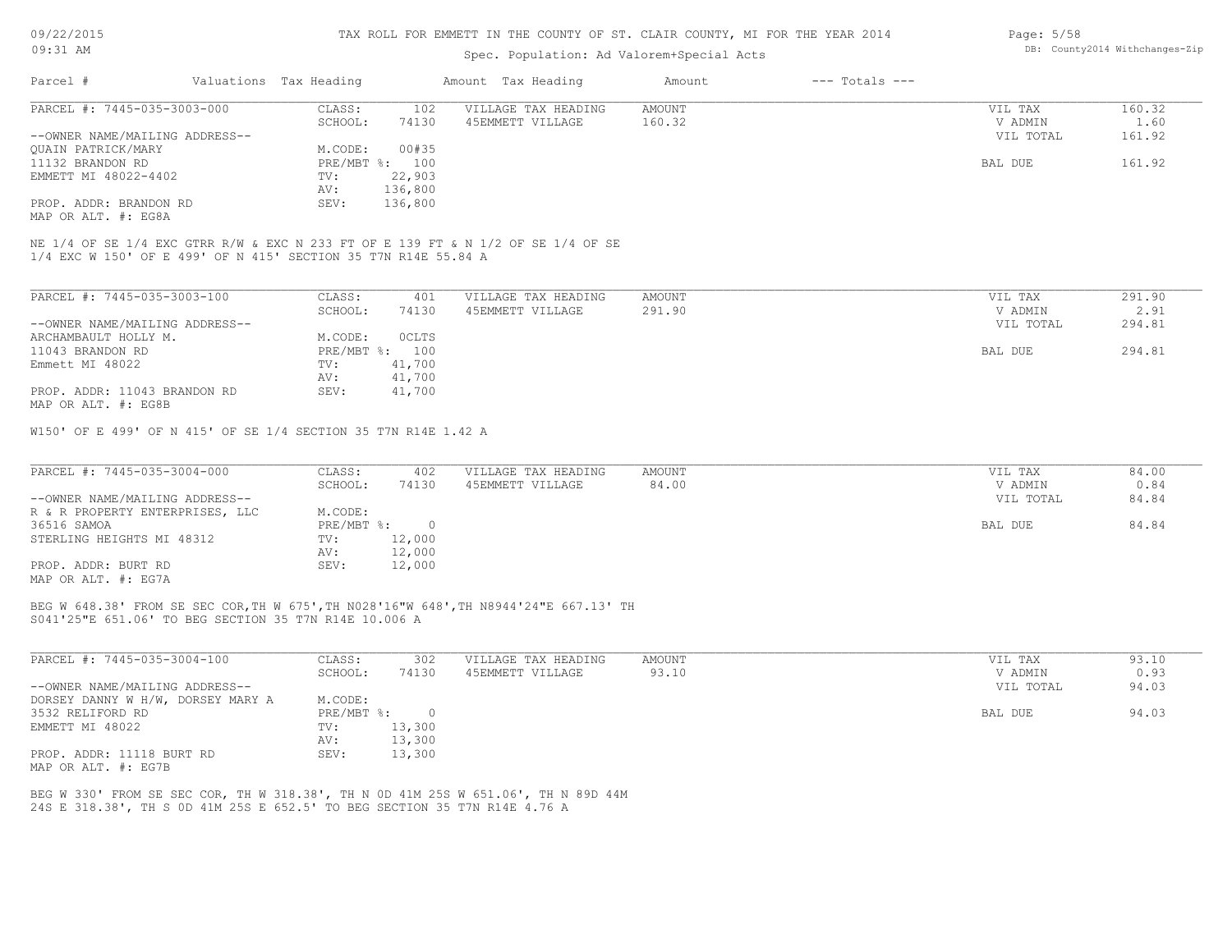## Spec. Population: Ad Valorem+Special Acts

| Page: 5/58 |                                |
|------------|--------------------------------|
|            | DB: County2014 Withchanges-Zip |

| Parcel #                                                       | Valuations Tax Heading |         | Amount Tax Heading                                                               | Amount | $---$ Totals $---$ |           |        |
|----------------------------------------------------------------|------------------------|---------|----------------------------------------------------------------------------------|--------|--------------------|-----------|--------|
| PARCEL #: 7445-035-3003-000                                    | CLASS:                 | 102     | VILLAGE TAX HEADING                                                              | AMOUNT |                    | VIL TAX   | 160.32 |
|                                                                | SCHOOL:                | 74130   | 45EMMETT VILLAGE                                                                 | 160.32 |                    | V ADMIN   | 1.60   |
| --OWNER NAME/MAILING ADDRESS--                                 |                        |         |                                                                                  |        |                    | VIL TOTAL | 161.92 |
| OUAIN PATRICK/MARY                                             | M.CODE:                | 00#35   |                                                                                  |        |                    |           |        |
| 11132 BRANDON RD                                               | $PRE/MBT$ %:           | 100     |                                                                                  |        |                    | BAL DUE   | 161.92 |
| EMMETT MI 48022-4402                                           | TV:                    | 22,903  |                                                                                  |        |                    |           |        |
|                                                                | AV:                    | 136,800 |                                                                                  |        |                    |           |        |
| PROP. ADDR: BRANDON RD                                         | SEV:                   | 136,800 |                                                                                  |        |                    |           |        |
| MAP OR ALT. #: EG8A                                            |                        |         |                                                                                  |        |                    |           |        |
| 1/4 EXC W 150' OF E 499' OF N 415' SECTION 35 T7N R14E 55.84 A |                        |         | NE 1/4 OF SE 1/4 EXC GTRR R/W & EXC N 233 FT OF E 139 FT & N 1/2 OF SE 1/4 OF SE |        |                    |           |        |
| PARCEL #: 7445-035-3003-100                                    | CLASS:                 | 401     | VILLAGE TAX HEADING                                                              | AMOUNT |                    | VIL TAX   | 291.90 |
|                                                                | SCHOOL:                | 74130   | 45EMMETT VILLAGE                                                                 | 291.90 |                    | V ADMIN   | 2.91   |
| --OWNER NAME/MAILING ADDRESS--                                 |                        |         |                                                                                  |        |                    | VIL TOTAL | 294.81 |

| ARCHAMBAULT HOLLY M.         | M.CODE: | 0CLTS          |         |        |
|------------------------------|---------|----------------|---------|--------|
| 11043 BRANDON RD             |         | PRE/MBT %: 100 | BAL DUE | 294.81 |
| Emmett MI 48022              | TV:     | 41,700         |         |        |
|                              | AV:     | 41,700         |         |        |
| PROP. ADDR: 11043 BRANDON RD | SEV:    | 41,700         |         |        |
| MAP OR ALT. #: EG8B          |         |                |         |        |

W150' OF E 499' OF N 415' OF SE 1/4 SECTION 35 T7N R14E 1.42 A

| PARCEL #: 7445-035-3004-000     | CLASS:     | 402    | VILLAGE TAX HEADING | AMOUNT | VIL TAX   | 84.00 |
|---------------------------------|------------|--------|---------------------|--------|-----------|-------|
|                                 | SCHOOL:    | 74130  | 45EMMETT VILLAGE    | 84.00  | V ADMIN   | 0.84  |
| --OWNER NAME/MAILING ADDRESS--  |            |        |                     |        | VIL TOTAL | 84.84 |
| R & R PROPERTY ENTERPRISES, LLC | M.CODE:    |        |                     |        |           |       |
| 36516 SAMOA                     | PRE/MBT %: |        |                     |        | BAL DUE   | 84.84 |
| STERLING HEIGHTS MI 48312       | TV:        | 12,000 |                     |        |           |       |
|                                 | AV:        | 12,000 |                     |        |           |       |
| PROP. ADDR: BURT RD             | SEV:       | 12,000 |                     |        |           |       |
| MAP OR ALT. #: EG7A             |            |        |                     |        |           |       |

S041'25"E 651.06' TO BEG SECTION 35 T7N R14E 10.006 A BEG W 648.38' FROM SE SEC COR,TH W 675',TH N028'16"W 648',TH N8944'24"E 667.13' TH

| PARCEL #: 7445-035-3004-100       | CLASS:     | 302    | VILLAGE TAX HEADING | AMOUNT | VIL TAX   | 93.10 |
|-----------------------------------|------------|--------|---------------------|--------|-----------|-------|
|                                   | SCHOOL:    | 74130  | 45EMMETT VILLAGE    | 93.10  | V ADMIN   | 0.93  |
| --OWNER NAME/MAILING ADDRESS--    |            |        |                     |        | VIL TOTAL | 94.03 |
| DORSEY DANNY W H/W, DORSEY MARY A | M.CODE:    |        |                     |        |           |       |
| 3532 RELIFORD RD                  | PRE/MBT %: |        |                     |        | BAL DUE   | 94.03 |
| EMMETT MI 48022                   | TV:        | 13,300 |                     |        |           |       |
|                                   | AV:        | 13,300 |                     |        |           |       |
| PROP. ADDR: 11118 BURT RD         | SEV:       | 13,300 |                     |        |           |       |
| MAP OR ALT. #: EG7B               |            |        |                     |        |           |       |

24S E 318.38', TH S 0D 41M 25S E 652.5' TO BEG SECTION 35 T7N R14E 4.76 A BEG W 330' FROM SE SEC COR, TH W 318.38', TH N 0D 41M 25S W 651.06', TH N 89D 44M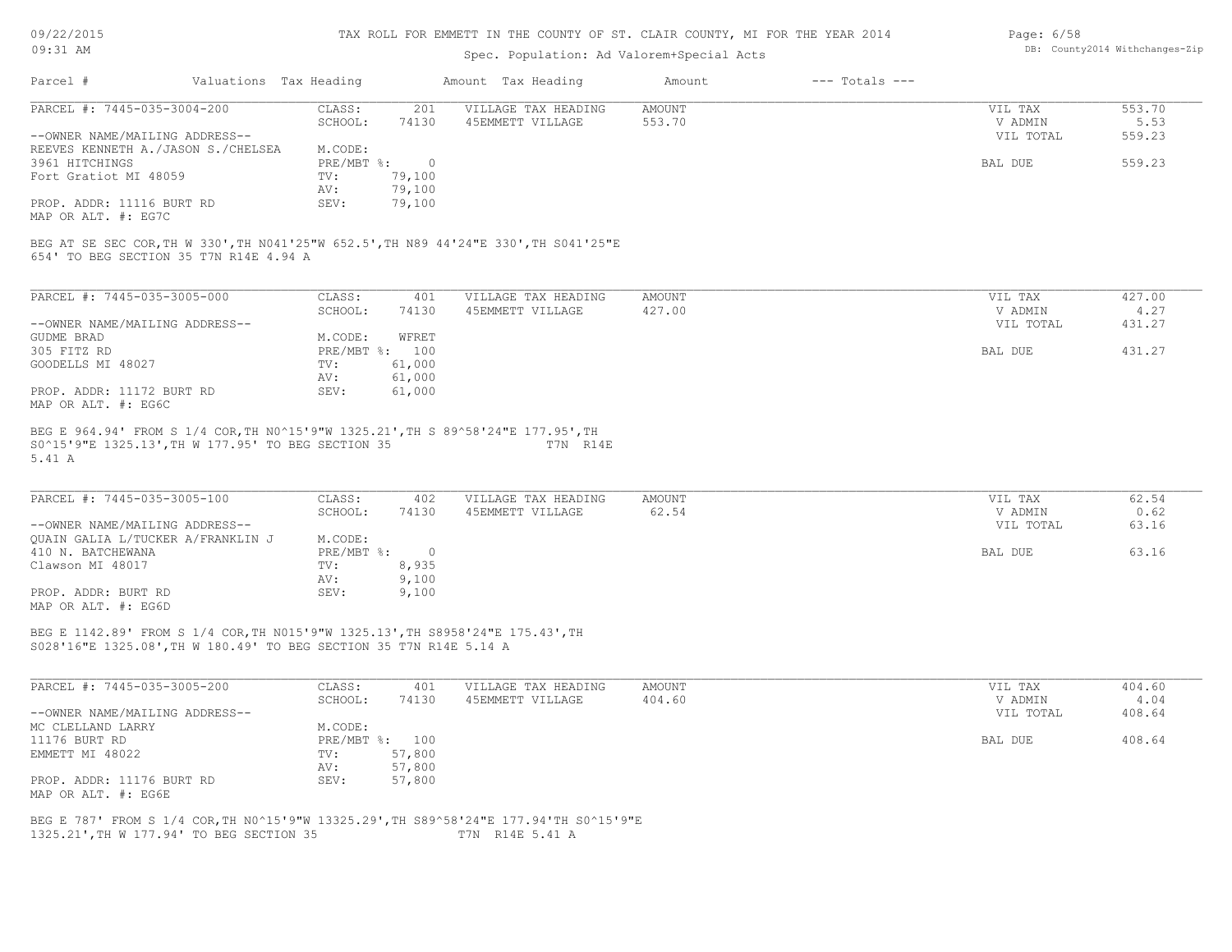| 09/22/2015 |  |
|------------|--|
| $09:31$ AM |  |

## Spec. Population: Ad Valorem+Special Acts

| Page: 6/58 |                                |
|------------|--------------------------------|
|            | DB: County2014 Withchanges-Zip |

|                                                                                                                                |                        | spec. ropulation. Ad valorem special Acts |               |                    |           |        |
|--------------------------------------------------------------------------------------------------------------------------------|------------------------|-------------------------------------------|---------------|--------------------|-----------|--------|
| Parcel #                                                                                                                       | Valuations Tax Heading | Amount Tax Heading                        | Amount        | $---$ Totals $---$ |           |        |
| PARCEL #: 7445-035-3004-200                                                                                                    | CLASS:                 | 201<br>VILLAGE TAX HEADING                | <b>AMOUNT</b> |                    | VIL TAX   | 553.70 |
|                                                                                                                                | SCHOOL:                | 74130<br>45EMMETT VILLAGE                 | 553.70        |                    | V ADMIN   | 5.53   |
| --OWNER NAME/MAILING ADDRESS--                                                                                                 |                        |                                           |               |                    | VIL TOTAL | 559.23 |
| REEVES KENNETH A./JASON S./CHELSEA                                                                                             | M.CODE:                |                                           |               |                    |           |        |
| 3961 HITCHINGS                                                                                                                 | $PRE/MBT$ %:           | $\overline{0}$                            |               |                    | BAL DUE   | 559.23 |
| Fort Gratiot MI 48059                                                                                                          | TV:                    | 79,100                                    |               |                    |           |        |
|                                                                                                                                | AV:                    | 79,100                                    |               |                    |           |        |
| PROP. ADDR: 11116 BURT RD                                                                                                      | SEV:                   | 79,100                                    |               |                    |           |        |
| MAP OR ALT. #: EG7C                                                                                                            |                        |                                           |               |                    |           |        |
| BEG AT SE SEC COR, TH W 330', TH N041'25"W 652.5', TH N89 44'24"E 330', TH S041'25"E<br>654' TO BEG SECTION 35 T7N R14E 4.94 A |                        |                                           |               |                    |           |        |
| PARCEL #: 7445-035-3005-000                                                                                                    | CLASS:                 | 401<br>VILLAGE TAX HEADING                | AMOUNT        |                    | VIL TAX   | 427.00 |
|                                                                                                                                | SCHOOL:                | 74130<br>45EMMETT VILLAGE                 | 427.00        |                    | V ADMIN   | 4.27   |
| --OWNER NAME/MAILING ADDRESS--                                                                                                 |                        |                                           |               |                    | VIL TOTAL | 431.27 |
| GUDME BRAD                                                                                                                     | M.CODE:                | WFRET                                     |               |                    |           |        |
| 305 FITZ RD                                                                                                                    | PRE/MBT %: 100         |                                           |               |                    | BAL DUE   | 431.27 |
| GOODELLS MI 48027                                                                                                              | TV:                    | 61,000                                    |               |                    |           |        |
|                                                                                                                                | AV:                    | 61,000                                    |               |                    |           |        |
| PROP. ADDR: 11172 BURT RD<br>MAP OR ALT. #: EG6C                                                                               | SEV:                   | 61,000                                    |               |                    |           |        |
| 5.41 A                                                                                                                         |                        |                                           |               |                    |           |        |
| PARCEL #: 7445-035-3005-100                                                                                                    | CLASS:                 | 402<br>VILLAGE TAX HEADING                | AMOUNT        |                    | VIL TAX   | 62.54  |
|                                                                                                                                | SCHOOL:                | 74130<br>45EMMETT VILLAGE                 | 62.54         |                    | V ADMIN   | 0.62   |
| --OWNER NAME/MAILING ADDRESS--                                                                                                 |                        |                                           |               |                    | VIL TOTAL | 63.16  |
| QUAIN GALIA L/TUCKER A/FRANKLIN J                                                                                              | M.CODE:                |                                           |               |                    |           |        |
| 410 N. BATCHEWANA                                                                                                              | PRE/MBT %: 0           |                                           |               |                    | BAL DUE   | 63.16  |
| Clawson MI 48017                                                                                                               | TV:                    | 8,935                                     |               |                    |           |        |
|                                                                                                                                | AV:                    | 9,100                                     |               |                    |           |        |
| PROP. ADDR: BURT RD                                                                                                            | SEV:                   | 9,100                                     |               |                    |           |        |
| MAP OR ALT. #: EG6D                                                                                                            |                        |                                           |               |                    |           |        |
| BEG E 1142.89' FROM S 1/4 COR, TH N015'9"W 1325.13', TH S8958'24"E 175.43', TH                                                 |                        |                                           |               |                    |           |        |
| S028'16"E 1325.08', TH W 180.49' TO BEG SECTION 35 T7N R14E 5.14 A                                                             |                        |                                           |               |                    |           |        |
| PARCEL #: 7445-035-3005-200                                                                                                    | CLASS:                 | VILLAGE TAX HEADING<br>401                | AMOUNT        |                    | VIL TAX   | 404.60 |
|                                                                                                                                | SCHOOL:                | 74130<br>45EMMETT VILLAGE                 | 404.60        |                    | V ADMIN   | 4.04   |
| --OWNER NAME/MAILING ADDRESS--                                                                                                 |                        |                                           |               |                    | VIL TOTAL | 408.64 |
| MC CLELLAND LARRY                                                                                                              | M.CODE:                |                                           |               |                    |           |        |
| 11176 BURT RD                                                                                                                  | PRE/MBT %: 100         |                                           |               |                    | BAL DUE   | 408.64 |
| EMMETT MI 48022                                                                                                                | TV:                    | 57,800                                    |               |                    |           |        |
|                                                                                                                                | AV:                    | 57,800                                    |               |                    |           |        |
| PROP. ADDR: 11176 BURT RD                                                                                                      | SEV:                   | 57,800                                    |               |                    |           |        |

MAP OR ALT. #: EG6E

1325.21',TH W 177.94' TO BEG SECTION 35 T7N R14E 5.41 A BEG E 787' FROM S 1/4 COR,TH N0^15'9"W 13325.29',TH S89^58'24"E 177.94'TH S0^15'9"E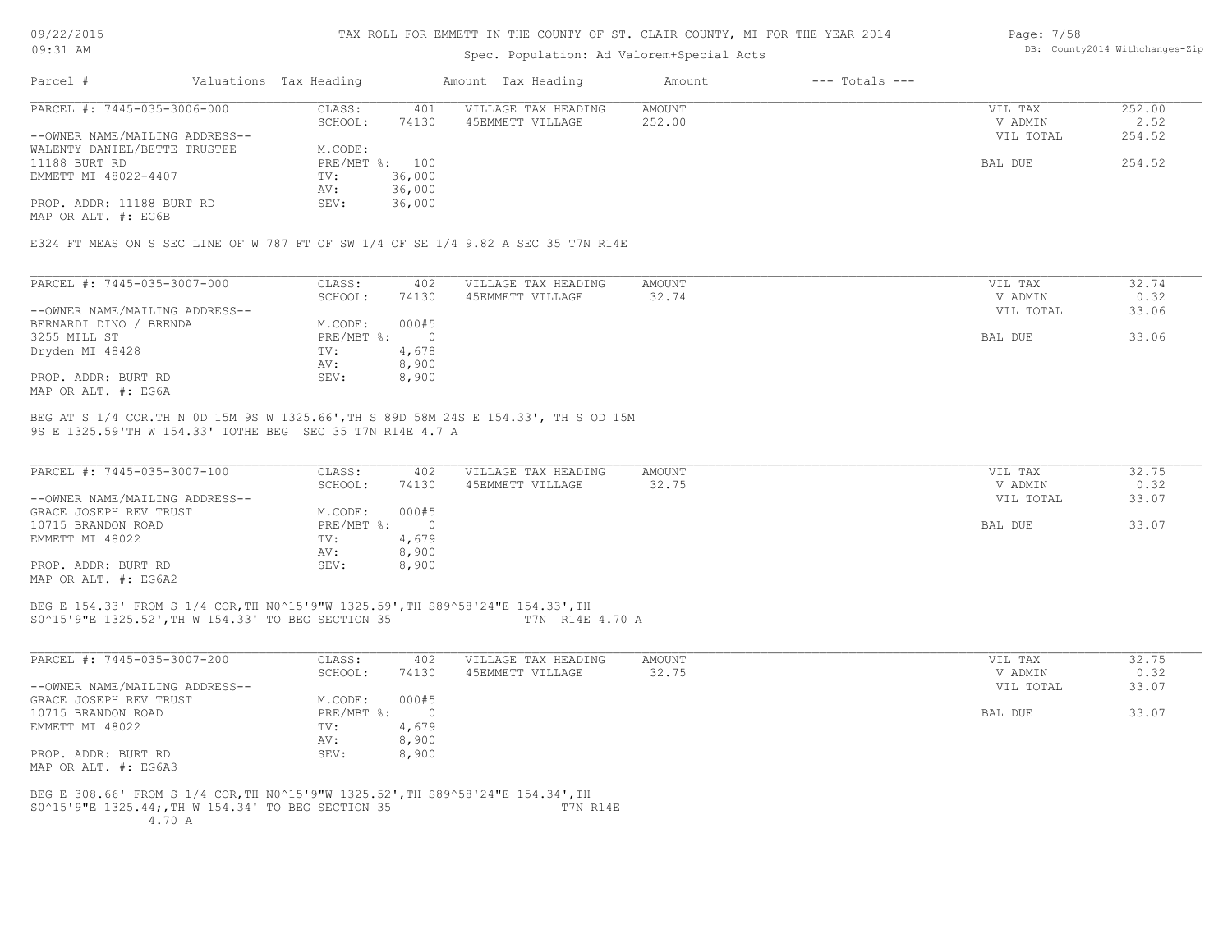09/22/2015 09:31 AM

#### TAX ROLL FOR EMMETT IN THE COUNTY OF ST. CLAIR COUNTY, MI FOR THE YEAR 2014

### Spec. Population: Ad Valorem+Special Acts

| Parcel #                       | Valuations Tax Heading |                | Amount Tax Heading  | Amount | $---$ Totals $---$ |           |        |
|--------------------------------|------------------------|----------------|---------------------|--------|--------------------|-----------|--------|
| PARCEL #: 7445-035-3006-000    | CLASS:                 | 401            | VILLAGE TAX HEADING | AMOUNT |                    | VIL TAX   | 252.00 |
|                                | SCHOOL:                | 74130          | 45EMMETT VILLAGE    | 252.00 |                    | V ADMIN   | 2.52   |
| --OWNER NAME/MAILING ADDRESS-- |                        |                |                     |        |                    | VIL TOTAL | 254.52 |
| WALENTY DANIEL/BETTE TRUSTEE   | M.CODE:                |                |                     |        |                    |           |        |
| 11188 BURT RD                  |                        | PRE/MBT %: 100 |                     |        |                    | BAL DUE   | 254.52 |
| EMMETT MI 48022-4407           | TV:                    | 36,000         |                     |        |                    |           |        |
|                                | AV:                    | 36,000         |                     |        |                    |           |        |
| PROP. ADDR: 11188 BURT RD      | SEV:                   | 36,000         |                     |        |                    |           |        |
|                                |                        |                |                     |        |                    |           |        |

MAP OR ALT. #: EG6B

E324 FT MEAS ON S SEC LINE OF W 787 FT OF SW 1/4 OF SE 1/4 9.82 A SEC 35 T7N R14E

| PARCEL #: 7445-035-3007-000    | CLASS:     | 402   | VILLAGE TAX HEADING | AMOUNT | VIL TAX   | 32.74 |
|--------------------------------|------------|-------|---------------------|--------|-----------|-------|
|                                | SCHOOL:    | 74130 | 45EMMETT VILLAGE    | 32.74  | V ADMIN   | 0.32  |
| --OWNER NAME/MAILING ADDRESS-- |            |       |                     |        | VIL TOTAL | 33.06 |
| BERNARDI DINO<br>' BRENDA      | M.CODE:    | 000#5 |                     |        |           |       |
| 3255 MILL ST                   | PRE/MBT %: |       |                     |        | BAL DUE   | 33.06 |
| Dryden MI 48428                | TV:        | 4,678 |                     |        |           |       |
|                                | AV:        | 8,900 |                     |        |           |       |
| PROP. ADDR: BURT RD            | SEV:       | 8,900 |                     |        |           |       |
| MAP OR ALT. #: EG6A            |            |       |                     |        |           |       |

9S E 1325.59'TH W 154.33' TOTHE BEG SEC 35 T7N R14E 4.7 A BEG AT S 1/4 COR.TH N 0D 15M 9S W 1325.66',TH S 89D 58M 24S E 154.33', TH S OD 15M

| PARCEL #: 7445-035-3007-100    | CLASS:       | 402   | VILLAGE TAX HEADING | AMOUNT | VIL TAX   | 32.75 |
|--------------------------------|--------------|-------|---------------------|--------|-----------|-------|
|                                | SCHOOL:      | 74130 | 45EMMETT VILLAGE    | 32.75  | V ADMIN   | 0.32  |
| --OWNER NAME/MAILING ADDRESS-- |              |       |                     |        | VIL TOTAL | 33.07 |
| GRACE JOSEPH REV TRUST         | M.CODE:      | 000#5 |                     |        |           |       |
| 10715 BRANDON ROAD             | $PRE/MBT$ %: |       |                     |        | BAL DUE   | 33.07 |
| EMMETT MI 48022                | TV:          | 4,679 |                     |        |           |       |
|                                | AV:          | 8,900 |                     |        |           |       |
| PROP. ADDR: BURT RD            | SEV:         | 8,900 |                     |        |           |       |
| MAP OR ALT. #: EG6A2           |              |       |                     |        |           |       |

#### S0^15'9"E 1325.52',TH W 154.33' TO BEG SECTION 35 T7N R14E 4.70 A BEG E 154.33' FROM S 1/4 COR,TH N0^15'9"W 1325.59',TH S89^58'24"E 154.33',TH

| PARCEL #: 7445-035-3007-200                                                     | CLASS:     | 402        | VILLAGE TAX HEADING | AMOUNT | VIL TAX   | 32.75 |
|---------------------------------------------------------------------------------|------------|------------|---------------------|--------|-----------|-------|
|                                                                                 | SCHOOL:    | 74130      | 45EMMETT VILLAGE    | 32.75  | V ADMIN   | 0.32  |
| --OWNER NAME/MAILING ADDRESS--                                                  |            |            |                     |        | VIL TOTAL | 33.07 |
| GRACE JOSEPH REV TRUST                                                          | M.CODE:    | 000#5      |                     |        |           |       |
| 10715 BRANDON ROAD                                                              | PRE/MBT %: | $\bigcirc$ |                     |        | BAL DUE   | 33.07 |
| EMMETT MI 48022                                                                 | TV:        | 4,679      |                     |        |           |       |
|                                                                                 | AV:        | 8,900      |                     |        |           |       |
| PROP. ADDR: BURT RD                                                             | SEV:       | 8,900      |                     |        |           |       |
| MAP OR ALT. #: EG6A3                                                            |            |            |                     |        |           |       |
| BEG E 308.66' FROM S 1/4 COR, TH N0^15'9"W 1325.52', TH S89^58'24"E 154.34', TH |            |            |                     |        |           |       |
| S0^15'9"E 1325.44;,TH W 154.34' TO BEG SECTION 35                               |            |            | T7N R14E            |        |           |       |

DB: County2014 Withchanges-Zip

Page: 7/58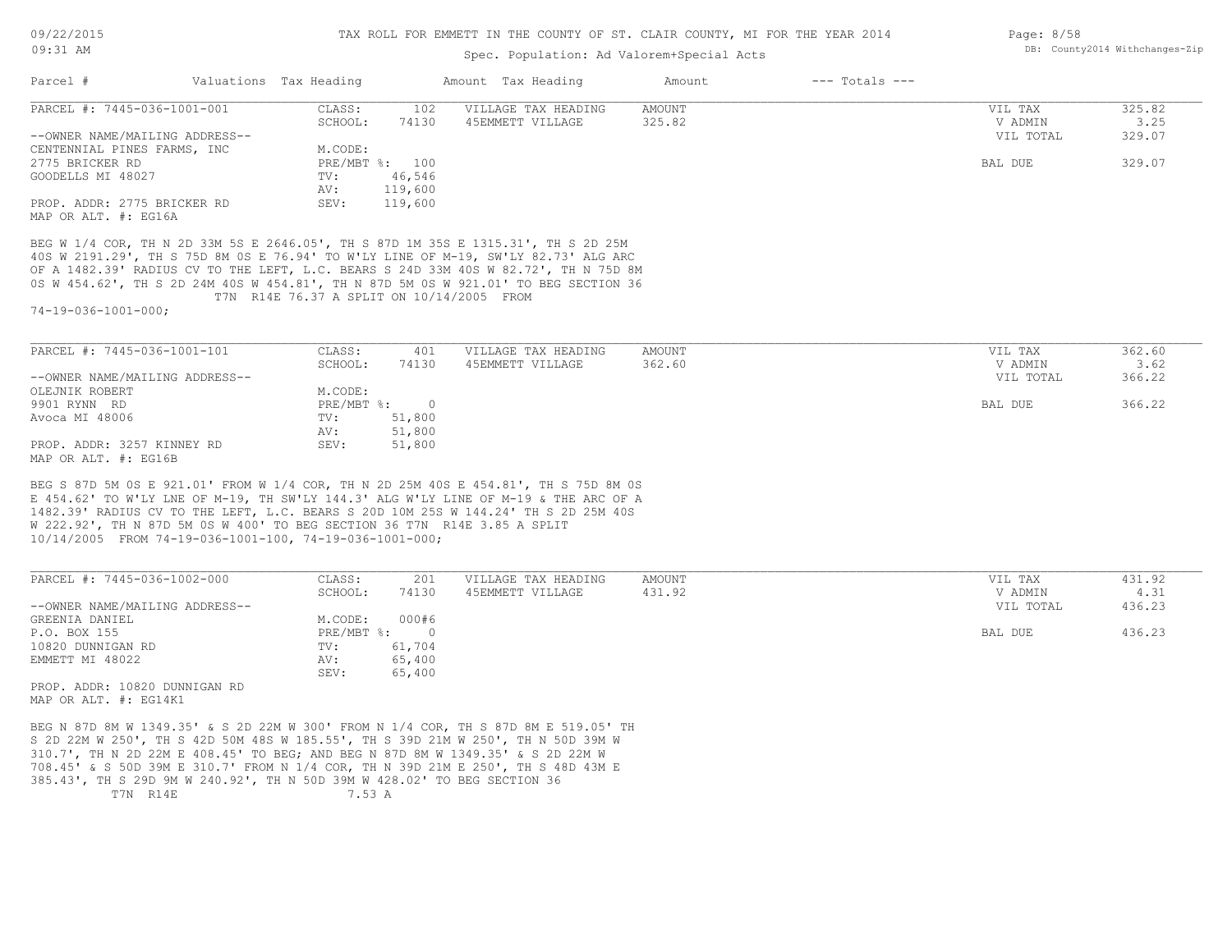#### Spec. Population: Ad Valorem+Special Acts

| Parcel #                       | Valuations Tax Heading |                | Amount Tax Heading  | Amount | $---$ Totals $---$ |           |        |
|--------------------------------|------------------------|----------------|---------------------|--------|--------------------|-----------|--------|
| PARCEL #: 7445-036-1001-001    | CLASS:                 | 102            | VILLAGE TAX HEADING | AMOUNT |                    | VIL TAX   | 325.82 |
|                                | SCHOOL:                | 74130          | 45EMMETT VILLAGE    | 325.82 |                    | V ADMIN   | 3.25   |
| --OWNER NAME/MAILING ADDRESS-- |                        |                |                     |        |                    | VIL TOTAL | 329.07 |
| CENTENNIAL PINES FARMS, INC    | M.CODE:                |                |                     |        |                    |           |        |
| 2775 BRICKER RD                |                        | PRE/MBT %: 100 |                     |        |                    | BAL DUE   | 329.07 |
| GOODELLS MI 48027              | TV:                    | 46,546         |                     |        |                    |           |        |
|                                | AV:                    | 119,600        |                     |        |                    |           |        |
| PROP. ADDR: 2775 BRICKER RD    | SEV:                   | 119,600        |                     |        |                    |           |        |
|                                |                        |                |                     |        |                    |           |        |

MAP OR ALT. #: EG16A

 T7N R14E 76.37 A SPLIT ON 10/14/2005 FROM 0S W 454.62', TH S 2D 24M 40S W 454.81', TH N 87D 5M 0S W 921.01' TO BEG SECTION 36 OF A 1482.39' RADIUS CV TO THE LEFT, L.C. BEARS S 24D 33M 40S W 82.72', TH N 75D 8M 40S W 2191.29', TH S 75D 8M 0S E 76.94' TO W'LY LINE OF M-19, SW'LY 82.73' ALG ARC BEG W 1/4 COR, TH N 2D 33M 5S E 2646.05', TH S 87D 1M 35S E 1315.31', TH S 2D 25M

74-19-036-1001-000;

| PARCEL #: 7445-036-1001-101    | CLASS:       | 401    | VILLAGE TAX HEADING | AMOUNT | VIL TAX   | 362.60 |
|--------------------------------|--------------|--------|---------------------|--------|-----------|--------|
|                                | SCHOOL:      | 74130  | 45EMMETT VILLAGE    | 362.60 | V ADMIN   | 3.62   |
| --OWNER NAME/MAILING ADDRESS-- |              |        |                     |        | VIL TOTAL | 366.22 |
| OLEJNIK ROBERT                 | M.CODE:      |        |                     |        |           |        |
| 9901 RYNN RD                   | $PRE/MBT$ %: |        |                     |        | BAL DUE   | 366.22 |
| Avoca MI 48006                 | TV:          | 51,800 |                     |        |           |        |
|                                | AV:          | 51,800 |                     |        |           |        |
| PROP. ADDR: 3257 KINNEY RD     | SEV:         | 51,800 |                     |        |           |        |
| MAP OR ALT. #: EG16B           |              |        |                     |        |           |        |

10/14/2005 FROM 74-19-036-1001-100, 74-19-036-1001-000; W 222.92', TH N 87D 5M 0S W 400' TO BEG SECTION 36 T7N R14E 3.85 A SPLIT 1482.39' RADIUS CV TO THE LEFT, L.C. BEARS S 20D 10M 25S W 144.24' TH S 2D 25M 40S E 454.62' TO W'LY LNE OF M-19, TH SW'LY 144.3' ALG W'LY LINE OF M-19 & THE ARC OF A BEG S 87D 5M 0S E 921.01' FROM W 1/4 COR, TH N 2D 25M 40S E 454.81', TH S 75D 8M 0S

| PARCEL #: 7445-036-1002-000    | CLASS:     | 201        | VILLAGE TAX HEADING | AMOUNT | VIL TAX | 431.92              |  |
|--------------------------------|------------|------------|---------------------|--------|---------|---------------------|--|
|                                | SCHOOL:    | 74130      | 45EMMETT VILLAGE    | 431.92 | V ADMIN | 4.31                |  |
| --OWNER NAME/MAILING ADDRESS-- |            |            |                     |        |         | 436.23<br>VIL TOTAL |  |
| GREENIA DANIEL                 | M.CODE:    | 000#6      |                     |        |         |                     |  |
| P.O. BOX 155                   | PRE/MBT %: | $\bigcirc$ |                     |        | BAL DUE | 436.23              |  |
| 10820 DUNNIGAN RD              | TV:        | 61,704     |                     |        |         |                     |  |
| EMMETT MI 48022                | AV:        | 65,400     |                     |        |         |                     |  |
|                                | SEV:       | 65,400     |                     |        |         |                     |  |
| PROP. ADDR: 10820 DUNNIGAN RD  |            |            |                     |        |         |                     |  |

MAP OR ALT. #: EG14K1

T7N R14E 7.53 A 385.43', TH S 29D 9M W 240.92', TH N 50D 39M W 428.02' TO BEG SECTION 36 708.45' & S 50D 39M E 310.7' FROM N 1/4 COR, TH N 39D 21M E 250', TH S 48D 43M E 310.7', TH N 2D 22M E 408.45' TO BEG; AND BEG N 87D 8M W 1349.35' & S 2D 22M W S 2D 22M W 250', TH S 42D 50M 48S W 185.55', TH S 39D 21M W 250', TH N 50D 39M W BEG N 87D 8M W 1349.35' & S 2D 22M W 300' FROM N 1/4 COR, TH S 87D 8M E 519.05' TH Page: 8/58 DB: County2014 Withchanges-Zip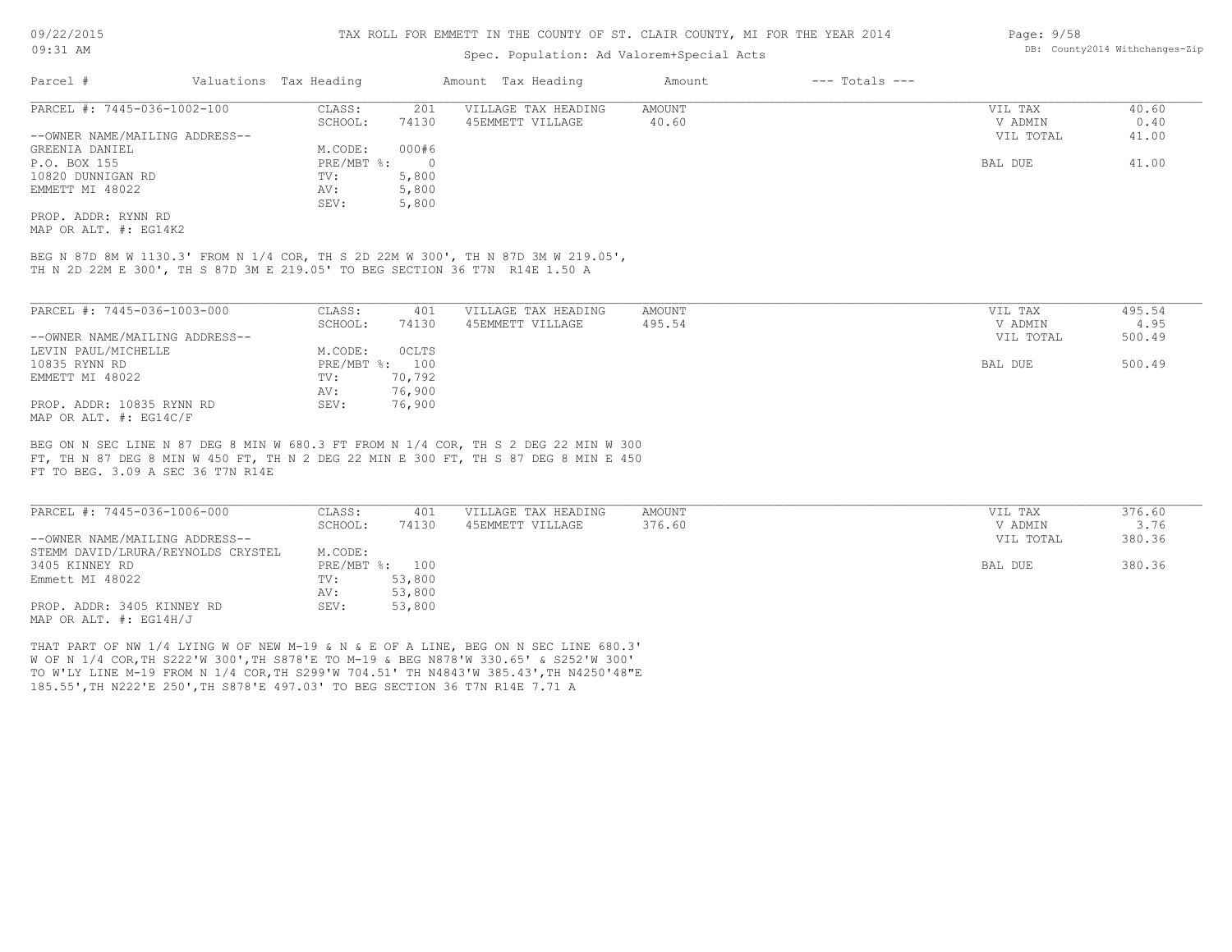### Spec. Population: Ad Valorem+Special Acts

| Parcel #                       | Valuations Tax Heading |          | Amount Tax Heading  | Amount | $---$ Totals $---$ |           |       |
|--------------------------------|------------------------|----------|---------------------|--------|--------------------|-----------|-------|
| PARCEL #: 7445-036-1002-100    | CLASS:                 | 201      | VILLAGE TAX HEADING | AMOUNT |                    | VIL TAX   | 40.60 |
|                                | SCHOOL:                | 74130    | 45EMMETT VILLAGE    | 40.60  |                    | V ADMIN   | 0.40  |
| --OWNER NAME/MAILING ADDRESS-- |                        |          |                     |        |                    | VIL TOTAL | 41.00 |
| GREENIA DANIEL                 | M.CODE:                | 000#6    |                     |        |                    |           |       |
| P.O. BOX 155                   | PRE/MBT %:             | $\Omega$ |                     |        |                    | BAL DUE   | 41.00 |
| 10820 DUNNIGAN RD              | TV:                    | 5,800    |                     |        |                    |           |       |
| EMMETT MI 48022                | AV:                    | 5,800    |                     |        |                    |           |       |
|                                | SEV:                   | 5,800    |                     |        |                    |           |       |
| PROP, ADDR: RYNN RD            |                        |          |                     |        |                    |           |       |

MAP OR ALT. #: EG14K2

TH N 2D 22M E 300', TH S 87D 3M E 219.05' TO BEG SECTION 36 T7N R14E 1.50 A BEG N 87D 8M W 1130.3' FROM N 1/4 COR, TH S 2D 22M W 300', TH N 87D 3M W 219.05',

| PARCEL #: 7445-036-1003-000    | CLASS:     | 401          | VILLAGE TAX HEADING | AMOUNT | VIL TAX   | 495.54 |
|--------------------------------|------------|--------------|---------------------|--------|-----------|--------|
|                                | SCHOOL:    | 74130        | 45EMMETT VILLAGE    | 495.54 | V ADMIN   | 4.95   |
| --OWNER NAME/MAILING ADDRESS-- |            |              |                     |        | VIL TOTAL | 500.49 |
| LEVIN PAUL/MICHELLE            | M.CODE:    | <b>OCLTS</b> |                     |        |           |        |
| 10835 RYNN RD                  | PRE/MBT %: | 100          |                     |        | BAL DUE   | 500.49 |
| EMMETT MI 48022                | TV:        | 70,792       |                     |        |           |        |
|                                | AV:        | 76,900       |                     |        |           |        |
| PROP. ADDR: 10835 RYNN RD      | SEV:       | 76,900       |                     |        |           |        |
| MAP OR ALT. #: EG14C/F         |            |              |                     |        |           |        |

FT TO BEG. 3.09 A SEC 36 T7N R14E FT, TH N 87 DEG 8 MIN W 450 FT, TH N 2 DEG 22 MIN E 300 FT, TH S 87 DEG 8 MIN E 450 BEG ON N SEC LINE N 87 DEG 8 MIN W 680.3 FT FROM N 1/4 COR, TH S 2 DEG 22 MIN W 300

| PARCEL #: 7445-036-1006-000        | CLASS:  | 401            | VILLAGE TAX HEADING | AMOUNT | VIL TAX   | 376.60 |
|------------------------------------|---------|----------------|---------------------|--------|-----------|--------|
|                                    | SCHOOL: | 74130          | 45EMMETT VILLAGE    | 376.60 | V ADMIN   | 3.76   |
| --OWNER NAME/MAILING ADDRESS--     |         |                |                     |        | VIL TOTAL | 380.36 |
| STEMM DAVID/LRURA/REYNOLDS CRYSTEL | M.CODE: |                |                     |        |           |        |
| 3405 KINNEY RD                     |         | PRE/MBT %: 100 |                     |        | BAL DUE   | 380.36 |
| Emmett MI 48022                    | TV:     | 53,800         |                     |        |           |        |
|                                    | AV:     | 53,800         |                     |        |           |        |
| PROP. ADDR: 3405 KINNEY RD         | SEV:    | 53,800         |                     |        |           |        |
| MAP OR ALT. $\#$ : EG14H/J         |         |                |                     |        |           |        |

185.55',TH N222'E 250',TH S878'E 497.03' TO BEG SECTION 36 T7N R14E 7.71 A TO W'LY LINE M-19 FROM N 1/4 COR,TH S299'W 704.51' TH N4843'W 385.43',TH N4250'48"E W OF N 1/4 COR,TH S222'W 300',TH S878'E TO M-19 & BEG N878'W 330.65' & S252'W 300' THAT PART OF NW 1/4 LYING W OF NEW M-19 & N & E OF A LINE, BEG ON N SEC LINE 680.3'

Page: 9/58 DB: County2014 Withchanges-Zip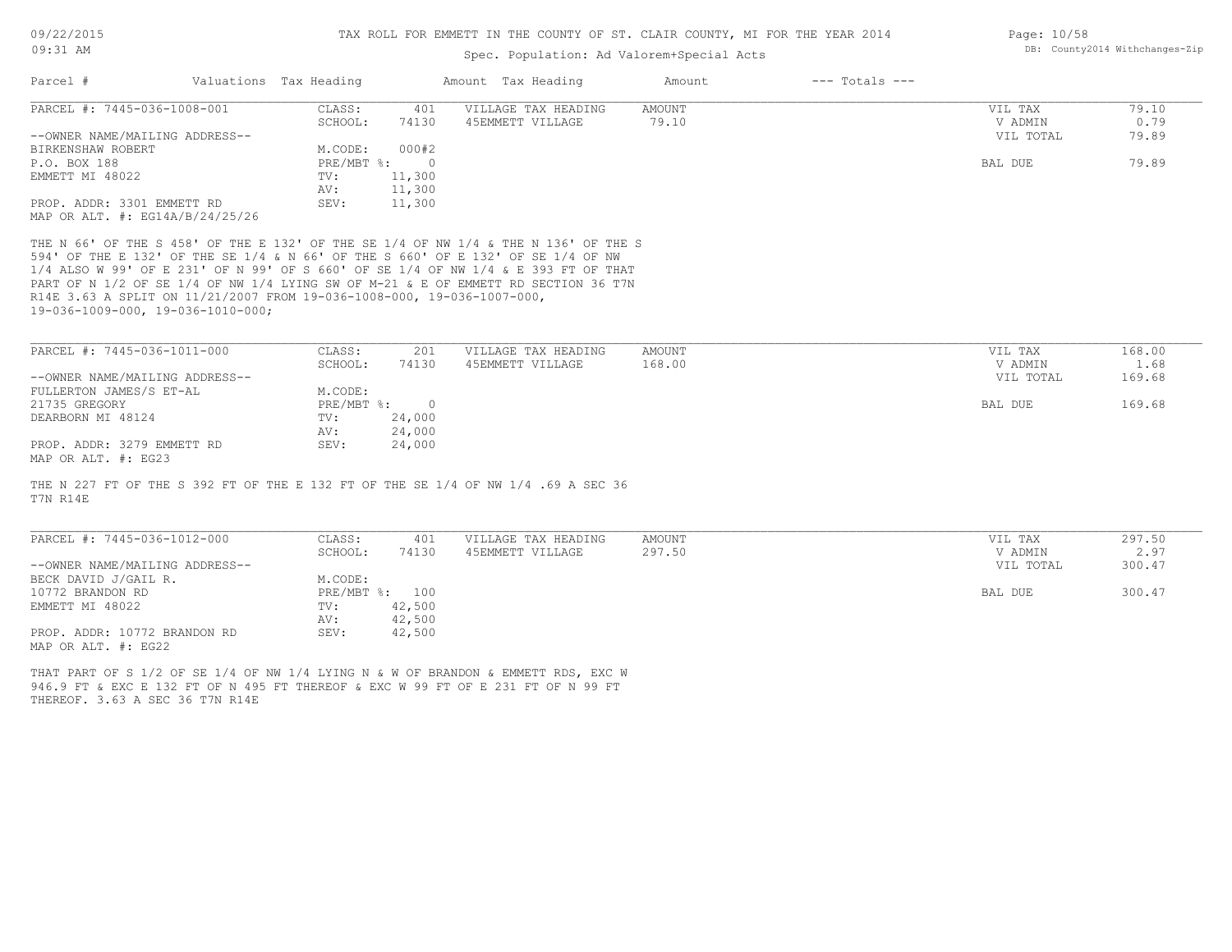#### Spec. Population: Ad Valorem+Special Acts

| Page: 10/58 |                                |
|-------------|--------------------------------|
|             | DB: County2014 Withchanges-Zip |

| Parcel #                            | Valuations Tax Heading |        | Amount Tax Heading  | Amount | $---$ Totals $---$ |           |       |
|-------------------------------------|------------------------|--------|---------------------|--------|--------------------|-----------|-------|
| PARCEL #: 7445-036-1008-001         | CLASS:                 | 401    | VILLAGE TAX HEADING | AMOUNT |                    | VIL TAX   | 79.10 |
|                                     | SCHOOL:                | 74130  | 45EMMETT VILLAGE    | 79.10  |                    | V ADMIN   | 0.79  |
| --OWNER NAME/MAILING ADDRESS--      |                        |        |                     |        |                    | VIL TOTAL | 79.89 |
| BIRKENSHAW ROBERT                   | M.CODE:                | 000#2  |                     |        |                    |           |       |
| P.O. BOX 188                        | PRE/MBT %:             |        |                     |        |                    | BAL DUE   | 79.89 |
| EMMETT MI 48022                     | TV:                    | 11,300 |                     |        |                    |           |       |
|                                     | AV:                    | 11,300 |                     |        |                    |           |       |
| PROP. ADDR: 3301 EMMETT RD          | SEV:                   | 11,300 |                     |        |                    |           |       |
| MAP OR ALT. $\#$ : EG14A/B/24/25/26 |                        |        |                     |        |                    |           |       |

19-036-1009-000, 19-036-1010-000; R14E 3.63 A SPLIT ON 11/21/2007 FROM 19-036-1008-000, 19-036-1007-000, PART OF N 1/2 OF SE 1/4 OF NW 1/4 LYING SW OF M-21 & E OF EMMETT RD SECTION 36 T7N 1/4 ALSO W 99' OF E 231' OF N 99' OF S 660' OF SE 1/4 OF NW 1/4 & E 393 FT OF THAT 594' OF THE E 132' OF THE SE 1/4 & N 66' OF THE S 660' OF E 132' OF SE 1/4 OF NW THE N 66' OF THE S 458' OF THE E 132' OF THE SE 1/4 OF NW 1/4 & THE N 136' OF THE S

| PARCEL #: 7445-036-1011-000    | CLASS:     | 201    | VILLAGE TAX HEADING | AMOUNT | VIL TAX   | 168.00 |
|--------------------------------|------------|--------|---------------------|--------|-----------|--------|
|                                | SCHOOL:    | 74130  | 45EMMETT VILLAGE    | 168.00 | V ADMIN   | 1.68   |
| --OWNER NAME/MAILING ADDRESS-- |            |        |                     |        | VIL TOTAL | 169.68 |
| FULLERTON JAMES/S ET-AL        | M.CODE:    |        |                     |        |           |        |
| 21735 GREGORY                  | PRE/MBT %: |        |                     |        | BAL DUE   | 169.68 |
| DEARBORN MI 48124              | TV:        | 24,000 |                     |        |           |        |
|                                | AV:        | 24,000 |                     |        |           |        |
| PROP. ADDR: 3279 EMMETT RD     | SEV:       | 24,000 |                     |        |           |        |
| MAP OR ALT. #: EG23            |            |        |                     |        |           |        |

T7N R14E THE N 227 FT OF THE S 392 FT OF THE E 132 FT OF THE SE 1/4 OF NW 1/4 .69 A SEC 36

| PARCEL #: 7445-036-1012-000    | CLASS:         | 401    | VILLAGE TAX HEADING | AMOUNT | VIL TAX   | 297.50 |
|--------------------------------|----------------|--------|---------------------|--------|-----------|--------|
|                                | SCHOOL:        | 74130  | 45EMMETT VILLAGE    | 297.50 | V ADMIN   | 2.97   |
| --OWNER NAME/MAILING ADDRESS-- |                |        |                     |        | VIL TOTAL | 300.47 |
| BECK DAVID J/GAIL R.           | M.CODE:        |        |                     |        |           |        |
| 10772 BRANDON RD               | PRE/MBT %: 100 |        |                     |        | BAL DUE   | 300.47 |
| EMMETT MI 48022                | TV:            | 42,500 |                     |        |           |        |
|                                | AV:            | 42,500 |                     |        |           |        |
| PROP. ADDR: 10772 BRANDON RD   | SEV:           | 42,500 |                     |        |           |        |
| MAP OR ALT. #: EG22            |                |        |                     |        |           |        |

THEREOF. 3.63 A SEC 36 T7N R14E 946.9 FT & EXC E 132 FT OF N 495 FT THEREOF & EXC W 99 FT OF E 231 FT OF N 99 FT THAT PART OF S 1/2 OF SE 1/4 OF NW 1/4 LYING N & W OF BRANDON & EMMETT RDS, EXC W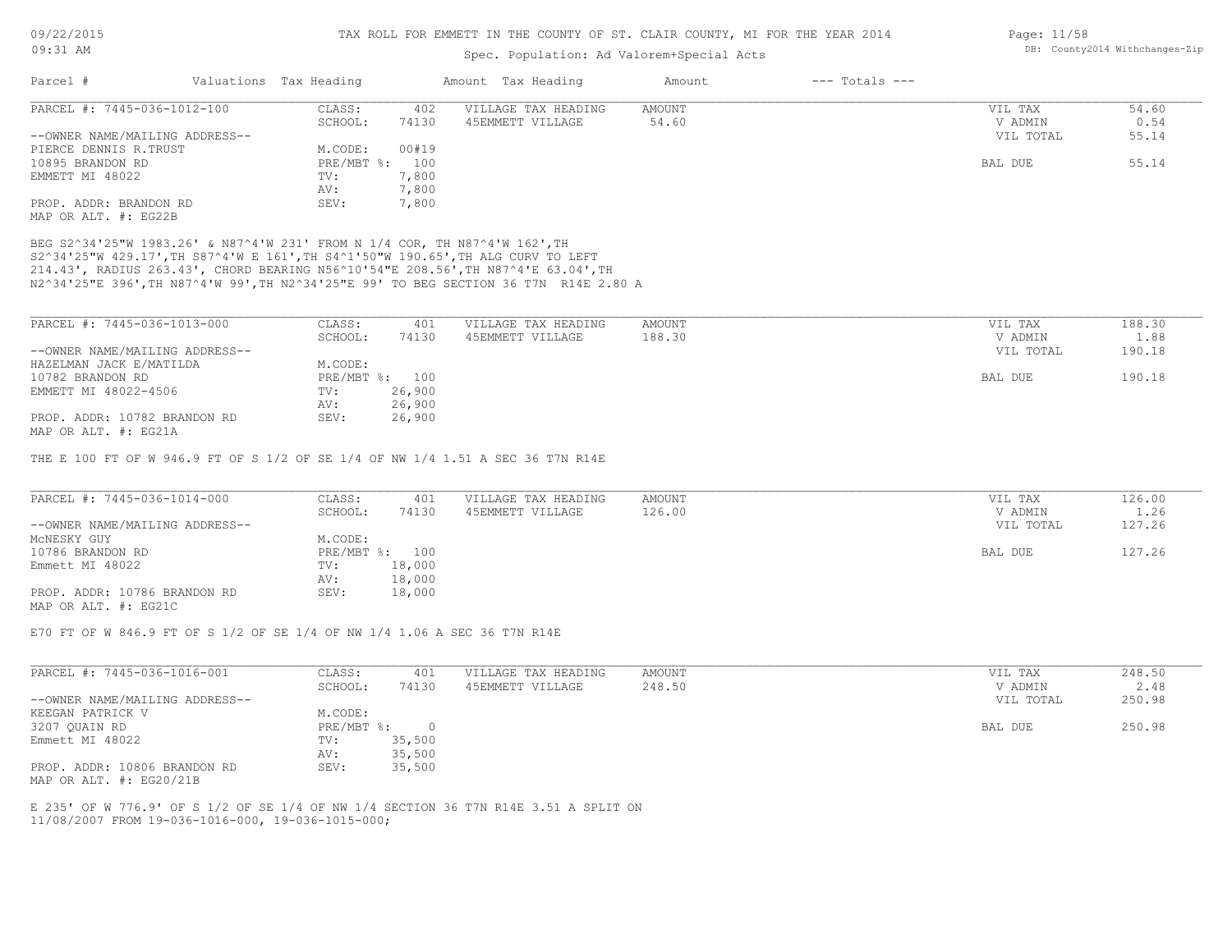## Spec. Population: Ad Valorem+Special Acts

| Parcel #                       | Valuations Tax Heading |       | Amount Tax Heading  | Amount | $---$ Totals $---$ |           |       |
|--------------------------------|------------------------|-------|---------------------|--------|--------------------|-----------|-------|
| PARCEL #: 7445-036-1012-100    | CLASS:                 | 402   | VILLAGE TAX HEADING | AMOUNT |                    | VIL TAX   | 54.60 |
|                                | SCHOOL:                | 74130 | 45EMMETT VILLAGE    | 54.60  |                    | V ADMIN   | 0.54  |
| --OWNER NAME/MAILING ADDRESS-- |                        |       |                     |        |                    | VIL TOTAL | 55.14 |
| PIERCE DENNIS R.TRUST          | M.CODE:                | 00#19 |                     |        |                    |           |       |
| 10895 BRANDON RD               | PRE/MBT %: 100         |       |                     |        |                    | BAL DUE   | 55.14 |
| EMMETT MI 48022                | TV:                    | 7,800 |                     |        |                    |           |       |
|                                | AV:                    | 7,800 |                     |        |                    |           |       |
| PROP. ADDR: BRANDON RD         | SEV:                   | 7,800 |                     |        |                    |           |       |
| MAP OR ALT. #: EG22B           |                        |       |                     |        |                    |           |       |

N2^34'25"E 396',TH N87^4'W 99',TH N2^34'25"E 99' TO BEG SECTION 36 T7N R14E 2.80 A 214.43', RADIUS 263.43', CHORD BEARING N56^10'54"E 208.56',TH N87^4'E 63.04',TH S2^34'25"W 429.17',TH S87^4'W E 161',TH S4^1'50"W 190.65',TH ALG CURV TO LEFT BEG S2^34'25"W 1983.26' & N87^4'W 231' FROM N 1/4 COR, TH N87^4'W 162',TH

| PARCEL #: 7445-036-1013-000    | CLASS:       | 401    | VILLAGE TAX HEADING | AMOUNT | VIL TAX   | 188.30 |
|--------------------------------|--------------|--------|---------------------|--------|-----------|--------|
|                                | SCHOOL:      | 74130  | 45EMMETT VILLAGE    | 188.30 | V ADMIN   | 1.88   |
| --OWNER NAME/MAILING ADDRESS-- |              |        |                     |        | VIL TOTAL | 190.18 |
| HAZELMAN JACK E/MATILDA        | M.CODE:      |        |                     |        |           |        |
| 10782 BRANDON RD               | $PRE/MBT$ %: | 100    |                     |        | BAL DUE   | 190.18 |
| EMMETT MI 48022-4506           | TV:          | 26,900 |                     |        |           |        |
|                                | AV:          | 26,900 |                     |        |           |        |
| PROP. ADDR: 10782 BRANDON RD   | SEV:         | 26,900 |                     |        |           |        |
| MAP OR ALT. #: EG21A           |              |        |                     |        |           |        |

THE E 100 FT OF W 946.9 FT OF S 1/2 OF SE 1/4 OF NW 1/4 1.51 A SEC 36 T7N R14E

| PARCEL #: 7445-036-1014-000    | CLASS:  | 401            | VILLAGE TAX HEADING | AMOUNT | VIL TAX   | 126.00 |
|--------------------------------|---------|----------------|---------------------|--------|-----------|--------|
|                                | SCHOOL: | 74130          | 45EMMETT VILLAGE    | 126.00 | V ADMIN   | 1.26   |
| --OWNER NAME/MAILING ADDRESS-- |         |                |                     |        | VIL TOTAL | 127.26 |
| MCNESKY GUY                    | M.CODE: |                |                     |        |           |        |
| 10786 BRANDON RD               |         | PRE/MBT %: 100 |                     |        | BAL DUE   | 127.26 |
| Emmett MI 48022                | TV:     | 18,000         |                     |        |           |        |
|                                | AV:     | 18,000         |                     |        |           |        |
| PROP. ADDR: 10786 BRANDON RD   | SEV:    | 18,000         |                     |        |           |        |
| MAP OR ALT. #: EG21C           |         |                |                     |        |           |        |

E70 FT OF W 846.9 FT OF S 1/2 OF SE 1/4 OF NW 1/4 1.06 A SEC 36 T7N R14E

| PARCEL #: 7445-036-1016-001    | CLASS:     | 401    | VILLAGE TAX HEADING | AMOUNT  | VIL TAX   | 248.50 |
|--------------------------------|------------|--------|---------------------|---------|-----------|--------|
|                                | SCHOOL:    | 74130  | 45EMMETT VILLAGE    | 248.50  | V ADMIN   | 2.48   |
| --OWNER NAME/MAILING ADDRESS-- |            |        |                     |         | VIL TOTAL | 250.98 |
| KEEGAN PATRICK V               | M.CODE:    |        |                     |         |           |        |
| 3207 QUAIN RD                  | PRE/MBT %: |        |                     | BAL DUE | 250.98    |        |
| Emmett MI 48022                | TV:        | 35,500 |                     |         |           |        |
|                                | AV:        | 35,500 |                     |         |           |        |
| PROP. ADDR: 10806 BRANDON RD   | SEV:       | 35,500 |                     |         |           |        |
| MAP OR ALT. $\#$ : EG20/21B    |            |        |                     |         |           |        |

11/08/2007 FROM 19-036-1016-000, 19-036-1015-000; E 235' OF W 776.9' OF S 1/2 OF SE 1/4 OF NW 1/4 SECTION 36 T7N R14E 3.51 A SPLIT ON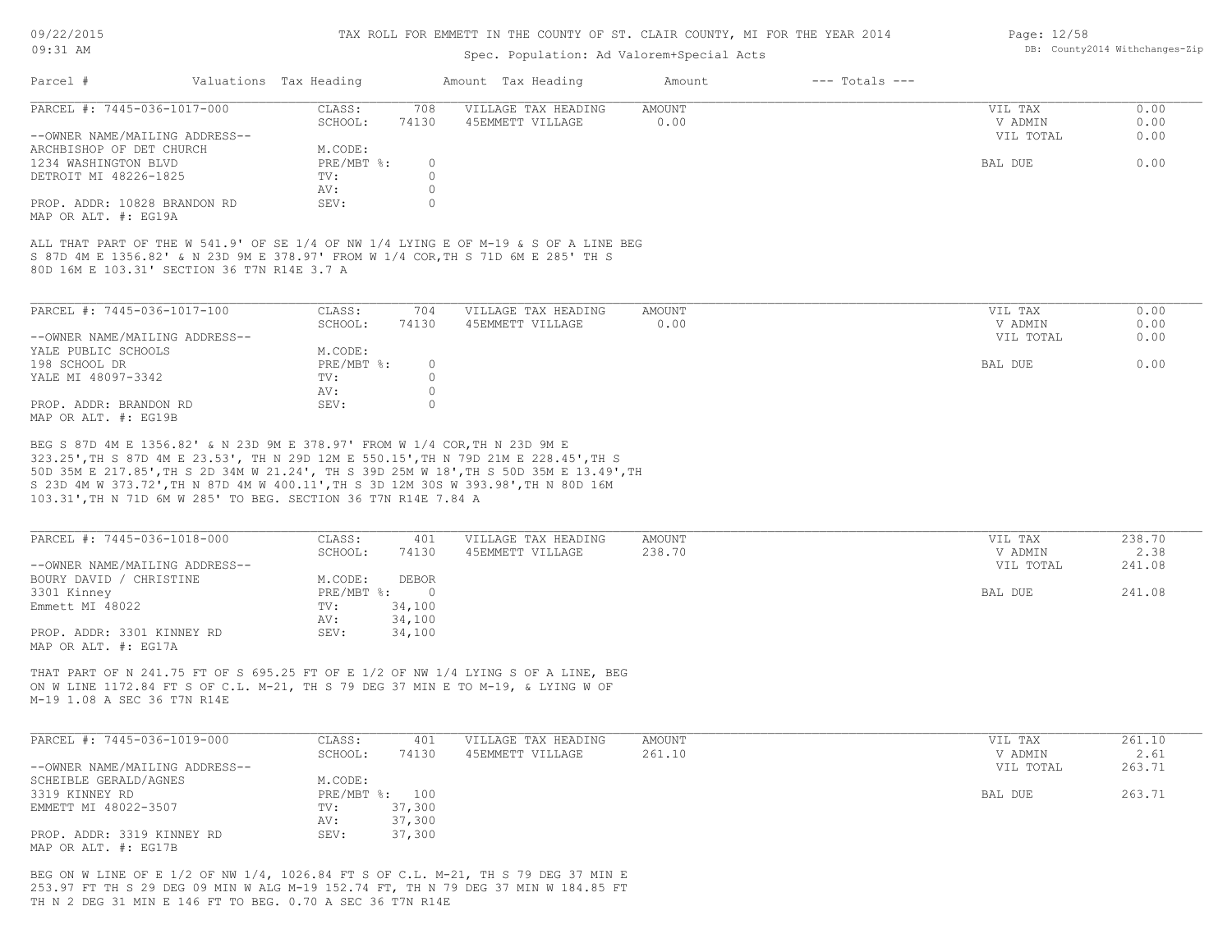#### Spec. Population: Ad Valorem+Special Acts

| Parcel #                                             | Valuations Tax Heading |       | Amount Tax Heading  | Amount | $---$ Totals $---$ |           |      |
|------------------------------------------------------|------------------------|-------|---------------------|--------|--------------------|-----------|------|
| PARCEL #: 7445-036-1017-000                          | CLASS:                 | 708   | VILLAGE TAX HEADING | AMOUNT |                    | VIL TAX   | 0.00 |
|                                                      | SCHOOL:                | 74130 | 45EMMETT VILLAGE    | 0.00   |                    | V ADMIN   | 0.00 |
| --OWNER NAME/MAILING ADDRESS--                       |                        |       |                     |        |                    | VIL TOTAL | 0.00 |
| ARCHBISHOP OF DET CHURCH                             | M.CODE:                |       |                     |        |                    |           |      |
| 1234 WASHINGTON BLVD                                 | PRE/MBT %:             |       |                     |        |                    | BAL DUE   | 0.00 |
| DETROIT MI 48226-1825                                | TV:                    |       |                     |        |                    |           |      |
|                                                      | AV:                    |       |                     |        |                    |           |      |
| PROP. ADDR: 10828 BRANDON RD<br>MAP OR ALT. #: EG19A | SEV:                   |       |                     |        |                    |           |      |

80D 16M E 103.31' SECTION 36 T7N R14E 3.7 A S 87D 4M E 1356.82' & N 23D 9M E 378.97' FROM W 1/4 COR,TH S 71D 6M E 285' TH S ALL THAT PART OF THE W 541.9' OF SE 1/4 OF NW 1/4 LYING E OF M-19 & S OF A LINE BEG

| PARCEL #: 7445-036-1017-100    | CLASS:       | 704   | VILLAGE TAX HEADING | AMOUNT | VIL TAX   | 0.00 |
|--------------------------------|--------------|-------|---------------------|--------|-----------|------|
|                                | SCHOOL:      | 74130 | 45EMMETT VILLAGE    | 0.00   | V ADMIN   | 0.00 |
| --OWNER NAME/MAILING ADDRESS-- |              |       |                     |        | VIL TOTAL | 0.00 |
| YALE PUBLIC SCHOOLS            | M.CODE:      |       |                     |        |           |      |
| 198 SCHOOL DR                  | $PRE/MBT$ %: |       |                     |        | BAL DUE   | 0.00 |
| YALE MI 48097-3342             | TV:          |       |                     |        |           |      |
|                                | AV:          |       |                     |        |           |      |
| PROP. ADDR: BRANDON RD         | SEV:         |       |                     |        |           |      |
| MAP OR ALT. #: EG19B           |              |       |                     |        |           |      |

103.31',TH N 71D 6M W 285' TO BEG. SECTION 36 T7N R14E 7.84 A S 23D 4M W 373.72',TH N 87D 4M W 400.11',TH S 3D 12M 30S W 393.98',TH N 80D 16M 50D 35M E 217.85',TH S 2D 34M W 21.24', TH S 39D 25M W 18',TH S 50D 35M E 13.49',TH 323.25',TH S 87D 4M E 23.53', TH N 29D 12M E 550.15',TH N 79D 21M E 228.45',TH S BEG S 87D 4M E 1356.82' & N 23D 9M E 378.97' FROM W 1/4 COR,TH N 23D 9M E

| PARCEL #: 7445-036-1018-000    | CLASS:     | 401          | VILLAGE TAX HEADING | AMOUNT | VIL TAX   | 238.70 |
|--------------------------------|------------|--------------|---------------------|--------|-----------|--------|
|                                | SCHOOL:    | 74130        | 45EMMETT VILLAGE    | 238.70 | V ADMIN   | 2.38   |
| --OWNER NAME/MAILING ADDRESS-- |            |              |                     |        | VIL TOTAL | 241.08 |
| BOURY DAVID / CHRISTINE        | M.CODE:    | <b>DEBOR</b> |                     |        |           |        |
| 3301 Kinney                    | PRE/MBT %: |              |                     |        | BAL DUE   | 241.08 |
| Emmett MI 48022                | TV:        | 34,100       |                     |        |           |        |
|                                | AV:        | 34,100       |                     |        |           |        |
| PROP. ADDR: 3301 KINNEY RD     | SEV:       | 34,100       |                     |        |           |        |
| MAP OR ALT. #: EG17A           |            |              |                     |        |           |        |

M-19 1.08 A SEC 36 T7N R14E ON W LINE 1172.84 FT S OF C.L. M-21, TH S 79 DEG 37 MIN E TO M-19, & LYING W OF THAT PART OF N 241.75 FT OF S 695.25 FT OF E 1/2 OF NW 1/4 LYING S OF A LINE, BEG

| PARCEL #: 7445-036-1019-000    | CLASS:       | 401    | VILLAGE TAX HEADING | AMOUNT | VIL TAX   | 261.10 |
|--------------------------------|--------------|--------|---------------------|--------|-----------|--------|
|                                | SCHOOL:      | 74130  | 45EMMETT VILLAGE    | 261.10 | V ADMIN   | 2.61   |
| --OWNER NAME/MAILING ADDRESS-- |              |        |                     |        | VIL TOTAL | 263.71 |
| SCHEIBLE GERALD/AGNES          | M.CODE:      |        |                     |        |           |        |
| 3319 KINNEY RD                 | $PRE/MBT$ %: | 100    |                     |        | BAL DUE   | 263.71 |
| EMMETT MI 48022-3507           | TV:          | 37,300 |                     |        |           |        |
|                                | AV:          | 37,300 |                     |        |           |        |
| PROP. ADDR: 3319 KINNEY RD     | SEV:         | 37,300 |                     |        |           |        |
| MAP OR ALT. #: EG17B           |              |        |                     |        |           |        |

TH N 2 DEG 31 MIN E 146 FT TO BEG. 0.70 A SEC 36 T7N R14E 253.97 FT TH S 29 DEG 09 MIN W ALG M-19 152.74 FT, TH N 79 DEG 37 MIN W 184.85 FT BEG ON W LINE OF E 1/2 OF NW 1/4, 1026.84 FT S OF C.L. M-21, TH S 79 DEG 37 MIN E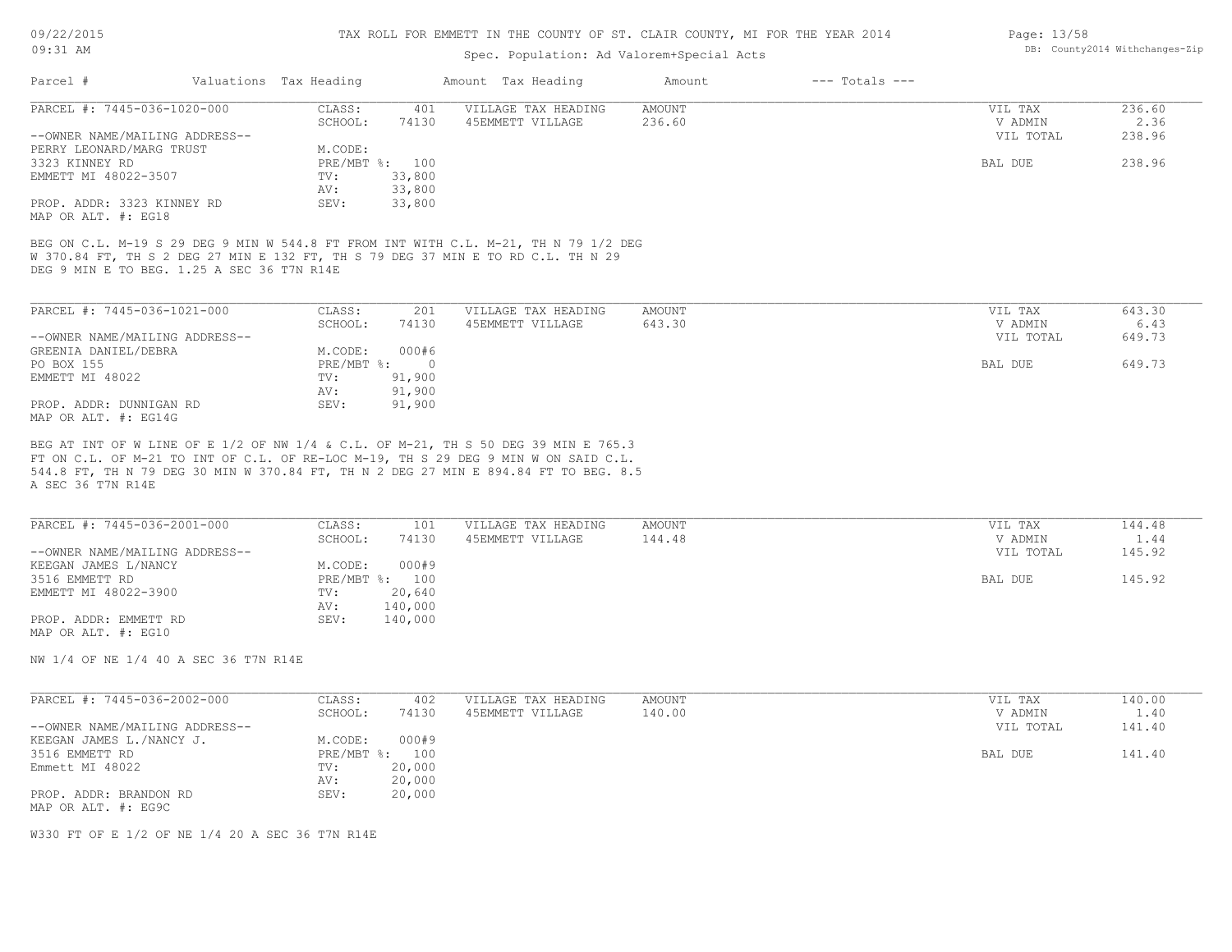### Spec. Population: Ad Valorem+Special Acts

| Page: 13/58 |                                |
|-------------|--------------------------------|
|             | DB: County2014 Withchanges-Zip |

| Parcel #                       | Valuations Tax Heading |        | Amount Tax Heading  | Amount | $---$ Totals $---$ |           |        |
|--------------------------------|------------------------|--------|---------------------|--------|--------------------|-----------|--------|
| PARCEL #: 7445-036-1020-000    | CLASS:                 | 401    | VILLAGE TAX HEADING | AMOUNT |                    | VIL TAX   | 236.60 |
|                                | SCHOOL:                | 74130  | 45EMMETT VILLAGE    | 236.60 |                    | V ADMIN   | 2.36   |
| --OWNER NAME/MAILING ADDRESS-- |                        |        |                     |        |                    | VIL TOTAL | 238.96 |
| PERRY LEONARD/MARG TRUST       | M.CODE:                |        |                     |        |                    |           |        |
| 3323 KINNEY RD                 | PRE/MBT %: 100         |        |                     |        |                    | BAL DUE   | 238.96 |
| EMMETT MI 48022-3507           | TV:                    | 33,800 |                     |        |                    |           |        |
|                                | AV:                    | 33,800 |                     |        |                    |           |        |
| PROP. ADDR: 3323 KINNEY RD     | SEV:                   | 33,800 |                     |        |                    |           |        |
| MAP OR ALT. #: EG18            |                        |        |                     |        |                    |           |        |

W 370.84 FT, TH S 2 DEG 27 MIN E 132 FT, TH S 79 DEG 37 MIN E TO RD C.L. TH N 29

DEG 9 MIN E TO BEG. 1.25 A SEC 36 T7N R14E

| PARCEL #: 7445-036-1021-000    | CLASS:     | 201    | VILLAGE TAX HEADING | AMOUNT | VIL TAX   | 643.30 |
|--------------------------------|------------|--------|---------------------|--------|-----------|--------|
|                                | SCHOOL:    | 74130  | 45EMMETT VILLAGE    | 643.30 | V ADMIN   | 6.43   |
| --OWNER NAME/MAILING ADDRESS-- |            |        |                     |        | VIL TOTAL | 649.73 |
| GREENIA DANIEL/DEBRA           | M.CODE:    | 000#6  |                     |        |           |        |
| PO BOX 155                     | PRE/MBT %: |        |                     |        | BAL DUE   | 649.73 |
| EMMETT MI 48022                | TV:        | 91,900 |                     |        |           |        |
|                                | AV:        | 91,900 |                     |        |           |        |
| PROP. ADDR: DUNNIGAN RD        | SEV:       | 91,900 |                     |        |           |        |
| MAP OR ALT. #: EG14G           |            |        |                     |        |           |        |

A SEC 36 T7N R14E 544.8 FT, TH N 79 DEG 30 MIN W 370.84 FT, TH N 2 DEG 27 MIN E 894.84 FT TO BEG. 8.5 FT ON C.L. OF M-21 TO INT OF C.L. OF RE-LOC M-19, TH S 29 DEG 9 MIN W ON SAID C.L. BEG AT INT OF W LINE OF E 1/2 OF NW 1/4 & C.L. OF M-21, TH S 50 DEG 39 MIN E 765.3

| PARCEL #: 7445-036-2001-000    | CLASS:  | 101            | VILLAGE TAX HEADING | AMOUNT | VIL TAX   | 144.48 |
|--------------------------------|---------|----------------|---------------------|--------|-----------|--------|
|                                |         |                |                     |        |           |        |
|                                | SCHOOL: | 74130          | 45EMMETT VILLAGE    | 144.48 | V ADMIN   | 1.44   |
| --OWNER NAME/MAILING ADDRESS-- |         |                |                     |        | VIL TOTAL | 145.92 |
| KEEGAN JAMES L/NANCY           | M.CODE: | 000#9          |                     |        |           |        |
| 3516 EMMETT RD                 |         | PRE/MBT %: 100 |                     |        | BAL DUE   | 145.92 |
| EMMETT MI 48022-3900           | TV:     | 20,640         |                     |        |           |        |
|                                | AV:     | 140,000        |                     |        |           |        |
| PROP. ADDR: EMMETT RD          | SEV:    | 140,000        |                     |        |           |        |

MAP OR ALT. #: EG10

NW 1/4 OF NE 1/4 40 A SEC 36 T7N R14E

| PARCEL #: 7445-036-2002-000    | CLASS:  | 402            | VILLAGE TAX HEADING | AMOUNT | VIL TAX   | 140.00 |
|--------------------------------|---------|----------------|---------------------|--------|-----------|--------|
|                                | SCHOOL: | 74130          | 45EMMETT VILLAGE    | 140.00 | V ADMIN   | 1.40   |
| --OWNER NAME/MAILING ADDRESS-- |         |                |                     |        | VIL TOTAL | 141.40 |
| KEEGAN JAMES L./NANCY J.       | M.CODE: | 000#9          |                     |        |           |        |
| 3516 EMMETT RD                 |         | PRE/MBT %: 100 |                     |        | BAL DUE   | 141.40 |
| Emmett MI 48022                | TV:     | 20,000         |                     |        |           |        |
|                                | AV:     | 20,000         |                     |        |           |        |
| PROP. ADDR: BRANDON RD         | SEV:    | 20,000         |                     |        |           |        |
| MAP OR ALT. #: EG9C            |         |                |                     |        |           |        |

W330 FT OF E 1/2 OF NE 1/4 20 A SEC 36 T7N R14E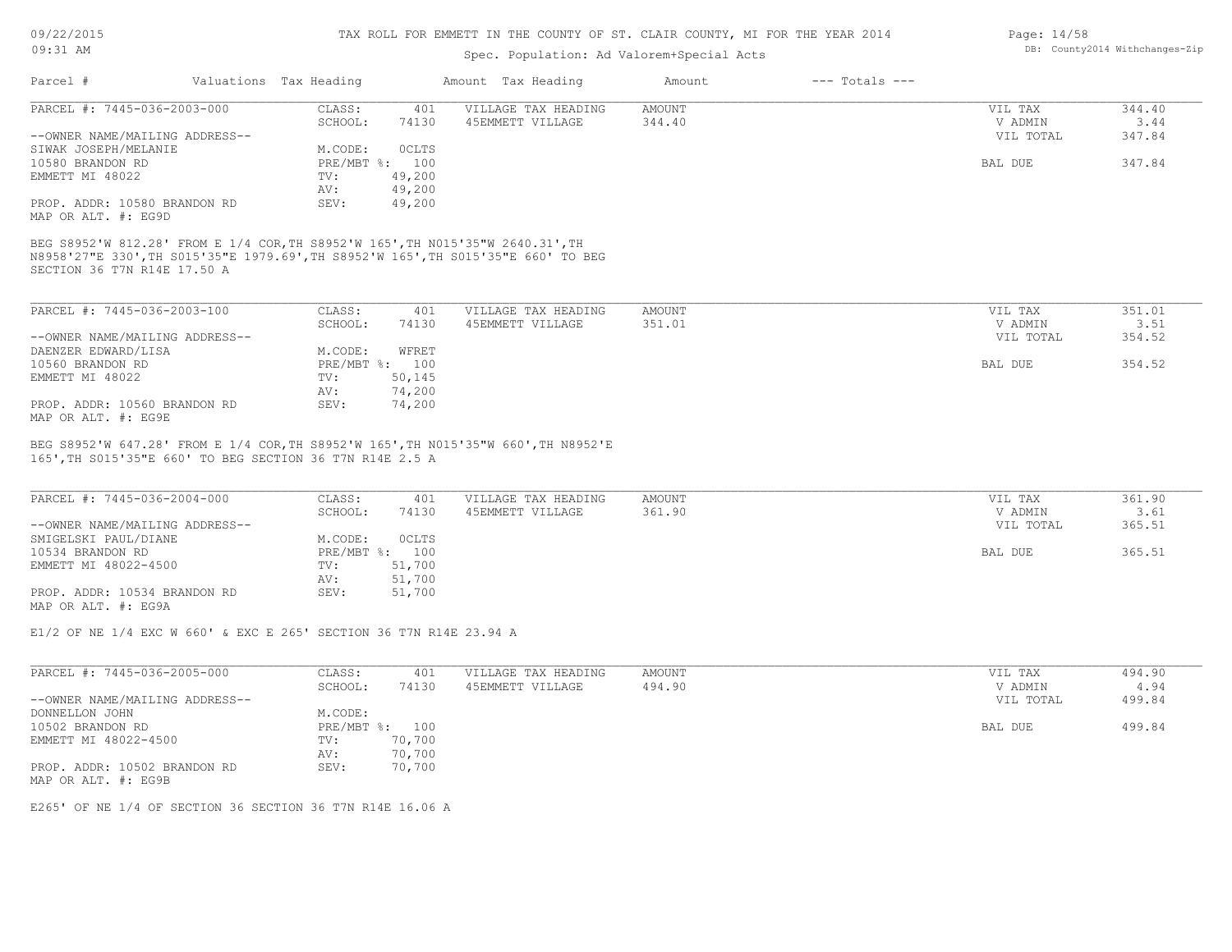## Spec. Population: Ad Valorem+Special Acts

|                                |                                      |           | ppcc. reputation. ha varefem bpccrat hold |        |                |           |        |
|--------------------------------|--------------------------------------|-----------|-------------------------------------------|--------|----------------|-----------|--------|
| Parcel #                       | Valuations Tax Heading               |           | Amount Tax Heading                        | Amount | --- Totals --- |           |        |
| PARCEL #: 7445-036-2003-000    | CLASS:                               | 401       | VILLAGE TAX HEADING                       | AMOUNT |                | VIL TAX   | 344.40 |
|                                | SCHOOL:                              | 74130     | 45EMMETT VILLAGE                          | 344.40 |                | V ADMIN   | 3.44   |
| --OWNER NAME/MAILING ADDRESS-- |                                      |           |                                           |        |                | VIL TOTAL | 347.84 |
|                                | $\cdots$ $\sim$ $\sim$ $\sim$ $\sim$ | $0.07$ mo |                                           |        |                |           |        |

| SIWAK JOSEPH/MELANIE         | M.CODE:        | <b>OCLTS</b> |  |         |        |
|------------------------------|----------------|--------------|--|---------|--------|
| 10580 BRANDON RD             | PRE/MBT %: 100 |              |  | BAL DUE | 347.84 |
| EMMETT MI 48022              | TV:            | 49,200       |  |         |        |
|                              | AV:            | 49,200       |  |         |        |
| PROP. ADDR: 10580 BRANDON RD | SEV:           | 49,200       |  |         |        |

MAP OR ALT. #: EG9D

SECTION 36 T7N R14E 17.50 A N8958'27"E 330',TH S015'35"E 1979.69',TH S8952'W 165',TH S015'35"E 660' TO BEG BEG S8952'W 812.28' FROM E 1/4 COR,TH S8952'W 165',TH N015'35"W 2640.31',TH

| PARCEL #: 7445-036-2003-100    | CLASS:  | 401            | VILLAGE TAX HEADING | AMOUNT | VIL TAX   | 351.01 |
|--------------------------------|---------|----------------|---------------------|--------|-----------|--------|
|                                | SCHOOL: | 74130          | 45EMMETT VILLAGE    | 351.01 | V ADMIN   | 3.51   |
| --OWNER NAME/MAILING ADDRESS-- |         |                |                     |        | VIL TOTAL | 354.52 |
| DAENZER EDWARD/LISA            | M.CODE: | WFRET          |                     |        |           |        |
| 10560 BRANDON RD               |         | PRE/MBT %: 100 |                     |        | BAL DUE   | 354.52 |
| EMMETT MI 48022                | TV:     | 50,145         |                     |        |           |        |
|                                | AV:     | 74,200         |                     |        |           |        |
| PROP. ADDR: 10560 BRANDON RD   | SEV:    | 74,200         |                     |        |           |        |
| MAP OR ALT. #: EG9E            |         |                |                     |        |           |        |

165',TH S015'35"E 660' TO BEG SECTION 36 T7N R14E 2.5 A BEG S8952'W 647.28' FROM E 1/4 COR,TH S8952'W 165',TH N015'35"W 660',TH N8952'E

| PARCEL #: 7445-036-2004-000    | CLASS:       | 401          | VILLAGE TAX HEADING | AMOUNT | VIL TAX   | 361.90 |
|--------------------------------|--------------|--------------|---------------------|--------|-----------|--------|
|                                | SCHOOL:      | 74130        | 45EMMETT VILLAGE    | 361.90 | V ADMIN   | 3.61   |
| --OWNER NAME/MAILING ADDRESS-- |              |              |                     |        | VIL TOTAL | 365.51 |
| SMIGELSKI PAUL/DIANE           | M.CODE:      | <b>OCLTS</b> |                     |        |           |        |
| 10534 BRANDON RD               | $PRE/MBT$ %: | 100          |                     |        | BAL DUE   | 365.51 |
| EMMETT MI 48022-4500           | TV:          | 51,700       |                     |        |           |        |
|                                | AV:          | 51,700       |                     |        |           |        |
| PROP. ADDR: 10534 BRANDON RD   | SEV:         | 51,700       |                     |        |           |        |
| MAP OR ALT. #: EG9A            |              |              |                     |        |           |        |

 $\mathcal{L}_\mathcal{L} = \mathcal{L}_\mathcal{L} = \mathcal{L}_\mathcal{L} = \mathcal{L}_\mathcal{L} = \mathcal{L}_\mathcal{L} = \mathcal{L}_\mathcal{L} = \mathcal{L}_\mathcal{L} = \mathcal{L}_\mathcal{L} = \mathcal{L}_\mathcal{L} = \mathcal{L}_\mathcal{L} = \mathcal{L}_\mathcal{L} = \mathcal{L}_\mathcal{L} = \mathcal{L}_\mathcal{L} = \mathcal{L}_\mathcal{L} = \mathcal{L}_\mathcal{L} = \mathcal{L}_\mathcal{L} = \mathcal{L}_\mathcal{L}$ 

E1/2 OF NE 1/4 EXC W 660' & EXC E 265' SECTION 36 T7N R14E 23.94 A

| PARCEL #: 7445-036-2005-000    | CLASS:  | 401            | VILLAGE TAX HEADING | AMOUNT | VIL TAX   | 494.90 |
|--------------------------------|---------|----------------|---------------------|--------|-----------|--------|
|                                | SCHOOL: | 74130          | 45EMMETT VILLAGE    | 494.90 | V ADMIN   | 4.94   |
| --OWNER NAME/MAILING ADDRESS-- |         |                |                     |        | VIL TOTAL | 499.84 |
| DONNELLON JOHN                 | M.CODE: |                |                     |        |           |        |
| 10502 BRANDON RD               |         | PRE/MBT %: 100 |                     |        | BAL DUE   | 499.84 |
| EMMETT MI 48022-4500           | TV:     | 70,700         |                     |        |           |        |
|                                | AV:     | 70,700         |                     |        |           |        |
| PROP. ADDR: 10502 BRANDON RD   | SEV:    | 70,700         |                     |        |           |        |
| MAP OR ALT. #: EG9B            |         |                |                     |        |           |        |

E265' OF NE 1/4 OF SECTION 36 SECTION 36 T7N R14E 16.06 A

Page: 14/58 DB: County2014 Withchanges-Zip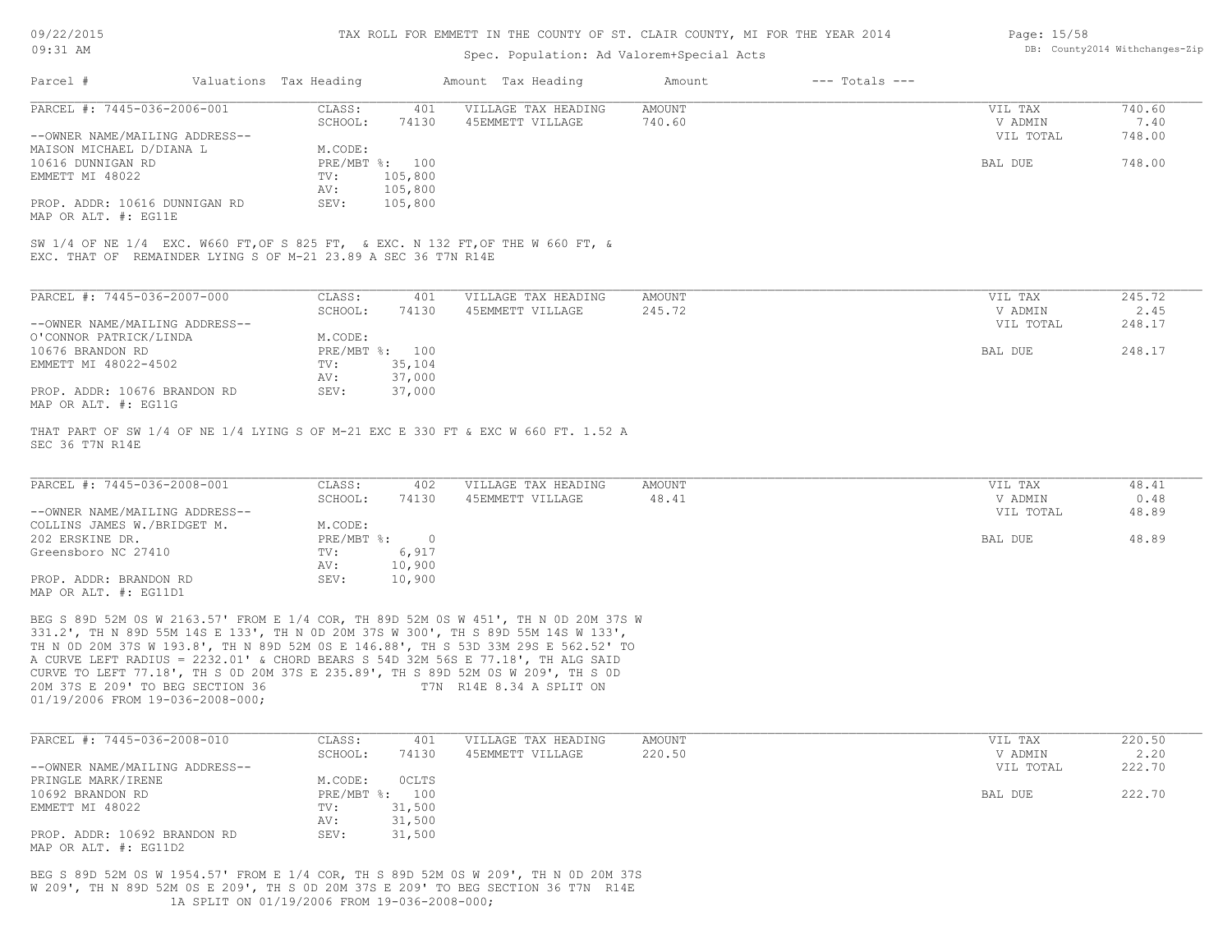| 09/22/2015 |  |
|------------|--|
|------------|--|

| Page: 15/58 |                                |
|-------------|--------------------------------|
|             | DB: County2014 Withchanges-Zip |

| 09:31 AM                                                                                           |                        |                                      | Spec. Population: Ad Valorem+Special Acts                                                                                                                                                                                                                                                                                                                                                                                                                          |                  |                    |                      | DB: County2014 Withchanges-Zip |
|----------------------------------------------------------------------------------------------------|------------------------|--------------------------------------|--------------------------------------------------------------------------------------------------------------------------------------------------------------------------------------------------------------------------------------------------------------------------------------------------------------------------------------------------------------------------------------------------------------------------------------------------------------------|------------------|--------------------|----------------------|--------------------------------|
| Parcel #                                                                                           | Valuations Tax Heading |                                      | Amount Tax Heading                                                                                                                                                                                                                                                                                                                                                                                                                                                 | Amount           | $---$ Totals $---$ |                      |                                |
| PARCEL #: 7445-036-2006-001                                                                        | CLASS:<br>SCHOOL:      | 401<br>74130                         | VILLAGE TAX HEADING<br>45EMMETT VILLAGE                                                                                                                                                                                                                                                                                                                                                                                                                            | AMOUNT<br>740.60 |                    | VIL TAX<br>V ADMIN   | 740.60<br>7.40                 |
| --OWNER NAME/MAILING ADDRESS--<br>MAISON MICHAEL D/DIANA L<br>10616 DUNNIGAN RD<br>EMMETT MI 48022 | M.CODE:<br>TV:<br>AV:  | PRE/MBT %: 100<br>105,800<br>105,800 |                                                                                                                                                                                                                                                                                                                                                                                                                                                                    |                  |                    | VIL TOTAL<br>BAL DUE | 748.00<br>748.00               |
| PROP. ADDR: 10616 DUNNIGAN RD<br>MAP OR ALT. #: EG11E                                              | SEV:                   | 105,800                              |                                                                                                                                                                                                                                                                                                                                                                                                                                                                    |                  |                    |                      |                                |
| EXC. THAT OF REMAINDER LYING S OF M-21 23.89 A SEC 36 T7N R14E                                     |                        |                                      | SW 1/4 OF NE 1/4 EXC. W660 FT, OF S 825 FT, & EXC. N 132 FT, OF THE W 660 FT, &                                                                                                                                                                                                                                                                                                                                                                                    |                  |                    |                      |                                |
| PARCEL #: 7445-036-2007-000                                                                        | CLASS:<br>SCHOOL:      | 401<br>74130                         | VILLAGE TAX HEADING<br>45EMMETT VILLAGE                                                                                                                                                                                                                                                                                                                                                                                                                            | AMOUNT<br>245.72 |                    | VIL TAX<br>V ADMIN   | 245.72<br>2.45                 |
| --OWNER NAME/MAILING ADDRESS--<br>O'CONNOR PATRICK/LINDA                                           | M.CODE:                |                                      |                                                                                                                                                                                                                                                                                                                                                                                                                                                                    |                  |                    | VIL TOTAL            | 248.17                         |
| 10676 BRANDON RD<br>EMMETT MI 48022-4502                                                           | TV:<br>AV:             | PRE/MBT %: 100<br>35,104<br>37,000   |                                                                                                                                                                                                                                                                                                                                                                                                                                                                    |                  |                    | BAL DUE              | 248.17                         |
| PROP. ADDR: 10676 BRANDON RD<br>MAP OR ALT. #: EG11G                                               | SEV:                   | 37,000                               |                                                                                                                                                                                                                                                                                                                                                                                                                                                                    |                  |                    |                      |                                |
| SEC 36 T7N R14E                                                                                    |                        |                                      | THAT PART OF SW 1/4 OF NE 1/4 LYING S OF M-21 EXC E 330 FT & EXC W 660 FT. 1.52 A                                                                                                                                                                                                                                                                                                                                                                                  |                  |                    |                      |                                |
| PARCEL #: 7445-036-2008-001                                                                        | CLASS:<br>SCHOOL:      | 402<br>74130                         | VILLAGE TAX HEADING<br>45EMMETT VILLAGE                                                                                                                                                                                                                                                                                                                                                                                                                            | AMOUNT<br>48.41  |                    | VIL TAX<br>V ADMIN   | 48.41<br>0.48                  |
| --OWNER NAME/MAILING ADDRESS--<br>COLLINS JAMES W./BRIDGET M.                                      | M.CODE:                |                                      |                                                                                                                                                                                                                                                                                                                                                                                                                                                                    |                  |                    | VIL TOTAL            | 48.89                          |
| 202 ERSKINE DR.                                                                                    | PRE/MBT %:             | $\overline{\phantom{0}}$             |                                                                                                                                                                                                                                                                                                                                                                                                                                                                    |                  |                    | BAL DUE              | 48.89                          |
| Greensboro NC 27410                                                                                | TV:<br>AV:             | 6,917<br>10,900                      |                                                                                                                                                                                                                                                                                                                                                                                                                                                                    |                  |                    |                      |                                |
| PROP. ADDR: BRANDON RD<br>MAP OR ALT. #: EG11D1                                                    | SEV:                   | 10,900                               |                                                                                                                                                                                                                                                                                                                                                                                                                                                                    |                  |                    |                      |                                |
| 20M 37S E 209' TO BEG SECTION 36<br>01/19/2006 FROM 19-036-2008-000;                               |                        |                                      | BEG S 89D 52M 0S W 2163.57' FROM E 1/4 COR, TH 89D 52M 0S W 451', TH N 0D 20M 37S W<br>331.2', TH N 89D 55M 14S E 133', TH N 0D 20M 37S W 300', TH S 89D 55M 14S W 133',<br>TH N OD 20M 37S W 193.8', TH N 89D 52M OS E 146.88', TH S 53D 33M 29S E 562.52' TO<br>A CURVE LEFT RADIUS = 2232.01' & CHORD BEARS S 54D 32M 56S E 77.18', TH ALG SAID<br>CURVE TO LEFT 77.18', TH S OD 20M 37S E 235.89', TH S 89D 52M OS W 209', TH S OD<br>T7N R14E 8.34 A SPLIT ON |                  |                    |                      |                                |
| PARCEL #: 7445-036-2008-010                                                                        | CLASS:                 |                                      | 401 VILLAGE TAX HEADING                                                                                                                                                                                                                                                                                                                                                                                                                                            | AMOUNT           |                    | VIL TAX              | 220.50                         |
| --OWNER NAME/MAILING ADDRESS--                                                                     | SCHOOL:                | 74130                                | 45EMMETT VILLAGE                                                                                                                                                                                                                                                                                                                                                                                                                                                   | 220.50           |                    | V ADMIN<br>VIL TOTAL | 2.20<br>222.70                 |
| PRINGLE MARK/IRENE<br>10692 BRANDON RD                                                             | M.CODE:                | <b>OCLTS</b><br>PRE/MBT %: 100       |                                                                                                                                                                                                                                                                                                                                                                                                                                                                    |                  |                    | BAL DUE              | 222.70                         |
| EMMETT MI 48022                                                                                    | TV:                    | 31,500                               |                                                                                                                                                                                                                                                                                                                                                                                                                                                                    |                  |                    |                      |                                |
| PROP. ADDR: 10692 BRANDON RD<br>MAP OR ALT. #: EG11D2                                              | AV:<br>SEV:            | 31,500<br>31,500                     |                                                                                                                                                                                                                                                                                                                                                                                                                                                                    |                  |                    |                      |                                |
|                                                                                                    |                        |                                      | BEG S 89D 52M 0S W 1954.57' FROM E 1/4 COR, TH S 89D 52M 0S W 209', TH N 0D 20M 37S                                                                                                                                                                                                                                                                                                                                                                                |                  |                    |                      |                                |

 1A SPLIT ON 01/19/2006 FROM 19-036-2008-000; W 209', TH N 89D 52M 0S E 209', TH S 0D 20M 37S E 209' TO BEG SECTION 36 T7N R14E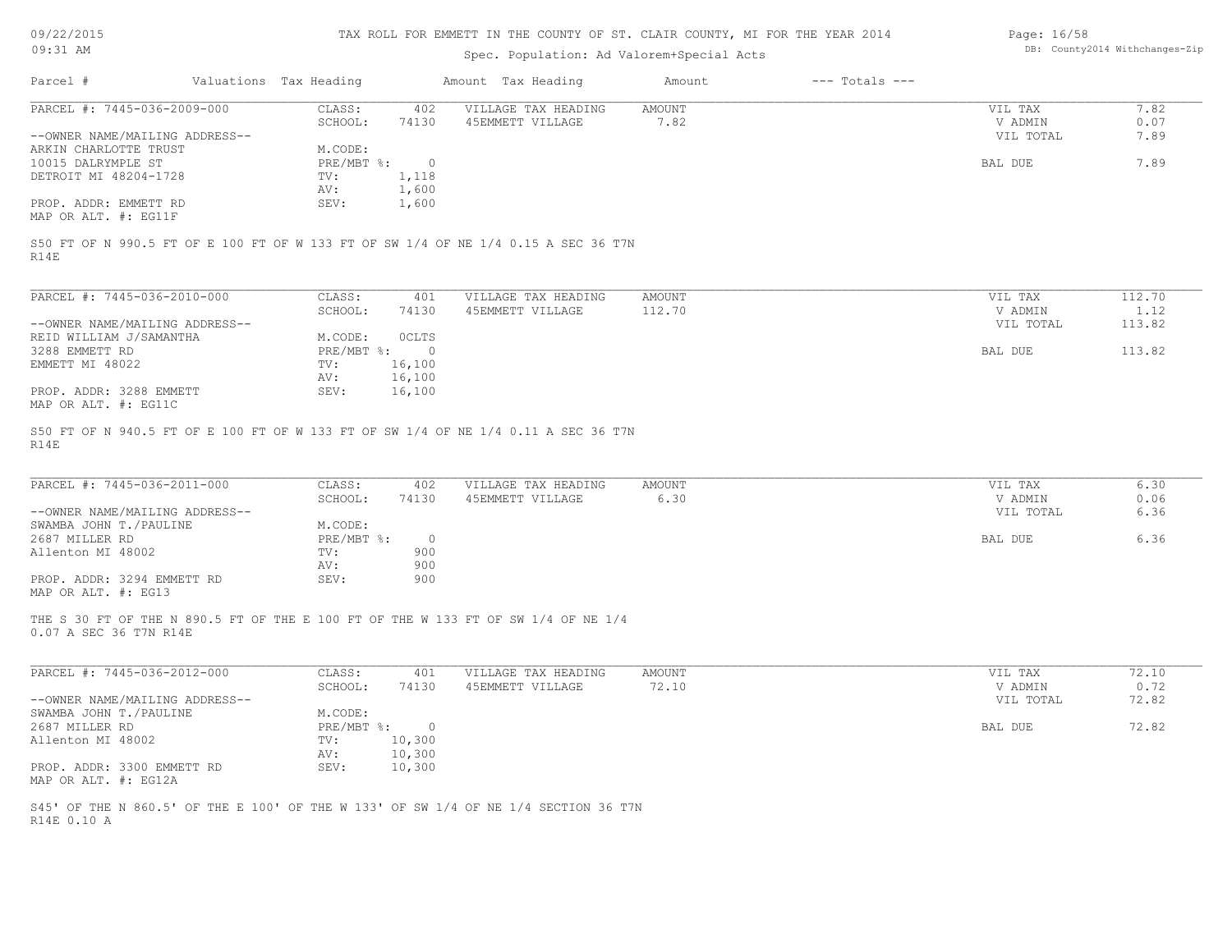| 09/22/2015 |  |
|------------|--|
|------------|--|

Page: 16/58

| 09:31 AM                                          | Spec. Population: Ad Valorem+Special Acts |                        |                  | DB: County2014 Withchanges-Zip                                                      |                |                    |                      |               |
|---------------------------------------------------|-------------------------------------------|------------------------|------------------|-------------------------------------------------------------------------------------|----------------|--------------------|----------------------|---------------|
| Parcel #                                          |                                           | Valuations Tax Heading |                  | Amount Tax Heading                                                                  | Amount         | $---$ Totals $---$ |                      |               |
| PARCEL #: 7445-036-2009-000                       |                                           | CLASS:<br>SCHOOL:      | 402<br>74130     | VILLAGE TAX HEADING<br>45EMMETT VILLAGE                                             | AMOUNT<br>7.82 |                    | VIL TAX<br>V ADMIN   | 7.82<br>0.07  |
| --OWNER NAME/MAILING ADDRESS--                    |                                           |                        |                  |                                                                                     |                |                    | VIL TOTAL            | 7.89          |
| ARKIN CHARLOTTE TRUST                             |                                           | M.CODE:                |                  |                                                                                     |                |                    |                      |               |
| 10015 DALRYMPLE ST                                |                                           | PRE/MBT %:             | $\circ$          |                                                                                     |                |                    | BAL DUE              | 7.89          |
| DETROIT MI 48204-1728                             |                                           | TV:                    | 1,118            |                                                                                     |                |                    |                      |               |
|                                                   |                                           | AV:                    | 1,600            |                                                                                     |                |                    |                      |               |
| PROP. ADDR: EMMETT RD<br>MAP OR ALT. #: EG11F     |                                           | SEV:                   | 1,600            |                                                                                     |                |                    |                      |               |
| R14E                                              |                                           |                        |                  | S50 FT OF N 990.5 FT OF E 100 FT OF W 133 FT OF SW 1/4 OF NE 1/4 0.15 A SEC 36 T7N  |                |                    |                      |               |
| PARCEL #: 7445-036-2010-000                       |                                           | CLASS:                 | 401              | VILLAGE TAX HEADING                                                                 | <b>AMOUNT</b>  |                    | VIL TAX              | 112.70        |
|                                                   |                                           | SCHOOL:                | 74130            | 45EMMETT VILLAGE                                                                    | 112.70         |                    | V ADMIN              | 1.12          |
| --OWNER NAME/MAILING ADDRESS--                    |                                           |                        |                  |                                                                                     |                |                    | VIL TOTAL            | 113.82        |
| REID WILLIAM J/SAMANTHA                           |                                           | M.CODE:                | <b>OCLTS</b>     |                                                                                     |                |                    |                      |               |
| 3288 EMMETT RD                                    |                                           | PRE/MBT %:             | $\overline{0}$   |                                                                                     |                |                    | BAL DUE              | 113.82        |
| EMMETT MI 48022                                   |                                           | TV:<br>AV:             | 16,100<br>16,100 |                                                                                     |                |                    |                      |               |
| PROP. ADDR: 3288 EMMETT                           |                                           | SEV:                   | 16,100           |                                                                                     |                |                    |                      |               |
| MAP OR ALT. #: EG11C                              |                                           |                        |                  |                                                                                     |                |                    |                      |               |
| PARCEL #: 7445-036-2011-000                       |                                           | CLASS:<br>SCHOOL:      | 402<br>74130     | VILLAGE TAX HEADING<br>45EMMETT VILLAGE                                             | AMOUNT<br>6.30 |                    | VIL TAX<br>V ADMIN   | 6.30<br>0.06  |
| --OWNER NAME/MAILING ADDRESS--                    |                                           |                        |                  |                                                                                     |                |                    | VIL TOTAL            | 6.36          |
| SWAMBA JOHN T./PAULINE                            |                                           | M.CODE:                |                  |                                                                                     |                |                    |                      |               |
| 2687 MILLER RD                                    |                                           | PRE/MBT %:             | $\circ$          |                                                                                     |                |                    | BAL DUE              | 6.36          |
| Allenton MI 48002                                 |                                           | TV:                    | 900              |                                                                                     |                |                    |                      |               |
|                                                   |                                           | AV:                    | 900              |                                                                                     |                |                    |                      |               |
| PROP. ADDR: 3294 EMMETT RD<br>MAP OR ALT. #: EG13 |                                           | SEV:                   | 900              |                                                                                     |                |                    |                      |               |
| 0.07 A SEC 36 T7N R14E                            |                                           |                        |                  | THE S 30 FT OF THE N 890.5 FT OF THE E 100 FT OF THE W 133 FT OF SW 1/4 OF NE 1/4   |                |                    |                      |               |
| PARCEL #: 7445-036-2012-000                       |                                           | CLASS:                 | 401              | VILLAGE TAX HEADING                                                                 | <b>AMOUNT</b>  |                    | VIL TAX              | 72.10         |
| --OWNER NAME/MAILING ADDRESS--                    |                                           | SCHOOL:                | 74130            | 45EMMETT VILLAGE                                                                    | 72.10          |                    | V ADMIN<br>VIL TOTAL | 0.72<br>72.82 |
| SWAMBA JOHN T./PAULINE                            |                                           | M.CODE:                |                  |                                                                                     |                |                    |                      |               |
| 2687 MILLER RD                                    |                                           | $PRE/MBT$ %:           | $\overline{0}$   |                                                                                     |                |                    | BAL DUE              | 72.82         |
| Allenton MI 48002                                 |                                           | TV:                    | 10,300           |                                                                                     |                |                    |                      |               |
|                                                   |                                           | AV:                    | 10,300           |                                                                                     |                |                    |                      |               |
| PROP. ADDR: 3300 EMMETT RD                        |                                           | SEV:                   | 10,300           |                                                                                     |                |                    |                      |               |
| MAP OR ALT. #: EG12A                              |                                           |                        |                  |                                                                                     |                |                    |                      |               |
|                                                   |                                           |                        |                  |                                                                                     |                |                    |                      |               |
| R14E 0.10 A                                       |                                           |                        |                  | S45' OF THE N 860.5' OF THE E 100' OF THE W 133' OF SW 1/4 OF NE 1/4 SECTION 36 T7N |                |                    |                      |               |
|                                                   |                                           |                        |                  |                                                                                     |                |                    |                      |               |
|                                                   |                                           |                        |                  |                                                                                     |                |                    |                      |               |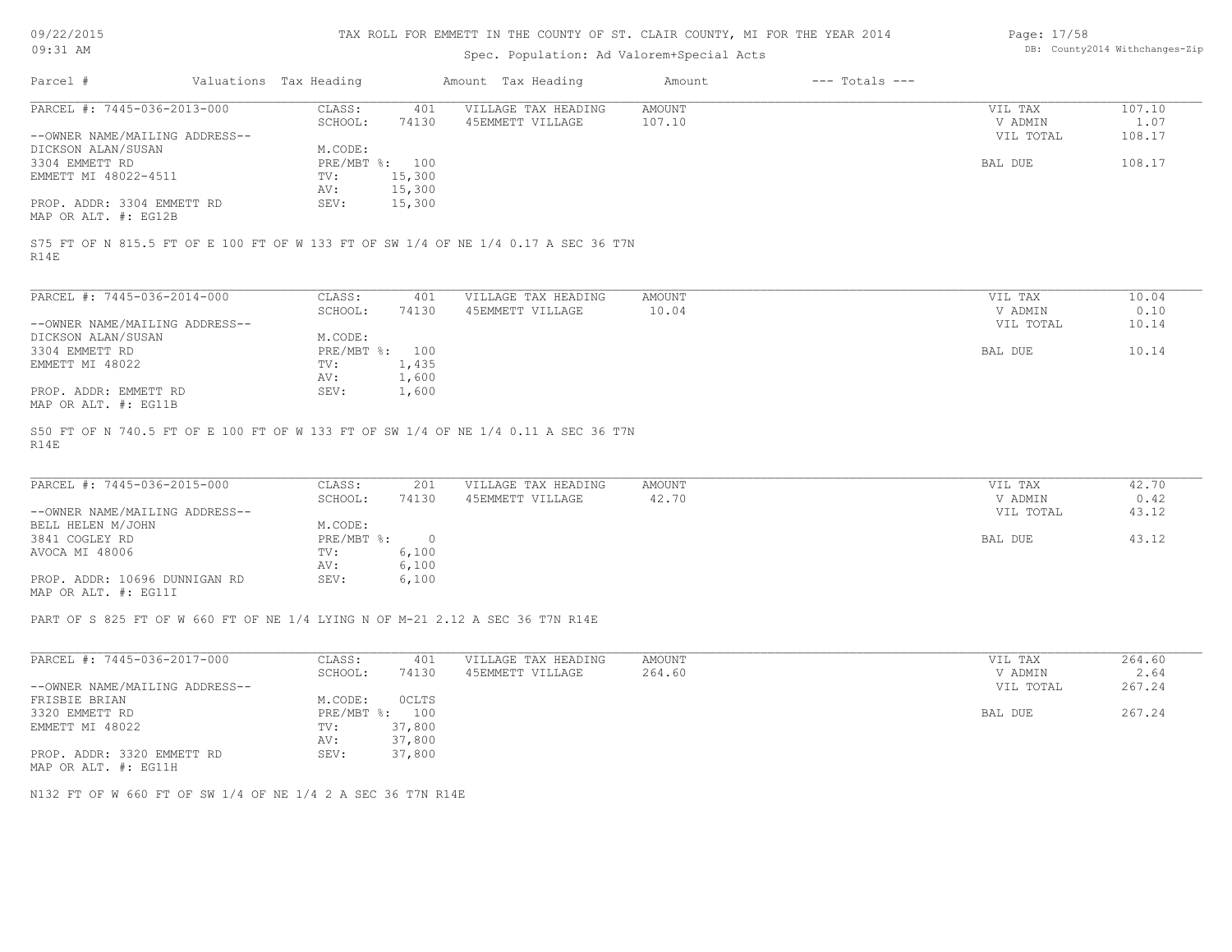| 09/22/2015 |  |
|------------|--|
|------------|--|

| Page: 17/58 |                                |
|-------------|--------------------------------|
|             | DB: County2014 Withchanges-Zip |

| 09/22/2015<br>09:31 AM                                                                                                                                                           |                              |                | TAX ROLL FOR EMMETT IN THE COUNTY OF ST. CLAIR COUNTY, MI FOR THE YEAR 2014<br>Spec. Population: Ad Valorem+Special Acts |                        |                    | Page: 17/58                     | DB: County2014 Withchanges-Zip |
|----------------------------------------------------------------------------------------------------------------------------------------------------------------------------------|------------------------------|----------------|--------------------------------------------------------------------------------------------------------------------------|------------------------|--------------------|---------------------------------|--------------------------------|
|                                                                                                                                                                                  |                              |                |                                                                                                                          |                        |                    |                                 |                                |
| Parcel #                                                                                                                                                                         | Valuations Tax Heading       |                | Amount Tax Heading                                                                                                       | Amount                 | $---$ Totals $---$ |                                 |                                |
| PARCEL #: 7445-036-2013-000                                                                                                                                                      | CLASS:                       | 401            | VILLAGE TAX HEADING                                                                                                      | <b>AMOUNT</b>          |                    | VIL TAX                         | 107.10                         |
|                                                                                                                                                                                  | SCHOOL:                      | 74130          | 45EMMETT VILLAGE                                                                                                         | 107.10                 |                    | V ADMIN                         | 1.07                           |
| --OWNER NAME/MAILING ADDRESS--                                                                                                                                                   |                              |                |                                                                                                                          |                        |                    | VIL TOTAL                       | 108.17                         |
| DICKSON ALAN/SUSAN                                                                                                                                                               | M.CODE:                      |                |                                                                                                                          |                        |                    |                                 |                                |
| 3304 EMMETT RD                                                                                                                                                                   | PRE/MBT %: 100               |                |                                                                                                                          |                        |                    | BAL DUE                         | 108.17                         |
| EMMETT MI 48022-4511                                                                                                                                                             | TV:                          | 15,300         |                                                                                                                          |                        |                    |                                 |                                |
|                                                                                                                                                                                  | AV:                          | 15,300         |                                                                                                                          |                        |                    |                                 |                                |
| PROP. ADDR: 3304 EMMETT RD                                                                                                                                                       | SEV:                         | 15,300         |                                                                                                                          |                        |                    |                                 |                                |
| MAP OR ALT. #: EG12B                                                                                                                                                             |                              |                |                                                                                                                          |                        |                    |                                 |                                |
| S75 FT OF N 815.5 FT OF E 100 FT OF W 133 FT OF SW 1/4 OF NE 1/4 0.17 A SEC 36 T7N<br>R14E                                                                                       |                              |                |                                                                                                                          |                        |                    |                                 |                                |
| PARCEL #: 7445-036-2014-000                                                                                                                                                      | CLASS:                       | 401            | VILLAGE TAX HEADING                                                                                                      | AMOUNT                 |                    | VIL TAX                         | 10.04                          |
|                                                                                                                                                                                  | SCHOOL:                      | 74130          | 45EMMETT VILLAGE                                                                                                         | 10.04                  |                    | V ADMIN                         | 0.10                           |
| --OWNER NAME/MAILING ADDRESS--                                                                                                                                                   |                              |                |                                                                                                                          |                        |                    | VIL TOTAL                       | 10.14                          |
| DICKSON ALAN/SUSAN                                                                                                                                                               | M.CODE:                      |                |                                                                                                                          |                        |                    |                                 |                                |
| 3304 EMMETT RD                                                                                                                                                                   | PRE/MBT %: 100               |                |                                                                                                                          |                        |                    | BAL DUE                         | 10.14                          |
| EMMETT MI 48022                                                                                                                                                                  | TV:                          | 1,435          |                                                                                                                          |                        |                    |                                 |                                |
|                                                                                                                                                                                  | AV:                          | 1,600          |                                                                                                                          |                        |                    |                                 |                                |
| PROP. ADDR: EMMETT RD<br>MAP OR ALT. #: EG11B                                                                                                                                    | SEV:                         | 1,600          |                                                                                                                          |                        |                    |                                 |                                |
| S50 FT OF N 740.5 FT OF E 100 FT OF W 133 FT OF SW 1/4 OF NE 1/4 0.11 A SEC 36 T7N<br>R14E<br>PARCEL #: 7445-036-2015-000<br>--OWNER NAME/MAILING ADDRESS--<br>BELL HELEN M/JOHN | CLASS:<br>SCHOOL:<br>M.CODE: | 201<br>74130   | VILLAGE TAX HEADING<br>45EMMETT VILLAGE                                                                                  | <b>AMOUNT</b><br>42.70 |                    | VIL TAX<br>V ADMIN<br>VIL TOTAL | 42.70<br>0.42<br>43.12         |
| 3841 COGLEY RD                                                                                                                                                                   | $PRE/MBT$ $\frac{1}{6}$ :    | $\overline{0}$ |                                                                                                                          |                        |                    | BAL DUE                         | 43.12                          |
| AVOCA MI 48006                                                                                                                                                                   | TV:                          | 6,100          |                                                                                                                          |                        |                    |                                 |                                |
|                                                                                                                                                                                  | AV:                          | 6,100          |                                                                                                                          |                        |                    |                                 |                                |
| PROP. ADDR: 10696 DUNNIGAN RD<br>MAP OR ALT. #: EG11I                                                                                                                            | SEV:                         | 6,100          |                                                                                                                          |                        |                    |                                 |                                |
| PART OF S 825 FT OF W 660 FT OF NE 1/4 LYING N OF M-21 2.12 A SEC 36 T7N R14E                                                                                                    |                              |                |                                                                                                                          |                        |                    |                                 |                                |
| PARCEL #: 7445-036-2017-000                                                                                                                                                      | CLASS:                       | 401            | VILLAGE TAX HEADING                                                                                                      | <b>AMOUNT</b>          |                    | VIL TAX                         | 264.60                         |
|                                                                                                                                                                                  | SCHOOL:                      | 74130          | 45EMMETT VILLAGE                                                                                                         | 264.60                 |                    | V ADMIN                         | 2.64                           |
| --OWNER NAME/MAILING ADDRESS--                                                                                                                                                   |                              |                |                                                                                                                          |                        |                    | VIL TOTAL                       | 267.24                         |
| FRISBIE BRIAN                                                                                                                                                                    | M.CODE:                      | OCLTS          |                                                                                                                          |                        |                    |                                 |                                |
| 3320 EMMETT RD                                                                                                                                                                   | PRE/MBT %: 100               |                |                                                                                                                          |                        |                    | BAL DUE                         | 267.24                         |
| EMMETT MI 48022                                                                                                                                                                  | TV:                          | 37,800         |                                                                                                                          |                        |                    |                                 |                                |
|                                                                                                                                                                                  | AV:                          | 37,800         |                                                                                                                          |                        |                    |                                 |                                |
| PROP. ADDR: 3320 EMMETT RD<br>MAP OR ALT. #: EG11H                                                                                                                               | SEV:                         | 37,800         |                                                                                                                          |                        |                    |                                 |                                |
| N132 FT OF W 660 FT OF SW 1/4 OF NE 1/4 2 A SEC 36 T7N R14E                                                                                                                      |                              |                |                                                                                                                          |                        |                    |                                 |                                |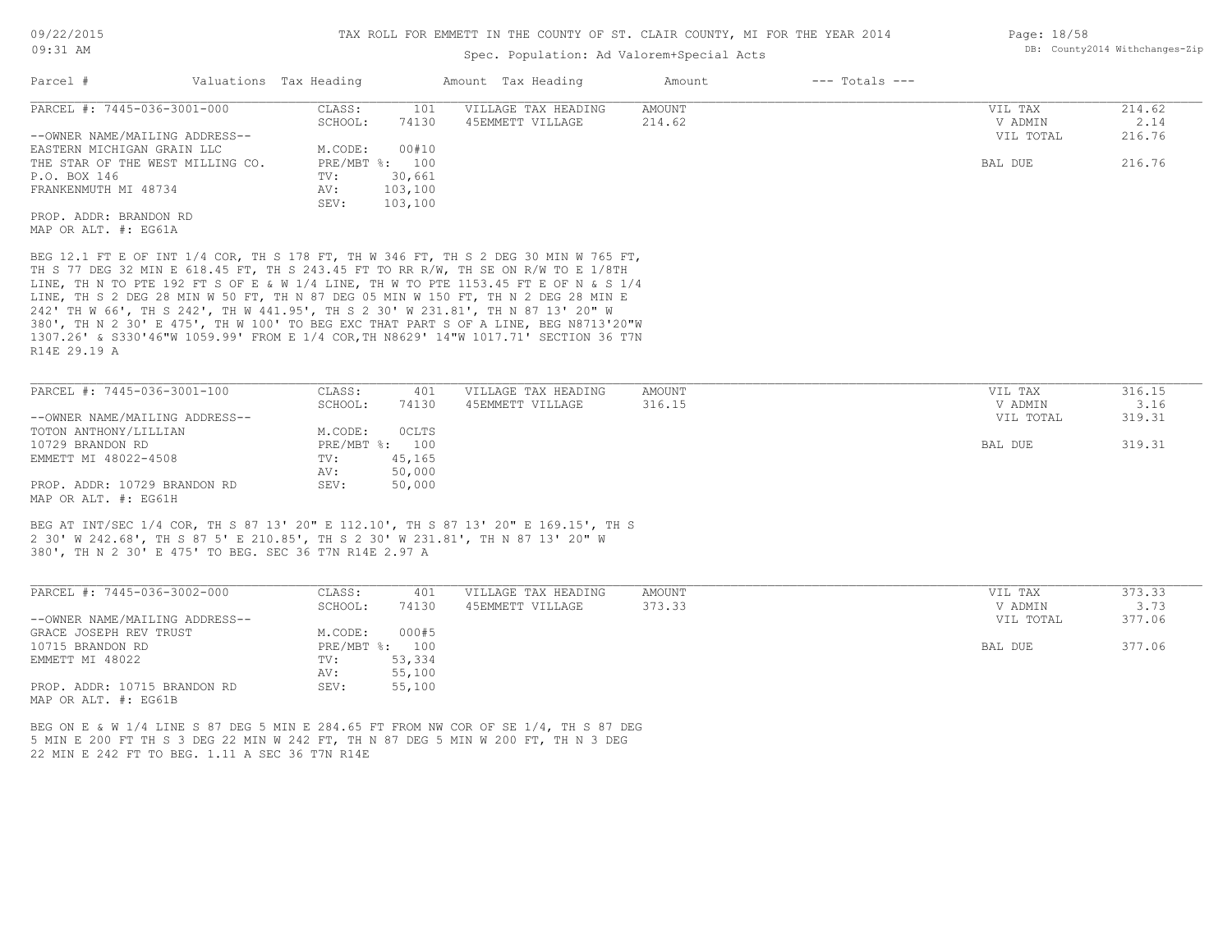#### Spec. Population: Ad Valorem+Special Acts

| Parcel #                         | Valuations Tax Heading |                | Amount Tax Heading  | Amount | $---$ Totals $---$ |           |        |
|----------------------------------|------------------------|----------------|---------------------|--------|--------------------|-----------|--------|
| PARCEL #: 7445-036-3001-000      | CLASS:                 | 101            | VILLAGE TAX HEADING | AMOUNT |                    | VIL TAX   | 214.62 |
|                                  | SCHOOL:                | 74130          | 45EMMETT VILLAGE    | 214.62 |                    | V ADMIN   | 2.14   |
| --OWNER NAME/MAILING ADDRESS--   |                        |                |                     |        |                    | VIL TOTAL | 216.76 |
| EASTERN MICHIGAN GRAIN LLC       | M.CODE:                | 00#10          |                     |        |                    |           |        |
| THE STAR OF THE WEST MILLING CO. |                        | PRE/MBT %: 100 |                     |        |                    | BAL DUE   | 216.76 |
| P.O. BOX 146                     | TV:                    | 30,661         |                     |        |                    |           |        |
| FRANKENMUTH MI 48734             | AV:                    | 103,100        |                     |        |                    |           |        |
|                                  | SEV:                   | 103,100        |                     |        |                    |           |        |
| PROP. ADDR: BRANDON RD           |                        |                |                     |        |                    |           |        |
| MAP OR ALT. #: EG61A             |                        |                |                     |        |                    |           |        |

R14E 29.19 A 1307.26' & S330'46"W 1059.99' FROM E 1/4 COR,TH N8629' 14"W 1017.71' SECTION 36 T7N 380', TH N 2 30' E 475', TH W 100' TO BEG EXC THAT PART S OF A LINE, BEG N8713'20"W 242' TH W 66', TH S 242', TH W 441.95', TH S 2 30' W 231.81', TH N 87 13' 20" W LINE, TH S 2 DEG 28 MIN W 50 FT, TH N 87 DEG 05 MIN W 150 FT, TH N 2 DEG 28 MIN E LINE, TH N TO PTE 192 FT S OF E & W 1/4 LINE, TH W TO PTE 1153.45 FT E OF N & S 1/4 TH S 77 DEG 32 MIN E 618.45 FT, TH S 243.45 FT TO RR R/W, TH SE ON R/W TO E 1/8TH BEG 12.1 FT E OF INT 1/4 COR, TH S 178 FT, TH W 346 FT, TH S 2 DEG 30 MIN W 765 FT,

| PARCEL #: 7445-036-3001-100    | CLASS:  | 401            | VILLAGE TAX HEADING | AMOUNT | VIL TAX   | 316.15 |
|--------------------------------|---------|----------------|---------------------|--------|-----------|--------|
|                                | SCHOOL: | 74130          | 45EMMETT VILLAGE    | 316.15 | V ADMIN   | 3.16   |
| --OWNER NAME/MAILING ADDRESS-- |         |                |                     |        | VIL TOTAL | 319.31 |
| TOTON ANTHONY/LILLIAN          | M.CODE: | OCLTS          |                     |        |           |        |
| 10729 BRANDON RD               |         | PRE/MBT %: 100 |                     |        | BAL DUE   | 319.31 |
| EMMETT MI 48022-4508           | TV:     | 45,165         |                     |        |           |        |
|                                | AV:     | 50,000         |                     |        |           |        |
| PROP. ADDR: 10729 BRANDON RD   | SEV:    | 50,000         |                     |        |           |        |
| MAP OR ALT. #: EG61H           |         |                |                     |        |           |        |

380', TH N 2 30' E 475' TO BEG. SEC 36 T7N R14E 2.97 A 2 30' W 242.68', TH S 87 5' E 210.85', TH S 2 30' W 231.81', TH N 87 13' 20" W BEG AT INT/SEC 1/4 COR, TH S 87 13' 20" E 112.10', TH S 87 13' 20" E 169.15', TH S

| PARCEL #: 7445-036-3002-000    | CLASS:     | 401    | VILLAGE TAX HEADING | AMOUNT | VIL TAX   | 373.33 |
|--------------------------------|------------|--------|---------------------|--------|-----------|--------|
|                                | SCHOOL:    | 74130  | 45EMMETT VILLAGE    | 373.33 | V ADMIN   | 3.73   |
| --OWNER NAME/MAILING ADDRESS-- |            |        |                     |        | VIL TOTAL | 377.06 |
| GRACE JOSEPH REV TRUST         | M.CODE:    | 000#5  |                     |        |           |        |
| 10715 BRANDON RD               | PRE/MBT %: | 100    |                     |        | BAL DUE   | 377.06 |
| EMMETT MI 48022                | TV:        | 53,334 |                     |        |           |        |
|                                | AV:        | 55,100 |                     |        |           |        |
| PROP. ADDR: 10715 BRANDON RD   | SEV:       | 55,100 |                     |        |           |        |
| MAP OR ALT. #: EG61B           |            |        |                     |        |           |        |

 $\mathcal{L}_\mathcal{L} = \mathcal{L}_\mathcal{L} = \mathcal{L}_\mathcal{L} = \mathcal{L}_\mathcal{L} = \mathcal{L}_\mathcal{L} = \mathcal{L}_\mathcal{L} = \mathcal{L}_\mathcal{L} = \mathcal{L}_\mathcal{L} = \mathcal{L}_\mathcal{L} = \mathcal{L}_\mathcal{L} = \mathcal{L}_\mathcal{L} = \mathcal{L}_\mathcal{L} = \mathcal{L}_\mathcal{L} = \mathcal{L}_\mathcal{L} = \mathcal{L}_\mathcal{L} = \mathcal{L}_\mathcal{L} = \mathcal{L}_\mathcal{L}$ 

22 MIN E 242 FT TO BEG. 1.11 A SEC 36 T7N R14E 5 MIN E 200 FT TH S 3 DEG 22 MIN W 242 FT, TH N 87 DEG 5 MIN W 200 FT, TH N 3 DEG BEG ON E & W 1/4 LINE S 87 DEG 5 MIN E 284.65 FT FROM NW COR OF SE 1/4, TH S 87 DEG Page: 18/58 DB: County2014 Withchanges-Zip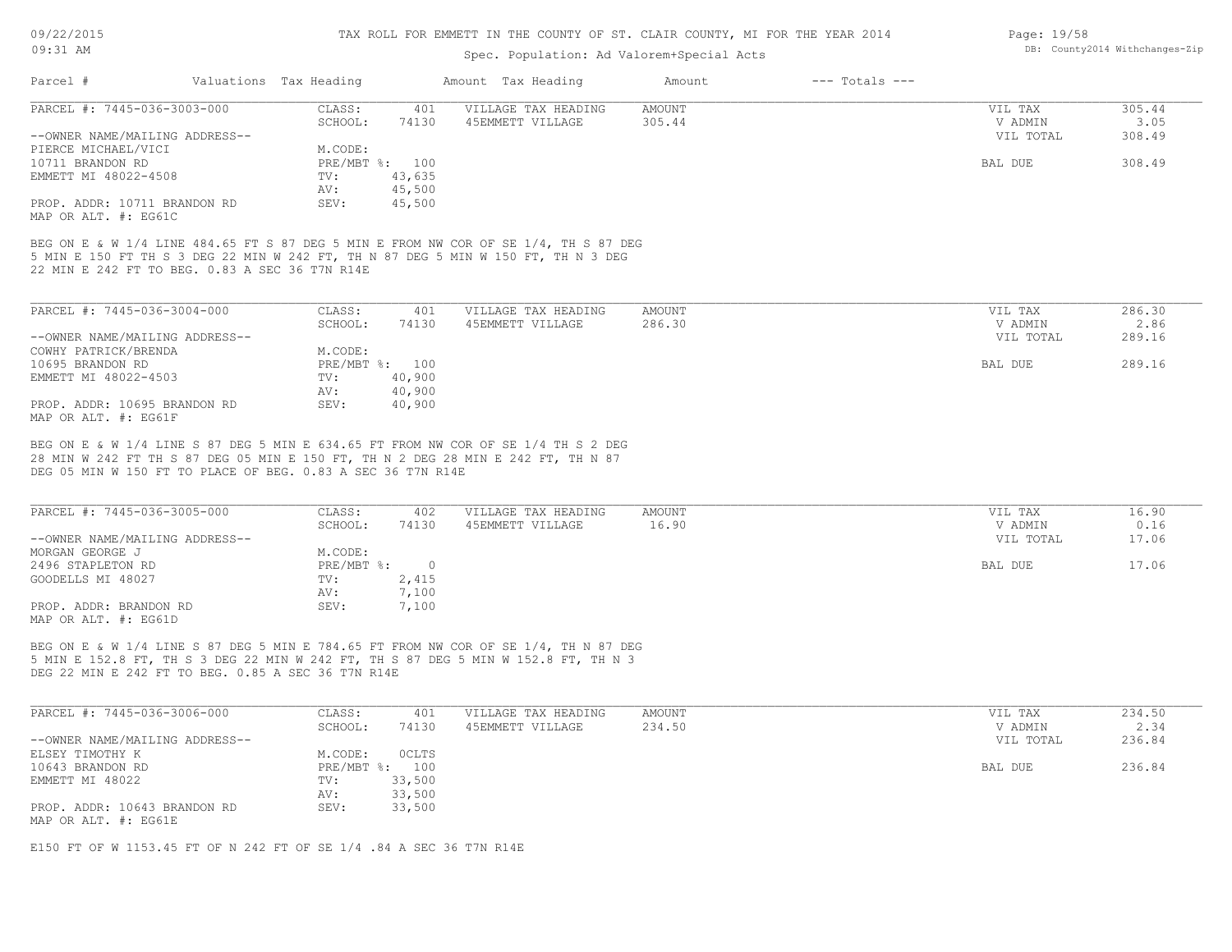### Spec. Population: Ad Valorem+Special Acts

| Page: 19/58 |                                |
|-------------|--------------------------------|
|             | DB: County2014 Withchanges-Zip |

|                                                      |         |                        |                     | Amount             | $---$ Totals $---$ |           |        |
|------------------------------------------------------|---------|------------------------|---------------------|--------------------|--------------------|-----------|--------|
| PARCEL #: 7445-036-3003-000                          | CLASS:  | 401                    | VILLAGE TAX HEADING | AMOUNT             |                    | VIL TAX   | 305.44 |
|                                                      | SCHOOL: | 74130                  | 45EMMETT VILLAGE    | 305.44             |                    | V ADMIN   | 3.05   |
| --OWNER NAME/MAILING ADDRESS--                       |         |                        |                     |                    |                    | VIL TOTAL | 308.49 |
| PIERCE MICHAEL/VICI                                  | M.CODE: |                        |                     |                    |                    |           |        |
|                                                      |         |                        |                     |                    |                    | BAL DUE   | 308.49 |
| EMMETT MI 48022-4508                                 | TV:     | 43,635                 |                     |                    |                    |           |        |
|                                                      | AV:     | 45,500                 |                     |                    |                    |           |        |
| PROP. ADDR: 10711 BRANDON RD<br>MAP OR ALT. #: EG61C | SEV:    | 45,500                 |                     |                    |                    |           |        |
|                                                      |         | Valuations Tax Heading | PRE/MBT %: 100      | Amount Tax Heading |                    |           |        |

22 MIN E 242 FT TO BEG. 0.83 A SEC 36 T7N R14E 5 MIN E 150 FT TH S 3 DEG 22 MIN W 242 FT, TH N 87 DEG 5 MIN W 150 FT, TH N 3 DEG BEG ON E & W 1/4 LINE 484.65 FT S 87 DEG 5 MIN E FROM NW COR OF SE 1/4, TH S 87 DEG

| PARCEL #: 7445-036-3004-000    | CLASS:  | 401            | VILLAGE TAX HEADING | AMOUNT | VIL TAX   | 286.30 |
|--------------------------------|---------|----------------|---------------------|--------|-----------|--------|
|                                | SCHOOL: | 74130          | 45EMMETT VILLAGE    | 286.30 | V ADMIN   | 2.86   |
| --OWNER NAME/MAILING ADDRESS-- |         |                |                     |        | VIL TOTAL | 289.16 |
| COWHY PATRICK/BRENDA           | M.CODE: |                |                     |        |           |        |
| 10695 BRANDON RD               |         | PRE/MBT %: 100 |                     |        | BAL DUE   | 289.16 |
| EMMETT MI 48022-4503           | TV:     | 40,900         |                     |        |           |        |
|                                | AV:     | 40,900         |                     |        |           |        |
| PROP. ADDR: 10695 BRANDON RD   | SEV:    | 40,900         |                     |        |           |        |
| MAP OR ALT. #: EG61F           |         |                |                     |        |           |        |

DEG 05 MIN W 150 FT TO PLACE OF BEG. 0.83 A SEC 36 T7N R14E 28 MIN W 242 FT TH S 87 DEG 05 MIN E 150 FT, TH N 2 DEG 28 MIN E 242 FT, TH N 87 BEG ON E & W 1/4 LINE S 87 DEG 5 MIN E 634.65 FT FROM NW COR OF SE 1/4 TH S 2 DEG

| PARCEL #: 7445-036-3005-000    | CLASS:     | 402   | VILLAGE TAX HEADING | AMOUNT | VIL TAX   | 16.90 |
|--------------------------------|------------|-------|---------------------|--------|-----------|-------|
|                                | SCHOOL:    | 74130 | 45EMMETT VILLAGE    | 16.90  | V ADMIN   | 0.16  |
| --OWNER NAME/MAILING ADDRESS-- |            |       |                     |        | VIL TOTAL | 17.06 |
| MORGAN GEORGE J                | M.CODE:    |       |                     |        |           |       |
| 2496 STAPLETON RD              | PRE/MBT %: |       |                     |        | BAL DUE   | 17.06 |
| GOODELLS MI 48027              | TV:        | 2,415 |                     |        |           |       |
|                                | AV:        | 7,100 |                     |        |           |       |
| PROP. ADDR: BRANDON RD         | SEV:       | 7,100 |                     |        |           |       |
| MAP OR ALT. #: EG61D           |            |       |                     |        |           |       |

DEG 22 MIN E 242 FT TO BEG. 0.85 A SEC 36 T7N R14E 5 MIN E 152.8 FT, TH S 3 DEG 22 MIN W 242 FT, TH S 87 DEG 5 MIN W 152.8 FT, TH N 3 BEG ON E & W 1/4 LINE S 87 DEG 5 MIN E 784.65 FT FROM NW COR OF SE 1/4, TH N 87 DEG

| PARCEL #: 7445-036-3006-000    | CLASS:     | 401          | VILLAGE TAX HEADING | AMOUNT | VIL TAX   | 234.50 |
|--------------------------------|------------|--------------|---------------------|--------|-----------|--------|
|                                | SCHOOL:    | 74130        | 45EMMETT VILLAGE    | 234.50 | V ADMIN   | 2.34   |
| --OWNER NAME/MAILING ADDRESS-- |            |              |                     |        | VIL TOTAL | 236.84 |
| ELSEY TIMOTHY K                | M.CODE:    | <b>OCLTS</b> |                     |        |           |        |
| 10643 BRANDON RD               | PRE/MBT %: | 100          |                     |        | BAL DUE   | 236.84 |
| EMMETT MI 48022                | TV:        | 33,500       |                     |        |           |        |
|                                | AV:        | 33,500       |                     |        |           |        |
| PROP. ADDR: 10643 BRANDON RD   | SEV:       | 33,500       |                     |        |           |        |
| MAP OR ALT. #: EG61E           |            |              |                     |        |           |        |

E150 FT OF W 1153.45 FT OF N 242 FT OF SE 1/4 .84 A SEC 36 T7N R14E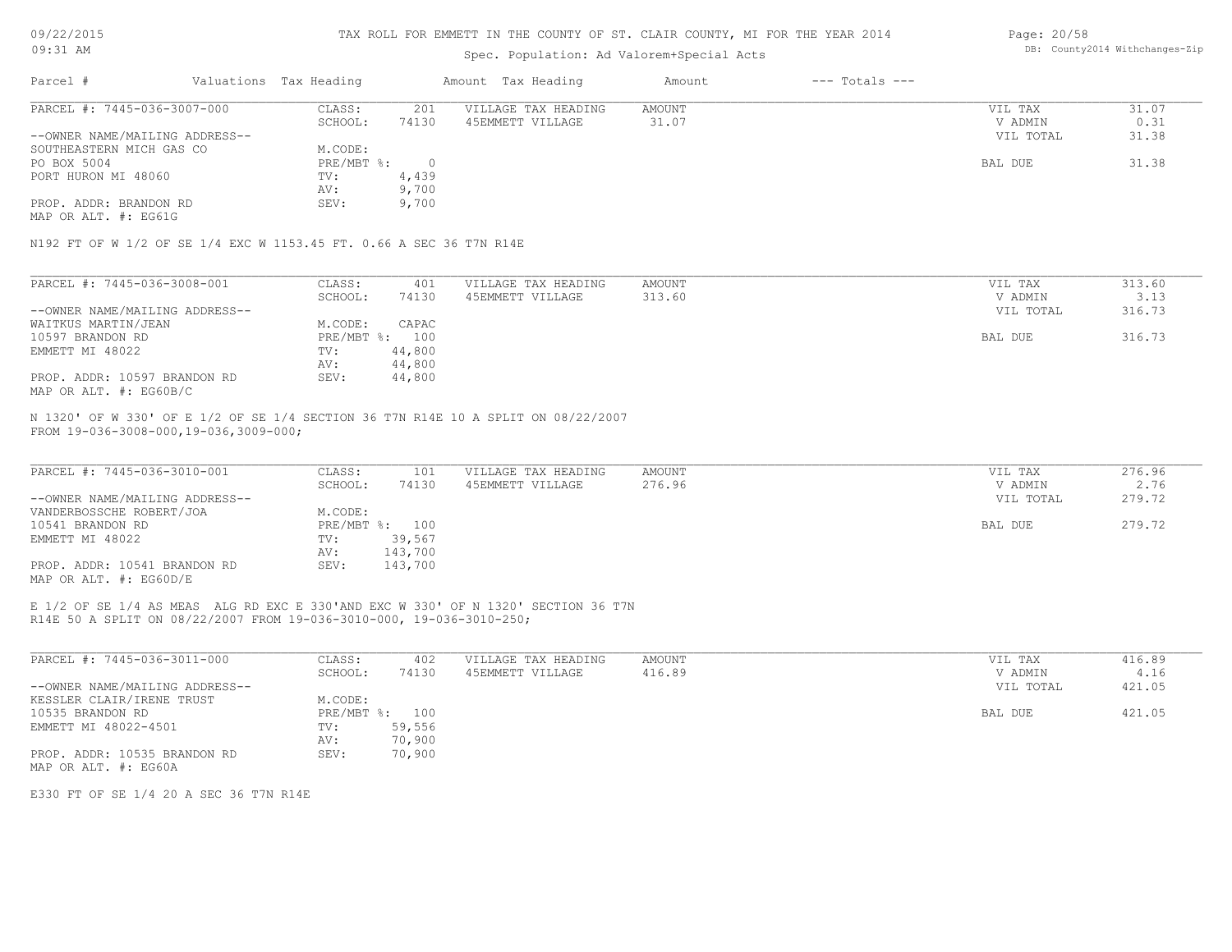09/22/2015 09:31 AM

#### TAX ROLL FOR EMMETT IN THE COUNTY OF ST. CLAIR COUNTY, MI FOR THE YEAR 2014

## Spec. Population: Ad Valorem+Special Acts

| Page: 20/58 |                                |
|-------------|--------------------------------|
|             | DB: County2014 Withchanges-Zip |

| Parcel #                       |  | Valuations Tax Heading | Amount Tax Heading |                     | Amount | $---$ Totals $---$ |           |       |  |
|--------------------------------|--|------------------------|--------------------|---------------------|--------|--------------------|-----------|-------|--|
| PARCEL #: 7445-036-3007-000    |  | CLASS:                 | 201                | VILLAGE TAX HEADING | AMOUNT |                    | VIL TAX   | 31.07 |  |
|                                |  | SCHOOL:                | 74130              | 45EMMETT VILLAGE    | 31.07  |                    | V ADMIN   | 0.31  |  |
| --OWNER NAME/MAILING ADDRESS-- |  |                        |                    |                     |        |                    | VIL TOTAL | 31.38 |  |
| SOUTHEASTERN MICH GAS CO       |  | M.CODE:                |                    |                     |        |                    |           |       |  |
| PO BOX 5004                    |  | PRE/MBT %:             |                    |                     |        |                    | BAL DUE   | 31.38 |  |
| PORT HURON MI 48060            |  | TV:                    | 4,439              |                     |        |                    |           |       |  |
|                                |  | AV:                    | 9,700              |                     |        |                    |           |       |  |
| PROP. ADDR: BRANDON RD         |  | SEV:                   | 9,700              |                     |        |                    |           |       |  |

MAP OR ALT. #: EG61G

N192 FT OF W 1/2 OF SE 1/4 EXC W 1153.45 FT. 0.66 A SEC 36 T7N R14E

| PARCEL #: 7445-036-3008-001    | CLASS:  | 401            | VILLAGE TAX HEADING | AMOUNT | VIL TAX   | 313.60 |
|--------------------------------|---------|----------------|---------------------|--------|-----------|--------|
|                                | SCHOOL: | 74130          | 45EMMETT VILLAGE    | 313.60 | V ADMIN   | 3.13   |
| --OWNER NAME/MAILING ADDRESS-- |         |                |                     |        | VIL TOTAL | 316.73 |
| WAITKUS MARTIN/JEAN            | M.CODE: | CAPAC          |                     |        |           |        |
| 10597 BRANDON RD               |         | PRE/MBT %: 100 |                     |        | BAL DUE   | 316.73 |
| EMMETT MI 48022                | TV:     | 44,800         |                     |        |           |        |
|                                | AV:     | 44,800         |                     |        |           |        |
| PROP. ADDR: 10597 BRANDON RD   | SEV:    | 44,800         |                     |        |           |        |
| MAP OR ALT. #: EG60B/C         |         |                |                     |        |           |        |

FROM 19-036-3008-000,19-036,3009-000; N 1320' OF W 330' OF E 1/2 OF SE 1/4 SECTION 36 T7N R14E 10 A SPLIT ON 08/22/2007

| PARCEL #: 7445-036-3010-001    | CLASS:         | 101     | VILLAGE TAX HEADING | AMOUNT | VIL TAX   | 276.96 |
|--------------------------------|----------------|---------|---------------------|--------|-----------|--------|
|                                | SCHOOL:        | 74130   | 45EMMETT VILLAGE    | 276.96 | V ADMIN   | 2.76   |
| --OWNER NAME/MAILING ADDRESS-- |                |         |                     |        | VIL TOTAL | 279.72 |
| VANDERBOSSCHE ROBERT/JOA       | M.CODE:        |         |                     |        |           |        |
| 10541 BRANDON RD               | PRE/MBT %: 100 |         |                     |        | BAL DUE   | 279.72 |
| EMMETT MI 48022                | TV:            | 39,567  |                     |        |           |        |
|                                | AV:            | 143,700 |                     |        |           |        |
| PROP. ADDR: 10541 BRANDON RD   | SEV:           | 143,700 |                     |        |           |        |
| MAP OR ALT. $\#$ : EG60D/E     |                |         |                     |        |           |        |

R14E 50 A SPLIT ON 08/22/2007 FROM 19-036-3010-000, 19-036-3010-250; E 1/2 OF SE 1/4 AS MEAS ALG RD EXC E 330'AND EXC W 330' OF N 1320' SECTION 36 T7N

| PARCEL #: 7445-036-3011-000    | CLASS:       | 402    | VILLAGE TAX HEADING | AMOUNT | VIL TAX   | 416.89 |
|--------------------------------|--------------|--------|---------------------|--------|-----------|--------|
|                                | SCHOOL:      | 74130  | 45EMMETT VILLAGE    | 416.89 | V ADMIN   | 4.16   |
| --OWNER NAME/MAILING ADDRESS-- |              |        |                     |        | VIL TOTAL | 421.05 |
| KESSLER CLAIR/IRENE TRUST      | M.CODE:      |        |                     |        |           |        |
| 10535 BRANDON RD               | $PRE/MBT$ %: | 100    |                     |        | BAL DUE   | 421.05 |
| EMMETT MI 48022-4501           | TV:          | 59,556 |                     |        |           |        |
|                                | AV:          | 70,900 |                     |        |           |        |
| PROP. ADDR: 10535 BRANDON RD   | SEV:         | 70,900 |                     |        |           |        |
| MAP OR ALT. #: EG60A           |              |        |                     |        |           |        |

E330 FT OF SE 1/4 20 A SEC 36 T7N R14E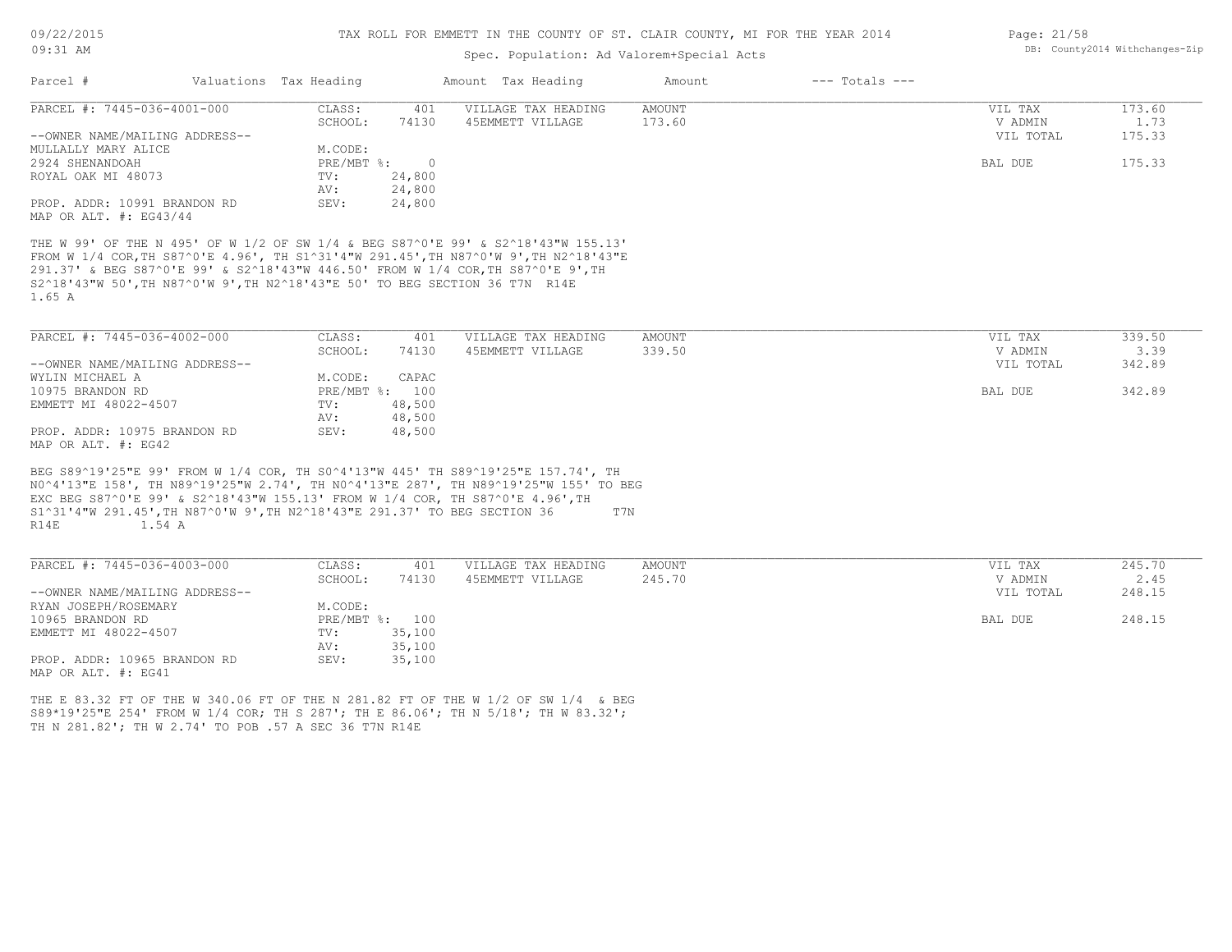## Spec. Population: Ad Valorem+Special Acts

| Parcel #                                                                                    | Valuations Tax Heading |                           |                          | Amount Tax Heading                                                                                                                                                                                                                                            | Amount | $---$ Totals $---$ |                |        |
|---------------------------------------------------------------------------------------------|------------------------|---------------------------|--------------------------|---------------------------------------------------------------------------------------------------------------------------------------------------------------------------------------------------------------------------------------------------------------|--------|--------------------|----------------|--------|
| PARCEL #: 7445-036-4001-000                                                                 |                        | CLASS:                    | 401                      | VILLAGE TAX HEADING                                                                                                                                                                                                                                           | AMOUNT |                    | VIL TAX        | 173.60 |
|                                                                                             |                        | SCHOOL:                   | 74130                    | 45EMMETT VILLAGE                                                                                                                                                                                                                                              | 173.60 |                    | V ADMIN        | 1.73   |
| --OWNER NAME/MAILING ADDRESS--                                                              |                        |                           |                          |                                                                                                                                                                                                                                                               |        |                    | VIL TOTAL      | 175.33 |
| MULLALLY MARY ALICE                                                                         |                        | M.CODE:                   |                          |                                                                                                                                                                                                                                                               |        |                    |                |        |
| 2924 SHENANDOAH<br>ROYAL OAK MI 48073                                                       |                        | PRE/MBT %:                | $\overline{0}$<br>24,800 |                                                                                                                                                                                                                                                               |        |                    | <b>BAL DUE</b> | 175.33 |
|                                                                                             |                        | TV:<br>AV:                | 24,800                   |                                                                                                                                                                                                                                                               |        |                    |                |        |
| PROP. ADDR: 10991 BRANDON RD                                                                |                        | SEV:                      | 24,800                   |                                                                                                                                                                                                                                                               |        |                    |                |        |
| MAP OR ALT. #: EG43/44                                                                      |                        |                           |                          |                                                                                                                                                                                                                                                               |        |                    |                |        |
|                                                                                             |                        |                           |                          |                                                                                                                                                                                                                                                               |        |                    |                |        |
| S2^18'43"W 50', TH N87^0'W 9', TH N2^18'43"E 50' TO BEG SECTION 36 T7N R14E<br>1.65 A       |                        |                           |                          | THE W 99' OF THE N 495' OF W 1/2 OF SW 1/4 & BEG S87^0'E 99' & S2^18'43"W 155.13'<br>FROM W 1/4 COR, TH S87^0'E 4.96', TH S1^31'4"W 291.45', TH N87^0'W 9', TH N2^18'43"E<br>291.37' & BEG S87^0'E 99' & S2^18'43"W 446.50' FROM W 1/4 COR, TH S87^0'E 9', TH |        |                    |                |        |
| PARCEL #: 7445-036-4002-000                                                                 |                        | CLASS:                    | 401                      | VILLAGE TAX HEADING                                                                                                                                                                                                                                           | AMOUNT |                    | VIL TAX        | 339.50 |
|                                                                                             |                        | SCHOOL:                   | 74130                    | 45EMMETT VILLAGE                                                                                                                                                                                                                                              | 339.50 |                    | V ADMIN        | 3.39   |
| --OWNER NAME/MAILING ADDRESS--                                                              |                        |                           |                          |                                                                                                                                                                                                                                                               |        |                    | VIL TOTAL      | 342.89 |
| WYLIN MICHAEL A                                                                             |                        | M.CODE:                   | CAPAC                    |                                                                                                                                                                                                                                                               |        |                    |                |        |
| 10975 BRANDON RD                                                                            |                        | PRE/MBT %: 100            |                          |                                                                                                                                                                                                                                                               |        |                    | BAL DUE        | 342.89 |
| EMMETT MI 48022-4507                                                                        |                        | TV:                       | 48,500                   |                                                                                                                                                                                                                                                               |        |                    |                |        |
|                                                                                             |                        | AV:                       | 48,500                   |                                                                                                                                                                                                                                                               |        |                    |                |        |
| PROP. ADDR: 10975 BRANDON RD                                                                |                        | SEV:                      | 48,500                   |                                                                                                                                                                                                                                                               |        |                    |                |        |
| MAP OR ALT. #: EG42                                                                         |                        |                           |                          |                                                                                                                                                                                                                                                               |        |                    |                |        |
| S1^31'4"W 291.45', TH N87^0'W 9', TH N2^18'43"E 291.37' TO BEG SECTION 36<br>1.54 A<br>R14E |                        |                           |                          | BEG S89^19'25"E 99' FROM W 1/4 COR, TH S0^4'13"W 445' TH S89^19'25"E 157.74', TH<br>NO^4'13"E 158', TH N89^19'25"W 2.74', TH NO^4'13"E 287', TH N89^19'25"W 155' TO BEG<br>EXC BEG S87^0'E 99' & S2^18'43"W 155.13' FROM W 1/4 COR, TH S87^0'E 4.96', TH      | T7N    |                    |                |        |
| PARCEL #: 7445-036-4003-000                                                                 |                        | CLASS:                    | 401                      | VILLAGE TAX HEADING                                                                                                                                                                                                                                           | AMOUNT |                    | VIL TAX        | 245.70 |
|                                                                                             |                        | SCHOOL:                   | 74130                    | 45EMMETT VILLAGE                                                                                                                                                                                                                                              | 245.70 |                    | V ADMIN        | 2.45   |
| --OWNER NAME/MAILING ADDRESS--                                                              |                        |                           |                          |                                                                                                                                                                                                                                                               |        |                    | VIL TOTAL      | 248.15 |
| RYAN JOSEPH/ROSEMARY                                                                        |                        | M.CODE:<br>PRE/MBT %: 100 |                          |                                                                                                                                                                                                                                                               |        |                    | BAL DUE        | 248.15 |
| 10965 BRANDON RD                                                                            |                        |                           |                          |                                                                                                                                                                                                                                                               |        |                    |                |        |
| EMMETT MI 48022-4507                                                                        |                        | TV:                       | 35,100                   |                                                                                                                                                                                                                                                               |        |                    |                |        |
|                                                                                             |                        | AV:                       | 35,100                   |                                                                                                                                                                                                                                                               |        |                    |                |        |
| PROP. ADDR: 10965 BRANDON RD<br>MAP OR ALT. #: EG41                                         |                        | SEV:                      | 35,100                   |                                                                                                                                                                                                                                                               |        |                    |                |        |
|                                                                                             |                        |                           |                          |                                                                                                                                                                                                                                                               |        |                    |                |        |
| TH N 281.82'; TH W 2.74' TO POB .57 A SEC 36 T7N R14E                                       |                        |                           |                          | THE E 83.32 FT OF THE W 340.06 FT OF THE N 281.82 FT OF THE W 1/2 OF SW 1/4 & BEG<br>S89*19'25"E 254' FROM W 1/4 COR; TH S 287'; TH E 86.06'; TH N 5/18'; TH W 83.32';                                                                                        |        |                    |                |        |

Page: 21/58 DB: County2014 Withchanges-Zip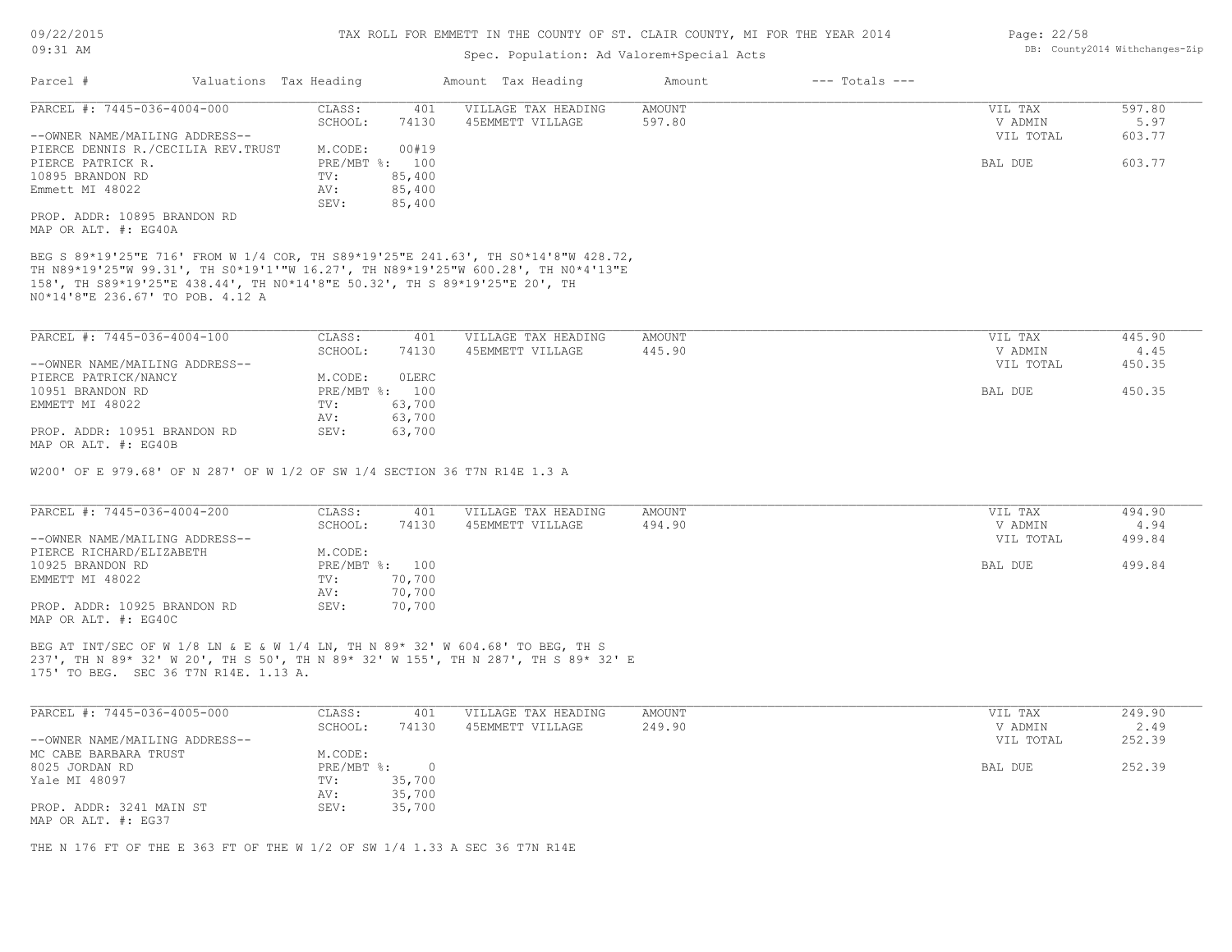### Spec. Population: Ad Valorem+Special Acts

| Parcel #                       | Valuations Tax Heading             |                |        | Amount Tax Heading  | Amount | $---$ Totals $---$ |           |        |
|--------------------------------|------------------------------------|----------------|--------|---------------------|--------|--------------------|-----------|--------|
| PARCEL #: 7445-036-4004-000    |                                    | CLASS:         | 401    | VILLAGE TAX HEADING | AMOUNT |                    | VIL TAX   | 597.80 |
|                                |                                    | SCHOOL:        | 74130  | 45EMMETT VILLAGE    | 597.80 |                    | V ADMIN   | 5.97   |
| --OWNER NAME/MAILING ADDRESS-- |                                    |                |        |                     |        |                    | VIL TOTAL | 603.77 |
|                                | PIERCE DENNIS R./CECILIA REV.TRUST | M.CODE:        | 00#19  |                     |        |                    |           |        |
| PIERCE PATRICK R.              |                                    | PRE/MBT %: 100 |        |                     |        |                    | BAL DUE   | 603.77 |
| 10895 BRANDON RD               |                                    | TV:            | 85,400 |                     |        |                    |           |        |
| Emmett MI 48022                |                                    | AV:            | 85,400 |                     |        |                    |           |        |
|                                |                                    | SEV:           | 85,400 |                     |        |                    |           |        |
| PROP. ADDR: 10895 BRANDON RD   |                                    |                |        |                     |        |                    |           |        |
| MAP OR ALT. #: EG40A           |                                    |                |        |                     |        |                    |           |        |

N0\*14'8"E 236.67' TO POB. 4.12 A 158', TH S89\*19'25"E 438.44', TH N0\*14'8"E 50.32', TH S 89\*19'25"E 20', TH TH N89\*19'25"W 99.31', TH S0\*19'1'"W 16.27', TH N89\*19'25"W 600.28', TH N0\*4'13"E BEG S 89\*19'25"E 716' FROM W 1/4 COR, TH S89\*19'25"E 241.63', TH S0\*14'8"W 428.72,

| PARCEL #: 7445-036-4004-100    | CLASS:       | 401          | VILLAGE TAX HEADING | AMOUNT | VIL TAX   | 445.90 |
|--------------------------------|--------------|--------------|---------------------|--------|-----------|--------|
|                                | SCHOOL:      | 74130        | 45EMMETT VILLAGE    | 445.90 | V ADMIN   | 4.45   |
| --OWNER NAME/MAILING ADDRESS-- |              |              |                     |        | VIL TOTAL | 450.35 |
| PIERCE PATRICK/NANCY           | M.CODE:      | <b>OLERC</b> |                     |        |           |        |
| 10951 BRANDON RD               | $PRE/MBT$ %: | 100          |                     |        | BAL DUE   | 450.35 |
| EMMETT MI 48022                | TV:          | 63,700       |                     |        |           |        |
|                                | AV:          | 63,700       |                     |        |           |        |
| PROP. ADDR: 10951 BRANDON RD   | SEV:         | 63,700       |                     |        |           |        |
| MAP OR ALT. #: EG40B           |              |              |                     |        |           |        |

W200' OF E 979.68' OF N 287' OF W 1/2 OF SW 1/4 SECTION 36 T7N R14E 1.3 A

| PARCEL #: 7445-036-4004-200    | CLASS:         | 401    | VILLAGE TAX HEADING | AMOUNT | VIL TAX   | 494.90 |
|--------------------------------|----------------|--------|---------------------|--------|-----------|--------|
|                                | SCHOOL:        | 74130  | 45EMMETT VILLAGE    | 494.90 | V ADMIN   | 4.94   |
| --OWNER NAME/MAILING ADDRESS-- |                |        |                     |        | VIL TOTAL | 499.84 |
| PIERCE RICHARD/ELIZABETH       | M.CODE:        |        |                     |        |           |        |
| 10925 BRANDON RD               | PRE/MBT %: 100 |        |                     |        | BAL DUE   | 499.84 |
| EMMETT MI 48022                | TV:            | 70,700 |                     |        |           |        |
|                                | AV:            | 70,700 |                     |        |           |        |
| PROP. ADDR: 10925 BRANDON RD   | SEV:           | 70,700 |                     |        |           |        |
| MAP OR ALT. #: EG40C           |                |        |                     |        |           |        |

175' TO BEG. SEC 36 T7N R14E. 1.13 A. 237', TH N 89\* 32' W 20', TH S 50', TH N 89\* 32' W 155', TH N 287', TH S 89\* 32' E BEG AT INT/SEC OF W 1/8 LN & E & W 1/4 LN, TH N 89\* 32' W 604.68' TO BEG, TH S

| PARCEL #: 7445-036-4005-000                     | CLASS:     | 401      | VILLAGE TAX HEADING | AMOUNT | VIL TAX   | 249.90 |
|-------------------------------------------------|------------|----------|---------------------|--------|-----------|--------|
|                                                 | SCHOOL:    | 74130    | 45EMMETT VILLAGE    | 249.90 | V ADMIN   | 2.49   |
| --OWNER NAME/MAILING ADDRESS--                  |            |          |                     |        | VIL TOTAL | 252.39 |
| MC CABE BARBARA TRUST                           | M.CODE:    |          |                     |        |           |        |
| 8025 JORDAN RD                                  | PRE/MBT %: | $\Omega$ |                     |        | BAL DUE   | 252.39 |
| Yale MI 48097                                   | TV:        | 35,700   |                     |        |           |        |
|                                                 | AV:        | 35,700   |                     |        |           |        |
| PROP. ADDR: 3241 MAIN ST<br>MAP OR ALT. #: EG37 | SEV:       | 35,700   |                     |        |           |        |

 $\mathcal{L}_\mathcal{L} = \mathcal{L}_\mathcal{L} = \mathcal{L}_\mathcal{L} = \mathcal{L}_\mathcal{L} = \mathcal{L}_\mathcal{L} = \mathcal{L}_\mathcal{L} = \mathcal{L}_\mathcal{L} = \mathcal{L}_\mathcal{L} = \mathcal{L}_\mathcal{L} = \mathcal{L}_\mathcal{L} = \mathcal{L}_\mathcal{L} = \mathcal{L}_\mathcal{L} = \mathcal{L}_\mathcal{L} = \mathcal{L}_\mathcal{L} = \mathcal{L}_\mathcal{L} = \mathcal{L}_\mathcal{L} = \mathcal{L}_\mathcal{L}$ 

THE N 176 FT OF THE E 363 FT OF THE W 1/2 OF SW 1/4 1.33 A SEC 36 T7N R14E

Page: 22/58 DB: County2014 Withchanges-Zip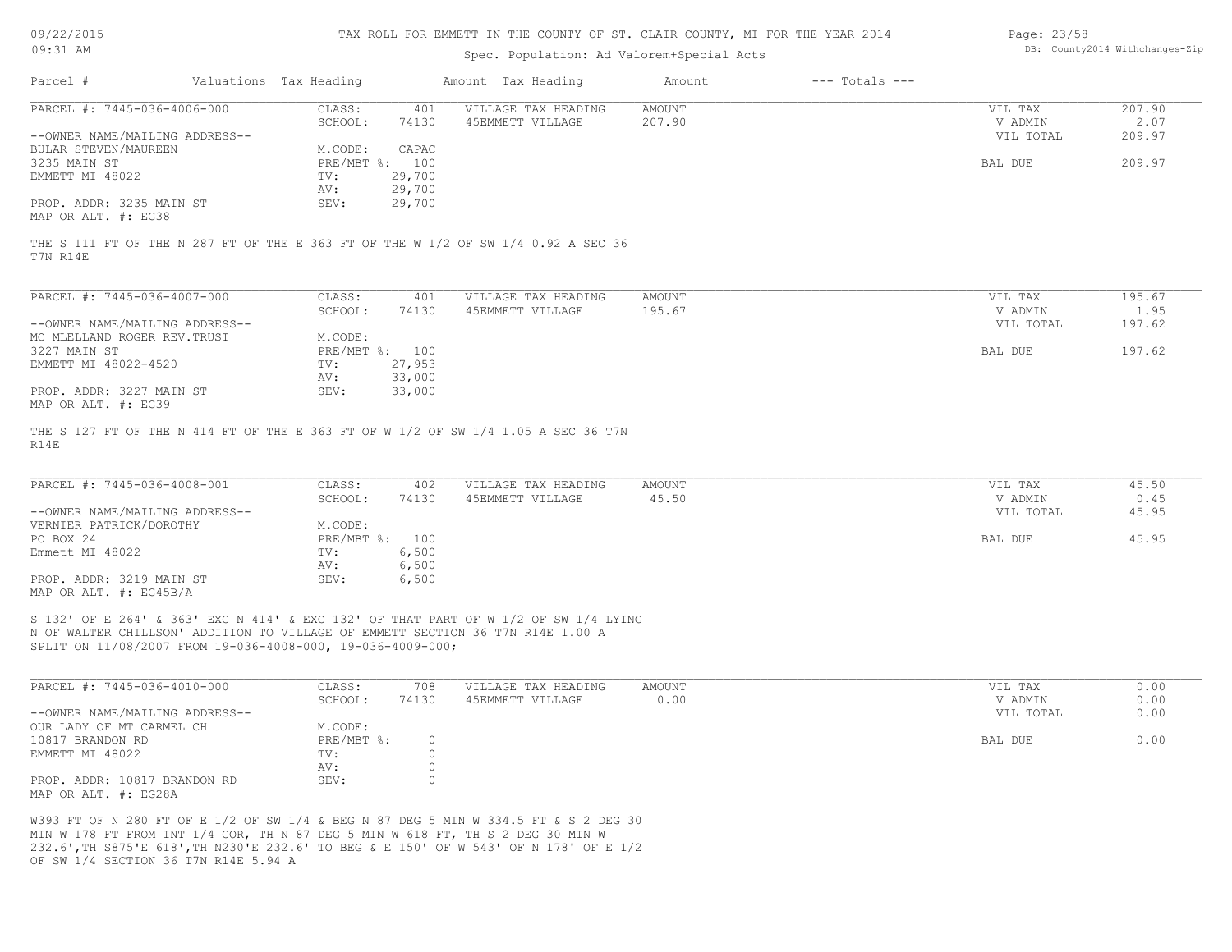| 09/22/2015                                                 |                        | TAX ROLL FOR EMMETT IN THE COUNTY OF ST. CLAIR COUNTY, MI FOR THE YEAR 2014 | Page: 23/58                                                                                                                                                           |               |                    |           |                                |  |  |
|------------------------------------------------------------|------------------------|-----------------------------------------------------------------------------|-----------------------------------------------------------------------------------------------------------------------------------------------------------------------|---------------|--------------------|-----------|--------------------------------|--|--|
| 09:31 AM                                                   |                        |                                                                             | Spec. Population: Ad Valorem+Special Acts                                                                                                                             |               |                    |           | DB: County2014 Withchanges-Zip |  |  |
| Parcel #                                                   | Valuations Tax Heading |                                                                             | Amount Tax Heading                                                                                                                                                    | Amount        | $---$ Totals $---$ |           |                                |  |  |
| PARCEL #: 7445-036-4006-000                                | CLASS:                 | 401                                                                         | VILLAGE TAX HEADING                                                                                                                                                   | <b>AMOUNT</b> |                    | VIL TAX   | 207.90                         |  |  |
|                                                            | SCHOOL:                | 74130                                                                       | 45EMMETT VILLAGE                                                                                                                                                      | 207.90        |                    | V ADMIN   | 2.07                           |  |  |
| --OWNER NAME/MAILING ADDRESS--                             |                        |                                                                             |                                                                                                                                                                       |               |                    | VIL TOTAL | 209.97                         |  |  |
| BULAR STEVEN/MAUREEN                                       | M.CODE:                | CAPAC                                                                       |                                                                                                                                                                       |               |                    |           |                                |  |  |
| 3235 MAIN ST                                               | PRE/MBT %: 100         |                                                                             |                                                                                                                                                                       |               |                    | BAL DUE   | 209.97                         |  |  |
| EMMETT MI 48022                                            | TV:                    | 29,700                                                                      |                                                                                                                                                                       |               |                    |           |                                |  |  |
|                                                            | AV:                    | 29,700                                                                      |                                                                                                                                                                       |               |                    |           |                                |  |  |
| PROP. ADDR: 3235 MAIN ST                                   | SEV:                   |                                                                             |                                                                                                                                                                       |               |                    |           |                                |  |  |
| MAP OR ALT. #: EG38                                        |                        | 29,700                                                                      |                                                                                                                                                                       |               |                    |           |                                |  |  |
| T7N R14E                                                   |                        |                                                                             | THE S 111 FT OF THE N 287 FT OF THE E 363 FT OF THE W 1/2 OF SW 1/4 0.92 A SEC 36                                                                                     |               |                    |           |                                |  |  |
|                                                            |                        |                                                                             |                                                                                                                                                                       |               |                    |           |                                |  |  |
| PARCEL #: 7445-036-4007-000                                | CLASS:                 | 401                                                                         | VILLAGE TAX HEADING                                                                                                                                                   | <b>AMOUNT</b> |                    | VIL TAX   | 195.67                         |  |  |
|                                                            | SCHOOL:                | 74130                                                                       | 45EMMETT VILLAGE                                                                                                                                                      | 195.67        |                    | V ADMIN   | 1.95                           |  |  |
| --OWNER NAME/MAILING ADDRESS--                             |                        |                                                                             |                                                                                                                                                                       |               |                    | VIL TOTAL | 197.62                         |  |  |
| MC MLELLAND ROGER REV. TRUST                               | M.CODE:                |                                                                             |                                                                                                                                                                       |               |                    |           |                                |  |  |
| 3227 MAIN ST                                               | PRE/MBT %: 100         |                                                                             |                                                                                                                                                                       |               |                    | BAL DUE   | 197.62                         |  |  |
| EMMETT MI 48022-4520                                       | TV:                    | 27,953                                                                      |                                                                                                                                                                       |               |                    |           |                                |  |  |
|                                                            | AV:                    | 33,000                                                                      |                                                                                                                                                                       |               |                    |           |                                |  |  |
| PROP. ADDR: 3227 MAIN ST                                   | SEV:                   | 33,000                                                                      |                                                                                                                                                                       |               |                    |           |                                |  |  |
| MAP OR ALT. #: EG39                                        |                        |                                                                             |                                                                                                                                                                       |               |                    |           |                                |  |  |
| R14E                                                       |                        |                                                                             | THE S 127 FT OF THE N 414 FT OF THE E 363 FT OF W 1/2 OF SW 1/4 1.05 A SEC 36 T7N                                                                                     |               |                    |           |                                |  |  |
| PARCEL #: 7445-036-4008-001                                | CLASS:                 | 402                                                                         | VILLAGE TAX HEADING                                                                                                                                                   | <b>AMOUNT</b> |                    | VIL TAX   | 45.50                          |  |  |
|                                                            | SCHOOL:                | 74130                                                                       | 45EMMETT VILLAGE                                                                                                                                                      | 45.50         |                    | V ADMIN   | 0.45                           |  |  |
| --OWNER NAME/MAILING ADDRESS--                             |                        |                                                                             |                                                                                                                                                                       |               |                    | VIL TOTAL | 45.95                          |  |  |
| VERNIER PATRICK/DOROTHY                                    | M.CODE:                |                                                                             |                                                                                                                                                                       |               |                    |           |                                |  |  |
| PO BOX 24                                                  | PRE/MBT %: 100         |                                                                             |                                                                                                                                                                       |               |                    | BAL DUE   | 45.95                          |  |  |
| Emmett MI 48022                                            | TV:                    | 6,500                                                                       |                                                                                                                                                                       |               |                    |           |                                |  |  |
|                                                            | AV:                    | 6,500                                                                       |                                                                                                                                                                       |               |                    |           |                                |  |  |
| PROP. ADDR: 3219 MAIN ST                                   | SEV:                   | 6,500                                                                       |                                                                                                                                                                       |               |                    |           |                                |  |  |
| MAP OR ALT. #: EG45B/A                                     |                        |                                                                             |                                                                                                                                                                       |               |                    |           |                                |  |  |
| SPLIT ON 11/08/2007 FROM 19-036-4008-000, 19-036-4009-000; |                        |                                                                             | S 132' OF E 264' & 363' EXC N 414' & EXC 132' OF THAT PART OF W 1/2 OF SW 1/4 LYING<br>N OF WALTER CHILLSON' ADDITION TO VILLAGE OF EMMETT SECTION 36 T7N R14E 1.00 A |               |                    |           |                                |  |  |
| PARCEL #: 7445-036-4010-000                                | CLASS:                 | 708                                                                         | VILLAGE TAX HEADING                                                                                                                                                   | <b>AMOUNT</b> |                    | VIL TAX   | 0.00                           |  |  |
|                                                            | SCHOOL:                | 74130                                                                       | 45EMMETT VILLAGE                                                                                                                                                      | 0.00          |                    | V ADMIN   | 0.00                           |  |  |
| --OWNER NAME/MAILING ADDRESS--                             |                        |                                                                             |                                                                                                                                                                       |               |                    | VIL TOTAL | 0.00                           |  |  |

| OUR LADY OF MT CARMEL CH                             | M.CODE:    |  |         |      |
|------------------------------------------------------|------------|--|---------|------|
| 10817 BRANDON RD                                     | PRE/MBT %: |  | BAL DUE | 0.00 |
| EMMETT MI 48022                                      | TV:        |  |         |      |
|                                                      | AV:        |  |         |      |
| PROP. ADDR: 10817 BRANDON RD<br>MAP OR ALT. #: EG28A | SEV:       |  |         |      |

OF SW 1/4 SECTION 36 T7N R14E 5.94 A 232.6',TH S875'E 618',TH N230'E 232.6' TO BEG & E 150' OF W 543' OF N 178' OF E 1/2 MIN W 178 FT FROM INT 1/4 COR, TH N 87 DEG 5 MIN W 618 FT, TH S 2 DEG 30 MIN W W393 FT OF N 280 FT OF E 1/2 OF SW 1/4 & BEG N 87 DEG 5 MIN W 334.5 FT & S 2 DEG 30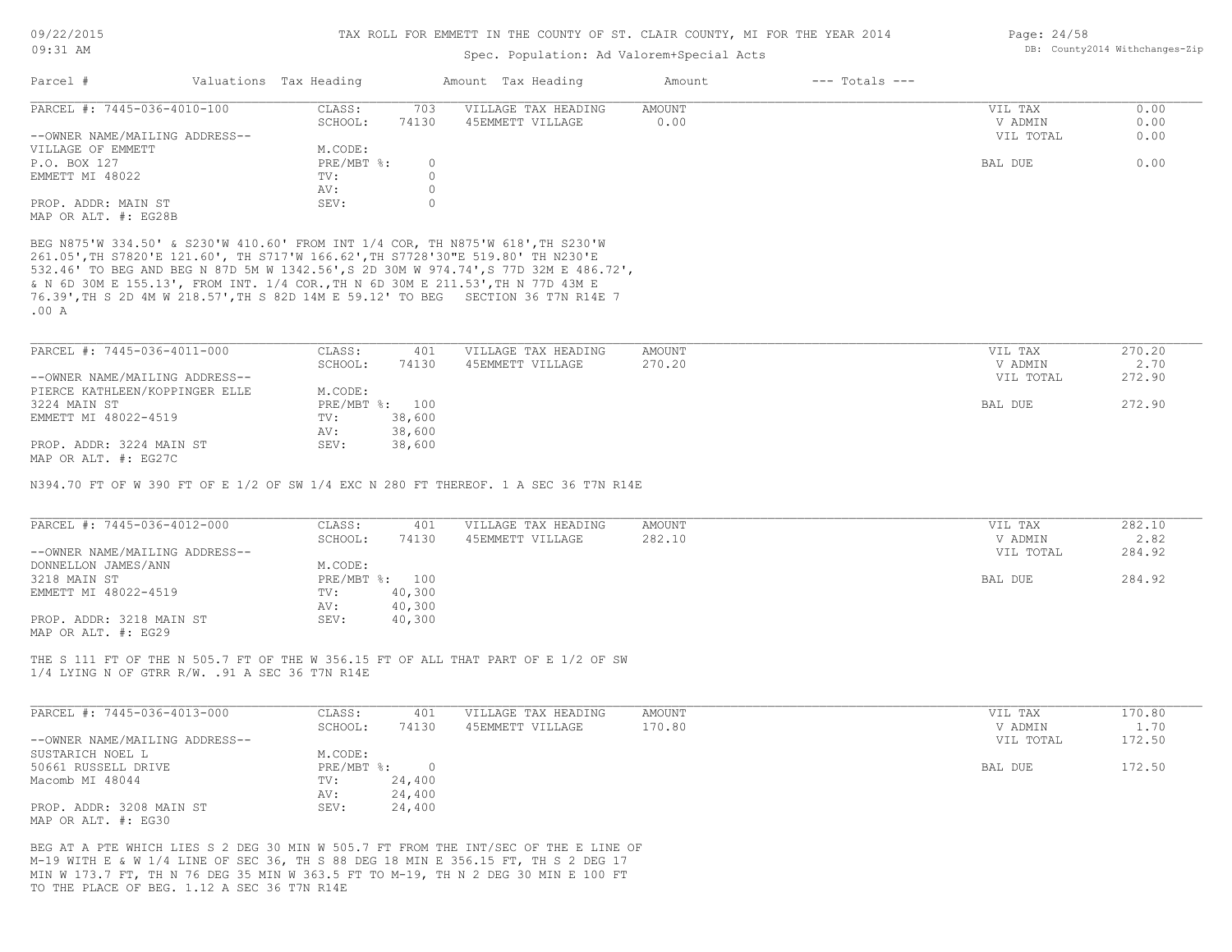#### Spec. Population: Ad Valorem+Special Acts

| Parcel #                       | Valuations Tax Heading |       | Amount Tax Heading  | Amount | $---$ Totals $---$ |           |      |
|--------------------------------|------------------------|-------|---------------------|--------|--------------------|-----------|------|
| PARCEL #: 7445-036-4010-100    | CLASS:                 | 703   | VILLAGE TAX HEADING | AMOUNT |                    | VIL TAX   | 0.00 |
|                                | SCHOOL:                | 74130 | 45EMMETT VILLAGE    | 0.00   |                    | V ADMIN   | 0.00 |
| --OWNER NAME/MAILING ADDRESS-- |                        |       |                     |        |                    | VIL TOTAL | 0.00 |
| VILLAGE OF EMMETT              | M.CODE:                |       |                     |        |                    |           |      |
| P.O. BOX 127                   | $PRE/MBT$ %:           |       |                     |        |                    | BAL DUE   | 0.00 |
| EMMETT MI 48022                | TV:                    |       |                     |        |                    |           |      |
|                                | AV:                    |       |                     |        |                    |           |      |
| PROP. ADDR: MAIN ST            | SEV:                   |       |                     |        |                    |           |      |
| MAP OR ALT. #: EG28B           |                        |       |                     |        |                    |           |      |

.00 A 76.39',TH S 2D 4M W 218.57',TH S 82D 14M E 59.12' TO BEG SECTION 36 T7N R14E 7 & N 6D 30M E 155.13', FROM INT. 1/4 COR.,TH N 6D 30M E 211.53',TH N 77D 43M E 532.46' TO BEG AND BEG N 87D 5M W 1342.56',S 2D 30M W 974.74',S 77D 32M E 486.72', 261.05',TH S7820'E 121.60', TH S717'W 166.62',TH S7728'30"E 519.80' TH N230'E BEG N875'W 334.50' & S230'W 410.60' FROM INT 1/4 COR, TH N875'W 618',TH S230'W

| PARCEL #: 7445-036-4011-000    | CLASS:  | 401            | VILLAGE TAX HEADING | AMOUNT | VIL TAX   | 270.20 |
|--------------------------------|---------|----------------|---------------------|--------|-----------|--------|
|                                | SCHOOL: | 74130          | 45EMMETT VILLAGE    | 270.20 | V ADMIN   | 2.70   |
| --OWNER NAME/MAILING ADDRESS-- |         |                |                     |        | VIL TOTAL | 272.90 |
| PIERCE KATHLEEN/KOPPINGER ELLE | M.CODE: |                |                     |        |           |        |
| 3224 MAIN ST                   |         | PRE/MBT %: 100 |                     |        | BAL DUE   | 272.90 |
| EMMETT MI 48022-4519           | TV:     | 38,600         |                     |        |           |        |
|                                | AV:     | 38,600         |                     |        |           |        |
| PROP. ADDR: 3224 MAIN ST       | SEV:    | 38,600         |                     |        |           |        |
| MAP OR ALT. #: EG27C           |         |                |                     |        |           |        |

N394.70 FT OF W 390 FT OF E 1/2 OF SW 1/4 EXC N 280 FT THEREOF. 1 A SEC 36 T7N R14E

| PARCEL #: 7445-036-4012-000    | CLASS:  | 401            | VILLAGE TAX HEADING | AMOUNT | VIL TAX   | 282.10 |
|--------------------------------|---------|----------------|---------------------|--------|-----------|--------|
|                                | SCHOOL: | 74130          | 45EMMETT VILLAGE    | 282.10 | V ADMIN   | 2.82   |
| --OWNER NAME/MAILING ADDRESS-- |         |                |                     |        | VIL TOTAL | 284.92 |
| DONNELLON JAMES/ANN            | M.CODE: |                |                     |        |           |        |
| 3218 MAIN ST                   |         | PRE/MBT %: 100 |                     |        | BAL DUE   | 284.92 |
| EMMETT MI 48022-4519           | TV:     | 40,300         |                     |        |           |        |
|                                | AV:     | 40,300         |                     |        |           |        |
| PROP. ADDR: 3218 MAIN ST       | SEV:    | 40,300         |                     |        |           |        |
| MAP OR ALT. #: EG29            |         |                |                     |        |           |        |

1/4 LYING N OF GTRR R/W. .91 A SEC 36 T7N R14E THE S 111 FT OF THE N 505.7 FT OF THE W 356.15 FT OF ALL THAT PART OF E 1/2 OF SW

| PARCEL #: 7445-036-4013-000    | CLASS:       | 401    | VILLAGE TAX HEADING | AMOUNT | VIL TAX   | 170.80 |
|--------------------------------|--------------|--------|---------------------|--------|-----------|--------|
|                                | SCHOOL:      | 74130  | 45EMMETT VILLAGE    | 170.80 | V ADMIN   | 1.70   |
| --OWNER NAME/MAILING ADDRESS-- |              |        |                     |        | VIL TOTAL | 172.50 |
| SUSTARICH NOEL L               | M.CODE:      |        |                     |        |           |        |
| 50661 RUSSELL DRIVE            | $PRE/MBT$ %: |        |                     |        | BAL DUE   | 172.50 |
| Macomb MI 48044                | TV:          | 24,400 |                     |        |           |        |
|                                | AV:          | 24,400 |                     |        |           |        |
| PROP. ADDR: 3208 MAIN ST       | SEV:         | 24,400 |                     |        |           |        |
| MAP OR ALT. #: EG30            |              |        |                     |        |           |        |

TO THE PLACE OF BEG. 1.12 A SEC 36 T7N R14E MIN W 173.7 FT, TH N 76 DEG 35 MIN W 363.5 FT TO M-19, TH N 2 DEG 30 MIN E 100 FT M-19 WITH E & W 1/4 LINE OF SEC 36, TH S 88 DEG 18 MIN E 356.15 FT, TH S 2 DEG 17 BEG AT A PTE WHICH LIES S 2 DEG 30 MIN W 505.7 FT FROM THE INT/SEC OF THE E LINE OF Page: 24/58 DB: County2014 Withchanges-Zip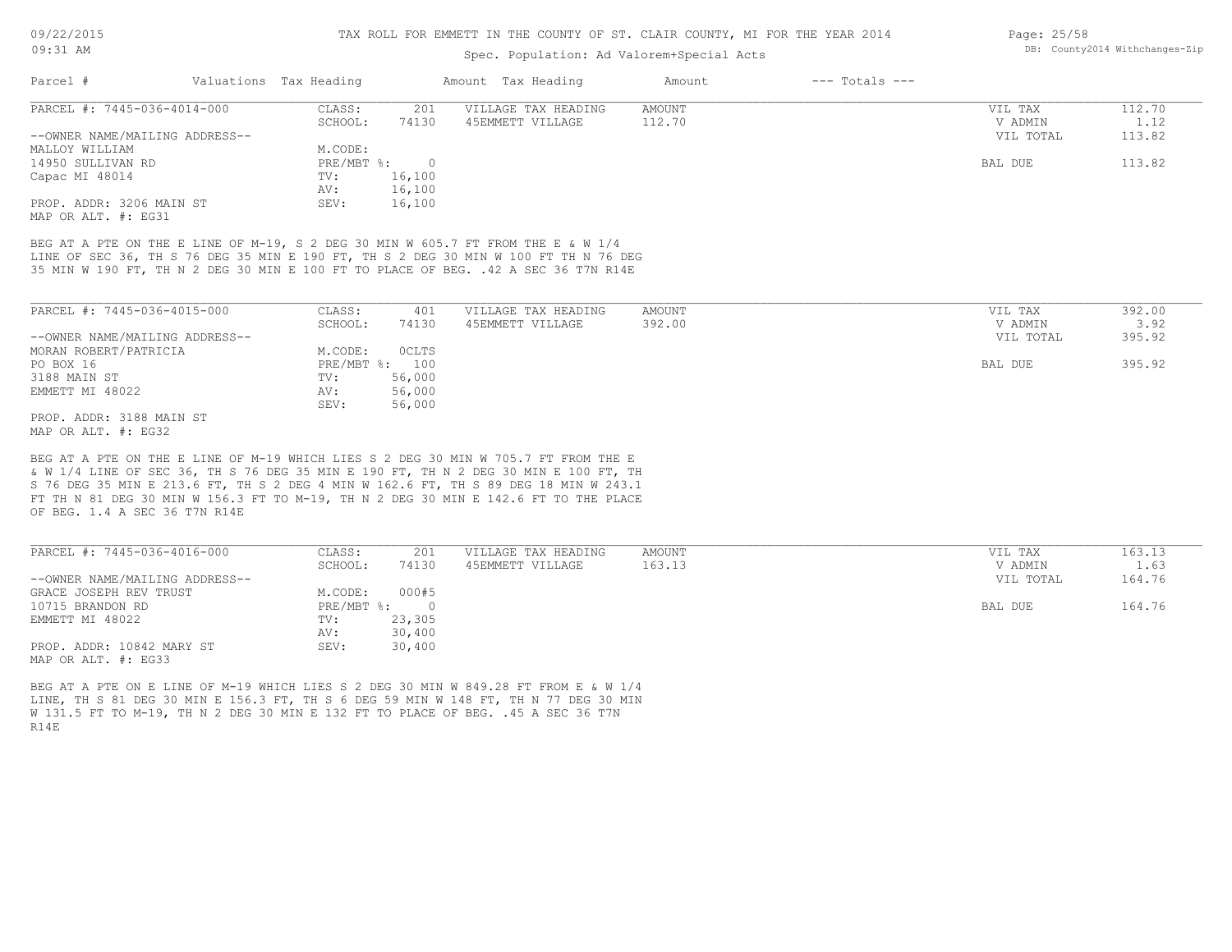### Spec. Population: Ad Valorem+Special Acts

| Parcel #                       | Valuations Tax Heading |        | Amount Tax Heading  | Amount | $---$ Totals $---$ |           |        |
|--------------------------------|------------------------|--------|---------------------|--------|--------------------|-----------|--------|
| PARCEL #: 7445-036-4014-000    | CLASS:                 | 201    | VILLAGE TAX HEADING | AMOUNT |                    | VIL TAX   | 112.70 |
|                                | SCHOOL:                | 74130  | 45EMMETT VILLAGE    | 112.70 |                    | V ADMIN   | 1.12   |
| --OWNER NAME/MAILING ADDRESS-- |                        |        |                     |        |                    | VIL TOTAL | 113.82 |
| MALLOY WILLIAM                 | M.CODE:                |        |                     |        |                    |           |        |
| 14950 SULLIVAN RD              | $PRE/MBT$ %:           |        |                     |        |                    | BAL DUE   | 113.82 |
| Capac MI 48014                 | TV:                    | 16,100 |                     |        |                    |           |        |
|                                | AV:                    | 16,100 |                     |        |                    |           |        |
| PROP. ADDR: 3206 MAIN ST       | SEV:                   | 16,100 |                     |        |                    |           |        |
|                                |                        |        |                     |        |                    |           |        |

MAP OR ALT. #: EG31

35 MIN W 190 FT, TH N 2 DEG 30 MIN E 100 FT TO PLACE OF BEG. .42 A SEC 36 T7N R14E LINE OF SEC 36, TH S 76 DEG 35 MIN E 190 FT, TH S 2 DEG 30 MIN W 100 FT TH N 76 DEG BEG AT A PTE ON THE E LINE OF M-19, S 2 DEG 30 MIN W 605.7 FT FROM THE E & W 1/4

| PARCEL #: 7445-036-4015-000                           | CLASS:  | 401            | VILLAGE TAX HEADING | AMOUNT | VIL TAX   | 392.00 |
|-------------------------------------------------------|---------|----------------|---------------------|--------|-----------|--------|
|                                                       | SCHOOL: | 74130          | 45EMMETT VILLAGE    | 392.00 | V ADMIN   | 3.92   |
| --OWNER NAME/MAILING ADDRESS--                        |         |                |                     |        | VIL TOTAL | 395.92 |
| MORAN ROBERT/PATRICIA                                 | M.CODE: | <b>OCLTS</b>   |                     |        |           |        |
| PO BOX 16                                             |         | PRE/MBT %: 100 |                     |        | BAL DUE   | 395.92 |
| 3188 MAIN ST                                          | TV:     | 56,000         |                     |        |           |        |
| EMMETT MI 48022                                       | AV:     | 56,000         |                     |        |           |        |
|                                                       | SEV:    | 56,000         |                     |        |           |        |
| PROP. ADDR: 3188 MAIN ST                              |         |                |                     |        |           |        |
| $\cdots$ $\cdots$ $\cdots$ $\cdots$ $\cdots$ $\cdots$ |         |                |                     |        |           |        |

MAP OR ALT. #: EG32

OF BEG. 1.4 A SEC 36 T7N R14E FT TH N 81 DEG 30 MIN W 156.3 FT TO M-19, TH N 2 DEG 30 MIN E 142.6 FT TO THE PLACE S 76 DEG 35 MIN E 213.6 FT, TH S 2 DEG 4 MIN W 162.6 FT, TH S 89 DEG 18 MIN W 243.1 & W 1/4 LINE OF SEC 36, TH S 76 DEG 35 MIN E 190 FT, TH N 2 DEG 30 MIN E 100 FT, TH BEG AT A PTE ON THE E LINE OF M-19 WHICH LIES S 2 DEG 30 MIN W 705.7 FT FROM THE E

| PARCEL #: 7445-036-4016-000    | CLASS:     | 201      | VILLAGE TAX HEADING | AMOUNT | VIL TAX   | 163.13 |
|--------------------------------|------------|----------|---------------------|--------|-----------|--------|
|                                | SCHOOL:    | 74130    | 45EMMETT VILLAGE    | 163.13 | V ADMIN   | 1.63   |
| --OWNER NAME/MAILING ADDRESS-- |            |          |                     |        | VIL TOTAL | 164.76 |
| GRACE JOSEPH REV TRUST         | M.CODE:    | 000#5    |                     |        |           |        |
| 10715 BRANDON RD               | PRE/MBT %: | $\Omega$ |                     |        | BAL DUE   | 164.76 |
| EMMETT MI 48022                | TV:        | 23,305   |                     |        |           |        |
|                                | AV:        | 30,400   |                     |        |           |        |
| PROP. ADDR: 10842 MARY ST      | SEV:       | 30,400   |                     |        |           |        |
| MAP OR ALT. #: EG33            |            |          |                     |        |           |        |

R14E W 131.5 FT TO M-19, TH N 2 DEG 30 MIN E 132 FT TO PLACE OF BEG. .45 A SEC 36 T7N LINE, TH S 81 DEG 30 MIN E 156.3 FT, TH S 6 DEG 59 MIN W 148 FT, TH N 77 DEG 30 MIN BEG AT A PTE ON E LINE OF M-19 WHICH LIES S 2 DEG 30 MIN W 849.28 FT FROM E & W 1/4

Page: 25/58 DB: County2014 Withchanges-Zip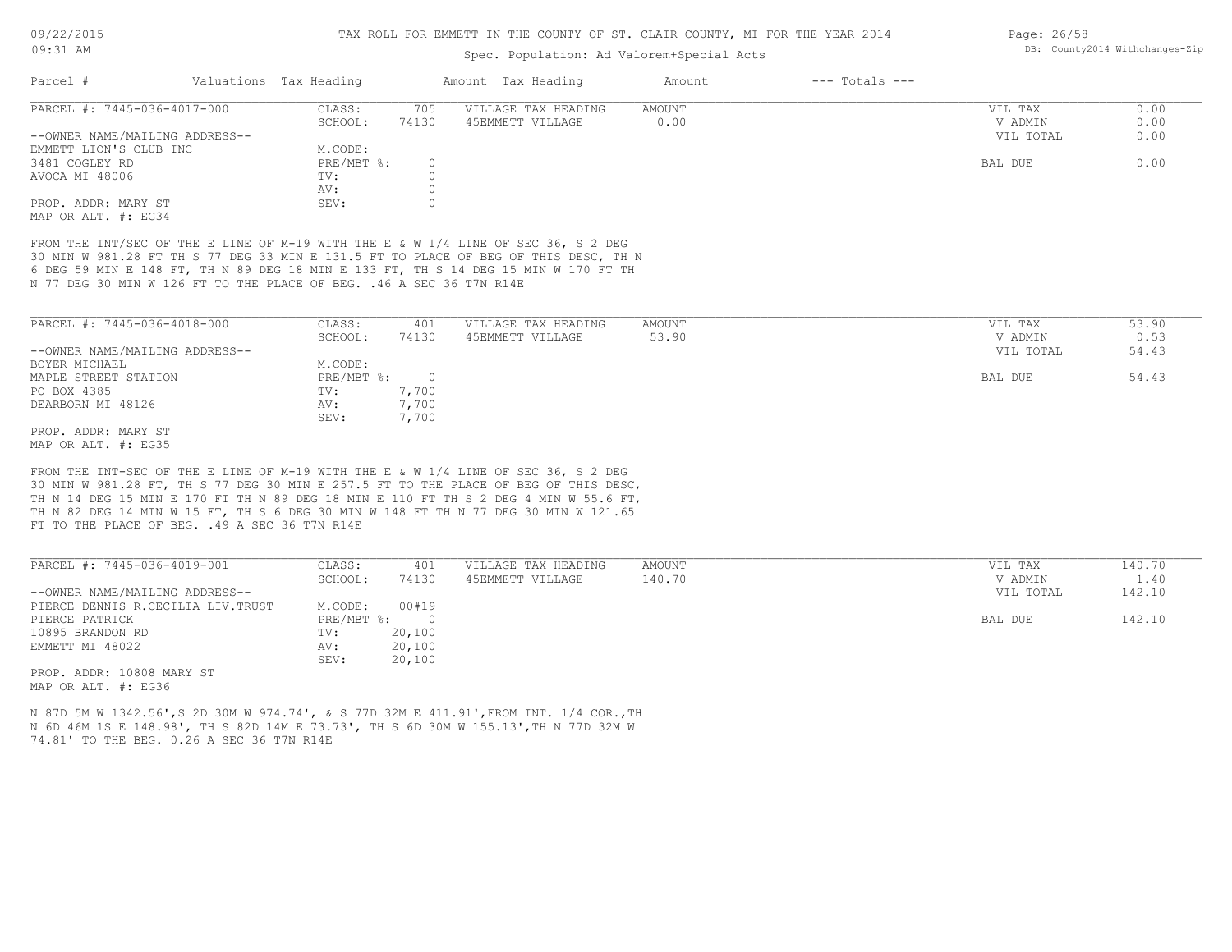#### Spec. Population: Ad Valorem+Special Acts

| Parcel #                       | Valuations Tax Heading |          | Amount Tax Heading  | Amount | $---$ Totals $---$ |           |      |
|--------------------------------|------------------------|----------|---------------------|--------|--------------------|-----------|------|
| PARCEL #: 7445-036-4017-000    | CLASS:                 | 705      | VILLAGE TAX HEADING | AMOUNT |                    | VIL TAX   | 0.00 |
|                                | SCHOOL:                | 74130    | 45EMMETT VILLAGE    | 0.00   |                    | V ADMIN   | 0.00 |
| --OWNER NAME/MAILING ADDRESS-- |                        |          |                     |        |                    | VIL TOTAL | 0.00 |
| EMMETT LION'S CLUB INC         | M.CODE:                |          |                     |        |                    |           |      |
| 3481 COGLEY RD                 | $PRE/MBT$ %:           | $\Omega$ |                     |        |                    | BAL DUE   | 0.00 |
| AVOCA MI 48006                 | TV:                    |          |                     |        |                    |           |      |
|                                | AV:                    |          |                     |        |                    |           |      |
| PROP. ADDR: MARY ST            | SEV:                   |          |                     |        |                    |           |      |
| MAP OR ALT. #: EG34            |                        |          |                     |        |                    |           |      |

N 77 DEG 30 MIN W 126 FT TO THE PLACE OF BEG. .46 A SEC 36 T7N R14E 6 DEG 59 MIN E 148 FT, TH N 89 DEG 18 MIN E 133 FT, TH S 14 DEG 15 MIN W 170 FT TH 30 MIN W 981.28 FT TH S 77 DEG 33 MIN E 131.5 FT TO PLACE OF BEG OF THIS DESC, TH N FROM THE INT/SEC OF THE E LINE OF M-19 WITH THE E & W 1/4 LINE OF SEC 36, S 2 DEG

| PARCEL #: 7445-036-4018-000    | CLASS:     | 401   | VILLAGE TAX HEADING | AMOUNT | 53.90<br>VIL TAX   |
|--------------------------------|------------|-------|---------------------|--------|--------------------|
|                                | SCHOOL:    | 74130 | 45EMMETT VILLAGE    | 53.90  | 0.53<br>V ADMIN    |
| --OWNER NAME/MAILING ADDRESS-- |            |       |                     |        | 54.43<br>VIL TOTAL |
| BOYER MICHAEL                  | M.CODE:    |       |                     |        |                    |
| MAPLE STREET STATION           | PRE/MBT %: |       |                     |        | 54.43<br>BAL DUE   |
| PO BOX 4385                    | TV:        | 7,700 |                     |        |                    |
| DEARBORN MI 48126              | AV:        | 7,700 |                     |        |                    |
|                                | SEV:       | 7,700 |                     |        |                    |
| PROP. ADDR: MARY ST            |            |       |                     |        |                    |

MAP OR ALT. #: EG35

FT TO THE PLACE OF BEG. . 49 A SEC 36 T7N R14E TH N 82 DEG 14 MIN W 15 FT, TH S 6 DEG 30 MIN W 148 FT TH N 77 DEG 30 MIN W 121.65 TH N 14 DEG 15 MIN E 170 FT TH N 89 DEG 18 MIN E 110 FT TH S 2 DEG 4 MIN W 55.6 FT, 30 MIN W 981.28 FT, TH S 77 DEG 30 MIN E 257.5 FT TO THE PLACE OF BEG OF THIS DESC, FROM THE INT-SEC OF THE E LINE OF M-19 WITH THE E & W 1/4 LINE OF SEC 36, S 2 DEG

| PARCEL #: 7445-036-4019-001       | CLASS:     | 401    | VILLAGE TAX HEADING | AMOUNT | VIL TAX   | 140.70 |
|-----------------------------------|------------|--------|---------------------|--------|-----------|--------|
|                                   | SCHOOL:    | 74130  | 45EMMETT VILLAGE    | 140.70 | V ADMIN   | 1.40   |
| --OWNER NAME/MAILING ADDRESS--    |            |        |                     |        | VIL TOTAL | 142.10 |
| PIERCE DENNIS R.CECILIA LIV.TRUST | M.CODE:    | 00#19  |                     |        |           |        |
| PIERCE PATRICK                    | PRE/MBT %: |        |                     |        | BAL DUE   | 142.10 |
| 10895 BRANDON RD                  | TV:        | 20,100 |                     |        |           |        |
| EMMETT MI 48022                   | AV:        | 20,100 |                     |        |           |        |
|                                   | SEV:       | 20,100 |                     |        |           |        |

MAP OR ALT. #: EG36 PROP. ADDR: 10808 MARY ST

74.81' TO THE BEG. 0.26 A SEC 36 T7N R14E N 6D 46M 1S E 148.98', TH S 82D 14M E 73.73', TH S 6D 30M W 155.13',TH N 77D 32M W N 87D 5M W 1342.56',S 2D 30M W 974.74', & S 77D 32M E 411.91',FROM INT. 1/4 COR.,TH Page: 26/58 DB: County2014 Withchanges-Zip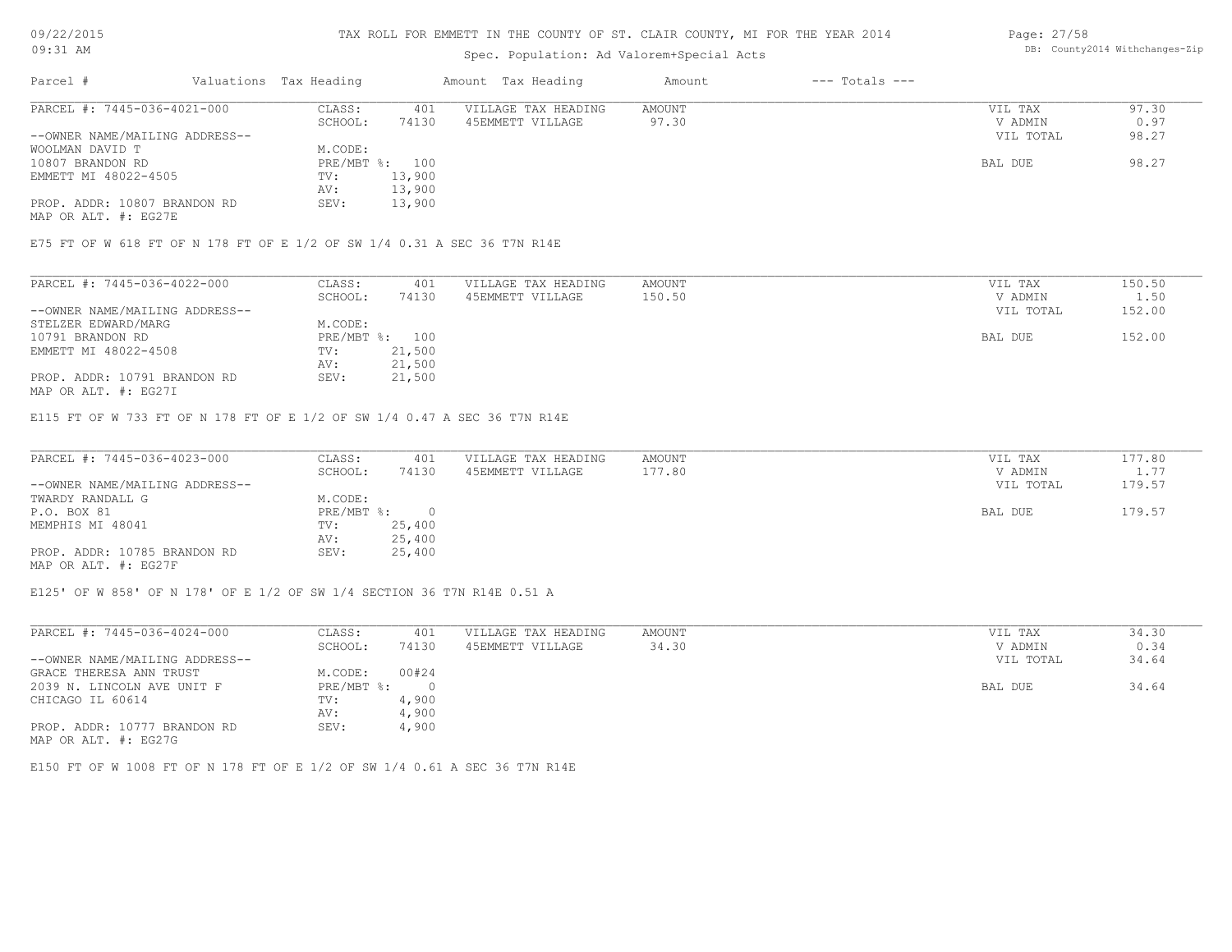### 09/22/2015 09:31 AM

#### TAX ROLL FOR EMMETT IN THE COUNTY OF ST. CLAIR COUNTY, MI FOR THE YEAR 2014

## Spec. Population: Ad Valorem+Special Acts

| Parcel #                       | Valuations Tax Heading |        | Amount Tax Heading  | Amount | $---$ Totals $---$ |           |       |
|--------------------------------|------------------------|--------|---------------------|--------|--------------------|-----------|-------|
| PARCEL #: 7445-036-4021-000    | CLASS:                 | 401    | VILLAGE TAX HEADING | AMOUNT |                    | VIL TAX   | 97.30 |
|                                | SCHOOL:                | 74130  | 45EMMETT VILLAGE    | 97.30  |                    | V ADMIN   | 0.97  |
| --OWNER NAME/MAILING ADDRESS-- |                        |        |                     |        |                    | VIL TOTAL | 98.27 |
| WOOLMAN DAVID T                | M.CODE:                |        |                     |        |                    |           |       |
| 10807 BRANDON RD               | PRE/MBT %: 100         |        |                     |        |                    | BAL DUE   | 98.27 |
| EMMETT MI 48022-4505           | TV:                    | 13,900 |                     |        |                    |           |       |
|                                | AV:                    | 13,900 |                     |        |                    |           |       |
| PROP. ADDR: 10807 BRANDON RD   | SEV:                   | 13,900 |                     |        |                    |           |       |

MAP OR ALT. #: EG27E

E75 FT OF W 618 FT OF N 178 FT OF E 1/2 OF SW 1/4 0.31 A SEC 36 T7N R14E

| PARCEL #: 7445-036-4022-000    | CLASS:     | 401    | VILLAGE TAX HEADING | AMOUNT | VIL TAX   | 150.50 |
|--------------------------------|------------|--------|---------------------|--------|-----------|--------|
|                                | SCHOOL:    | 74130  | 45EMMETT VILLAGE    | 150.50 | V ADMIN   | 1.50   |
| --OWNER NAME/MAILING ADDRESS-- |            |        |                     |        | VIL TOTAL | 152.00 |
| STELZER EDWARD/MARG            | M.CODE:    |        |                     |        |           |        |
| 10791 BRANDON RD               | PRE/MBT %: | 100    |                     |        | BAL DUE   | 152.00 |
| EMMETT MI 48022-4508           | TV:        | 21,500 |                     |        |           |        |
|                                | AV:        | 21,500 |                     |        |           |        |
| PROP. ADDR: 10791 BRANDON RD   | SEV:       | 21,500 |                     |        |           |        |

MAP OR ALT. #: EG27I

E115 FT OF W 733 FT OF N 178 FT OF E 1/2 OF SW 1/4 0.47 A SEC 36 T7N R14E

| PARCEL #: 7445-036-4023-000    | CLASS:       | 401    | VILLAGE TAX HEADING | AMOUNT | VIL TAX   | 177.80 |
|--------------------------------|--------------|--------|---------------------|--------|-----------|--------|
|                                | SCHOOL:      | 74130  | 45EMMETT VILLAGE    | 177.80 | V ADMIN   | 1.77   |
| --OWNER NAME/MAILING ADDRESS-- |              |        |                     |        | VIL TOTAL | 179.57 |
| TWARDY RANDALL G               | M.CODE:      |        |                     |        |           |        |
| P.O. BOX 81                    | $PRE/MBT$ %: |        |                     |        | BAL DUE   | 179.57 |
| MEMPHIS MI 48041               | TV:          | 25,400 |                     |        |           |        |
|                                | AV:          | 25,400 |                     |        |           |        |
| PROP. ADDR: 10785 BRANDON RD   | SEV:         | 25,400 |                     |        |           |        |
| MAP OR ALT. #: EG27F           |              |        |                     |        |           |        |

E125' OF W 858' OF N 178' OF E 1/2 OF SW 1/4 SECTION 36 T7N R14E 0.51 A

| PARCEL #: 7445-036-4024-000    | CLASS:     | 401   | VILLAGE TAX HEADING | AMOUNT | VIL TAX   | 34.30 |
|--------------------------------|------------|-------|---------------------|--------|-----------|-------|
|                                | SCHOOL:    | 74130 | 45EMMETT VILLAGE    | 34.30  | V ADMIN   | 0.34  |
| --OWNER NAME/MAILING ADDRESS-- |            |       |                     |        | VIL TOTAL | 34.64 |
| GRACE THERESA ANN TRUST        | M.CODE:    | 00#24 |                     |        |           |       |
| 2039 N. LINCOLN AVE UNIT F     | PRE/MBT %: |       |                     |        | BAL DUE   | 34.64 |
| CHICAGO IL 60614               | TV:        | 4,900 |                     |        |           |       |
|                                | AV:        | 4,900 |                     |        |           |       |
| PROP. ADDR: 10777 BRANDON RD   | SEV:       | 4,900 |                     |        |           |       |
| MAP OR ALT. #: EG27G           |            |       |                     |        |           |       |

E150 FT OF W 1008 FT OF N 178 FT OF E 1/2 OF SW 1/4 0.61 A SEC 36 T7N R14E

Page: 27/58 DB: County2014 Withchanges-Zip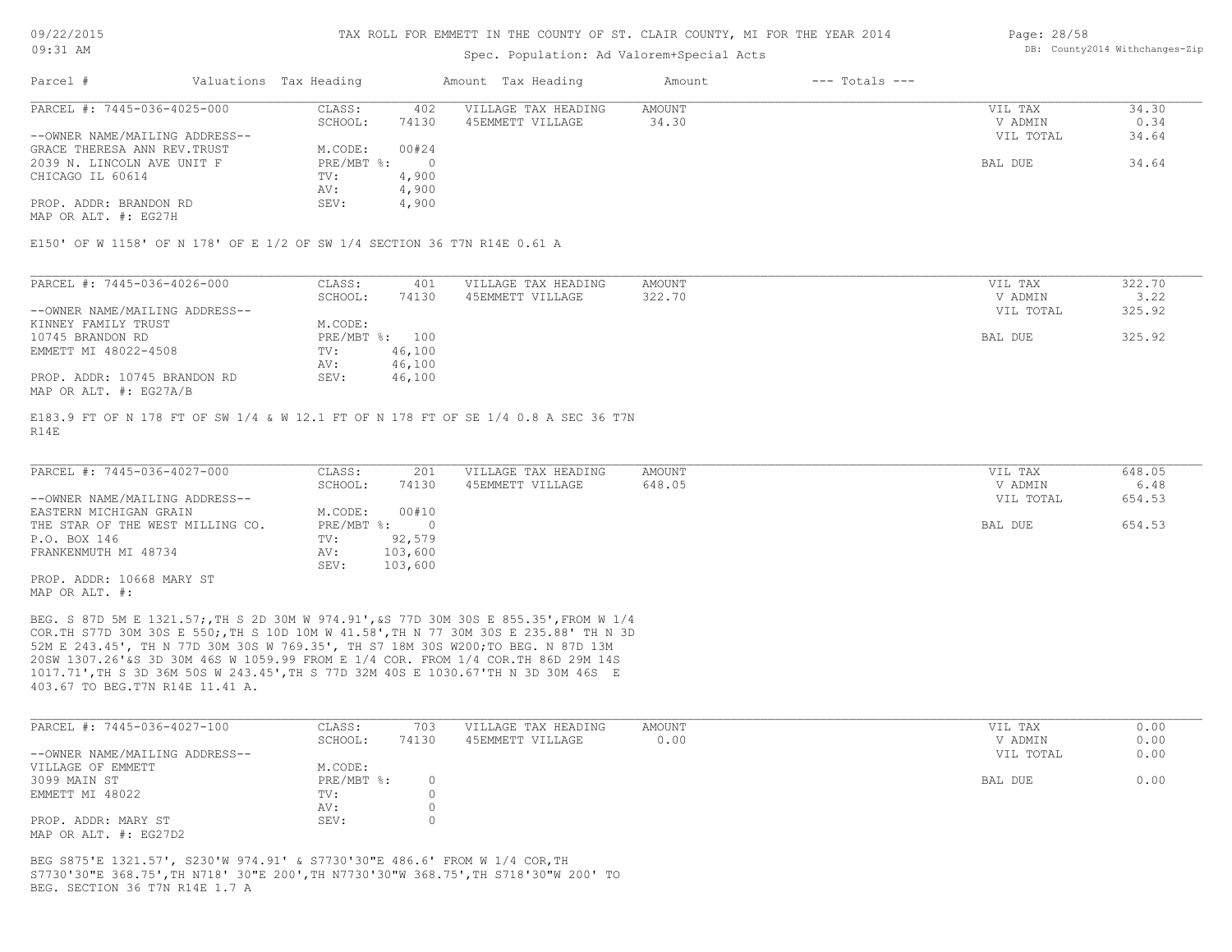#### Spec. Population: Ad Valorem+Special Acts

| Page: 28/58 |                                |
|-------------|--------------------------------|
|             | DB: County2014 Withchanges-Zip |

| Parcel #                       | Valuations Tax Heading |       | Amount Tax Heading  | Amount | $---$ Totals $---$ |           |       |
|--------------------------------|------------------------|-------|---------------------|--------|--------------------|-----------|-------|
| PARCEL #: 7445-036-4025-000    | CLASS:                 | 402   | VILLAGE TAX HEADING | AMOUNT |                    | VIL TAX   | 34.30 |
|                                | SCHOOL:                | 74130 | 45EMMETT VILLAGE    | 34.30  |                    | V ADMIN   | 0.34  |
| --OWNER NAME/MAILING ADDRESS-- |                        |       |                     |        |                    | VIL TOTAL | 34.64 |
| GRACE THERESA ANN REV. TRUST   | M.CODE:                | 00#24 |                     |        |                    |           |       |
| 2039 N. LINCOLN AVE UNIT F     | PRE/MBT %:             |       |                     |        |                    | BAL DUE   | 34.64 |
| CHICAGO IL 60614               | TV:                    | 4,900 |                     |        |                    |           |       |
|                                | AV:                    | 4,900 |                     |        |                    |           |       |
| PROP. ADDR: BRANDON RD         | SEV:                   | 4,900 |                     |        |                    |           |       |

MAP OR ALT. #: EG27H

E150' OF W 1158' OF N 178' OF E 1/2 OF SW 1/4 SECTION 36 T7N R14E 0.61 A

| PARCEL #: 7445-036-4026-000    | CLASS:     | 401    | VILLAGE TAX HEADING | AMOUNT | VIL TAX   | 322.70 |
|--------------------------------|------------|--------|---------------------|--------|-----------|--------|
|                                | SCHOOL:    | 74130  | 45EMMETT VILLAGE    | 322.70 | V ADMIN   | 3.22   |
| --OWNER NAME/MAILING ADDRESS-- |            |        |                     |        | VIL TOTAL | 325.92 |
| KINNEY FAMILY TRUST            | M.CODE:    |        |                     |        |           |        |
| 10745 BRANDON RD               | PRE/MBT %: | 100    |                     |        | BAL DUE   | 325.92 |
| EMMETT MI 48022-4508           | TV:        | 46,100 |                     |        |           |        |
|                                | AV:        | 46,100 |                     |        |           |        |
| PROP. ADDR: 10745 BRANDON RD   | SEV:       | 46,100 |                     |        |           |        |
| MAP OR ALT. #: EG27A/B         |            |        |                     |        |           |        |

R14E E183.9 FT OF N 178 FT OF SW 1/4 & W 12.1 FT OF N 178 FT OF SE 1/4 0.8 A SEC 36 T7N

| PARCEL #: 7445-036-4027-000      | CLASS:       | 201     | VILLAGE TAX HEADING | AMOUNT | VIL TAX   | 648.05 |
|----------------------------------|--------------|---------|---------------------|--------|-----------|--------|
|                                  | SCHOOL:      | 74130   | 45EMMETT VILLAGE    | 648.05 | V ADMIN   | 6.48   |
| --OWNER NAME/MAILING ADDRESS--   |              |         |                     |        | VIL TOTAL | 654.53 |
| EASTERN MICHIGAN GRAIN           | M.CODE:      | 00#10   |                     |        |           |        |
| THE STAR OF THE WEST MILLING CO. | $PRE/MBT$ %: |         |                     |        | BAL DUE   | 654.53 |
| P.O. BOX 146                     | TV:          | 92,579  |                     |        |           |        |
| FRANKENMUTH MI 48734             | AV:          | 103,600 |                     |        |           |        |
|                                  | SEV:         | 103,600 |                     |        |           |        |
| PROP. ADDR: 10668 MARY ST        |              |         |                     |        |           |        |
| MAP OR ALT. #:                   |              |         |                     |        |           |        |

403.67 TO BEG.T7N R14E 11.41 A. 1017.71',TH S 3D 36M 50S W 243.45',TH S 77D 32M 40S E 1030.67'TH N 3D 30M 46S E 20SW 1307.26'&S 3D 30M 46S W 1059.99 FROM E 1/4 COR. FROM 1/4 COR.TH 86D 29M 14S 52M E 243.45', TH N 77D 30M 30S W 769.35', TH S7 18M 30S W200;TO BEG. N 87D 13M COR.TH S77D 30M 30S E 550;,TH S 10D 10M W 41.58',TH N 77 30M 30S E 235.88' TH N 3D BEG. S 87D 5M E 1321.57;,TH S 2D 30M W 974.91',&S 77D 30M 30S E 855.35',FROM W 1/4

| PARCEL #: 7445-036-4027-100    | CLASS:       | 703   | VILLAGE TAX HEADING | AMOUNT | VIL TAX   | 0.00 |
|--------------------------------|--------------|-------|---------------------|--------|-----------|------|
|                                | SCHOOL:      | 74130 | 45EMMETT VILLAGE    | 0.00   | V ADMIN   | 0.00 |
| --OWNER NAME/MAILING ADDRESS-- |              |       |                     |        | VIL TOTAL | 0.00 |
| VILLAGE OF EMMETT              | M.CODE:      |       |                     |        |           |      |
| 3099 MAIN ST                   | $PRE/MBT$ %: |       |                     |        | BAL DUE   | 0.00 |
| EMMETT MI 48022                | TV:          |       |                     |        |           |      |
|                                | AV:          |       |                     |        |           |      |
| PROP. ADDR: MARY ST            | SEV:         |       |                     |        |           |      |
| MAP OR ALT. #: EG27D2          |              |       |                     |        |           |      |

BEG. SECTION 36 T7N R14E 1.7 A S7730'30"E 368.75',TH N718' 30"E 200',TH N7730'30"W 368.75',TH S718'30"W 200' TO BEG S875'E 1321.57', S230'W 974.91' & S7730'30"E 486.6' FROM W 1/4 COR,TH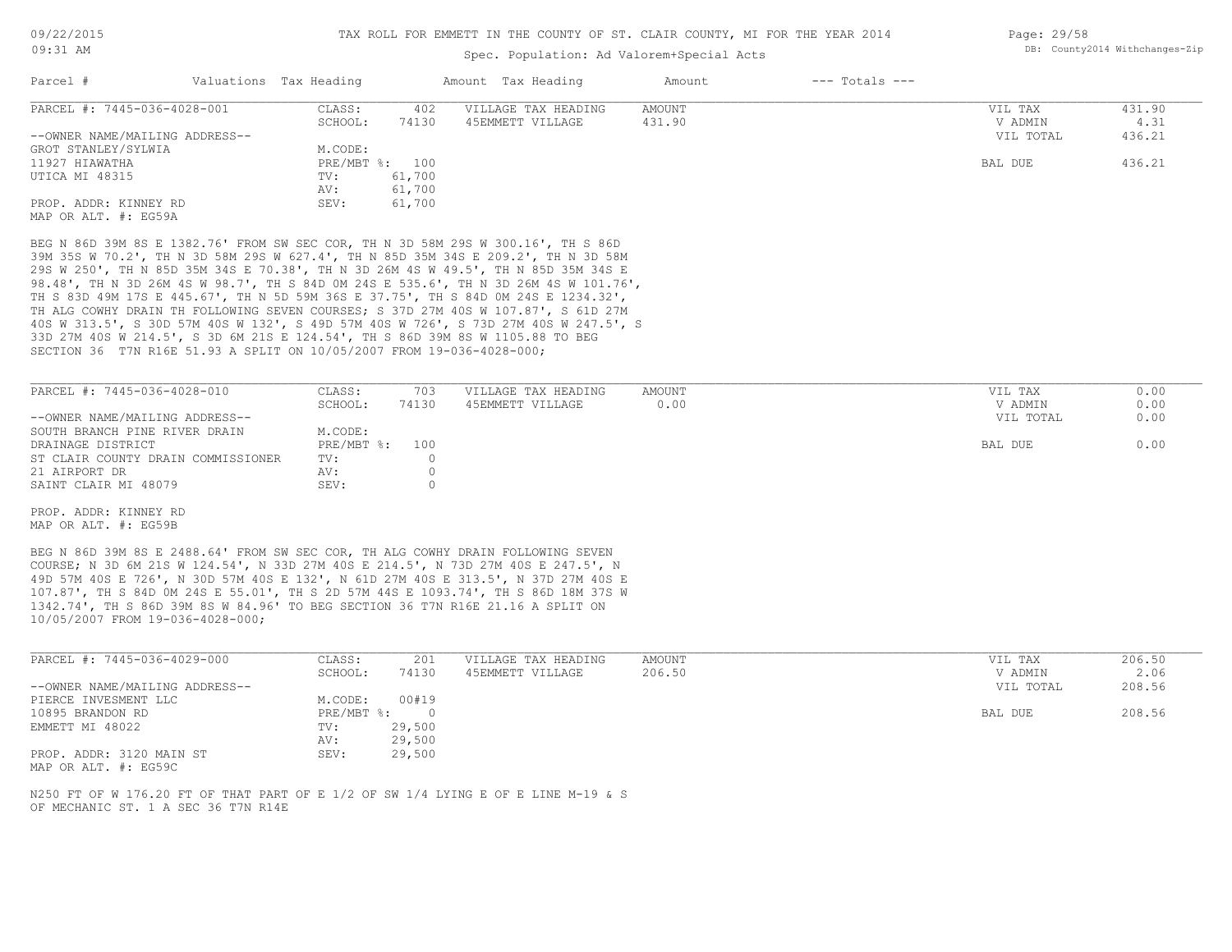#### Spec. Population: Ad Valorem+Special Acts

| Parcel #                       | Valuations Tax Heading |        | Amount Tax Heading  | Amount | $---$ Totals $---$ |           |        |
|--------------------------------|------------------------|--------|---------------------|--------|--------------------|-----------|--------|
| PARCEL #: 7445-036-4028-001    | CLASS:                 | 402    | VILLAGE TAX HEADING | AMOUNT |                    | VIL TAX   | 431.90 |
|                                | SCHOOL:                | 74130  | 45EMMETT VILLAGE    | 431.90 |                    | V ADMIN   | 4.31   |
| --OWNER NAME/MAILING ADDRESS-- |                        |        |                     |        |                    | VIL TOTAL | 436.21 |
| GROT STANLEY/SYLWIA            | M.CODE:                |        |                     |        |                    |           |        |
| 11927 HIAWATHA                 | PRE/MBT %: 100         |        |                     |        |                    | BAL DUE   | 436.21 |
| UTICA MI 48315                 | TV:                    | 61,700 |                     |        |                    |           |        |
|                                | AV:                    | 61,700 |                     |        |                    |           |        |
| PROP. ADDR: KINNEY RD          | SEV:                   | 61,700 |                     |        |                    |           |        |
| MAP OR ALT. #: EG59A           |                        |        |                     |        |                    |           |        |

SECTION 36 T7N R16E 51.93 A SPLIT ON 10/05/2007 FROM 19-036-4028-000; 33D 27M 40S W 214.5', S 3D 6M 21S E 124.54', TH S 86D 39M 8S W 1105.88 TO BEG 40S W 313.5', S 30D 57M 40S W 132', S 49D 57M 40S W 726', S 73D 27M 40S W 247.5', S TH ALG COWHY DRAIN TH FOLLOWING SEVEN COURSES; S 37D 27M 40S W 107.87', S 61D 27M TH S 83D 49M 17S E 445.67', TH N 5D 59M 36S E 37.75', TH S 84D 0M 24S E 1234.32', 98.48', TH N 3D 26M 4S W 98.7', TH S 84D 0M 24S E 535.6', TH N 3D 26M 4S W 101.76', 29S W 250', TH N 85D 35M 34S E 70.38', TH N 3D 26M 4S W 49.5', TH N 85D 35M 34S E 39M 35S W 70.2', TH N 3D 58M 29S W 627.4', TH N 85D 35M 34S E 209.2', TH N 3D 58M BEG N 86D 39M 8S E 1382.76' FROM SW SEC COR, TH N 3D 58M 29S W 300.16', TH S 86D

| PARCEL #: 7445-036-4028-010        | CLASS:         | 703   | VILLAGE TAX HEADING | AMOUNT | VIL TAX   | 0.00 |
|------------------------------------|----------------|-------|---------------------|--------|-----------|------|
|                                    | SCHOOL:        | 74130 | 45EMMETT VILLAGE    | 0.00   | V ADMIN   | 0.00 |
| --OWNER NAME/MAILING ADDRESS--     |                |       |                     |        | VIL TOTAL | 0.00 |
| SOUTH BRANCH PINE RIVER DRAIN      | M.CODE:        |       |                     |        |           |      |
| DRAINAGE DISTRICT                  | PRE/MBT %: 100 |       |                     |        | BAL DUE   | 0.00 |
| ST CLAIR COUNTY DRAIN COMMISSIONER | TV:            |       |                     |        |           |      |
| 21 AIRPORT DR                      | AV:            |       |                     |        |           |      |
| SAINT CLAIR MI 48079               | SEV:           |       |                     |        |           |      |

MAP OR ALT. #: EG59B PROP. ADDR: KINNEY RD

10/05/2007 FROM 19-036-4028-000; 1342.74', TH S 86D 39M 8S W 84.96' TO BEG SECTION 36 T7N R16E 21.16 A SPLIT ON 107.87', TH S 84D 0M 24S E 55.01', TH S 2D 57M 44S E 1093.74', TH S 86D 18M 37S W 49D 57M 40S E 726', N 30D 57M 40S E 132', N 61D 27M 40S E 313.5', N 37D 27M 40S E COURSE; N 3D 6M 21S W 124.54', N 33D 27M 40S E 214.5', N 73D 27M 40S E 247.5', N BEG N 86D 39M 8S E 2488.64' FROM SW SEC COR, TH ALG COWHY DRAIN FOLLOWING SEVEN

| PARCEL #: 7445-036-4029-000    | CLASS:     | 201    | VILLAGE TAX HEADING | AMOUNT | VIL TAX   | 206.50 |
|--------------------------------|------------|--------|---------------------|--------|-----------|--------|
|                                | SCHOOL:    | 74130  | 45EMMETT VILLAGE    | 206.50 | V ADMIN   | 2.06   |
| --OWNER NAME/MAILING ADDRESS-- |            |        |                     |        | VIL TOTAL | 208.56 |
| PIERCE INVESMENT LLC           | M.CODE:    | 00#19  |                     |        |           |        |
| 10895 BRANDON RD               | PRE/MBT %: | $\Box$ |                     |        | BAL DUE   | 208.56 |
| EMMETT MI 48022                | TV:        | 29,500 |                     |        |           |        |
|                                | AV:        | 29,500 |                     |        |           |        |
| PROP. ADDR: 3120 MAIN ST       | SEV:       | 29,500 |                     |        |           |        |

MAP OR ALT. #: EG59C

OF MECHANIC ST. 1 A SEC 36 T7N R14E N250 FT OF W 176.20 FT OF THAT PART OF E 1/2 OF SW 1/4 LYING E OF E LINE M-19 & S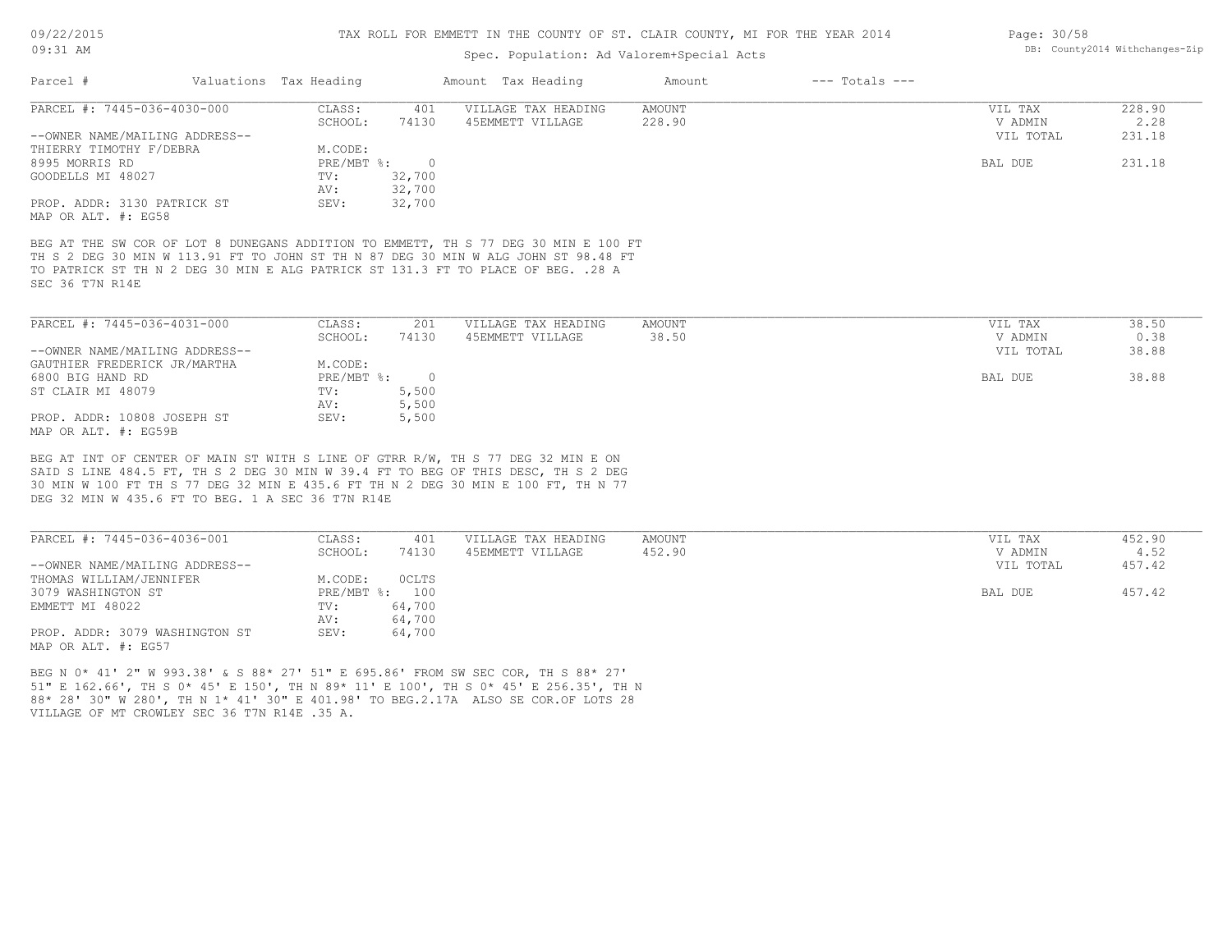#### Spec. Population: Ad Valorem+Special Acts

| YEAR 2014 | Page: 30/58 |                                |  |
|-----------|-------------|--------------------------------|--|
|           |             | DB: County2014 Withchanges-Zip |  |
|           |             |                                |  |

| Parcel #                       | Valuations Tax Heading |        | Amount Tax Heading  | Amount | $---$ Totals $---$ |           |        |
|--------------------------------|------------------------|--------|---------------------|--------|--------------------|-----------|--------|
| PARCEL #: 7445-036-4030-000    | CLASS:                 | 401    | VILLAGE TAX HEADING | AMOUNT |                    | VIL TAX   | 228.90 |
|                                | SCHOOL:                | 74130  | 45EMMETT VILLAGE    | 228.90 |                    | V ADMIN   | 2.28   |
| --OWNER NAME/MAILING ADDRESS-- |                        |        |                     |        |                    | VIL TOTAL | 231.18 |
| THIERRY TIMOTHY F/DEBRA        | M.CODE:                |        |                     |        |                    |           |        |
| 8995 MORRIS RD                 | $PRE/MBT$ $\div$       |        |                     |        |                    | BAL DUE   | 231.18 |
| GOODELLS MI 48027              | TV:                    | 32,700 |                     |        |                    |           |        |
|                                | AV:                    | 32,700 |                     |        |                    |           |        |
| PROP. ADDR: 3130 PATRICK ST    | SEV:                   | 32,700 |                     |        |                    |           |        |
| MAP OR ALT. #: EG58            |                        |        |                     |        |                    |           |        |

SEC 36 T7N R14E TO PATRICK ST TH N 2 DEG 30 MIN E ALG PATRICK ST 131.3 FT TO PLACE OF BEG. .28 A TH S 2 DEG 30 MIN W 113.91 FT TO JOHN ST TH N 87 DEG 30 MIN W ALG JOHN ST 98.48 FT BEG AT THE SW COR OF LOT 8 DUNEGANS ADDITION TO EMMETT, TH S 77 DEG 30 MIN E 100 FT

| PARCEL #: 7445-036-4031-000    | CLASS:     | 201   | VILLAGE TAX HEADING | AMOUNT | VIL TAX   | 38.50 |
|--------------------------------|------------|-------|---------------------|--------|-----------|-------|
|                                | SCHOOL:    | 74130 | 45EMMETT VILLAGE    | 38.50  | V ADMIN   | 0.38  |
| --OWNER NAME/MAILING ADDRESS-- |            |       |                     |        | VIL TOTAL | 38.88 |
| GAUTHIER FREDERICK JR/MARTHA   | M.CODE:    |       |                     |        |           |       |
| 6800 BIG HAND RD               | PRE/MBT %: |       |                     |        | BAL DUE   | 38.88 |
| ST CLAIR MI 48079              | TV:        | 5,500 |                     |        |           |       |
|                                | AV:        | 5,500 |                     |        |           |       |
| PROP. ADDR: 10808 JOSEPH ST    | SEV:       | 5,500 |                     |        |           |       |
| MAP OR ALT. #: EG59B           |            |       |                     |        |           |       |

DEG 32 MIN W 435.6 FT TO BEG. 1 A SEC 36 T7N R14E 30 MIN W 100 FT TH S 77 DEG 32 MIN E 435.6 FT TH N 2 DEG 30 MIN E 100 FT, TH N 77 SAID S LINE 484.5 FT, TH S 2 DEG 30 MIN W 39.4 FT TO BEG OF THIS DESC, TH S 2 DEG BEG AT INT OF CENTER OF MAIN ST WITH S LINE OF GTRR R/W, TH S 77 DEG 32 MIN E ON

| PARCEL #: 7445-036-4036-001    | CLASS:  | 401            | VILLAGE TAX HEADING | AMOUNT | VIL TAX   | 452.90 |
|--------------------------------|---------|----------------|---------------------|--------|-----------|--------|
|                                | SCHOOL: | 74130          | 45EMMETT VILLAGE    | 452.90 | V ADMIN   | 4.52   |
| --OWNER NAME/MAILING ADDRESS-- |         |                |                     |        | VIL TOTAL | 457.42 |
| THOMAS WILLIAM/JENNIFER        | M.CODE: | <b>OCLTS</b>   |                     |        |           |        |
| 3079 WASHINGTON ST             |         | PRE/MBT %: 100 |                     |        | BAL DUE   | 457.42 |
| EMMETT MI 48022                | TV:     | 64,700         |                     |        |           |        |
|                                | AV:     | 64,700         |                     |        |           |        |
| PROP. ADDR: 3079 WASHINGTON ST | SEV:    | 64,700         |                     |        |           |        |
| MAP OR ALT. #: EG57            |         |                |                     |        |           |        |

VILLAGE OF MT CROWLEY SEC 36 T7N R14E .35 A. 88\* 28' 30" W 280', TH N 1\* 41' 30" E 401.98' TO BEG.2.17A ALSO SE COR.OF LOTS 28 51" E 162.66', TH S 0\* 45' E 150', TH N 89\* 11' E 100', TH S 0\* 45' E 256.35', TH N BEG N 0\* 41' 2" W 993.38' & S 88\* 27' 51" E 695.86' FROM SW SEC COR, TH S 88\* 27'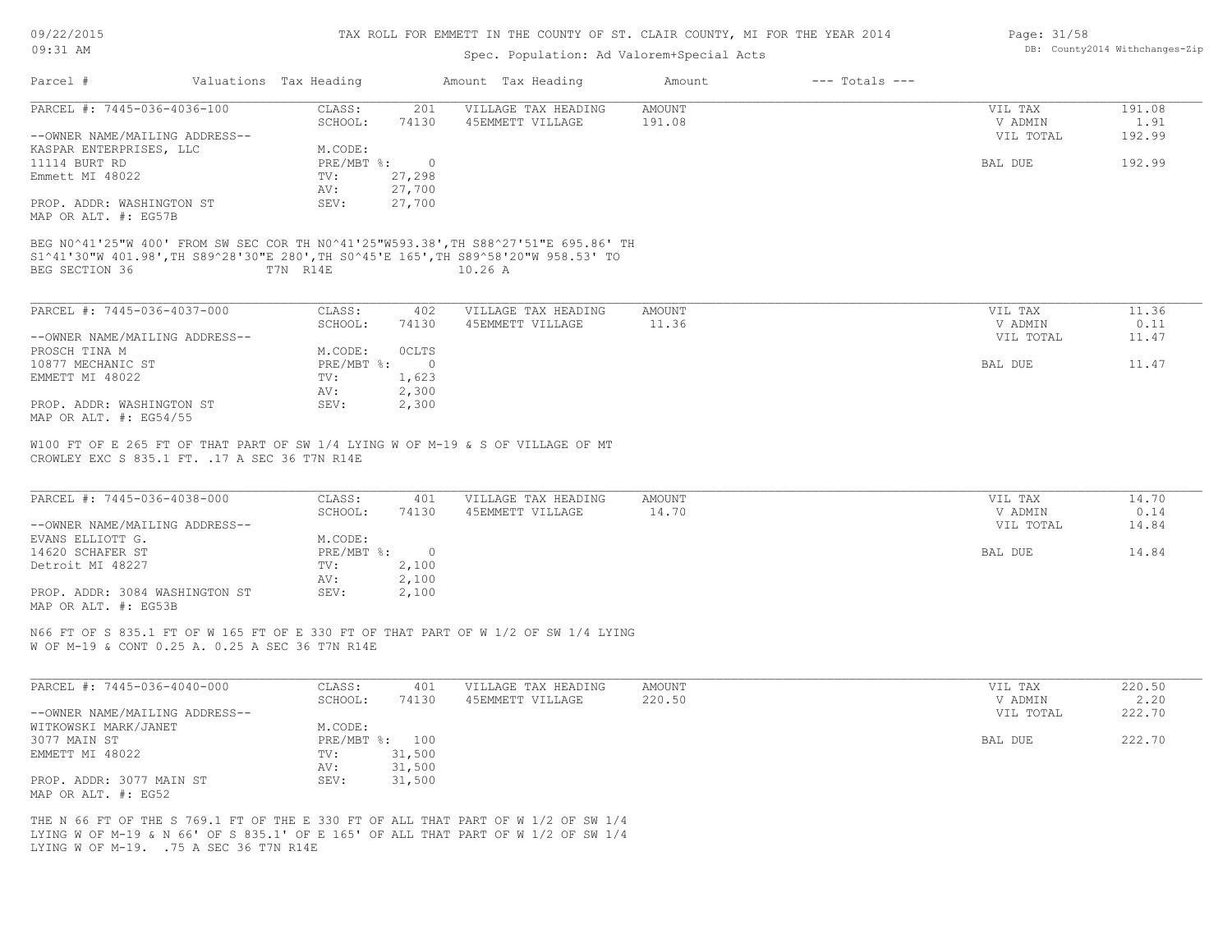| 09/22/2015 |  |
|------------|--|
| $09:31$ AM |  |

## Spec. Population: Ad Valorem+Special Acts

| Page: 31/58 |                                |
|-------------|--------------------------------|
|             | DB: County2014 Withchanges-Zip |

| Parcel #                                                                                                                                                                                                          | Valuations Tax Heading                       | Amount Tax Heading                      | Amount                  | $---$ Totals $---$              |                        |
|-------------------------------------------------------------------------------------------------------------------------------------------------------------------------------------------------------------------|----------------------------------------------|-----------------------------------------|-------------------------|---------------------------------|------------------------|
| PARCEL #: 7445-036-4036-100                                                                                                                                                                                       | CLASS:<br>201<br>SCHOOL:<br>74130            | VILLAGE TAX HEADING<br>45EMMETT VILLAGE | <b>AMOUNT</b><br>191.08 | VIL TAX<br>V ADMIN              | 191.08<br>1.91         |
| --OWNER NAME/MAILING ADDRESS--                                                                                                                                                                                    |                                              |                                         |                         | VIL TOTAL                       | 192.99                 |
| KASPAR ENTERPRISES, LLC                                                                                                                                                                                           | M.CODE:                                      |                                         |                         |                                 |                        |
| 11114 BURT RD                                                                                                                                                                                                     | PRE/MBT %:<br>$\overline{0}$                 |                                         |                         | BAL DUE                         | 192.99                 |
| Emmett MI 48022                                                                                                                                                                                                   | 27,298<br>TV:<br>27,700<br>AV:               |                                         |                         |                                 |                        |
| PROP. ADDR: WASHINGTON ST                                                                                                                                                                                         | SEV:<br>27,700                               |                                         |                         |                                 |                        |
| MAP OR ALT. #: EG57B                                                                                                                                                                                              |                                              |                                         |                         |                                 |                        |
| BEG N0^41'25"W 400' FROM SW SEC COR TH N0^41'25"W593.38', TH S88^27'51"E 695.86' TH<br>S1^41'30"W 401.98',TH S89^28'30"E 280',TH S0^45'E 165',TH S89^58'20"W 958.53' TO                                           |                                              |                                         |                         |                                 |                        |
| BEG SECTION 36                                                                                                                                                                                                    | T7N R14E                                     | 10.26A                                  |                         |                                 |                        |
|                                                                                                                                                                                                                   |                                              |                                         |                         |                                 |                        |
| PARCEL #: 7445-036-4037-000                                                                                                                                                                                       | CLASS:<br>402                                | VILLAGE TAX HEADING                     | <b>AMOUNT</b>           | VIL TAX                         | 11.36                  |
|                                                                                                                                                                                                                   | SCHOOL:<br>74130                             | 45EMMETT VILLAGE                        | 11.36                   | V ADMIN                         | 0.11                   |
| --OWNER NAME/MAILING ADDRESS--                                                                                                                                                                                    |                                              |                                         |                         | VIL TOTAL                       | 11.47                  |
| PROSCH TINA M                                                                                                                                                                                                     | M.CODE:<br><b>OCLTS</b>                      |                                         |                         |                                 |                        |
| 10877 MECHANIC ST<br>EMMETT MI 48022                                                                                                                                                                              | PRE/MBT %:<br>$\overline{0}$<br>TV:<br>1,623 |                                         |                         | BAL DUE                         | 11.47                  |
|                                                                                                                                                                                                                   | AV:<br>2,300                                 |                                         |                         |                                 |                        |
| PROP. ADDR: WASHINGTON ST<br>MAP OR ALT. #: EG54/55                                                                                                                                                               | 2,300<br>SEV:                                |                                         |                         |                                 |                        |
| PARCEL #: 7445-036-4038-000<br>--OWNER NAME/MAILING ADDRESS--<br>EVANS ELLIOTT G.                                                                                                                                 | CLASS:<br>401<br>SCHOOL:<br>74130<br>M.CODE: | VILLAGE TAX HEADING<br>45EMMETT VILLAGE | AMOUNT<br>14.70         | VIL TAX<br>V ADMIN<br>VIL TOTAL | 14.70<br>0.14<br>14.84 |
| 14620 SCHAFER ST                                                                                                                                                                                                  | $PRE/MBT$ $\div$<br>$\overline{0}$           |                                         |                         | BAL DUE                         | 14.84                  |
| Detroit MI 48227                                                                                                                                                                                                  | 2,100<br>TV:                                 |                                         |                         |                                 |                        |
|                                                                                                                                                                                                                   | 2,100<br>AV:                                 |                                         |                         |                                 |                        |
| PROP. ADDR: 3084 WASHINGTON ST<br>MAP OR ALT. #: EG53B                                                                                                                                                            | SEV:<br>2,100                                |                                         |                         |                                 |                        |
| N66 FT OF S 835.1 FT OF W 165 FT OF E 330 FT OF THAT PART OF W 1/2 OF SW 1/4 LYING<br>W OF M-19 & CONT 0.25 A. 0.25 A SEC 36 T7N R14E                                                                             |                                              |                                         |                         |                                 |                        |
|                                                                                                                                                                                                                   |                                              |                                         |                         |                                 |                        |
| PARCEL #: 7445-036-4040-000                                                                                                                                                                                       | CLASS:<br>401                                | VILLAGE TAX HEADING                     | AMOUNT                  | VIL TAX                         | 220.50                 |
|                                                                                                                                                                                                                   | SCHOOL:<br>74130                             | 45EMMETT VILLAGE                        | 220.50                  | V ADMIN                         | 2.20                   |
| --OWNER NAME/MAILING ADDRESS--                                                                                                                                                                                    |                                              |                                         |                         | VIL TOTAL                       | 222.70                 |
| WITKOWSKI MARK/JANET                                                                                                                                                                                              | M.CODE:                                      |                                         |                         |                                 |                        |
| 3077 MAIN ST                                                                                                                                                                                                      | PRE/MBT %: 100<br>31,500                     |                                         |                         | BAL DUE                         | 222.70                 |
| EMMETT MI 48022                                                                                                                                                                                                   | TV:<br>31,500<br>AV:                         |                                         |                         |                                 |                        |
| PROP. ADDR: 3077 MAIN ST                                                                                                                                                                                          | SEV:<br>31,500                               |                                         |                         |                                 |                        |
| MAP OR ALT. #: EG52                                                                                                                                                                                               |                                              |                                         |                         |                                 |                        |
| THE N 66 FT OF THE S 769.1 FT OF THE E 330 FT OF ALL THAT PART OF W 1/2 OF SW 1/4<br>LYING W OF M-19 & N 66' OF S 835.1' OF E 165' OF ALL THAT PART OF W 1/2 OF SW 1/4<br>LYING W OF M-19. . 75 A SEC 36 T7N R14E |                                              |                                         |                         |                                 |                        |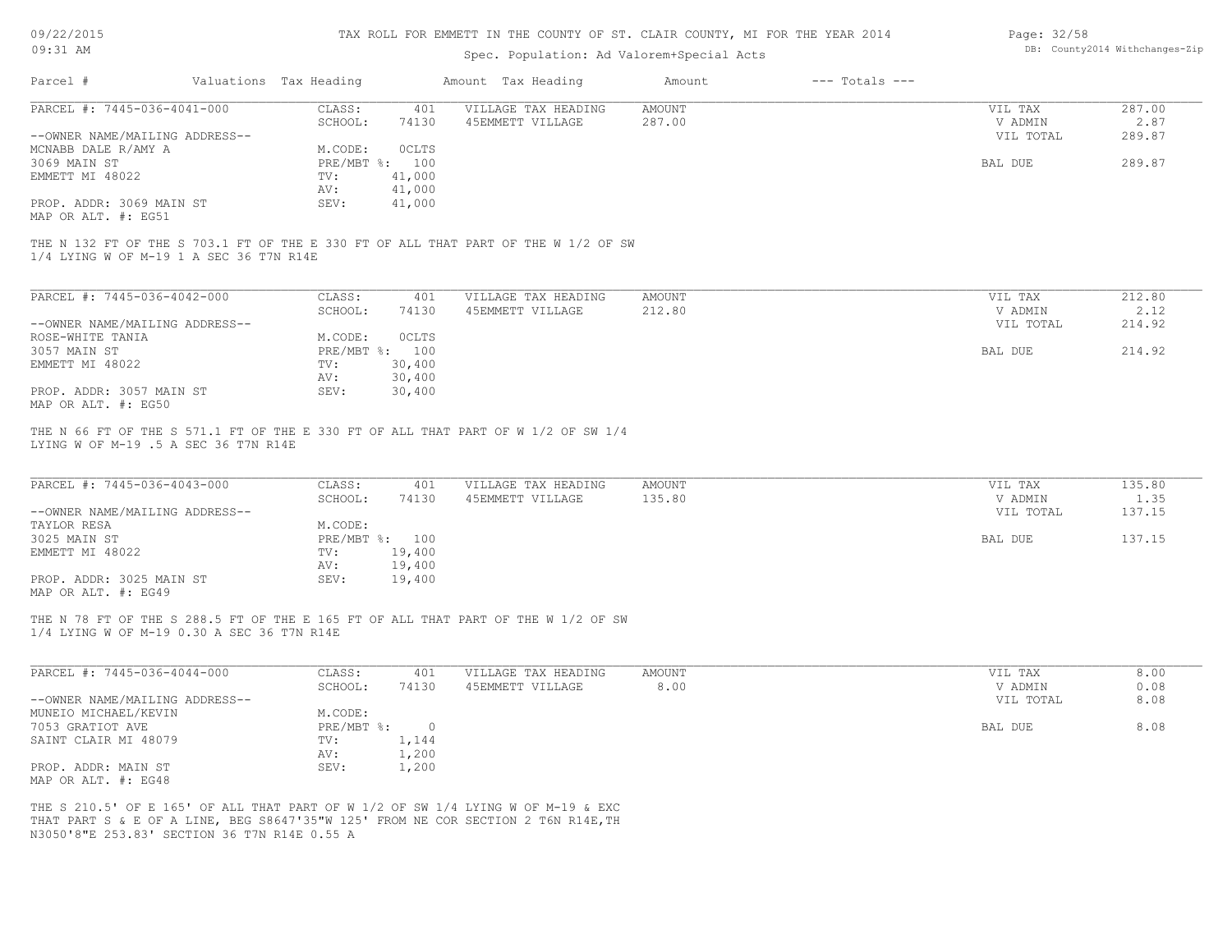| 09/22/2015 |  |
|------------|--|
| $09:31$ AM |  |

## Spec. Population: Ad Valorem+Special Acts

| Page: 32/58 |                                |
|-------------|--------------------------------|
|             | DB: County2014 Withchanges-Zip |

| PARCEL #: 7445-036-4041-000<br><b>AMOUNT</b><br>287.00<br>CLASS:<br>401<br>VILLAGE TAX HEADING<br>VIL TAX<br>SCHOOL:<br>74130<br>45EMMETT VILLAGE<br>287.00<br>V ADMIN<br>2.87<br>289.87<br>VIL TOTAL<br>--OWNER NAME/MAILING ADDRESS--<br>MCNABB DALE R/AMY A<br>M.CODE:<br>OCLTS<br>PRE/MBT %: 100<br>289.87<br>3069 MAIN ST<br>BAL DUE<br>EMMETT MI 48022<br>TV:<br>41,000<br>41,000<br>AV:<br>PROP. ADDR: 3069 MAIN ST<br>SEV:<br>41,000<br>MAP OR ALT. #: EG51<br>THE N 132 FT OF THE S 703.1 FT OF THE E 330 FT OF ALL THAT PART OF THE W 1/2 OF SW<br>1/4 LYING W OF M-19 1 A SEC 36 T7N R14E<br>PARCEL #: 7445-036-4042-000<br>CLASS:<br><b>AMOUNT</b><br>212.80<br>401<br>VILLAGE TAX HEADING<br>VIL TAX<br>SCHOOL:<br>74130<br>45EMMETT VILLAGE<br>212.80<br>V ADMIN<br>2.12<br>214.92<br>--OWNER NAME/MAILING ADDRESS--<br>VIL TOTAL<br>ROSE-WHITE TANIA<br>M.CODE:<br>OCLTS<br>3057 MAIN ST<br>PRE/MBT %: 100<br>BAL DUE<br>214.92<br>EMMETT MI 48022<br>TV:<br>30,400<br>AV:<br>30,400<br>PROP. ADDR: 3057 MAIN ST<br>SEV:<br>30,400<br>MAP OR ALT. #: EG50<br>THE N 66 FT OF THE S 571.1 FT OF THE E 330 FT OF ALL THAT PART OF W 1/2 OF SW 1/4<br>LYING W OF M-19 .5 A SEC 36 T7N R14E<br>PARCEL #: 7445-036-4043-000<br>CLASS:<br>135.80<br>401<br>VILLAGE TAX HEADING<br><b>AMOUNT</b><br>VIL TAX<br>SCHOOL:<br>74130<br>45EMMETT VILLAGE<br>135.80<br>V ADMIN<br>1.35<br>137.15<br>VIL TOTAL<br>--OWNER NAME/MAILING ADDRESS--<br>TAYLOR RESA<br>M.CODE:<br>3025 MAIN ST<br>PRE/MBT %: 100<br>137.15<br>BAL DUE<br>EMMETT MI 48022<br>TV:<br>19,400<br>19,400<br>AV:<br>PROP. ADDR: 3025 MAIN ST<br>SEV:<br>19,400<br>MAP OR ALT. #: EG49<br>THE N 78 FT OF THE S 288.5 FT OF THE E 165 FT OF ALL THAT PART OF THE W 1/2 OF SW<br>1/4 LYING W OF M-19 0.30 A SEC 36 T7N R14E<br>PARCEL #: 7445-036-4044-000<br>CLASS:<br>401<br>AMOUNT<br>8.00<br>VILLAGE TAX HEADING<br>VIL TAX<br>SCHOOL:<br>74130<br>45EMMETT VILLAGE<br>8.00<br>V ADMIN<br>0.08<br>8.08<br>--OWNER NAME/MAILING ADDRESS--<br>VIL TOTAL<br>MUNEIO MICHAEL/KEVIN<br>M.CODE:<br>PRE/MBT %: 0<br>8.08<br>7053 GRATIOT AVE<br>BAL DUE<br>SAINT CLAIR MI 48079<br>1,144<br>TV:<br>AV:<br>1,200<br>SEV:<br>1,200<br>PROP. ADDR: MAIN ST<br>MAP OR ALT. #: EG48<br>THE S 210.5' OF E 165' OF ALL THAT PART OF W 1/2 OF SW 1/4 LYING W OF M-19 & EXC<br>THAT PART S & E OF A LINE, BEG S8647'35"W 125' FROM NE COR SECTION 2 T6N R14E, TH | Parcel # | Valuations Tax Heading |  | Amount Tax Heading | Amount | $---$ Totals $---$ |  |
|------------------------------------------------------------------------------------------------------------------------------------------------------------------------------------------------------------------------------------------------------------------------------------------------------------------------------------------------------------------------------------------------------------------------------------------------------------------------------------------------------------------------------------------------------------------------------------------------------------------------------------------------------------------------------------------------------------------------------------------------------------------------------------------------------------------------------------------------------------------------------------------------------------------------------------------------------------------------------------------------------------------------------------------------------------------------------------------------------------------------------------------------------------------------------------------------------------------------------------------------------------------------------------------------------------------------------------------------------------------------------------------------------------------------------------------------------------------------------------------------------------------------------------------------------------------------------------------------------------------------------------------------------------------------------------------------------------------------------------------------------------------------------------------------------------------------------------------------------------------------------------------------------------------------------------------------------------------------------------------------------------------------------------------------------------------------------------------------------------------------------------------------------------------------------------------------------------------------------------------------------------------------------------------------------------------------------------------------------------------------------------------------------------------------|----------|------------------------|--|--------------------|--------|--------------------|--|
|                                                                                                                                                                                                                                                                                                                                                                                                                                                                                                                                                                                                                                                                                                                                                                                                                                                                                                                                                                                                                                                                                                                                                                                                                                                                                                                                                                                                                                                                                                                                                                                                                                                                                                                                                                                                                                                                                                                                                                                                                                                                                                                                                                                                                                                                                                                                                                                                                        |          |                        |  |                    |        |                    |  |
|                                                                                                                                                                                                                                                                                                                                                                                                                                                                                                                                                                                                                                                                                                                                                                                                                                                                                                                                                                                                                                                                                                                                                                                                                                                                                                                                                                                                                                                                                                                                                                                                                                                                                                                                                                                                                                                                                                                                                                                                                                                                                                                                                                                                                                                                                                                                                                                                                        |          |                        |  |                    |        |                    |  |
|                                                                                                                                                                                                                                                                                                                                                                                                                                                                                                                                                                                                                                                                                                                                                                                                                                                                                                                                                                                                                                                                                                                                                                                                                                                                                                                                                                                                                                                                                                                                                                                                                                                                                                                                                                                                                                                                                                                                                                                                                                                                                                                                                                                                                                                                                                                                                                                                                        |          |                        |  |                    |        |                    |  |
|                                                                                                                                                                                                                                                                                                                                                                                                                                                                                                                                                                                                                                                                                                                                                                                                                                                                                                                                                                                                                                                                                                                                                                                                                                                                                                                                                                                                                                                                                                                                                                                                                                                                                                                                                                                                                                                                                                                                                                                                                                                                                                                                                                                                                                                                                                                                                                                                                        |          |                        |  |                    |        |                    |  |
|                                                                                                                                                                                                                                                                                                                                                                                                                                                                                                                                                                                                                                                                                                                                                                                                                                                                                                                                                                                                                                                                                                                                                                                                                                                                                                                                                                                                                                                                                                                                                                                                                                                                                                                                                                                                                                                                                                                                                                                                                                                                                                                                                                                                                                                                                                                                                                                                                        |          |                        |  |                    |        |                    |  |
|                                                                                                                                                                                                                                                                                                                                                                                                                                                                                                                                                                                                                                                                                                                                                                                                                                                                                                                                                                                                                                                                                                                                                                                                                                                                                                                                                                                                                                                                                                                                                                                                                                                                                                                                                                                                                                                                                                                                                                                                                                                                                                                                                                                                                                                                                                                                                                                                                        |          |                        |  |                    |        |                    |  |
|                                                                                                                                                                                                                                                                                                                                                                                                                                                                                                                                                                                                                                                                                                                                                                                                                                                                                                                                                                                                                                                                                                                                                                                                                                                                                                                                                                                                                                                                                                                                                                                                                                                                                                                                                                                                                                                                                                                                                                                                                                                                                                                                                                                                                                                                                                                                                                                                                        |          |                        |  |                    |        |                    |  |
|                                                                                                                                                                                                                                                                                                                                                                                                                                                                                                                                                                                                                                                                                                                                                                                                                                                                                                                                                                                                                                                                                                                                                                                                                                                                                                                                                                                                                                                                                                                                                                                                                                                                                                                                                                                                                                                                                                                                                                                                                                                                                                                                                                                                                                                                                                                                                                                                                        |          |                        |  |                    |        |                    |  |
|                                                                                                                                                                                                                                                                                                                                                                                                                                                                                                                                                                                                                                                                                                                                                                                                                                                                                                                                                                                                                                                                                                                                                                                                                                                                                                                                                                                                                                                                                                                                                                                                                                                                                                                                                                                                                                                                                                                                                                                                                                                                                                                                                                                                                                                                                                                                                                                                                        |          |                        |  |                    |        |                    |  |
|                                                                                                                                                                                                                                                                                                                                                                                                                                                                                                                                                                                                                                                                                                                                                                                                                                                                                                                                                                                                                                                                                                                                                                                                                                                                                                                                                                                                                                                                                                                                                                                                                                                                                                                                                                                                                                                                                                                                                                                                                                                                                                                                                                                                                                                                                                                                                                                                                        |          |                        |  |                    |        |                    |  |
|                                                                                                                                                                                                                                                                                                                                                                                                                                                                                                                                                                                                                                                                                                                                                                                                                                                                                                                                                                                                                                                                                                                                                                                                                                                                                                                                                                                                                                                                                                                                                                                                                                                                                                                                                                                                                                                                                                                                                                                                                                                                                                                                                                                                                                                                                                                                                                                                                        |          |                        |  |                    |        |                    |  |
|                                                                                                                                                                                                                                                                                                                                                                                                                                                                                                                                                                                                                                                                                                                                                                                                                                                                                                                                                                                                                                                                                                                                                                                                                                                                                                                                                                                                                                                                                                                                                                                                                                                                                                                                                                                                                                                                                                                                                                                                                                                                                                                                                                                                                                                                                                                                                                                                                        |          |                        |  |                    |        |                    |  |
|                                                                                                                                                                                                                                                                                                                                                                                                                                                                                                                                                                                                                                                                                                                                                                                                                                                                                                                                                                                                                                                                                                                                                                                                                                                                                                                                                                                                                                                                                                                                                                                                                                                                                                                                                                                                                                                                                                                                                                                                                                                                                                                                                                                                                                                                                                                                                                                                                        |          |                        |  |                    |        |                    |  |
|                                                                                                                                                                                                                                                                                                                                                                                                                                                                                                                                                                                                                                                                                                                                                                                                                                                                                                                                                                                                                                                                                                                                                                                                                                                                                                                                                                                                                                                                                                                                                                                                                                                                                                                                                                                                                                                                                                                                                                                                                                                                                                                                                                                                                                                                                                                                                                                                                        |          |                        |  |                    |        |                    |  |
|                                                                                                                                                                                                                                                                                                                                                                                                                                                                                                                                                                                                                                                                                                                                                                                                                                                                                                                                                                                                                                                                                                                                                                                                                                                                                                                                                                                                                                                                                                                                                                                                                                                                                                                                                                                                                                                                                                                                                                                                                                                                                                                                                                                                                                                                                                                                                                                                                        |          |                        |  |                    |        |                    |  |
|                                                                                                                                                                                                                                                                                                                                                                                                                                                                                                                                                                                                                                                                                                                                                                                                                                                                                                                                                                                                                                                                                                                                                                                                                                                                                                                                                                                                                                                                                                                                                                                                                                                                                                                                                                                                                                                                                                                                                                                                                                                                                                                                                                                                                                                                                                                                                                                                                        |          |                        |  |                    |        |                    |  |
|                                                                                                                                                                                                                                                                                                                                                                                                                                                                                                                                                                                                                                                                                                                                                                                                                                                                                                                                                                                                                                                                                                                                                                                                                                                                                                                                                                                                                                                                                                                                                                                                                                                                                                                                                                                                                                                                                                                                                                                                                                                                                                                                                                                                                                                                                                                                                                                                                        |          |                        |  |                    |        |                    |  |
|                                                                                                                                                                                                                                                                                                                                                                                                                                                                                                                                                                                                                                                                                                                                                                                                                                                                                                                                                                                                                                                                                                                                                                                                                                                                                                                                                                                                                                                                                                                                                                                                                                                                                                                                                                                                                                                                                                                                                                                                                                                                                                                                                                                                                                                                                                                                                                                                                        |          |                        |  |                    |        |                    |  |
|                                                                                                                                                                                                                                                                                                                                                                                                                                                                                                                                                                                                                                                                                                                                                                                                                                                                                                                                                                                                                                                                                                                                                                                                                                                                                                                                                                                                                                                                                                                                                                                                                                                                                                                                                                                                                                                                                                                                                                                                                                                                                                                                                                                                                                                                                                                                                                                                                        |          |                        |  |                    |        |                    |  |
|                                                                                                                                                                                                                                                                                                                                                                                                                                                                                                                                                                                                                                                                                                                                                                                                                                                                                                                                                                                                                                                                                                                                                                                                                                                                                                                                                                                                                                                                                                                                                                                                                                                                                                                                                                                                                                                                                                                                                                                                                                                                                                                                                                                                                                                                                                                                                                                                                        |          |                        |  |                    |        |                    |  |
|                                                                                                                                                                                                                                                                                                                                                                                                                                                                                                                                                                                                                                                                                                                                                                                                                                                                                                                                                                                                                                                                                                                                                                                                                                                                                                                                                                                                                                                                                                                                                                                                                                                                                                                                                                                                                                                                                                                                                                                                                                                                                                                                                                                                                                                                                                                                                                                                                        |          |                        |  |                    |        |                    |  |
|                                                                                                                                                                                                                                                                                                                                                                                                                                                                                                                                                                                                                                                                                                                                                                                                                                                                                                                                                                                                                                                                                                                                                                                                                                                                                                                                                                                                                                                                                                                                                                                                                                                                                                                                                                                                                                                                                                                                                                                                                                                                                                                                                                                                                                                                                                                                                                                                                        |          |                        |  |                    |        |                    |  |
|                                                                                                                                                                                                                                                                                                                                                                                                                                                                                                                                                                                                                                                                                                                                                                                                                                                                                                                                                                                                                                                                                                                                                                                                                                                                                                                                                                                                                                                                                                                                                                                                                                                                                                                                                                                                                                                                                                                                                                                                                                                                                                                                                                                                                                                                                                                                                                                                                        |          |                        |  |                    |        |                    |  |
|                                                                                                                                                                                                                                                                                                                                                                                                                                                                                                                                                                                                                                                                                                                                                                                                                                                                                                                                                                                                                                                                                                                                                                                                                                                                                                                                                                                                                                                                                                                                                                                                                                                                                                                                                                                                                                                                                                                                                                                                                                                                                                                                                                                                                                                                                                                                                                                                                        |          |                        |  |                    |        |                    |  |
|                                                                                                                                                                                                                                                                                                                                                                                                                                                                                                                                                                                                                                                                                                                                                                                                                                                                                                                                                                                                                                                                                                                                                                                                                                                                                                                                                                                                                                                                                                                                                                                                                                                                                                                                                                                                                                                                                                                                                                                                                                                                                                                                                                                                                                                                                                                                                                                                                        |          |                        |  |                    |        |                    |  |
|                                                                                                                                                                                                                                                                                                                                                                                                                                                                                                                                                                                                                                                                                                                                                                                                                                                                                                                                                                                                                                                                                                                                                                                                                                                                                                                                                                                                                                                                                                                                                                                                                                                                                                                                                                                                                                                                                                                                                                                                                                                                                                                                                                                                                                                                                                                                                                                                                        |          |                        |  |                    |        |                    |  |
|                                                                                                                                                                                                                                                                                                                                                                                                                                                                                                                                                                                                                                                                                                                                                                                                                                                                                                                                                                                                                                                                                                                                                                                                                                                                                                                                                                                                                                                                                                                                                                                                                                                                                                                                                                                                                                                                                                                                                                                                                                                                                                                                                                                                                                                                                                                                                                                                                        |          |                        |  |                    |        |                    |  |
|                                                                                                                                                                                                                                                                                                                                                                                                                                                                                                                                                                                                                                                                                                                                                                                                                                                                                                                                                                                                                                                                                                                                                                                                                                                                                                                                                                                                                                                                                                                                                                                                                                                                                                                                                                                                                                                                                                                                                                                                                                                                                                                                                                                                                                                                                                                                                                                                                        |          |                        |  |                    |        |                    |  |
|                                                                                                                                                                                                                                                                                                                                                                                                                                                                                                                                                                                                                                                                                                                                                                                                                                                                                                                                                                                                                                                                                                                                                                                                                                                                                                                                                                                                                                                                                                                                                                                                                                                                                                                                                                                                                                                                                                                                                                                                                                                                                                                                                                                                                                                                                                                                                                                                                        |          |                        |  |                    |        |                    |  |
|                                                                                                                                                                                                                                                                                                                                                                                                                                                                                                                                                                                                                                                                                                                                                                                                                                                                                                                                                                                                                                                                                                                                                                                                                                                                                                                                                                                                                                                                                                                                                                                                                                                                                                                                                                                                                                                                                                                                                                                                                                                                                                                                                                                                                                                                                                                                                                                                                        |          |                        |  |                    |        |                    |  |
|                                                                                                                                                                                                                                                                                                                                                                                                                                                                                                                                                                                                                                                                                                                                                                                                                                                                                                                                                                                                                                                                                                                                                                                                                                                                                                                                                                                                                                                                                                                                                                                                                                                                                                                                                                                                                                                                                                                                                                                                                                                                                                                                                                                                                                                                                                                                                                                                                        |          |                        |  |                    |        |                    |  |
|                                                                                                                                                                                                                                                                                                                                                                                                                                                                                                                                                                                                                                                                                                                                                                                                                                                                                                                                                                                                                                                                                                                                                                                                                                                                                                                                                                                                                                                                                                                                                                                                                                                                                                                                                                                                                                                                                                                                                                                                                                                                                                                                                                                                                                                                                                                                                                                                                        |          |                        |  |                    |        |                    |  |
|                                                                                                                                                                                                                                                                                                                                                                                                                                                                                                                                                                                                                                                                                                                                                                                                                                                                                                                                                                                                                                                                                                                                                                                                                                                                                                                                                                                                                                                                                                                                                                                                                                                                                                                                                                                                                                                                                                                                                                                                                                                                                                                                                                                                                                                                                                                                                                                                                        |          |                        |  |                    |        |                    |  |
|                                                                                                                                                                                                                                                                                                                                                                                                                                                                                                                                                                                                                                                                                                                                                                                                                                                                                                                                                                                                                                                                                                                                                                                                                                                                                                                                                                                                                                                                                                                                                                                                                                                                                                                                                                                                                                                                                                                                                                                                                                                                                                                                                                                                                                                                                                                                                                                                                        |          |                        |  |                    |        |                    |  |
|                                                                                                                                                                                                                                                                                                                                                                                                                                                                                                                                                                                                                                                                                                                                                                                                                                                                                                                                                                                                                                                                                                                                                                                                                                                                                                                                                                                                                                                                                                                                                                                                                                                                                                                                                                                                                                                                                                                                                                                                                                                                                                                                                                                                                                                                                                                                                                                                                        |          |                        |  |                    |        |                    |  |
|                                                                                                                                                                                                                                                                                                                                                                                                                                                                                                                                                                                                                                                                                                                                                                                                                                                                                                                                                                                                                                                                                                                                                                                                                                                                                                                                                                                                                                                                                                                                                                                                                                                                                                                                                                                                                                                                                                                                                                                                                                                                                                                                                                                                                                                                                                                                                                                                                        |          |                        |  |                    |        |                    |  |
|                                                                                                                                                                                                                                                                                                                                                                                                                                                                                                                                                                                                                                                                                                                                                                                                                                                                                                                                                                                                                                                                                                                                                                                                                                                                                                                                                                                                                                                                                                                                                                                                                                                                                                                                                                                                                                                                                                                                                                                                                                                                                                                                                                                                                                                                                                                                                                                                                        |          |                        |  |                    |        |                    |  |
|                                                                                                                                                                                                                                                                                                                                                                                                                                                                                                                                                                                                                                                                                                                                                                                                                                                                                                                                                                                                                                                                                                                                                                                                                                                                                                                                                                                                                                                                                                                                                                                                                                                                                                                                                                                                                                                                                                                                                                                                                                                                                                                                                                                                                                                                                                                                                                                                                        |          |                        |  |                    |        |                    |  |
|                                                                                                                                                                                                                                                                                                                                                                                                                                                                                                                                                                                                                                                                                                                                                                                                                                                                                                                                                                                                                                                                                                                                                                                                                                                                                                                                                                                                                                                                                                                                                                                                                                                                                                                                                                                                                                                                                                                                                                                                                                                                                                                                                                                                                                                                                                                                                                                                                        |          |                        |  |                    |        |                    |  |
|                                                                                                                                                                                                                                                                                                                                                                                                                                                                                                                                                                                                                                                                                                                                                                                                                                                                                                                                                                                                                                                                                                                                                                                                                                                                                                                                                                                                                                                                                                                                                                                                                                                                                                                                                                                                                                                                                                                                                                                                                                                                                                                                                                                                                                                                                                                                                                                                                        |          |                        |  |                    |        |                    |  |
|                                                                                                                                                                                                                                                                                                                                                                                                                                                                                                                                                                                                                                                                                                                                                                                                                                                                                                                                                                                                                                                                                                                                                                                                                                                                                                                                                                                                                                                                                                                                                                                                                                                                                                                                                                                                                                                                                                                                                                                                                                                                                                                                                                                                                                                                                                                                                                                                                        |          |                        |  |                    |        |                    |  |
| N3050'8"E 253.83' SECTION 36 T7N R14E 0.55 A                                                                                                                                                                                                                                                                                                                                                                                                                                                                                                                                                                                                                                                                                                                                                                                                                                                                                                                                                                                                                                                                                                                                                                                                                                                                                                                                                                                                                                                                                                                                                                                                                                                                                                                                                                                                                                                                                                                                                                                                                                                                                                                                                                                                                                                                                                                                                                           |          |                        |  |                    |        |                    |  |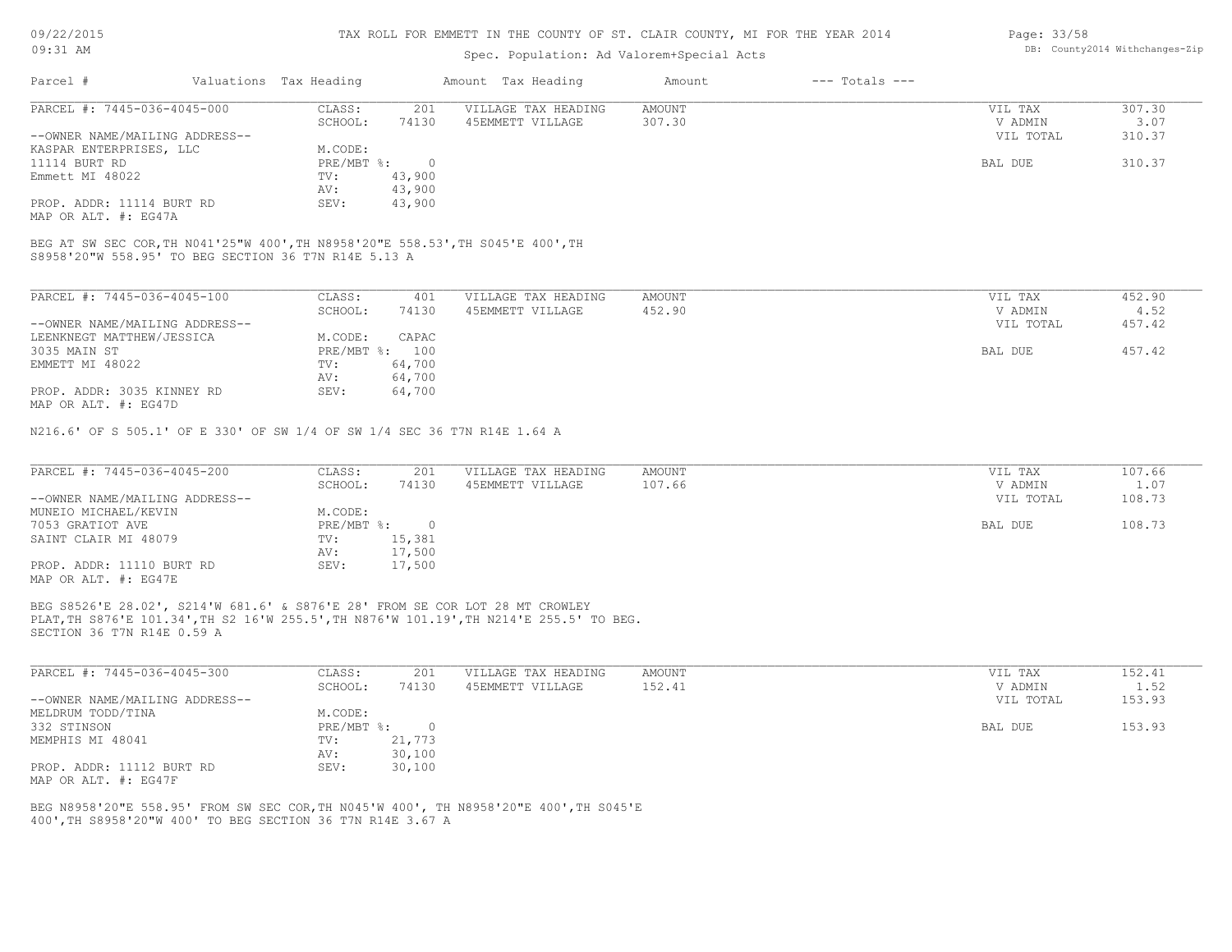## Spec. Population: Ad Valorem+Special Acts

| Page: 33/58 |                                |
|-------------|--------------------------------|
|             | DB: County2014 Withchanges-Zip |

| Parcel #                       | Valuations Tax Heading |        | Amount Tax Heading  | Amount | $---$ Totals $---$ |           |        |
|--------------------------------|------------------------|--------|---------------------|--------|--------------------|-----------|--------|
| PARCEL #: 7445-036-4045-000    | CLASS:                 | 201    | VILLAGE TAX HEADING | AMOUNT |                    | VIL TAX   | 307.30 |
|                                | SCHOOL:                | 74130  | 45EMMETT VILLAGE    | 307.30 |                    | V ADMIN   | 3.07   |
| --OWNER NAME/MAILING ADDRESS-- |                        |        |                     |        |                    | VIL TOTAL | 310.37 |
| KASPAR ENTERPRISES, LLC        | M.CODE:                |        |                     |        |                    |           |        |
| 11114 BURT RD                  | PRE/MBT %:             |        |                     |        |                    | BAL DUE   | 310.37 |
| Emmett MI 48022                | TV:                    | 43,900 |                     |        |                    |           |        |
|                                | AV:                    | 43,900 |                     |        |                    |           |        |
| PROP. ADDR: 11114 BURT RD      | SEV:                   | 43,900 |                     |        |                    |           |        |
| MAP OR ALT. #: EG47A           |                        |        |                     |        |                    |           |        |
|                                |                        |        |                     |        |                    |           |        |

S8958'20"W 558.95' TO BEG SECTION 36 T7N R14E 5.13 A BEG AT SW SEC COR,TH N041'25"W 400',TH N8958'20"E 558.53',TH S045'E 400',TH

| PARCEL #: 7445-036-4045-100    | CLASS:     | 401    | VILLAGE TAX HEADING | AMOUNT | 452.90<br>VIL TAX   |
|--------------------------------|------------|--------|---------------------|--------|---------------------|
|                                | SCHOOL:    | 74130  | 45EMMETT VILLAGE    | 452.90 | 4.52<br>V ADMIN     |
| --OWNER NAME/MAILING ADDRESS-- |            |        |                     |        | 457.42<br>VIL TOTAL |
| LEENKNEGT MATTHEW/JESSICA      | M.CODE:    | CAPAC  |                     |        |                     |
| 3035 MAIN ST                   | PRE/MBT %: | 100    |                     |        | 457.42<br>BAL DUE   |
| EMMETT MI 48022                | TV:        | 64,700 |                     |        |                     |
|                                | AV:        | 64,700 |                     |        |                     |
| PROP. ADDR: 3035 KINNEY RD     | SEV:       | 64,700 |                     |        |                     |
| MAP OR ALT. #: EG47D           |            |        |                     |        |                     |

N216.6' OF S 505.1' OF E 330' OF SW 1/4 OF SW 1/4 SEC 36 T7N R14E 1.64 A

| PARCEL #: 7445-036-4045-200                       | CLASS:     | 201    | VILLAGE TAX HEADING | AMOUNT | VIL TAX   | 107.66 |
|---------------------------------------------------|------------|--------|---------------------|--------|-----------|--------|
|                                                   | SCHOOL:    | 74130  | 45EMMETT VILLAGE    | 107.66 | V ADMIN   | 1.07   |
| --OWNER NAME/MAILING ADDRESS--                    |            |        |                     |        | VIL TOTAL | 108.73 |
| MUNEIO MICHAEL/KEVIN                              | M.CODE:    |        |                     |        |           |        |
| 7053 GRATIOT AVE                                  | PRE/MBT %: |        |                     |        | BAL DUE   | 108.73 |
| SAINT CLAIR MI 48079                              | TV:        | 15,381 |                     |        |           |        |
|                                                   | AV:        | 17,500 |                     |        |           |        |
| PROP. ADDR: 11110 BURT RD<br>MAP OR ALT. #: EG47E | SEV:       | 17,500 |                     |        |           |        |

SECTION 36 T7N R14E 0.59 A PLAT,TH S876'E 101.34',TH S2 16'W 255.5',TH N876'W 101.19',TH N214'E 255.5' TO BEG. BEG S8526'E 28.02', S214'W 681.6' & S876'E 28' FROM SE COR LOT 28 MT CROWLEY

| PARCEL #: 7445-036-4045-300    | CLASS:       | 201    | VILLAGE TAX HEADING | AMOUNT | VIL TAX   | 152.41 |
|--------------------------------|--------------|--------|---------------------|--------|-----------|--------|
|                                | SCHOOL:      | 74130  | 45EMMETT VILLAGE    | 152.41 | V ADMIN   | 1.52   |
| --OWNER NAME/MAILING ADDRESS-- |              |        |                     |        | VIL TOTAL | 153.93 |
| MELDRUM TODD/TINA              | M.CODE:      |        |                     |        |           |        |
| 332 STINSON                    | $PRE/MBT$ %: |        |                     |        | BAL DUE   | 153.93 |
| MEMPHIS MI 48041               | TV:          | 21,773 |                     |        |           |        |
|                                | AV:          | 30,100 |                     |        |           |        |
| PROP. ADDR: 11112 BURT RD      | SEV:         | 30,100 |                     |        |           |        |
| MAP OR ALT. #: EG47F           |              |        |                     |        |           |        |

400',TH S8958'20"W 400' TO BEG SECTION 36 T7N R14E 3.67 A BEG N8958'20"E 558.95' FROM SW SEC COR,TH N045'W 400', TH N8958'20"E 400',TH S045'E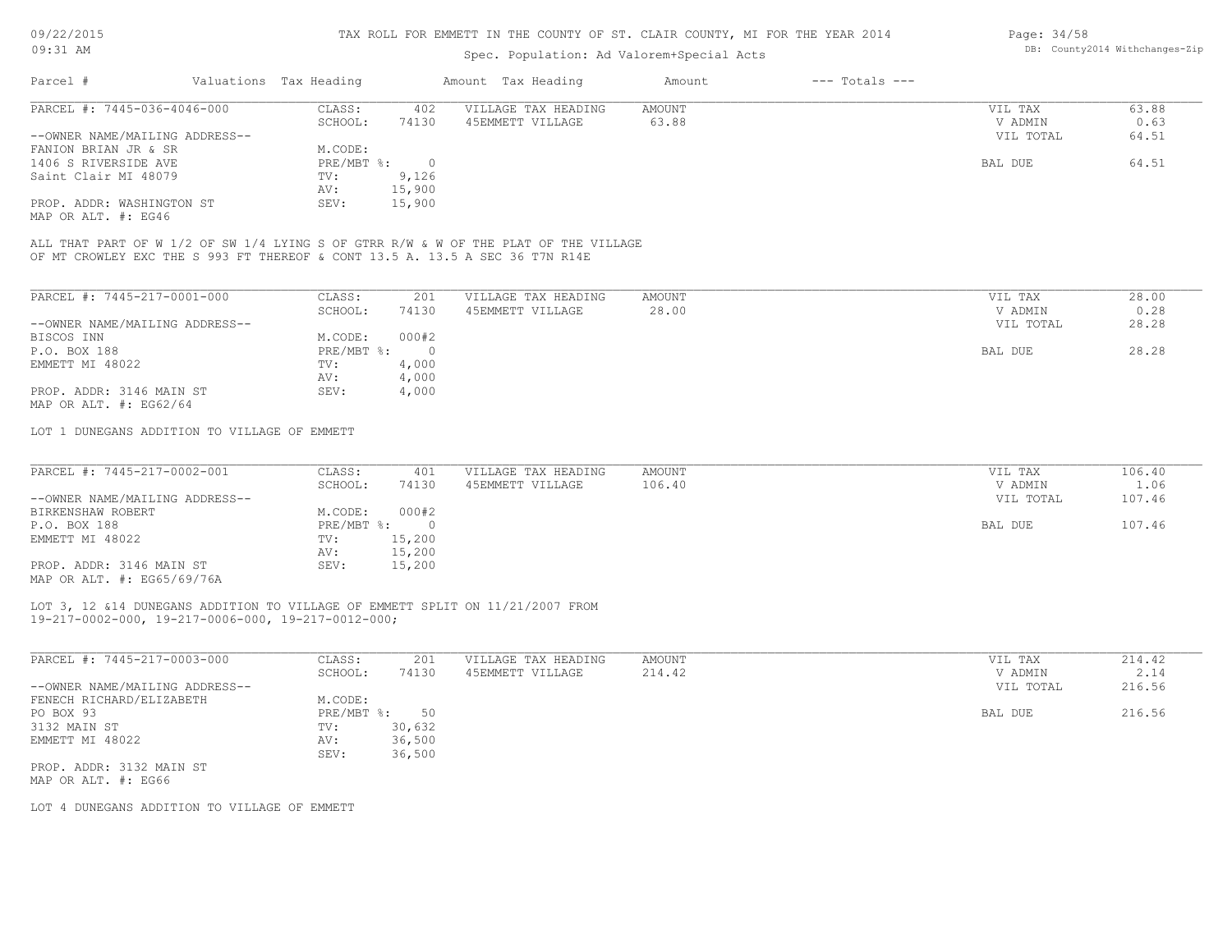## Spec. Population: Ad Valorem+Special Acts

| Parcel #                       | Valuations Tax Heading |        | Amount Tax Heading  | Amount | $---$ Totals $---$ |           |       |
|--------------------------------|------------------------|--------|---------------------|--------|--------------------|-----------|-------|
| PARCEL #: 7445-036-4046-000    | CLASS:                 | 402    | VILLAGE TAX HEADING | AMOUNT |                    | VIL TAX   | 63.88 |
|                                | SCHOOL:                | 74130  | 45EMMETT VILLAGE    | 63.88  |                    | V ADMIN   | 0.63  |
| --OWNER NAME/MAILING ADDRESS-- |                        |        |                     |        |                    | VIL TOTAL | 64.51 |
| FANION BRIAN JR & SR           | M.CODE:                |        |                     |        |                    |           |       |
| 1406 S RIVERSIDE AVE           | PRE/MBT %:             |        |                     |        |                    | BAL DUE   | 64.51 |
| Saint Clair MI 48079           | TV:                    | 9,126  |                     |        |                    |           |       |
|                                | AV:                    | 15,900 |                     |        |                    |           |       |
| PROP. ADDR: WASHINGTON ST      | SEV:                   | 15,900 |                     |        |                    |           |       |

MAP OR ALT. #: EG46

OF MT CROWLEY EXC THE S 993 FT THEREOF & CONT 13.5 A. 13.5 A SEC 36 T7N R14E ALL THAT PART OF W 1/2 OF SW 1/4 LYING S OF GTRR R/W & W OF THE PLAT OF THE VILLAGE

| PARCEL #: 7445-217-0001-000                        | CLASS:     | 201   | VILLAGE TAX HEADING | AMOUNT | VIL TAX   | 28.00 |
|----------------------------------------------------|------------|-------|---------------------|--------|-----------|-------|
|                                                    | SCHOOL:    | 74130 | 45EMMETT VILLAGE    | 28.00  | V ADMIN   | 0.28  |
| --OWNER NAME/MAILING ADDRESS--                     |            |       |                     |        | VIL TOTAL | 28.28 |
| BISCOS INN                                         | M.CODE:    | 000#2 |                     |        |           |       |
| P.O. BOX 188                                       | PRE/MBT %: |       |                     |        | BAL DUE   | 28.28 |
| EMMETT MI 48022                                    | TV:        | 4,000 |                     |        |           |       |
|                                                    | AV:        | 4,000 |                     |        |           |       |
| PROP. ADDR: 3146 MAIN ST<br>MAP OR ALT. #: EG62/64 | SEV:       | 4,000 |                     |        |           |       |

LOT 1 DUNEGANS ADDITION TO VILLAGE OF EMMETT

| PARCEL #: 7445-217-0002-001    | CLASS:       | 401    | VILLAGE TAX HEADING | AMOUNT | VIL TAX   | 106.40 |
|--------------------------------|--------------|--------|---------------------|--------|-----------|--------|
|                                | SCHOOL:      | 74130  | 45EMMETT VILLAGE    | 106.40 | V ADMIN   | 1.06   |
| --OWNER NAME/MAILING ADDRESS-- |              |        |                     |        | VIL TOTAL | 107.46 |
| BIRKENSHAW ROBERT              | M.CODE:      | 000#2  |                     |        |           |        |
| P.O. BOX 188                   | $PRE/MBT$ %: |        |                     |        | BAL DUE   | 107.46 |
| EMMETT MI 48022                | TV:          | 15,200 |                     |        |           |        |
|                                | AV:          | 15,200 |                     |        |           |        |
| PROP. ADDR: 3146 MAIN ST       | SEV:         | 15,200 |                     |        |           |        |
| MAP OR ALT. #: EG65/69/76A     |              |        |                     |        |           |        |

19-217-0002-000, 19-217-0006-000, 19-217-0012-000; LOT 3, 12 &14 DUNEGANS ADDITION TO VILLAGE OF EMMETT SPLIT ON 11/21/2007 FROM

| PARCEL #: 7445-217-0003-000    | CLASS:     | 201    | VILLAGE TAX HEADING | AMOUNT | VIL TAX   | 214.42 |
|--------------------------------|------------|--------|---------------------|--------|-----------|--------|
|                                | SCHOOL:    | 74130  | 45EMMETT VILLAGE    | 214.42 | V ADMIN   | 2.14   |
| --OWNER NAME/MAILING ADDRESS-- |            |        |                     |        | VIL TOTAL | 216.56 |
| FENECH RICHARD/ELIZABETH       | M.CODE:    |        |                     |        |           |        |
| PO BOX 93                      | PRE/MBT %: | 50     |                     |        | BAL DUE   | 216.56 |
| 3132 MAIN ST                   | TV:        | 30,632 |                     |        |           |        |
| EMMETT MI 48022                | AV:        | 36,500 |                     |        |           |        |
|                                | SEV:       | 36,500 |                     |        |           |        |
| PROP. ADDR: 3132 MAIN ST       |            |        |                     |        |           |        |
| MAP OR ALT. #: EG66            |            |        |                     |        |           |        |

LOT 4 DUNEGANS ADDITION TO VILLAGE OF EMMETT

Page: 34/58 DB: County2014 Withchanges-Zip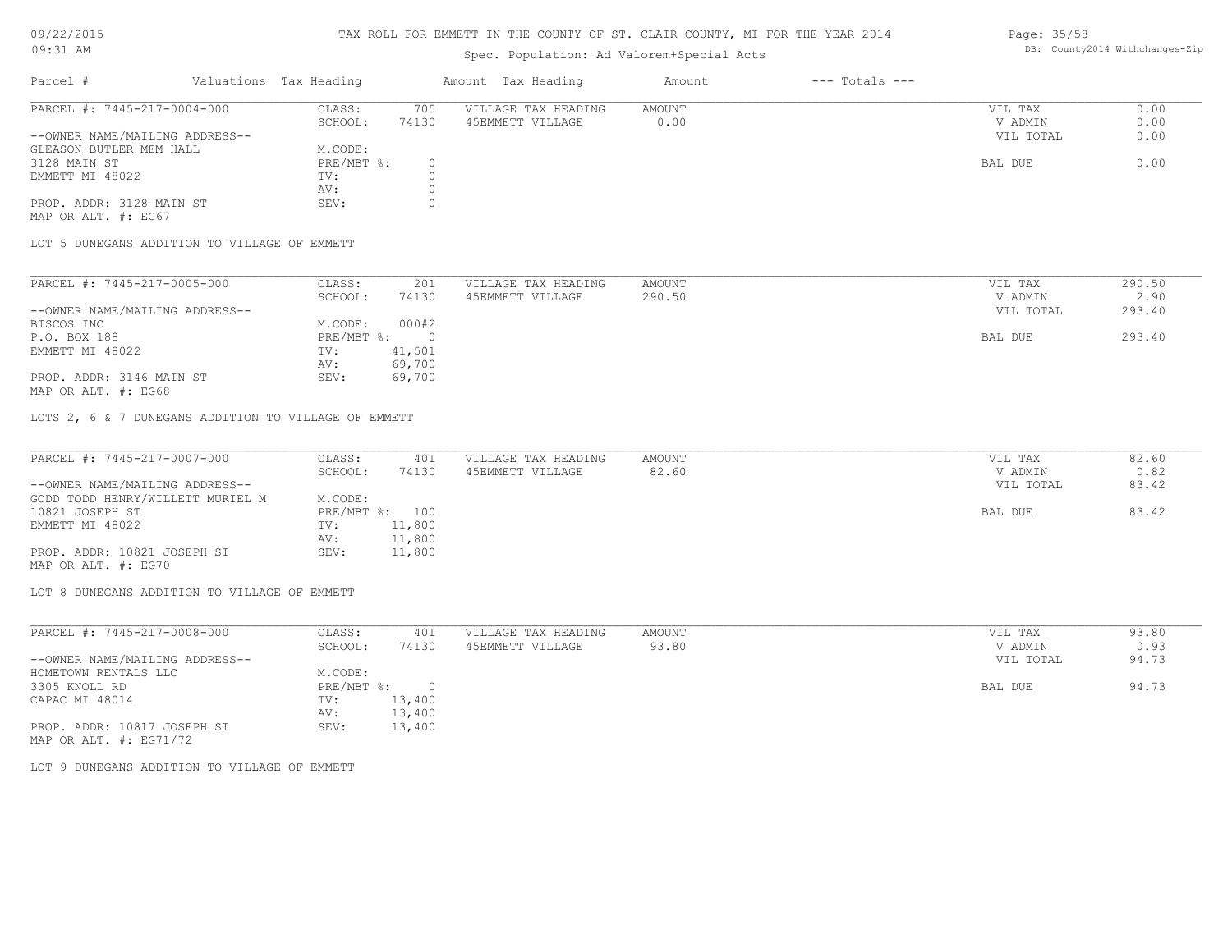# 09/22/2015

09:31 AM

## TAX ROLL FOR EMMETT IN THE COUNTY OF ST. CLAIR COUNTY, MI FOR THE YEAR 2014

## Spec. Population: Ad Valorem+Special Acts

#### Page: 35/58 DB: County2014 Withchanges-Zip

| Parcel #                       | Valuations Tax Heading |       | Amount Tax Heading  | Amount | $---$ Totals $---$ |           |      |
|--------------------------------|------------------------|-------|---------------------|--------|--------------------|-----------|------|
| PARCEL #: 7445-217-0004-000    | CLASS:                 | 705   | VILLAGE TAX HEADING | AMOUNT |                    | VIL TAX   | 0.00 |
|                                | SCHOOL:                | 74130 | 45EMMETT VILLAGE    | 0.00   |                    | V ADMIN   | 0.00 |
| --OWNER NAME/MAILING ADDRESS-- |                        |       |                     |        |                    | VIL TOTAL | 0.00 |
| GLEASON BUTLER MEM HALL        | M.CODE:                |       |                     |        |                    |           |      |
| 3128 MAIN ST                   | $PRE/MBT$ %:           |       |                     |        |                    | BAL DUE   | 0.00 |
| EMMETT MI 48022                | TV:                    |       |                     |        |                    |           |      |
|                                | AV:                    |       |                     |        |                    |           |      |
| PROP. ADDR: 3128 MAIN ST       | SEV:                   |       |                     |        |                    |           |      |
| MAP OR ALT. #: EG67            |                        |       |                     |        |                    |           |      |

LOT 5 DUNEGANS ADDITION TO VILLAGE OF EMMETT

| PARCEL #: 7445-217-0005-000    | CLASS:     | 201    | VILLAGE TAX HEADING | AMOUNT | VIL TAX   | 290.50 |
|--------------------------------|------------|--------|---------------------|--------|-----------|--------|
|                                | SCHOOL:    | 74130  | 45EMMETT VILLAGE    | 290.50 | V ADMIN   | 2.90   |
| --OWNER NAME/MAILING ADDRESS-- |            |        |                     |        | VIL TOTAL | 293.40 |
| BISCOS INC                     | M.CODE:    | 000#2  |                     |        |           |        |
| P.O. BOX 188                   | PRE/MBT %: |        |                     |        | BAL DUE   | 293.40 |
| EMMETT MI 48022                | TV:        | 41,501 |                     |        |           |        |
|                                | AV:        | 69,700 |                     |        |           |        |
| PROP. ADDR: 3146 MAIN ST       | SEV:       | 69,700 |                     |        |           |        |

MAP OR ALT. #: EG68

LOTS 2, 6 & 7 DUNEGANS ADDITION TO VILLAGE OF EMMETT

| PARCEL #: 7445-217-0007-000      | CLASS:  | 401            | VILLAGE TAX HEADING | AMOUNT | VIL TAX   | 82.60 |
|----------------------------------|---------|----------------|---------------------|--------|-----------|-------|
|                                  | SCHOOL: | 74130          | 45EMMETT VILLAGE    | 82.60  | V ADMIN   | 0.82  |
| --OWNER NAME/MAILING ADDRESS--   |         |                |                     |        | VIL TOTAL | 83.42 |
| GODD TODD HENRY/WILLETT MURIEL M | M.CODE: |                |                     |        |           |       |
| 10821 JOSEPH ST                  |         | PRE/MBT %: 100 |                     |        | BAL DUE   | 83.42 |
| EMMETT MI 48022                  | TV:     | 11,800         |                     |        |           |       |
|                                  | AV:     | 11,800         |                     |        |           |       |
| PROP. ADDR: 10821 JOSEPH ST      | SEV:    | 11,800         |                     |        |           |       |
| MAP OR ALT. #: EG70              |         |                |                     |        |           |       |

LOT 8 DUNEGANS ADDITION TO VILLAGE OF EMMETT

| PARCEL #: 7445-217-0008-000    | CLASS:     | 401    | VILLAGE TAX HEADING | AMOUNT | VIL TAX   | 93.80 |
|--------------------------------|------------|--------|---------------------|--------|-----------|-------|
|                                | SCHOOL:    | 74130  | 45EMMETT VILLAGE    | 93.80  | V ADMIN   | 0.93  |
| --OWNER NAME/MAILING ADDRESS-- |            |        |                     |        | VIL TOTAL | 94.73 |
| HOMETOWN RENTALS LLC           | M.CODE:    |        |                     |        |           |       |
| 3305 KNOLL RD                  | PRE/MBT %: |        |                     |        | BAL DUE   | 94.73 |
| CAPAC MI 48014                 | TV:        | 13,400 |                     |        |           |       |
|                                | AV:        | 13,400 |                     |        |           |       |
| PROP. ADDR: 10817 JOSEPH ST    | SEV:       | 13,400 |                     |        |           |       |
| MAP OR ALT. $\#$ : EG71/72     |            |        |                     |        |           |       |

LOT 9 DUNEGANS ADDITION TO VILLAGE OF EMMETT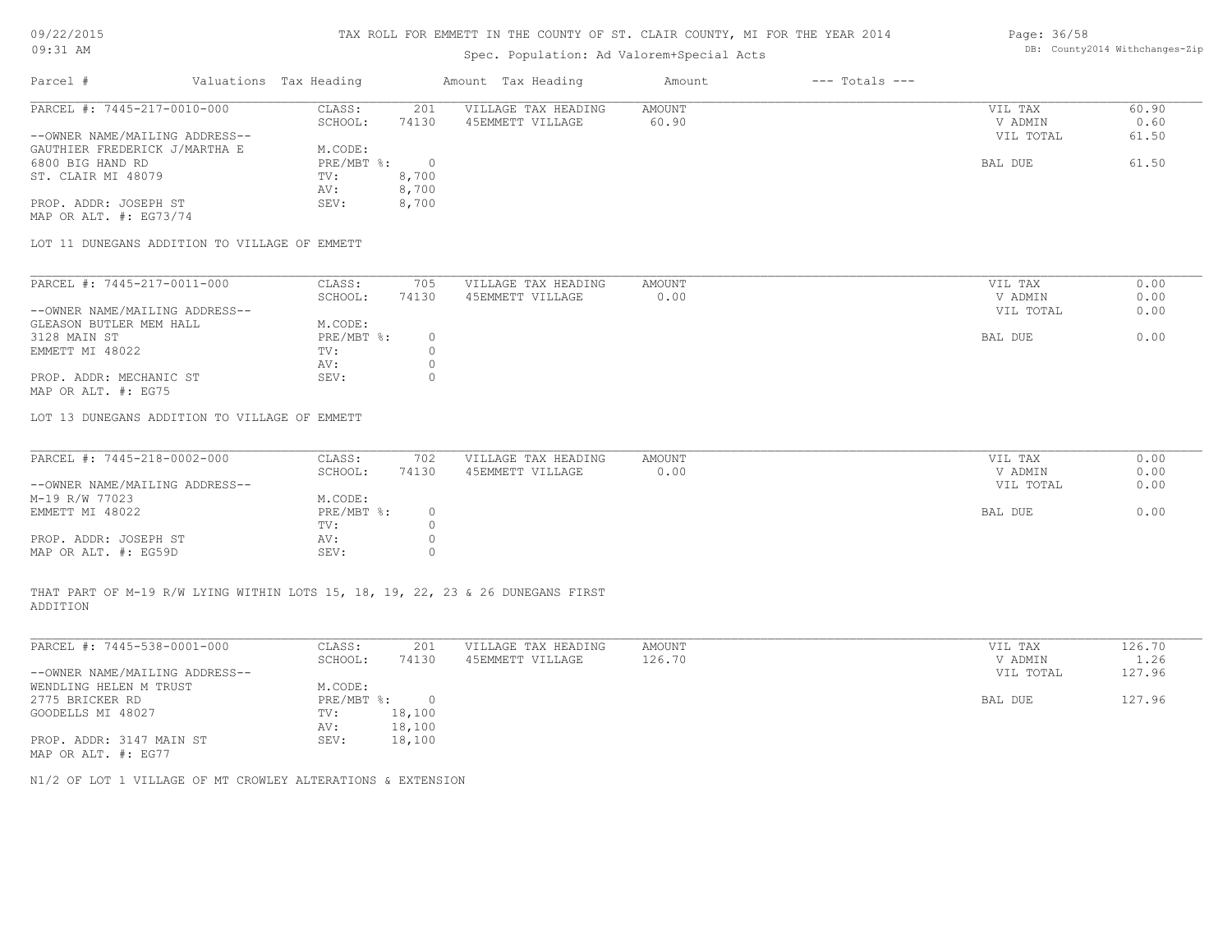## Spec. Population: Ad Valorem+Special Acts

| Parcel #                       | Valuations Tax Heading |       | Amount Tax Heading  | Amount | $---$ Totals $---$ |           |       |
|--------------------------------|------------------------|-------|---------------------|--------|--------------------|-----------|-------|
| PARCEL #: 7445-217-0010-000    | CLASS:                 | 201   | VILLAGE TAX HEADING | AMOUNT |                    | VIL TAX   | 60.90 |
|                                | SCHOOL:                | 74130 | 45EMMETT VILLAGE    | 60.90  |                    | V ADMIN   | 0.60  |
| --OWNER NAME/MAILING ADDRESS-- |                        |       |                     |        |                    | VIL TOTAL | 61.50 |
| GAUTHIER FREDERICK J/MARTHA E  | M.CODE:                |       |                     |        |                    |           |       |
| 6800 BIG HAND RD               | PRE/MBT %:             |       |                     |        |                    | BAL DUE   | 61.50 |
| ST. CLAIR MI 48079             | TV:                    | 8,700 |                     |        |                    |           |       |
|                                | AV:                    | 8,700 |                     |        |                    |           |       |
| PROP. ADDR: JOSEPH ST          | SEV:                   | 8,700 |                     |        |                    |           |       |

MAP OR ALT. #: EG73/74

LOT 11 DUNEGANS ADDITION TO VILLAGE OF EMMETT

| PARCEL #: 7445-217-0011-000    | CLASS:     | 705   | VILLAGE TAX HEADING | AMOUNT | VIL TAX   | 0.00 |
|--------------------------------|------------|-------|---------------------|--------|-----------|------|
|                                | SCHOOL:    | 74130 | 45EMMETT VILLAGE    | 0.00   | V ADMIN   | 0.00 |
| --OWNER NAME/MAILING ADDRESS-- |            |       |                     |        | VIL TOTAL | 0.00 |
| GLEASON BUTLER MEM HALL        | M.CODE:    |       |                     |        |           |      |
| 3128 MAIN ST                   | PRE/MBT %: |       |                     |        | BAL DUE   | 0.00 |
| EMMETT MI 48022                | TV:        |       |                     |        |           |      |
|                                | AV:        |       |                     |        |           |      |
| PROP. ADDR: MECHANIC ST        | SEV:       |       |                     |        |           |      |
| MAP OR ALT. #: EG75            |            |       |                     |        |           |      |

LOT 13 DUNEGANS ADDITION TO VILLAGE OF EMMETT

| PARCEL #: 7445-218-0002-000    | CLASS:       | 702   | VILLAGE TAX HEADING | AMOUNT | VIL TAX   | 0.00 |
|--------------------------------|--------------|-------|---------------------|--------|-----------|------|
|                                | SCHOOL:      | 74130 | 45EMMETT VILLAGE    | 0.00   | V ADMIN   | 0.00 |
| --OWNER NAME/MAILING ADDRESS-- |              |       |                     |        | VIL TOTAL | 0.00 |
| M-19 R/W 77023                 | M.CODE:      |       |                     |        |           |      |
| EMMETT MI 48022                | $PRE/MBT$ %: |       |                     |        | BAL DUE   | 0.00 |
|                                | TV:          |       |                     |        |           |      |
| PROP. ADDR: JOSEPH ST          | AV:          |       |                     |        |           |      |
| MAP OR ALT. #: EG59D           | SEV:         |       |                     |        |           |      |

ADDITION THAT PART OF M-19 R/W LYING WITHIN LOTS 15, 18, 19, 22, 23 & 26 DUNEGANS FIRST

| PARCEL #: 7445-538-0001-000    | CLASS:     | 201    | VILLAGE TAX HEADING | AMOUNT | VIL TAX   | 126.70 |
|--------------------------------|------------|--------|---------------------|--------|-----------|--------|
|                                | SCHOOL:    | 74130  | 45EMMETT VILLAGE    | 126.70 | V ADMIN   | 1.26   |
| --OWNER NAME/MAILING ADDRESS-- |            |        |                     |        | VIL TOTAL | 127.96 |
| WENDLING HELEN M TRUST         | M.CODE:    |        |                     |        |           |        |
| 2775 BRICKER RD                | PRE/MBT %: | $\Box$ |                     |        | BAL DUE   | 127.96 |
| GOODELLS MI 48027              | TV:        | 18,100 |                     |        |           |        |
|                                | AV:        | 18,100 |                     |        |           |        |
| PROP. ADDR: 3147 MAIN ST       | SEV:       | 18,100 |                     |        |           |        |
| MAP OR ALT. #: EG77            |            |        |                     |        |           |        |

 $\mathcal{L}_\mathcal{L} = \mathcal{L}_\mathcal{L} = \mathcal{L}_\mathcal{L} = \mathcal{L}_\mathcal{L} = \mathcal{L}_\mathcal{L} = \mathcal{L}_\mathcal{L} = \mathcal{L}_\mathcal{L} = \mathcal{L}_\mathcal{L} = \mathcal{L}_\mathcal{L} = \mathcal{L}_\mathcal{L} = \mathcal{L}_\mathcal{L} = \mathcal{L}_\mathcal{L} = \mathcal{L}_\mathcal{L} = \mathcal{L}_\mathcal{L} = \mathcal{L}_\mathcal{L} = \mathcal{L}_\mathcal{L} = \mathcal{L}_\mathcal{L}$ 

N1/2 OF LOT 1 VILLAGE OF MT CROWLEY ALTERATIONS & EXTENSION

Page: 36/58 DB: County2014 Withchanges-Zip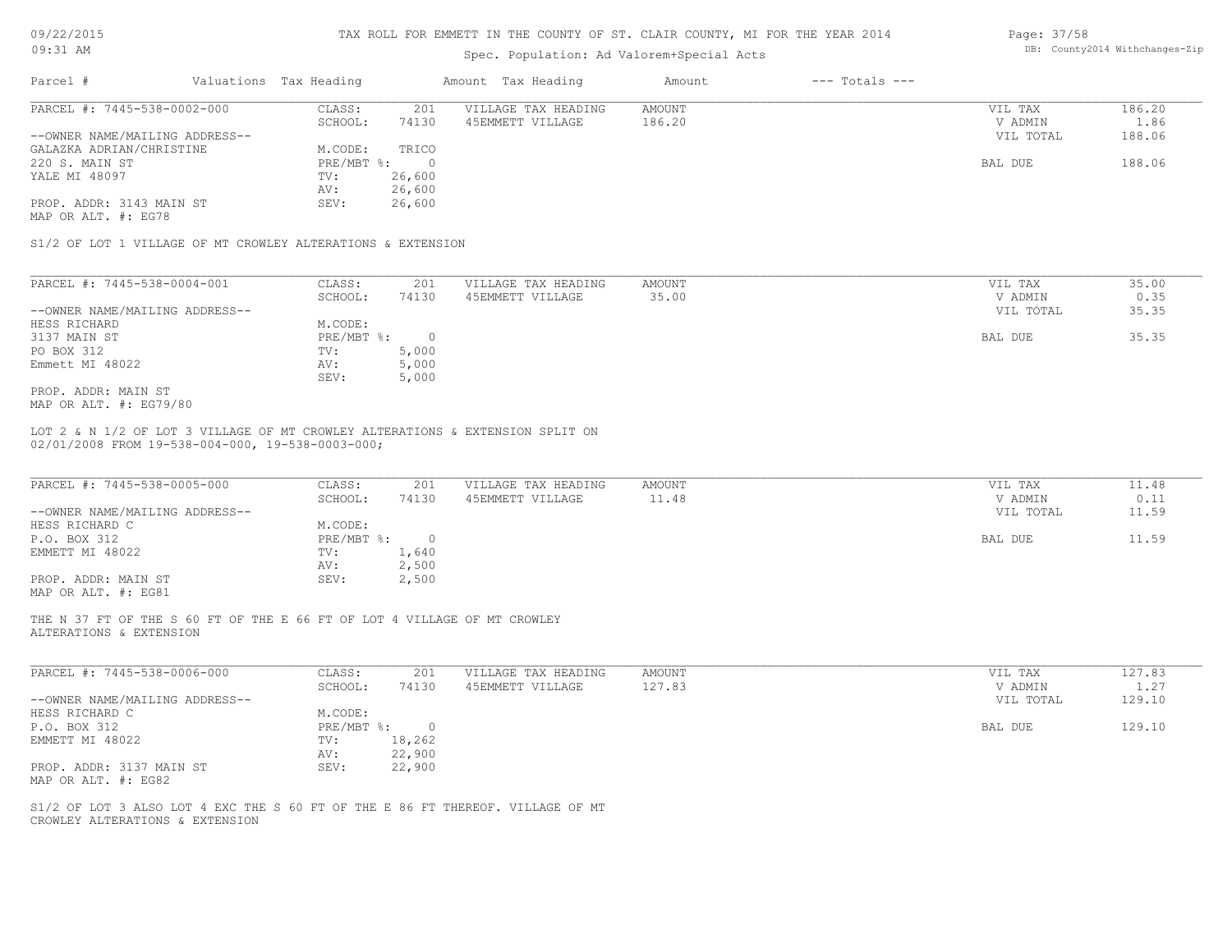| 09/22/2015 |  |
|------------|--|
|------------|--|

| Page: 37/58 |                               |
|-------------|-------------------------------|
|             | DB: County2014 Withchanges-Zi |

| Parcel #<br>Valuations Tax Heading<br>PARCEL #: 7445-538-0002-000<br>CLASS:<br>SCHOOL:<br>--OWNER NAME/MAILING ADDRESS--<br>GALAZKA ADRIAN/CHRISTINE<br>M.CODE:<br>PRE/MBT %:<br>220 S. MAIN ST<br>YALE MI 48097<br>TV:<br>AV:<br>PROP. ADDR: 3143 MAIN ST<br>SEV:<br>S1/2 OF LOT 1 VILLAGE OF MT CROWLEY ALTERATIONS & EXTENSION<br>PARCEL #: 7445-538-0004-001<br>CLASS:<br>SCHOOL:<br>--OWNER NAME/MAILING ADDRESS--<br>HESS RICHARD<br>M.CODE:<br>3137 MAIN ST<br>$PRE/MBT$ $\div$<br>PO BOX 312<br>TV:<br>Emmett MI 48022<br>AV:<br>SEV:<br>PROP. ADDR: MAIN ST<br>LOT 2 & N 1/2 OF LOT 3 VILLAGE OF MT CROWLEY ALTERATIONS & EXTENSION SPLIT ON<br>PARCEL #: 7445-538-0005-000<br>CLASS:<br>SCHOOL:<br>--OWNER NAME/MAILING ADDRESS--<br>HESS RICHARD C<br>M.CODE:<br>$PRE/MBT$ $\div$<br>P.O. BOX 312<br>EMMETT MI 48022<br>TV:<br>AV:<br>PROP. ADDR: MAIN ST<br>SEV:<br>MAP OR ALT. #: EG81 | 201<br>74130<br>TRICO<br>$\overline{0}$<br>26,600<br>26,600<br>26,600<br>201<br>74130<br>$\circ$<br>5,000<br>5,000<br>5,000<br>201<br>74130 | Amount Tax Heading<br>VILLAGE TAX HEADING<br>45EMMETT VILLAGE<br>VILLAGE TAX HEADING<br>45EMMETT VILLAGE<br>VILLAGE TAX HEADING<br>45EMMETT VILLAGE | Amount<br><b>AMOUNT</b><br>186.20<br>AMOUNT<br>35.00<br>AMOUNT<br>11.48 | $---$ Totals $---$ | VIL TAX<br>V ADMIN<br>VIL TOTAL<br>BAL DUE<br>VIL TAX<br>V ADMIN<br>VIL TOTAL<br>BAL DUE<br>VIL TAX<br>V ADMIN | 186.20<br>1.86<br>188.06<br>188.06<br>35.00<br>0.35<br>35.35<br>35.35<br>11.48 |
|-----------------------------------------------------------------------------------------------------------------------------------------------------------------------------------------------------------------------------------------------------------------------------------------------------------------------------------------------------------------------------------------------------------------------------------------------------------------------------------------------------------------------------------------------------------------------------------------------------------------------------------------------------------------------------------------------------------------------------------------------------------------------------------------------------------------------------------------------------------------------------------------------------|---------------------------------------------------------------------------------------------------------------------------------------------|-----------------------------------------------------------------------------------------------------------------------------------------------------|-------------------------------------------------------------------------|--------------------|----------------------------------------------------------------------------------------------------------------|--------------------------------------------------------------------------------|
| MAP OR ALT. #: EG78<br>MAP OR ALT. #: EG79/80<br>02/01/2008 FROM 19-538-004-000, 19-538-0003-000;                                                                                                                                                                                                                                                                                                                                                                                                                                                                                                                                                                                                                                                                                                                                                                                                   |                                                                                                                                             |                                                                                                                                                     |                                                                         |                    |                                                                                                                |                                                                                |
|                                                                                                                                                                                                                                                                                                                                                                                                                                                                                                                                                                                                                                                                                                                                                                                                                                                                                                     |                                                                                                                                             |                                                                                                                                                     |                                                                         |                    |                                                                                                                |                                                                                |
|                                                                                                                                                                                                                                                                                                                                                                                                                                                                                                                                                                                                                                                                                                                                                                                                                                                                                                     |                                                                                                                                             |                                                                                                                                                     |                                                                         |                    |                                                                                                                |                                                                                |
|                                                                                                                                                                                                                                                                                                                                                                                                                                                                                                                                                                                                                                                                                                                                                                                                                                                                                                     |                                                                                                                                             |                                                                                                                                                     |                                                                         |                    |                                                                                                                |                                                                                |
|                                                                                                                                                                                                                                                                                                                                                                                                                                                                                                                                                                                                                                                                                                                                                                                                                                                                                                     |                                                                                                                                             |                                                                                                                                                     |                                                                         |                    |                                                                                                                |                                                                                |
|                                                                                                                                                                                                                                                                                                                                                                                                                                                                                                                                                                                                                                                                                                                                                                                                                                                                                                     |                                                                                                                                             |                                                                                                                                                     |                                                                         |                    |                                                                                                                |                                                                                |
|                                                                                                                                                                                                                                                                                                                                                                                                                                                                                                                                                                                                                                                                                                                                                                                                                                                                                                     |                                                                                                                                             |                                                                                                                                                     |                                                                         |                    |                                                                                                                |                                                                                |
|                                                                                                                                                                                                                                                                                                                                                                                                                                                                                                                                                                                                                                                                                                                                                                                                                                                                                                     |                                                                                                                                             |                                                                                                                                                     |                                                                         |                    |                                                                                                                |                                                                                |
|                                                                                                                                                                                                                                                                                                                                                                                                                                                                                                                                                                                                                                                                                                                                                                                                                                                                                                     |                                                                                                                                             |                                                                                                                                                     |                                                                         |                    |                                                                                                                |                                                                                |
|                                                                                                                                                                                                                                                                                                                                                                                                                                                                                                                                                                                                                                                                                                                                                                                                                                                                                                     |                                                                                                                                             |                                                                                                                                                     |                                                                         |                    |                                                                                                                |                                                                                |
|                                                                                                                                                                                                                                                                                                                                                                                                                                                                                                                                                                                                                                                                                                                                                                                                                                                                                                     |                                                                                                                                             |                                                                                                                                                     |                                                                         |                    |                                                                                                                |                                                                                |
|                                                                                                                                                                                                                                                                                                                                                                                                                                                                                                                                                                                                                                                                                                                                                                                                                                                                                                     |                                                                                                                                             |                                                                                                                                                     |                                                                         |                    |                                                                                                                |                                                                                |
|                                                                                                                                                                                                                                                                                                                                                                                                                                                                                                                                                                                                                                                                                                                                                                                                                                                                                                     |                                                                                                                                             |                                                                                                                                                     |                                                                         |                    |                                                                                                                |                                                                                |
|                                                                                                                                                                                                                                                                                                                                                                                                                                                                                                                                                                                                                                                                                                                                                                                                                                                                                                     |                                                                                                                                             |                                                                                                                                                     |                                                                         |                    |                                                                                                                |                                                                                |
|                                                                                                                                                                                                                                                                                                                                                                                                                                                                                                                                                                                                                                                                                                                                                                                                                                                                                                     |                                                                                                                                             |                                                                                                                                                     |                                                                         |                    |                                                                                                                |                                                                                |
|                                                                                                                                                                                                                                                                                                                                                                                                                                                                                                                                                                                                                                                                                                                                                                                                                                                                                                     |                                                                                                                                             |                                                                                                                                                     |                                                                         |                    |                                                                                                                |                                                                                |
|                                                                                                                                                                                                                                                                                                                                                                                                                                                                                                                                                                                                                                                                                                                                                                                                                                                                                                     |                                                                                                                                             |                                                                                                                                                     |                                                                         |                    |                                                                                                                |                                                                                |
|                                                                                                                                                                                                                                                                                                                                                                                                                                                                                                                                                                                                                                                                                                                                                                                                                                                                                                     |                                                                                                                                             |                                                                                                                                                     |                                                                         |                    |                                                                                                                |                                                                                |
|                                                                                                                                                                                                                                                                                                                                                                                                                                                                                                                                                                                                                                                                                                                                                                                                                                                                                                     |                                                                                                                                             |                                                                                                                                                     |                                                                         |                    | VIL TOTAL                                                                                                      | 0.11<br>11.59                                                                  |
|                                                                                                                                                                                                                                                                                                                                                                                                                                                                                                                                                                                                                                                                                                                                                                                                                                                                                                     |                                                                                                                                             |                                                                                                                                                     |                                                                         |                    |                                                                                                                |                                                                                |
|                                                                                                                                                                                                                                                                                                                                                                                                                                                                                                                                                                                                                                                                                                                                                                                                                                                                                                     | $\overline{0}$                                                                                                                              |                                                                                                                                                     |                                                                         |                    | BAL DUE                                                                                                        | 11.59                                                                          |
|                                                                                                                                                                                                                                                                                                                                                                                                                                                                                                                                                                                                                                                                                                                                                                                                                                                                                                     | 1,640                                                                                                                                       |                                                                                                                                                     |                                                                         |                    |                                                                                                                |                                                                                |
|                                                                                                                                                                                                                                                                                                                                                                                                                                                                                                                                                                                                                                                                                                                                                                                                                                                                                                     | 2,500                                                                                                                                       |                                                                                                                                                     |                                                                         |                    |                                                                                                                |                                                                                |
|                                                                                                                                                                                                                                                                                                                                                                                                                                                                                                                                                                                                                                                                                                                                                                                                                                                                                                     | 2,500                                                                                                                                       |                                                                                                                                                     |                                                                         |                    |                                                                                                                |                                                                                |
| THE N 37 FT OF THE S 60 FT OF THE E 66 FT OF LOT 4 VILLAGE OF MT CROWLEY<br>ALTERATIONS & EXTENSION                                                                                                                                                                                                                                                                                                                                                                                                                                                                                                                                                                                                                                                                                                                                                                                                 |                                                                                                                                             |                                                                                                                                                     |                                                                         |                    |                                                                                                                |                                                                                |
| PARCEL #: 7445-538-0006-000<br>CLASS:                                                                                                                                                                                                                                                                                                                                                                                                                                                                                                                                                                                                                                                                                                                                                                                                                                                               | 201                                                                                                                                         | VILLAGE TAX HEADING                                                                                                                                 | AMOUNT                                                                  |                    | VIL TAX                                                                                                        | 127.83                                                                         |
| SCHOOL:                                                                                                                                                                                                                                                                                                                                                                                                                                                                                                                                                                                                                                                                                                                                                                                                                                                                                             | 74130                                                                                                                                       | 45EMMETT VILLAGE                                                                                                                                    | 127.83                                                                  |                    | V ADMIN                                                                                                        | 1.27                                                                           |
| --OWNER NAME/MAILING ADDRESS--                                                                                                                                                                                                                                                                                                                                                                                                                                                                                                                                                                                                                                                                                                                                                                                                                                                                      |                                                                                                                                             |                                                                                                                                                     |                                                                         |                    | VIL TOTAL                                                                                                      | 129.10                                                                         |
| M.CODE:<br>HESS RICHARD C                                                                                                                                                                                                                                                                                                                                                                                                                                                                                                                                                                                                                                                                                                                                                                                                                                                                           |                                                                                                                                             |                                                                                                                                                     |                                                                         |                    |                                                                                                                |                                                                                |
| PRE/MBT %:<br>P.O. BOX 312                                                                                                                                                                                                                                                                                                                                                                                                                                                                                                                                                                                                                                                                                                                                                                                                                                                                          | $\circ$                                                                                                                                     |                                                                                                                                                     |                                                                         |                    | BAL DUE                                                                                                        | 129.10                                                                         |
| EMMETT MI 48022<br>TV:                                                                                                                                                                                                                                                                                                                                                                                                                                                                                                                                                                                                                                                                                                                                                                                                                                                                              | 18,262                                                                                                                                      |                                                                                                                                                     |                                                                         |                    |                                                                                                                |                                                                                |
| AV:                                                                                                                                                                                                                                                                                                                                                                                                                                                                                                                                                                                                                                                                                                                                                                                                                                                                                                 | 22,900                                                                                                                                      |                                                                                                                                                     |                                                                         |                    |                                                                                                                |                                                                                |
| PROP. ADDR: 3137 MAIN ST<br>SEV:<br>MAP OR ALT. #: EG82                                                                                                                                                                                                                                                                                                                                                                                                                                                                                                                                                                                                                                                                                                                                                                                                                                             | 22,900                                                                                                                                      |                                                                                                                                                     |                                                                         |                    |                                                                                                                |                                                                                |
| S1/2 OF LOT 3 ALSO LOT 4 EXC THE S 60 FT OF THE E 86 FT THEREOF. VILLAGE OF MT<br>CROWLEY ALTERATIONS & EXTENSION                                                                                                                                                                                                                                                                                                                                                                                                                                                                                                                                                                                                                                                                                                                                                                                   |                                                                                                                                             |                                                                                                                                                     |                                                                         |                    |                                                                                                                |                                                                                |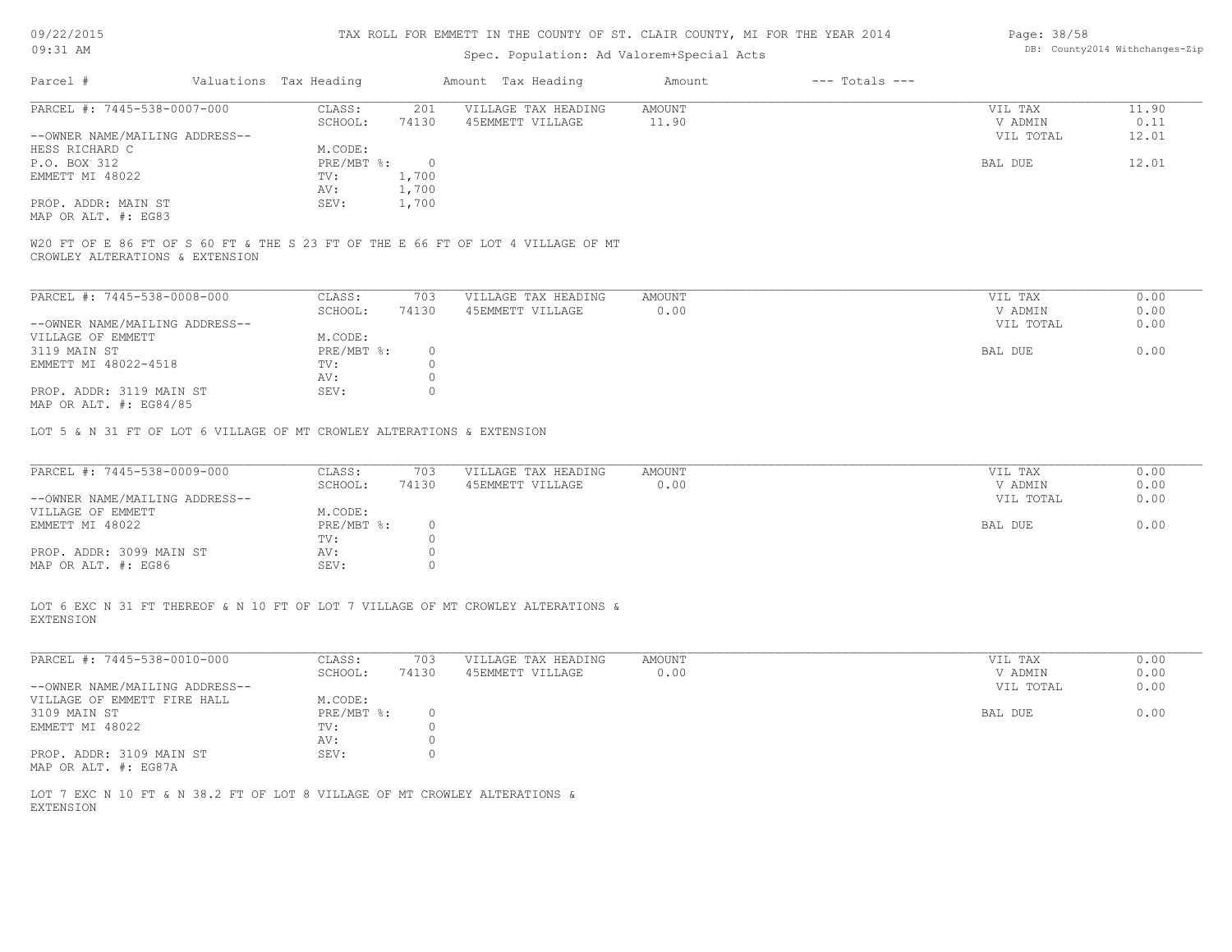| 09/22/2015 |  |
|------------|--|
|------------|--|

| Page: 38/58 |                               |
|-------------|-------------------------------|
|             | DB: County2014 Withchanges-Zi |

| 0.314414040                                                            |                                           |                | rvn ministr in ins voorte ve of, omien ovonte, he ron ins fenn sort |               |                    | Luye. Joy Jo   |                                |
|------------------------------------------------------------------------|-------------------------------------------|----------------|---------------------------------------------------------------------|---------------|--------------------|----------------|--------------------------------|
| 09:31 AM                                                               | Spec. Population: Ad Valorem+Special Acts |                |                                                                     |               |                    |                | DB: County2014 Withchanges-Zip |
| Parcel #                                                               | Valuations Tax Heading                    |                | Amount Tax Heading                                                  | Amount        | $---$ Totals $---$ |                |                                |
| PARCEL #: 7445-538-0007-000                                            | CLASS:                                    | 201            | VILLAGE TAX HEADING                                                 | AMOUNT        |                    | VIL TAX        | 11.90                          |
|                                                                        | SCHOOL:                                   | 74130          | 45EMMETT VILLAGE                                                    | 11.90         |                    | V ADMIN        | 0.11                           |
| --OWNER NAME/MAILING ADDRESS--                                         |                                           |                |                                                                     |               |                    | VIL TOTAL      | 12.01                          |
| HESS RICHARD C                                                         | M.CODE:                                   |                |                                                                     |               |                    |                |                                |
| P.O. BOX 312                                                           | PRE/MBT %:                                | $\overline{0}$ |                                                                     |               |                    | <b>BAL DUE</b> | 12.01                          |
| EMMETT MI 48022                                                        | TV:                                       | 1,700          |                                                                     |               |                    |                |                                |
|                                                                        | AV:                                       | 1,700          |                                                                     |               |                    |                |                                |
| PROP. ADDR: MAIN ST                                                    | SEV:                                      | 1,700          |                                                                     |               |                    |                |                                |
| MAP OR ALT. #: EG83                                                    |                                           |                |                                                                     |               |                    |                |                                |
| CROWLEY ALTERATIONS & EXTENSION                                        |                                           |                |                                                                     |               |                    |                |                                |
| PARCEL #: 7445-538-0008-000                                            | CLASS:                                    | 703            | VILLAGE TAX HEADING                                                 | <b>AMOUNT</b> |                    | VIL TAX        | 0.00                           |
|                                                                        | SCHOOL:                                   | 74130          | 45EMMETT VILLAGE                                                    | 0.00          |                    | V ADMIN        | 0.00                           |
| --OWNER NAME/MAILING ADDRESS--                                         |                                           |                |                                                                     |               |                    | VIL TOTAL      | 0.00                           |
| VILLAGE OF EMMETT                                                      | M.CODE:                                   |                |                                                                     |               |                    |                |                                |
| 3119 MAIN ST                                                           | PRE/MBT %:                                | $\circ$        |                                                                     |               |                    | <b>BAL DUE</b> | 0.00                           |
| EMMETT MI 48022-4518                                                   | TV:                                       | $\circ$        |                                                                     |               |                    |                |                                |
|                                                                        | AV:                                       | $\circ$        |                                                                     |               |                    |                |                                |
| PROP. ADDR: 3119 MAIN ST                                               | SEV:                                      | $\Omega$       |                                                                     |               |                    |                |                                |
| MAP OR ALT. #: EG84/85                                                 |                                           |                |                                                                     |               |                    |                |                                |
| LOT 5 & N 31 FT OF LOT 6 VILLAGE OF MT CROWLEY ALTERATIONS & EXTENSION |                                           |                |                                                                     |               |                    |                |                                |
| PARCEL #: 7445-538-0009-000                                            | CLASS:                                    | 703            | VILLAGE TAX HEADING                                                 | AMOUNT        |                    | VIL TAX        | 0.00                           |
|                                                                        | SCHOOL:                                   | 74130          | 45EMMETT VILLAGE                                                    | 0.00          |                    | V ADMIN        | 0.00                           |
| --OWNER NAME/MAILING ADDRESS--                                         |                                           |                |                                                                     |               |                    | VIL TOTAL      | 0.00                           |
| VILLAGE OF EMMETT                                                      | M.CODE:                                   |                |                                                                     |               |                    |                |                                |
| EMMETT MI 48022                                                        | PRE/MBT %:                                | 0              |                                                                     |               |                    | BAL DUE        | 0.00                           |
|                                                                        | TV:                                       | $\circ$        |                                                                     |               |                    |                |                                |
| PROP. ADDR: 3099 MAIN ST                                               | AV:                                       |                |                                                                     |               |                    |                |                                |
| MAP OR ALT. #: EG86                                                    | SEV:                                      | $\Omega$       |                                                                     |               |                    |                |                                |

EXTENSION LOT 6 EXC N 31 FT THEREOF & N 10 FT OF LOT 7 VILLAGE OF MT CROWLEY ALTERATIONS &

| PARCEL #: 7445-538-0010-000    | CLASS:     | 703   | VILLAGE TAX HEADING | AMOUNT | 0.00<br>VIL TAX   |
|--------------------------------|------------|-------|---------------------|--------|-------------------|
|                                | SCHOOL:    | 74130 | 45EMMETT VILLAGE    | 0.00   | 0.00<br>V ADMIN   |
| --OWNER NAME/MAILING ADDRESS-- |            |       |                     |        | 0.00<br>VIL TOTAL |
| VILLAGE OF EMMETT FIRE HALL    | M.CODE:    |       |                     |        |                   |
| 3109 MAIN ST                   | PRE/MBT %: |       |                     |        | 0.00<br>BAL DUE   |
| EMMETT MI 48022                | TV:        |       |                     |        |                   |
|                                | AV:        |       |                     |        |                   |
| PROP. ADDR: 3109 MAIN ST       | SEV:       |       |                     |        |                   |
| MAP OR ALT. #: EG87A           |            |       |                     |        |                   |

EXTENSION LOT 7 EXC N 10 FT & N 38.2 FT OF LOT 8 VILLAGE OF MT CROWLEY ALTERATIONS &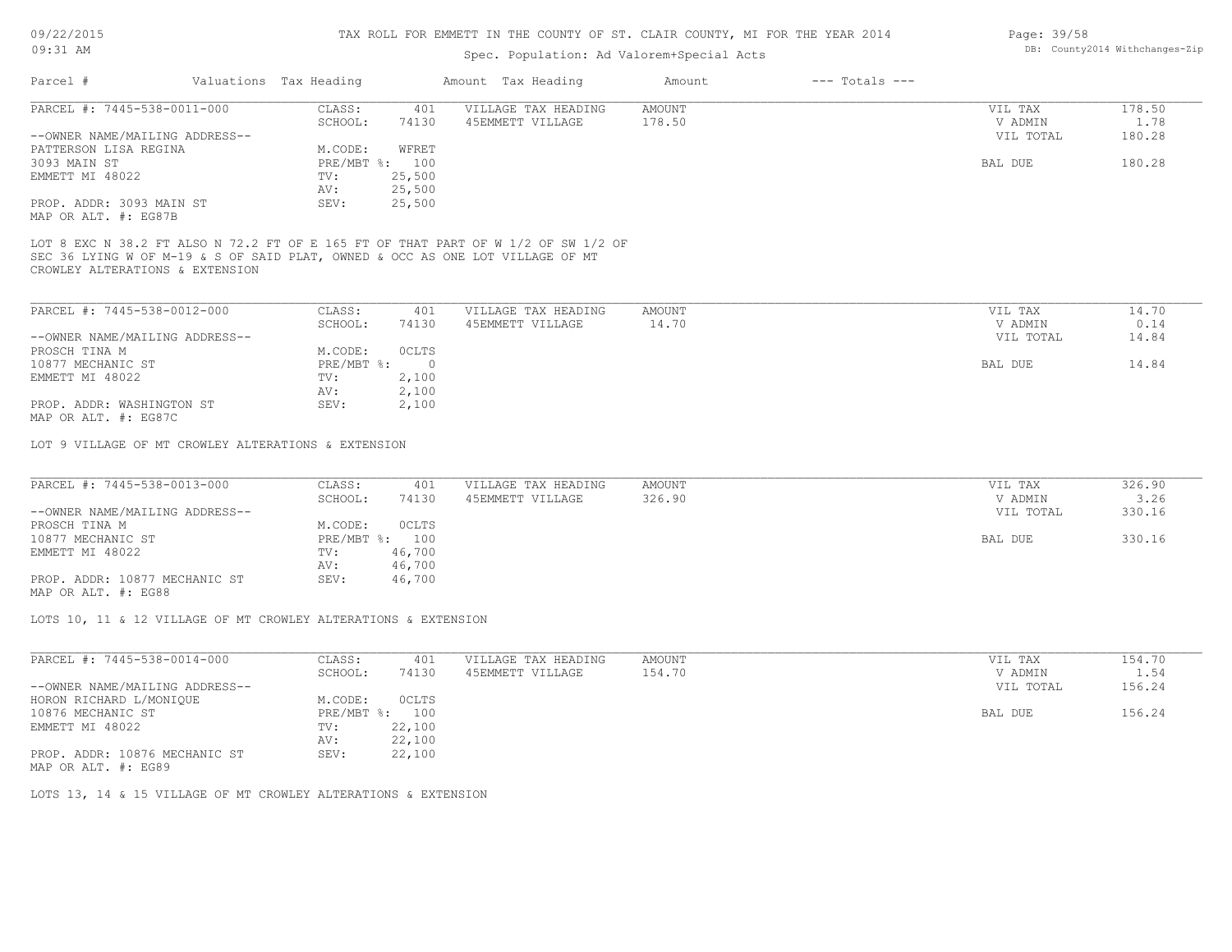#### Spec. Population: Ad Valorem+Special

|      |  | .                              |
|------|--|--------------------------------|
| Acts |  | DB: County2014 Withchanges-Zip |
|      |  |                                |

| Parcel #                       | Valuations Tax Heading |        | Amount Tax Heading  | Amount | $---$ Totals $---$ |           |        |
|--------------------------------|------------------------|--------|---------------------|--------|--------------------|-----------|--------|
| PARCEL #: 7445-538-0011-000    | CLASS:                 | 401    | VILLAGE TAX HEADING | AMOUNT |                    | VIL TAX   | 178.50 |
|                                | SCHOOL:                | 74130  | 45EMMETT VILLAGE    | 178.50 |                    | V ADMIN   | 1.78   |
| --OWNER NAME/MAILING ADDRESS-- |                        |        |                     |        |                    | VIL TOTAL | 180.28 |
| PATTERSON LISA REGINA          | M.CODE:                | WFRET  |                     |        |                    |           |        |
| 3093 MAIN ST                   | PRE/MBT %: 100         |        |                     |        |                    | BAL DUE   | 180.28 |
| EMMETT MI 48022                | TV:                    | 25,500 |                     |        |                    |           |        |
|                                | AV:                    | 25,500 |                     |        |                    |           |        |
| PROP. ADDR: 3093 MAIN ST       | SEV:                   | 25,500 |                     |        |                    |           |        |
| MAP OR ALT. #: EG87B           |                        |        |                     |        |                    |           |        |

CROWLEY ALTERATIONS & EXTENSION SEC 36 LYING W OF M-19 & S OF SAID PLAT, OWNED & OCC AS ONE LOT VILLAGE OF MT LOT 8 EXC N 38.2 FT ALSO N 72.2 FT OF E 165 FT OF THAT PART OF W 1/2 OF SW 1/2 OF

| PARCEL #: 7445-538-0012-000    | CLASS:       | 401          | VILLAGE TAX HEADING | AMOUNT | VIL TAX   | 14.70 |
|--------------------------------|--------------|--------------|---------------------|--------|-----------|-------|
|                                | SCHOOL:      | 74130        | 45EMMETT VILLAGE    | 14.70  | V ADMIN   | 0.14  |
| --OWNER NAME/MAILING ADDRESS-- |              |              |                     |        | VIL TOTAL | 14.84 |
| PROSCH TINA M                  | M.CODE:      | <b>OCLTS</b> |                     |        |           |       |
| 10877 MECHANIC ST              | $PRE/MBT$ %: |              |                     |        | BAL DUE   | 14.84 |
| EMMETT MI 48022                | TV:          | 2,100        |                     |        |           |       |
|                                | AV:          | 2,100        |                     |        |           |       |
| PROP. ADDR: WASHINGTON ST      | SEV:         | 2,100        |                     |        |           |       |
| MAP OR ALT. #: EG87C           |              |              |                     |        |           |       |

LOT 9 VILLAGE OF MT CROWLEY ALTERATIONS & EXTENSION

| PARCEL #: 7445-538-0013-000    | CLASS:  | 401            | VILLAGE TAX HEADING | AMOUNT | VIL TAX |           | 326.90 |
|--------------------------------|---------|----------------|---------------------|--------|---------|-----------|--------|
|                                | SCHOOL: | 74130          | 45EMMETT VILLAGE    | 326.90 |         | V ADMIN   | 3.26   |
| --OWNER NAME/MAILING ADDRESS-- |         |                |                     |        |         | VIL TOTAL | 330.16 |
| PROSCH TINA M                  | M.CODE: | OCLTS          |                     |        |         |           |        |
| 10877 MECHANIC ST              |         | PRE/MBT %: 100 |                     |        | BAL DUE |           | 330.16 |
| EMMETT MI 48022                | TV:     | 46,700         |                     |        |         |           |        |
|                                | AV:     | 46,700         |                     |        |         |           |        |
| PROP. ADDR: 10877 MECHANIC ST  | SEV:    | 46,700         |                     |        |         |           |        |
|                                |         |                |                     |        |         |           |        |

MAP OR ALT. #: EG88

LOTS 10, 11 & 12 VILLAGE OF MT CROWLEY ALTERATIONS & EXTENSION

| PARCEL #: 7445-538-0014-000    | CLASS:       | 401    | VILLAGE TAX HEADING | AMOUNT | VIL TAX   | 154.70 |
|--------------------------------|--------------|--------|---------------------|--------|-----------|--------|
|                                | SCHOOL:      | 74130  | 45EMMETT VILLAGE    | 154.70 | V ADMIN   | 1.54   |
| --OWNER NAME/MAILING ADDRESS-- |              |        |                     |        | VIL TOTAL | 156.24 |
| HORON RICHARD L/MONIQUE        | M.CODE:      | OCLTS  |                     |        |           |        |
| 10876 MECHANIC ST              | $PRE/MBT$ %: | 100    |                     |        | BAL DUE   | 156.24 |
| EMMETT MI 48022                | TV:          | 22,100 |                     |        |           |        |
|                                | AV:          | 22,100 |                     |        |           |        |
| PROP. ADDR: 10876 MECHANIC ST  | SEV:         | 22,100 |                     |        |           |        |
| MAP OR ALT. #: EG89            |              |        |                     |        |           |        |

LOTS 13, 14 & 15 VILLAGE OF MT CROWLEY ALTERATIONS & EXTENSION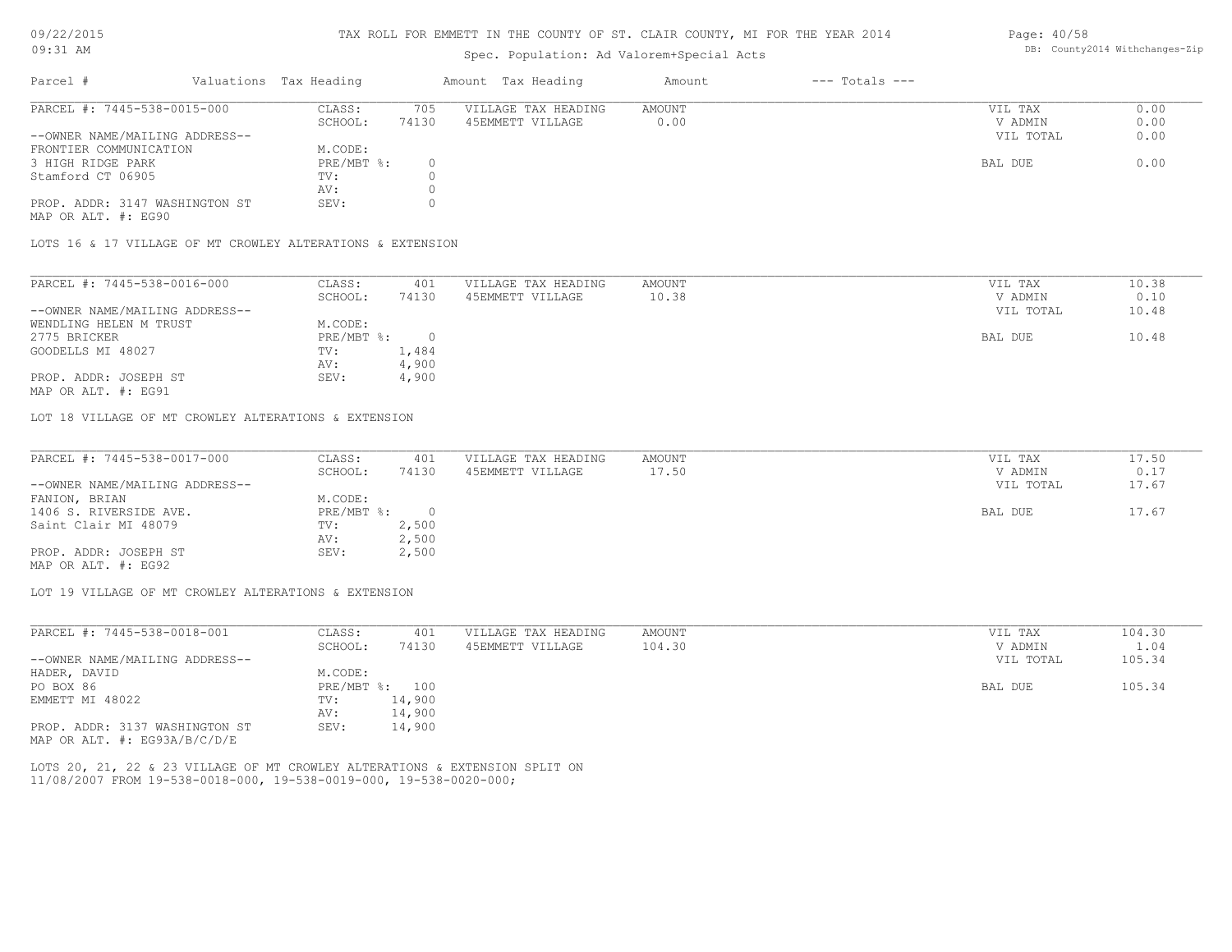#### 09/22/2015 09:31 AM

#### TAX ROLL FOR EMMETT IN THE COUNTY OF ST. CLAIR COUNTY, MI FOR THE YEAR 2014

### Spec. Population: Ad Valorem+Special Acts

#### Parcel # Valuations Tax Heading Amount Tax Heading Amount --- Totals ---PROP. ADDR: 3147 WASHINGTON ST SEV: 0 AV: 0 Stamford CT 06905 TV: 0<br>AV: 0 3 HIGH RIDGE PARK PRE/MBT %: 0 BAL DUE 0.00 FRONTIER COMMUNICATION M.CODE:<br>3 HIGH RIDGE PARK MET & PRE/MBT & : --OWNER NAME/MAILING ADDRESS-- VIL TOTAL 0.00 SCHOOL: 74130 45EMMETT VILLAGE 0.00 0.00 0.00 V ADMIN 0.00 PARCEL #: 7445-538-0015-000 CLASS: 705 VILLAGE TAX HEADING AMOUNT AMOUNT VIL TAX VIL TAX 0.00  $\mathcal{L}_\mathcal{L} = \mathcal{L}_\mathcal{L} = \mathcal{L}_\mathcal{L} = \mathcal{L}_\mathcal{L} = \mathcal{L}_\mathcal{L} = \mathcal{L}_\mathcal{L} = \mathcal{L}_\mathcal{L} = \mathcal{L}_\mathcal{L} = \mathcal{L}_\mathcal{L} = \mathcal{L}_\mathcal{L} = \mathcal{L}_\mathcal{L} = \mathcal{L}_\mathcal{L} = \mathcal{L}_\mathcal{L} = \mathcal{L}_\mathcal{L} = \mathcal{L}_\mathcal{L} = \mathcal{L}_\mathcal{L} = \mathcal{L}_\mathcal{L}$

MAP OR ALT. #: EG90

LOTS 16 & 17 VILLAGE OF MT CROWLEY ALTERATIONS & EXTENSION

| PARCEL #: 7445-538-0016-000    | CLASS:     | 401   | VILLAGE TAX HEADING | AMOUNT | VIL TAX   | 10.38 |
|--------------------------------|------------|-------|---------------------|--------|-----------|-------|
|                                | SCHOOL:    | 74130 | 45EMMETT VILLAGE    | 10.38  | V ADMIN   | 0.10  |
| --OWNER NAME/MAILING ADDRESS-- |            |       |                     |        | VIL TOTAL | 10.48 |
| WENDLING HELEN M TRUST         | M.CODE:    |       |                     |        |           |       |
| 2775 BRICKER                   | PRE/MBT %: |       |                     |        | BAL DUE   | 10.48 |
| GOODELLS MI 48027              | TV:        | 1,484 |                     |        |           |       |
|                                | AV:        | 4,900 |                     |        |           |       |
| PROP. ADDR: JOSEPH ST          | SEV:       | 4,900 |                     |        |           |       |
|                                |            |       |                     |        |           |       |

MAP OR ALT. #: EG91

LOT 18 VILLAGE OF MT CROWLEY ALTERATIONS & EXTENSION

| PARCEL #: 7445-538-0017-000    | CLASS:       | 401   | VILLAGE TAX HEADING | AMOUNT | VIL TAX   | 17.50 |
|--------------------------------|--------------|-------|---------------------|--------|-----------|-------|
|                                | SCHOOL:      | 74130 | 45EMMETT VILLAGE    | 17.50  | V ADMIN   | 0.17  |
| --OWNER NAME/MAILING ADDRESS-- |              |       |                     |        | VIL TOTAL | 17.67 |
| FANION, BRIAN                  | M.CODE:      |       |                     |        |           |       |
| 1406 S. RIVERSIDE AVE.         | $PRE/MBT$ %: |       |                     |        | BAL DUE   | 17.67 |
| Saint Clair MI 48079           | TV:          | 2,500 |                     |        |           |       |
|                                | AV:          | 2,500 |                     |        |           |       |
| PROP. ADDR: JOSEPH ST          | SEV:         | 2,500 |                     |        |           |       |
| MAP OR ALT. #: EG92            |              |       |                     |        |           |       |

LOT 19 VILLAGE OF MT CROWLEY ALTERATIONS & EXTENSION

| PARCEL #: 7445-538-0018-001      | CLASS:                    | 401    | VILLAGE TAX HEADING | AMOUNT | VIL TAX   | 104.30 |
|----------------------------------|---------------------------|--------|---------------------|--------|-----------|--------|
|                                  | SCHOOL:                   | 74130  | 45EMMETT VILLAGE    | 104.30 | V ADMIN   | 1.04   |
| --OWNER NAME/MAILING ADDRESS--   |                           |        |                     |        | VIL TOTAL | 105.34 |
| HADER, DAVID                     | M.CODE:                   |        |                     |        |           |        |
| PO BOX 86                        | $PRE/MBT$ $\frac{1}{6}$ : | 100    |                     |        | BAL DUE   | 105.34 |
| EMMETT MI 48022                  | TV:                       | 14,900 |                     |        |           |        |
|                                  | AV:                       | 14,900 |                     |        |           |        |
| PROP. ADDR: 3137 WASHINGTON ST   | SEV:                      | 14,900 |                     |        |           |        |
| MAP OR ALT. $\#$ : EG93A/B/C/D/E |                           |        |                     |        |           |        |

11/08/2007 FROM 19-538-0018-000, 19-538-0019-000, 19-538-0020-000; LOTS 20, 21, 22 & 23 VILLAGE OF MT CROWLEY ALTERATIONS & EXTENSION SPLIT ON Page: 40/58 DB: County2014 Withchanges-Zip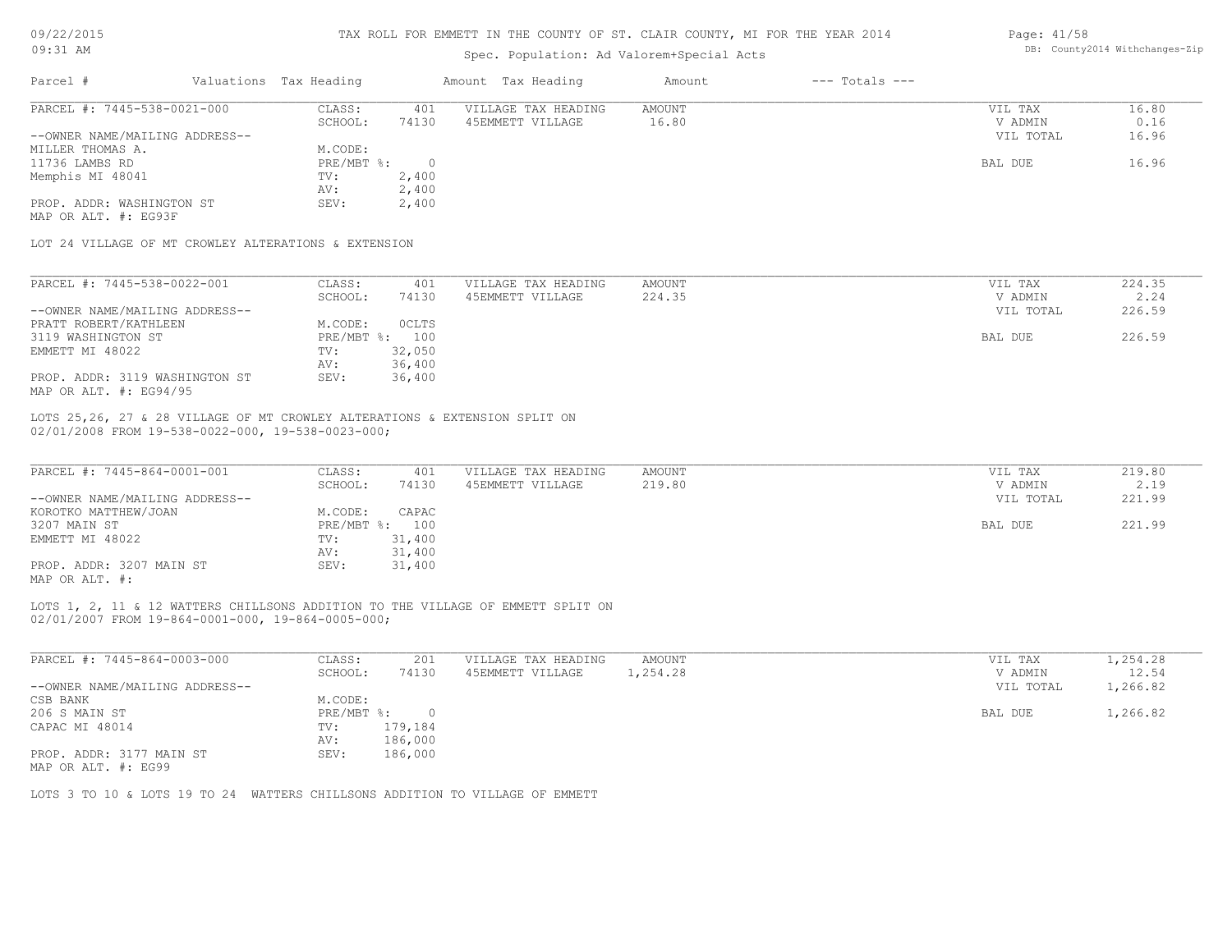# 09/22/2015

#### TAX ROLL FOR EMMETT IN THE COUNTY OF ST. CLAIR COUNTY, MI FOR THE YEAR 2014 Page: 41/58

| 09:31 AM                                                                                                                                                                                                                                                                        |  |                                                 | Spec. Population: Ad Valorem+Special Acts |                                         | DB: County2014 Withchanges-Zip |                    |                      |                   |
|---------------------------------------------------------------------------------------------------------------------------------------------------------------------------------------------------------------------------------------------------------------------------------|--|-------------------------------------------------|-------------------------------------------|-----------------------------------------|--------------------------------|--------------------|----------------------|-------------------|
| Parcel #                                                                                                                                                                                                                                                                        |  | Valuations Tax Heading                          |                                           | Amount Tax Heading                      | Amount                         | $---$ Totals $---$ |                      |                   |
| PARCEL #: 7445-538-0021-000                                                                                                                                                                                                                                                     |  | CLASS:                                          | 401                                       | VILLAGE TAX HEADING                     | AMOUNT                         |                    | VIL TAX              | 16.80             |
|                                                                                                                                                                                                                                                                                 |  | SCHOOL:                                         | 74130                                     | 45EMMETT VILLAGE                        | 16.80                          |                    | V ADMIN              | 0.16              |
| --OWNER NAME/MAILING ADDRESS--                                                                                                                                                                                                                                                  |  |                                                 |                                           |                                         |                                |                    | VIL TOTAL            | 16.96             |
| MILLER THOMAS A.                                                                                                                                                                                                                                                                |  | M.CODE:                                         |                                           |                                         |                                |                    |                      |                   |
| 11736 LAMBS RD                                                                                                                                                                                                                                                                  |  | PRE/MBT %:                                      | $\overline{0}$                            |                                         |                                |                    | BAL DUE              | 16.96             |
| Memphis MI 48041                                                                                                                                                                                                                                                                |  | TV:                                             | 2,400                                     |                                         |                                |                    |                      |                   |
|                                                                                                                                                                                                                                                                                 |  | AV:                                             | 2,400                                     |                                         |                                |                    |                      |                   |
| PROP. ADDR: WASHINGTON ST                                                                                                                                                                                                                                                       |  | SEV:                                            | 2,400                                     |                                         |                                |                    |                      |                   |
| MAP OR ALT. #: EG93F                                                                                                                                                                                                                                                            |  |                                                 |                                           |                                         |                                |                    |                      |                   |
| LOT 24 VILLAGE OF MT CROWLEY ALTERATIONS & EXTENSION                                                                                                                                                                                                                            |  |                                                 |                                           |                                         |                                |                    |                      |                   |
| PARCEL #: 7445-538-0022-001                                                                                                                                                                                                                                                     |  | CLASS:                                          | 401                                       | VILLAGE TAX HEADING                     | AMOUNT                         |                    | VIL TAX              | 224.35            |
|                                                                                                                                                                                                                                                                                 |  | SCHOOL:                                         | 74130                                     | 45EMMETT VILLAGE                        | 224.35                         |                    | V ADMIN              | 2.24              |
| --OWNER NAME/MAILING ADDRESS--                                                                                                                                                                                                                                                  |  |                                                 |                                           |                                         |                                |                    | VIL TOTAL            | 226.59            |
| PRATT ROBERT/KATHLEEN                                                                                                                                                                                                                                                           |  | M.CODE:                                         | OCLTS                                     |                                         |                                |                    |                      |                   |
|                                                                                                                                                                                                                                                                                 |  |                                                 |                                           |                                         |                                |                    |                      | 226.59            |
| 3119 WASHINGTON ST                                                                                                                                                                                                                                                              |  | PRE/MBT %: 100                                  |                                           |                                         |                                |                    | BAL DUE              |                   |
| EMMETT MI 48022                                                                                                                                                                                                                                                                 |  | TV:                                             | 32,050                                    |                                         |                                |                    |                      |                   |
|                                                                                                                                                                                                                                                                                 |  | AV:                                             | 36,400                                    |                                         |                                |                    |                      |                   |
| PROP. ADDR: 3119 WASHINGTON ST<br>MAP OR ALT. #: EG94/95                                                                                                                                                                                                                        |  | SEV:                                            | 36,400                                    |                                         |                                |                    |                      |                   |
| --OWNER NAME/MAILING ADDRESS--<br>KOROTKO MATTHEW/JOAN<br>3207 MAIN ST<br>EMMETT MI 48022<br>PROP. ADDR: 3207 MAIN ST<br>MAP OR ALT. #:<br>LOTS 1, 2, 11 & 12 WATTERS CHILLSONS ADDITION TO THE VILLAGE OF EMMETT SPLIT ON<br>02/01/2007 FROM 19-864-0001-000, 19-864-0005-000; |  | M.CODE:<br>PRE/MBT %: 100<br>TV:<br>AV:<br>SEV: | CAPAC<br>31,400<br>31,400<br>31,400       |                                         |                                |                    | VIL TOTAL<br>BAL DUE | 221.99<br>221.99  |
| PARCEL #: 7445-864-0003-000                                                                                                                                                                                                                                                     |  | CLASS:                                          |                                           |                                         |                                |                    |                      |                   |
|                                                                                                                                                                                                                                                                                 |  | SCHOOL:                                         | 201<br>74130                              | VILLAGE TAX HEADING<br>45EMMETT VILLAGE | AMOUNT<br>1,254.28             |                    | VIL TAX<br>V ADMIN   | 1,254.28<br>12.54 |
| --OWNER NAME/MAILING ADDRESS--                                                                                                                                                                                                                                                  |  |                                                 |                                           |                                         |                                |                    | VIL TOTAL            | 1,266.82          |
| CSB BANK                                                                                                                                                                                                                                                                        |  | M.CODE:                                         |                                           |                                         |                                |                    |                      |                   |
| 206 S MAIN ST                                                                                                                                                                                                                                                                   |  | PRE/MBT %:                                      | $\circ$                                   |                                         |                                |                    | BAL DUE              | 1,266.82          |
| CAPAC MI 48014                                                                                                                                                                                                                                                                  |  | TV:                                             | 179,184                                   |                                         |                                |                    |                      |                   |
|                                                                                                                                                                                                                                                                                 |  |                                                 |                                           |                                         |                                |                    |                      |                   |
|                                                                                                                                                                                                                                                                                 |  | AV: 186,000                                     |                                           |                                         |                                |                    |                      |                   |
| PROP. ADDR: 3177 MAIN ST<br>MAP OR ALT. #: EG99                                                                                                                                                                                                                                 |  | SEV:                                            | 186,000                                   |                                         |                                |                    |                      |                   |
| LOTS 3 TO 10 & LOTS 19 TO 24 WATTERS CHILLSONS ADDITION TO VILLAGE OF EMMETT                                                                                                                                                                                                    |  |                                                 |                                           |                                         |                                |                    |                      |                   |
|                                                                                                                                                                                                                                                                                 |  |                                                 |                                           |                                         |                                |                    |                      |                   |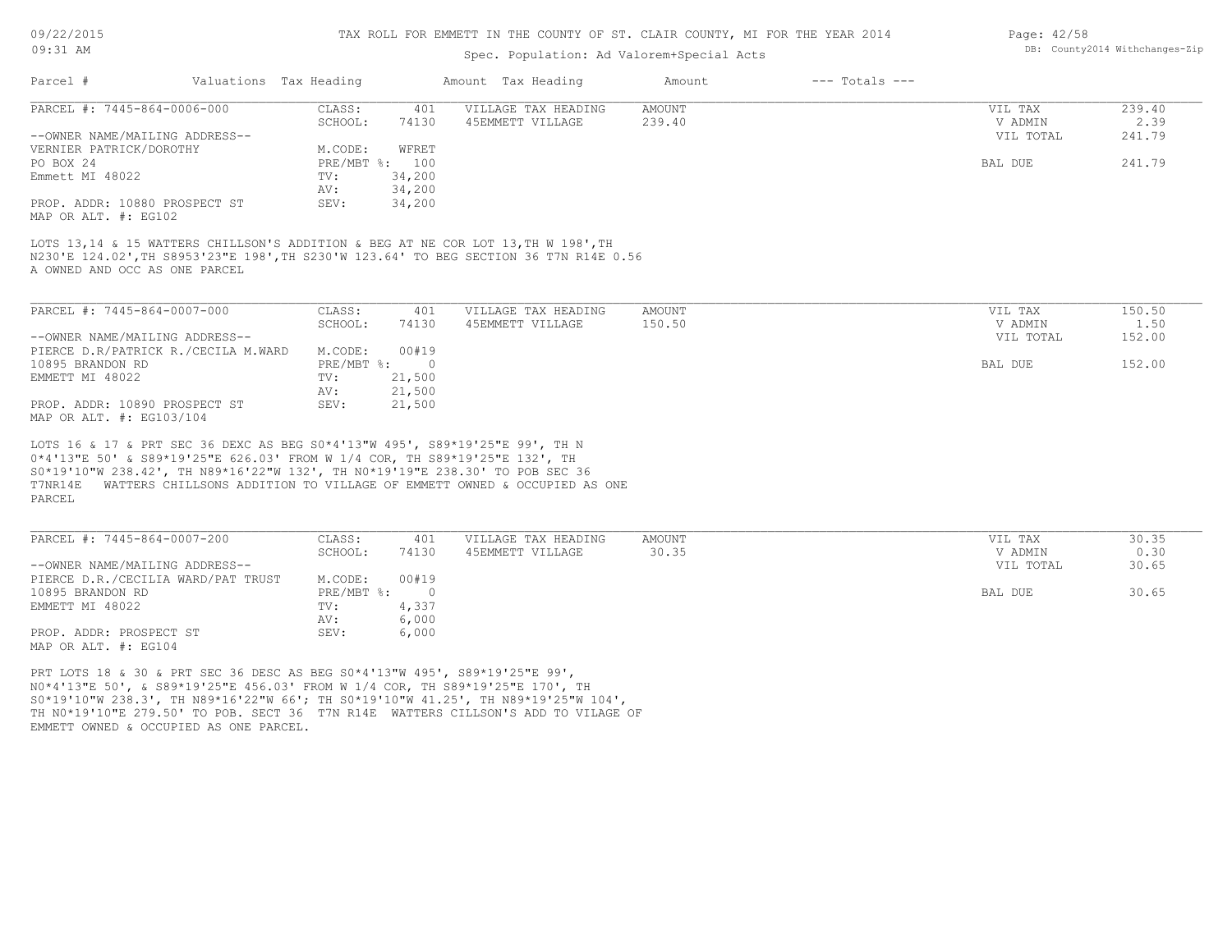09/22/2015 09:31 AM

#### TAX ROLL FOR EMMETT IN THE COUNTY OF ST. CLAIR COUNTY, MI FOR THE YEAR 2014

#### Spec. Population: Ad Valorem+Special

| 09/22/2015 |                         | TAX ROLL FOR EMMETT IN THE COUNTY OF ST. CLAIR COUNTY, MI FOR THE YEAR 2014 |         |                    | Page: $42/58$                  |
|------------|-------------------------|-----------------------------------------------------------------------------|---------|--------------------|--------------------------------|
| 09:31 AM   |                         | Spec. Population: Ad Valorem+Special Acts                                   |         |                    | DB: County2014 Withchanges-Zip |
| Parcel:    | Valuations, Tax Heading | Amount Tax Heading                                                          | Am∩11n† | $---$ Totals $---$ |                                |

| -------                        |                |        |                     |        |           |        |
|--------------------------------|----------------|--------|---------------------|--------|-----------|--------|
| PARCEL #: 7445-864-0006-000    | CLASS:         | 401    | VILLAGE TAX HEADING | AMOUNT | VIL TAX   | 239.40 |
|                                | SCHOOL:        | 74130  | 45EMMETT VILLAGE    | 239.40 | V ADMIN   | 2.39   |
| --OWNER NAME/MAILING ADDRESS-- |                |        |                     |        | VIL TOTAL | 241.79 |
| VERNIER PATRICK/DOROTHY        | M.CODE:        | WFRET  |                     |        |           |        |
| PO BOX 24                      | PRE/MBT %: 100 |        |                     |        | BAL DUE   | 241.79 |
| Emmett MI 48022                | TV:            | 34,200 |                     |        |           |        |
|                                | AV:            | 34,200 |                     |        |           |        |
| PROP. ADDR: 10880 PROSPECT ST  | SEV:           | 34,200 |                     |        |           |        |
| MAP OR ALT. #: EG102           |                |        |                     |        |           |        |

A OWNED AND OCC AS ONE PARCEL N230'E 124.02',TH S8953'23"E 198',TH S230'W 123.64' TO BEG SECTION 36 T7N R14E 0.56 LOTS 13,14 & 15 WATTERS CHILLSON'S ADDITION & BEG AT NE COR LOT 13, TH W 198', TH

| PARCEL #: 7445-864-0007-000         | CLASS:     | 401    | VILLAGE TAX HEADING | AMOUNT | VIL TAX   | 150.50 |
|-------------------------------------|------------|--------|---------------------|--------|-----------|--------|
|                                     | SCHOOL:    | 74130  | 45EMMETT VILLAGE    | 150.50 | V ADMIN   | 1.50   |
| --OWNER NAME/MAILING ADDRESS--      |            |        |                     |        | VIL TOTAL | 152.00 |
| PIERCE D.R/PATRICK R./CECILA M.WARD | M.CODE:    | 00#19  |                     |        |           |        |
| 10895 BRANDON RD                    | PRE/MBT %: |        |                     |        | BAL DUE   | 152.00 |
| EMMETT MI 48022                     | TV:        | 21,500 |                     |        |           |        |
|                                     | AV:        | 21,500 |                     |        |           |        |
| PROP. ADDR: 10890 PROSPECT ST       | SEV:       | 21,500 |                     |        |           |        |
| MAP OR ALT. #: EG103/104            |            |        |                     |        |           |        |

PARCEL T7NR14E WATTERS CHILLSONS ADDITION TO VILLAGE OF EMMETT OWNED & OCCUPIED AS ONE S0\*19'10"W 238.42', TH N89\*16'22"W 132', TH N0\*19'19"E 238.30' TO POB SEC 36 0\*4'13"E 50' & S89\*19'25"E 626.03' FROM W 1/4 COR, TH S89\*19'25"E 132', TH LOTS 16 & 17 & PRT SEC 36 DEXC AS BEG S0\*4'13"W 495', S89\*19'25"E 99', TH N

| PARCEL #: 7445-864-0007-200        | CLASS:     | 401   | VILLAGE TAX HEADING | AMOUNT | VIL TAX   | 30.35 |
|------------------------------------|------------|-------|---------------------|--------|-----------|-------|
|                                    | SCHOOL:    | 74130 | 45EMMETT VILLAGE    | 30.35  | V ADMIN   | 0.30  |
| --OWNER NAME/MAILING ADDRESS--     |            |       |                     |        | VIL TOTAL | 30.65 |
| PIERCE D.R./CECILIA WARD/PAT TRUST | M.CODE:    | 00#19 |                     |        |           |       |
| 10895 BRANDON RD                   | PRE/MBT %: |       |                     |        | BAL DUE   | 30.65 |
| EMMETT MI 48022                    | TV:        | 4,337 |                     |        |           |       |
|                                    | AV:        | 6,000 |                     |        |           |       |
| PROP. ADDR: PROSPECT ST            | SEV:       | 6,000 |                     |        |           |       |
| MAP OR ALT. #: EG104               |            |       |                     |        |           |       |

EMMETT OWNED & OCCUPIED AS ONE PARCEL. TH N0\*19'10"E 279.50' TO POB. SECT 36 T7N R14E WATTERS CILLSON'S ADD TO VILAGE OF S0\*19'10"W 238.3', TH N89\*16'22"W 66'; TH S0\*19'10"W 41.25', TH N89\*19'25"W 104', N0\*4'13"E 50', & S89\*19'25"E 456.03' FROM W 1/4 COR, TH S89\*19'25"E 170', TH PRT LOTS 18 & 30 & PRT SEC 36 DESC AS BEG S0\*4'13"W 495', S89\*19'25"E 99',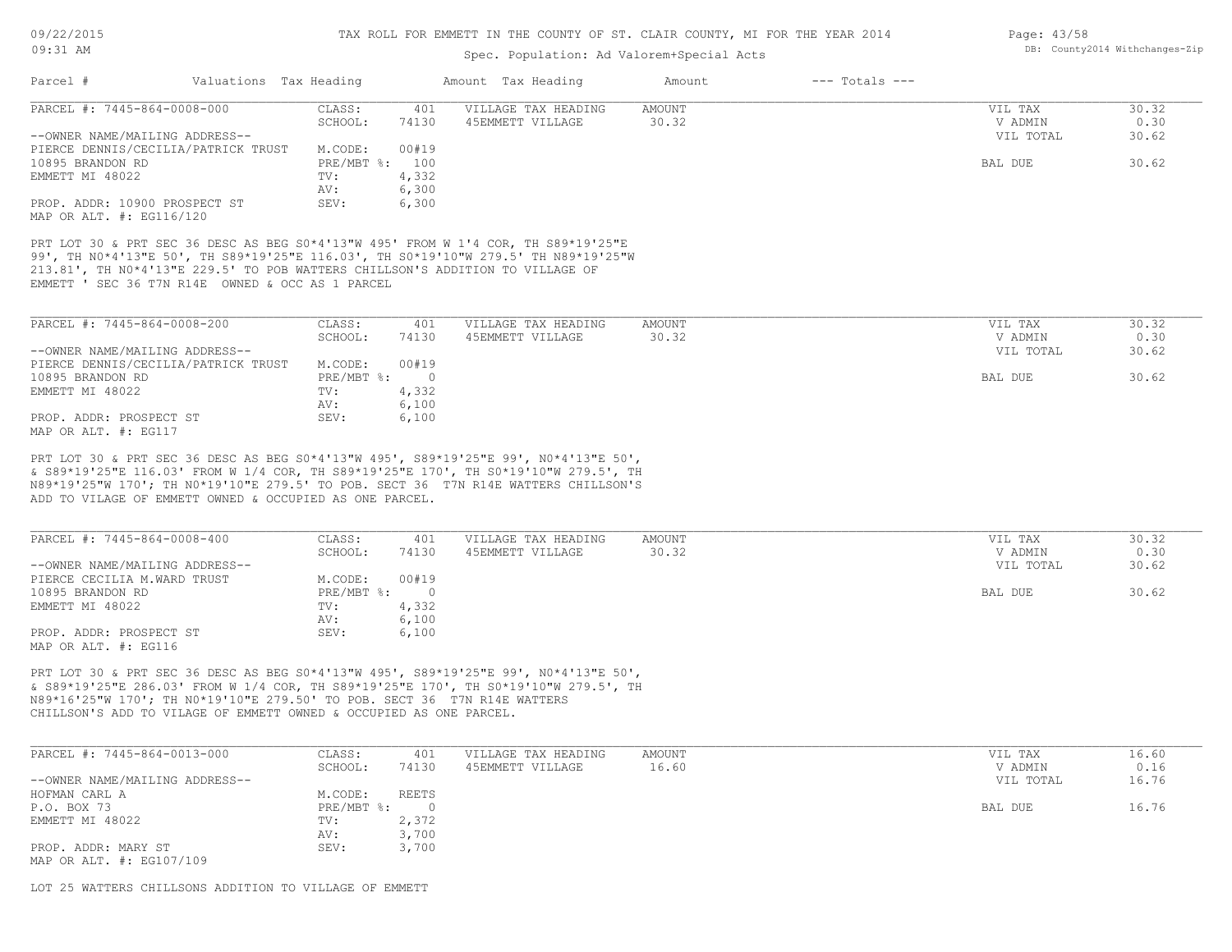### Spec. Population: Ad Valorem+Special Acts

| Parcel #<br>Valuations Tax Heading                                                                                                                                         |                            | Amount Tax Heading  | Amount          | $---$ Totals $---$ |           |       |
|----------------------------------------------------------------------------------------------------------------------------------------------------------------------------|----------------------------|---------------------|-----------------|--------------------|-----------|-------|
| PARCEL #: 7445-864-0008-000                                                                                                                                                | CLASS:<br>401              | VILLAGE TAX HEADING | <b>AMOUNT</b>   |                    | VIL TAX   | 30.32 |
|                                                                                                                                                                            | SCHOOL:<br>74130           | 45EMMETT VILLAGE    | 30.32           |                    | V ADMIN   | 0.30  |
| --OWNER NAME/MAILING ADDRESS--                                                                                                                                             |                            |                     |                 |                    | VIL TOTAL | 30.62 |
| PIERCE DENNIS/CECILIA/PATRICK TRUST                                                                                                                                        | M.CODE:<br>00#19           |                     |                 |                    |           |       |
| 10895 BRANDON RD                                                                                                                                                           | PRE/MBT %:<br>100          |                     |                 |                    | BAL DUE   | 30.62 |
| EMMETT MI 48022                                                                                                                                                            | 4,332<br>TV:               |                     |                 |                    |           |       |
|                                                                                                                                                                            | 6,300<br>AV:               |                     |                 |                    |           |       |
| PROP. ADDR: 10900 PROSPECT ST                                                                                                                                              | 6,300<br>SEV:              |                     |                 |                    |           |       |
| MAP OR ALT. #: EG116/120                                                                                                                                                   |                            |                     |                 |                    |           |       |
| 213.81', TH NO*4'13"E 229.5' TO POB WATTERS CHILLSON'S ADDITION TO VILLAGE OF<br>EMMETT ' SEC 36 T7N R14E OWNED & OCC AS 1 PARCEL                                          |                            |                     |                 |                    |           |       |
| PARCEL #: 7445-864-0008-200                                                                                                                                                | CLASS:<br>401              | VILLAGE TAX HEADING | <b>AMOUNT</b>   |                    | VIL TAX   | 30.32 |
|                                                                                                                                                                            | 74130<br>SCHOOL:           | 45EMMETT VILLAGE    | 30.32           |                    | V ADMIN   | 0.30  |
| --OWNER NAME/MAILING ADDRESS--                                                                                                                                             |                            |                     |                 |                    | VIL TOTAL | 30.62 |
| PIERCE DENNIS/CECILIA/PATRICK TRUST                                                                                                                                        | 00#19<br>M.CODE:           |                     |                 |                    |           |       |
| 10895 BRANDON RD                                                                                                                                                           | PRE/MBT %:<br>$\bigcirc$   |                     |                 |                    | BAL DUE   | 30.62 |
| EMMETT MI 48022                                                                                                                                                            | 4,332<br>TV:               |                     |                 |                    |           |       |
|                                                                                                                                                                            | 6,100<br>AV:               |                     |                 |                    |           |       |
| PROP. ADDR: PROSPECT ST                                                                                                                                                    | 6,100<br>SEV:              |                     |                 |                    |           |       |
| MAP OR ALT. #: EG117                                                                                                                                                       |                            |                     |                 |                    |           |       |
|                                                                                                                                                                            |                            |                     |                 |                    |           |       |
| PRT LOT 30 & PRT SEC 36 DESC AS BEG S0*4'13"W 495', S89*19'25"E 99', N0*4'13"E 50',<br>& S89*19'25"E 116.03' FROM W 1/4 COR, TH S89*19'25"E 170', TH S0*19'10"W 279.5', TH |                            |                     |                 |                    |           |       |
|                                                                                                                                                                            |                            |                     |                 |                    |           |       |
| N89*19'25"W 170'; TH N0*19'10"E 279.5' TO POB. SECT 36 T7N R14E WATTERS CHILLSON'S<br>ADD TO VILAGE OF EMMETT OWNED & OCCUPIED AS ONE PARCEL.                              |                            |                     |                 |                    |           |       |
|                                                                                                                                                                            |                            |                     |                 |                    |           |       |
| PARCEL #: 7445-864-0008-400                                                                                                                                                | 401                        | VILLAGE TAX HEADING |                 |                    | VIL TAX   | 30.32 |
|                                                                                                                                                                            | CLASS:<br>74130<br>SCHOOL: | 45EMMETT VILLAGE    | AMOUNT<br>30.32 |                    | V ADMIN   | 0.30  |
|                                                                                                                                                                            |                            |                     |                 |                    |           |       |

| --OWNER NAME/MAILING ADDRESS-- |              |        | VIL TOTAL | 30.62 |
|--------------------------------|--------------|--------|-----------|-------|
| PIERCE CECILIA M.WARD TRUST    | M.CODE:      | 00#19  |           |       |
| 10895 BRANDON RD               | $PRE/MBT$ %: | $\cap$ | BAL DUE   | 30.62 |
| EMMETT MI 48022                | TV:          | 4,332  |           |       |
|                                | AV:          | 6,100  |           |       |
| PROP. ADDR: PROSPECT ST        | SEV:         | 6,100  |           |       |
| MAP OR ALT. #: EG116           |              |        |           |       |

CHILLSON'S ADD TO VILAGE OF EMMETT OWNED & OCCUPIED AS ONE PARCEL. N89\*16'25"W 170'; TH N0\*19'10"E 279.50' TO POB. SECT 36 T7N R14E WATTERS & S89\*19'25"E 286.03' FROM W 1/4 COR, TH S89\*19'25"E 170', TH S0\*19'10"W 279.5', TH PRT LOT 30 & PRT SEC 36 DESC AS BEG S0\*4'13"W 495', S89\*19'25"E 99', N0\*4'13"E 50',

| PARCEL #: 7445-864-0013-000    | CLASS:     | 401   | VILLAGE TAX HEADING | AMOUNT | VIL TAX   | 16.60 |
|--------------------------------|------------|-------|---------------------|--------|-----------|-------|
|                                | SCHOOL:    | 74130 | 45EMMETT VILLAGE    | 16.60  | V ADMIN   | 0.16  |
| --OWNER NAME/MAILING ADDRESS-- |            |       |                     |        | VIL TOTAL | 16.76 |
| HOFMAN CARL A                  | M.CODE:    | REETS |                     |        |           |       |
| P.O. BOX 73                    | PRE/MBT %: |       |                     |        | BAL DUE   | 16.76 |
| EMMETT MI 48022                | TV:        | 2,372 |                     |        |           |       |
|                                | AV:        | 3,700 |                     |        |           |       |
| PROP. ADDR: MARY ST            | SEV:       | 3,700 |                     |        |           |       |
| MAP OR ALT. #: EG107/109       |            |       |                     |        |           |       |

LOT 25 WATTERS CHILLSONS ADDITION TO VILLAGE OF EMMETT

Page: 43/58 DB: County2014 Withchanges-Zip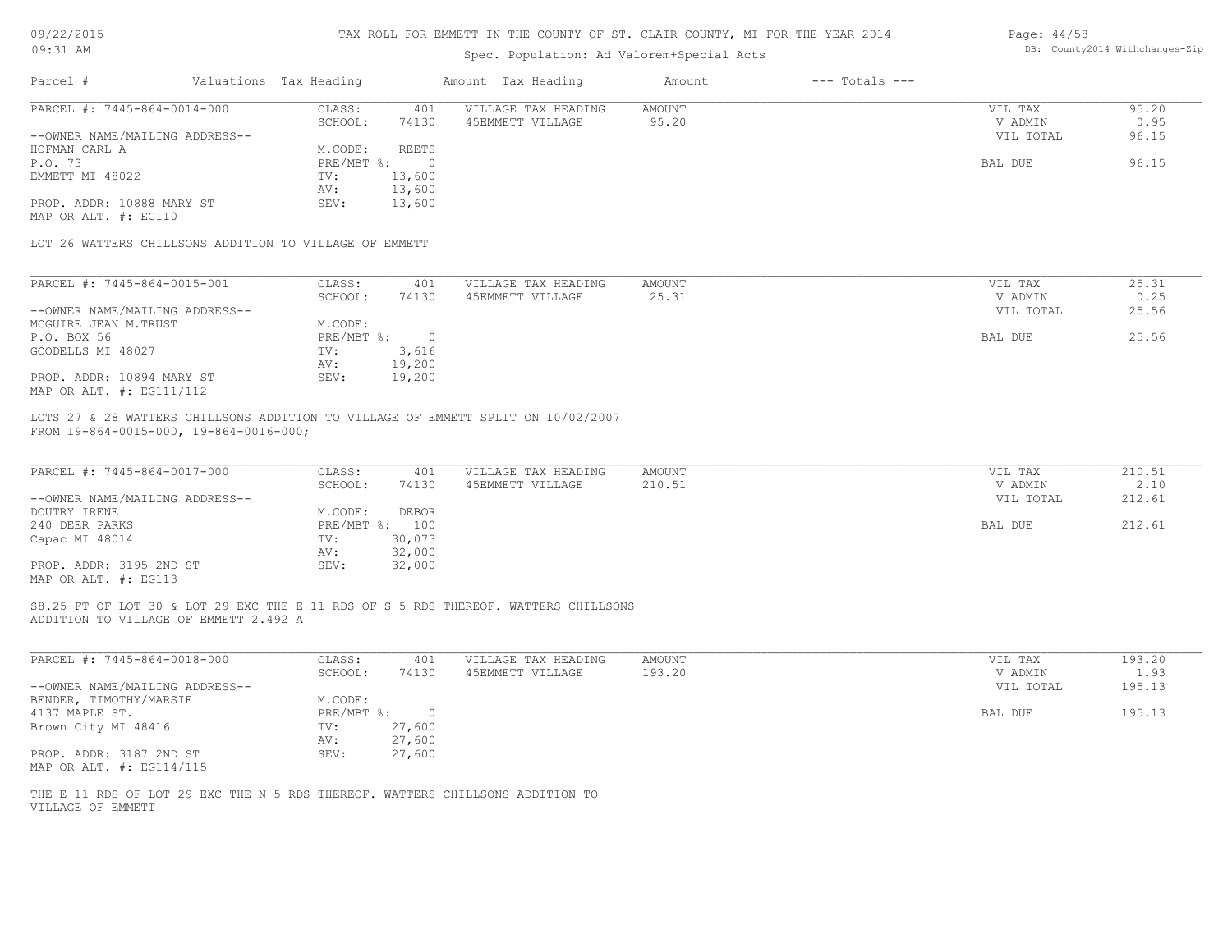| 09/22/2015 |  |
|------------|--|
|------------|--|

| $09:31$ AM                                                                    |                        |                | Spec. Population: Ad Valorem+Special Acts                                          |               |                    |           | DB: County2014 Withchanges-Zip |
|-------------------------------------------------------------------------------|------------------------|----------------|------------------------------------------------------------------------------------|---------------|--------------------|-----------|--------------------------------|
| Parcel #                                                                      | Valuations Tax Heading |                | Amount Tax Heading                                                                 | Amount        | $---$ Totals $---$ |           |                                |
| PARCEL #: 7445-864-0014-000                                                   | CLASS:                 | 401            | VILLAGE TAX HEADING                                                                | AMOUNT        |                    | VIL TAX   | 95.20                          |
|                                                                               | SCHOOL:                | 74130          | 45EMMETT VILLAGE                                                                   | 95.20         |                    | V ADMIN   | 0.95                           |
| --OWNER NAME/MAILING ADDRESS--                                                |                        |                |                                                                                    |               |                    | VIL TOTAL | 96.15                          |
| HOFMAN CARL A                                                                 | M.CODE:                | REETS          |                                                                                    |               |                    |           |                                |
| P.O. 73                                                                       | PRE/MBT %:             | $\circ$        |                                                                                    |               |                    | BAL DUE   | 96.15                          |
| EMMETT MI 48022                                                               | TV:                    | 13,600         |                                                                                    |               |                    |           |                                |
|                                                                               | AV:                    | 13,600         |                                                                                    |               |                    |           |                                |
| PROP. ADDR: 10888 MARY ST                                                     | SEV:                   | 13,600         |                                                                                    |               |                    |           |                                |
| MAP OR ALT. #: EG110                                                          |                        |                |                                                                                    |               |                    |           |                                |
| LOT 26 WATTERS CHILLSONS ADDITION TO VILLAGE OF EMMETT                        |                        |                |                                                                                    |               |                    |           |                                |
| PARCEL #: 7445-864-0015-001                                                   | CLASS:                 | 401            | VILLAGE TAX HEADING                                                                | <b>AMOUNT</b> |                    | VIL TAX   | 25.31                          |
|                                                                               |                        |                |                                                                                    |               |                    |           |                                |
|                                                                               | SCHOOL:                | 74130          | 45EMMETT VILLAGE                                                                   | 25.31         |                    | V ADMIN   | 0.25                           |
| --OWNER NAME/MAILING ADDRESS--                                                |                        |                |                                                                                    |               |                    | VIL TOTAL | 25.56                          |
| MCGUIRE JEAN M.TRUST                                                          | M.CODE:                |                |                                                                                    |               |                    |           |                                |
| P.O. BOX 56                                                                   | $PRE/MBT$ $\div$       | $\circ$        |                                                                                    |               |                    | BAL DUE   | 25.56                          |
| GOODELLS MI 48027                                                             | TV:                    | 3,616          |                                                                                    |               |                    |           |                                |
|                                                                               | AV:                    | 19,200         |                                                                                    |               |                    |           |                                |
| PROP. ADDR: 10894 MARY ST<br>MAP OR ALT. #: EG111/112                         | SEV:                   | 19,200         |                                                                                    |               |                    |           |                                |
| PARCEL #: 7445-864-0017-000                                                   | CLASS:                 | 401            | VILLAGE TAX HEADING                                                                | AMOUNT        |                    | VIL TAX   | 210.51                         |
|                                                                               | SCHOOL:                | 74130          | 45EMMETT VILLAGE                                                                   | 210.51        |                    | V ADMIN   | 2.10                           |
| --OWNER NAME/MAILING ADDRESS--                                                |                        |                |                                                                                    |               |                    | VIL TOTAL | 212.61                         |
| DOUTRY IRENE                                                                  | M.CODE:                | <b>DEBOR</b>   |                                                                                    |               |                    |           |                                |
| 240 DEER PARKS                                                                |                        | PRE/MBT %: 100 |                                                                                    |               |                    | BAL DUE   | 212.61                         |
| Capac MI 48014                                                                | TV:                    | 30,073         |                                                                                    |               |                    |           |                                |
|                                                                               | AV:                    | 32,000         |                                                                                    |               |                    |           |                                |
| PROP. ADDR: 3195 2ND ST                                                       | SEV:                   | 32,000         |                                                                                    |               |                    |           |                                |
| MAP OR ALT. #: EG113                                                          |                        |                |                                                                                    |               |                    |           |                                |
| ADDITION TO VILLAGE OF EMMETT 2.492 A                                         |                        |                | S8.25 FT OF LOT 30 & LOT 29 EXC THE E 11 RDS OF S 5 RDS THEREOF. WATTERS CHILLSONS |               |                    |           |                                |
|                                                                               |                        |                |                                                                                    |               |                    |           |                                |
| PARCEL #: 7445-864-0018-000                                                   | CLASS:                 | 401            | VILLAGE TAX HEADING                                                                | <b>AMOUNT</b> |                    | VIL TAX   | 193.20                         |
|                                                                               | SCHOOL:                | 74130          | 45EMMETT VILLAGE                                                                   | 193.20        |                    | V ADMIN   | 1.93                           |
| --OWNER NAME/MAILING ADDRESS--                                                |                        |                |                                                                                    |               |                    | VIL TOTAL | 195.13                         |
| BENDER, TIMOTHY/MARSIE                                                        | M.CODE:                |                |                                                                                    |               |                    |           |                                |
| 4137 MAPLE ST.                                                                | PRE/MBT %:             | $\circ$        |                                                                                    |               |                    | BAL DUE   | 195.13                         |
| Brown City MI 48416                                                           | TV:                    | 27,600         |                                                                                    |               |                    |           |                                |
|                                                                               | AV:                    | 27,600         |                                                                                    |               |                    |           |                                |
| PROP. ADDR: 3187 2ND ST<br>MAP OR ALT. #: EG114/115                           | SEV:                   | 27,600         |                                                                                    |               |                    |           |                                |
| THE E 11 RDS OF LOT 29 EXC THE N 5 RDS THEREOF. WATTERS CHILLSONS ADDITION TO |                        |                |                                                                                    |               |                    |           |                                |
| VILLAGE OF EMMETT                                                             |                        |                |                                                                                    |               |                    |           |                                |
|                                                                               |                        |                |                                                                                    |               |                    |           |                                |
|                                                                               |                        |                |                                                                                    |               |                    |           |                                |
|                                                                               |                        |                |                                                                                    |               |                    |           |                                |
|                                                                               |                        |                |                                                                                    |               |                    |           |                                |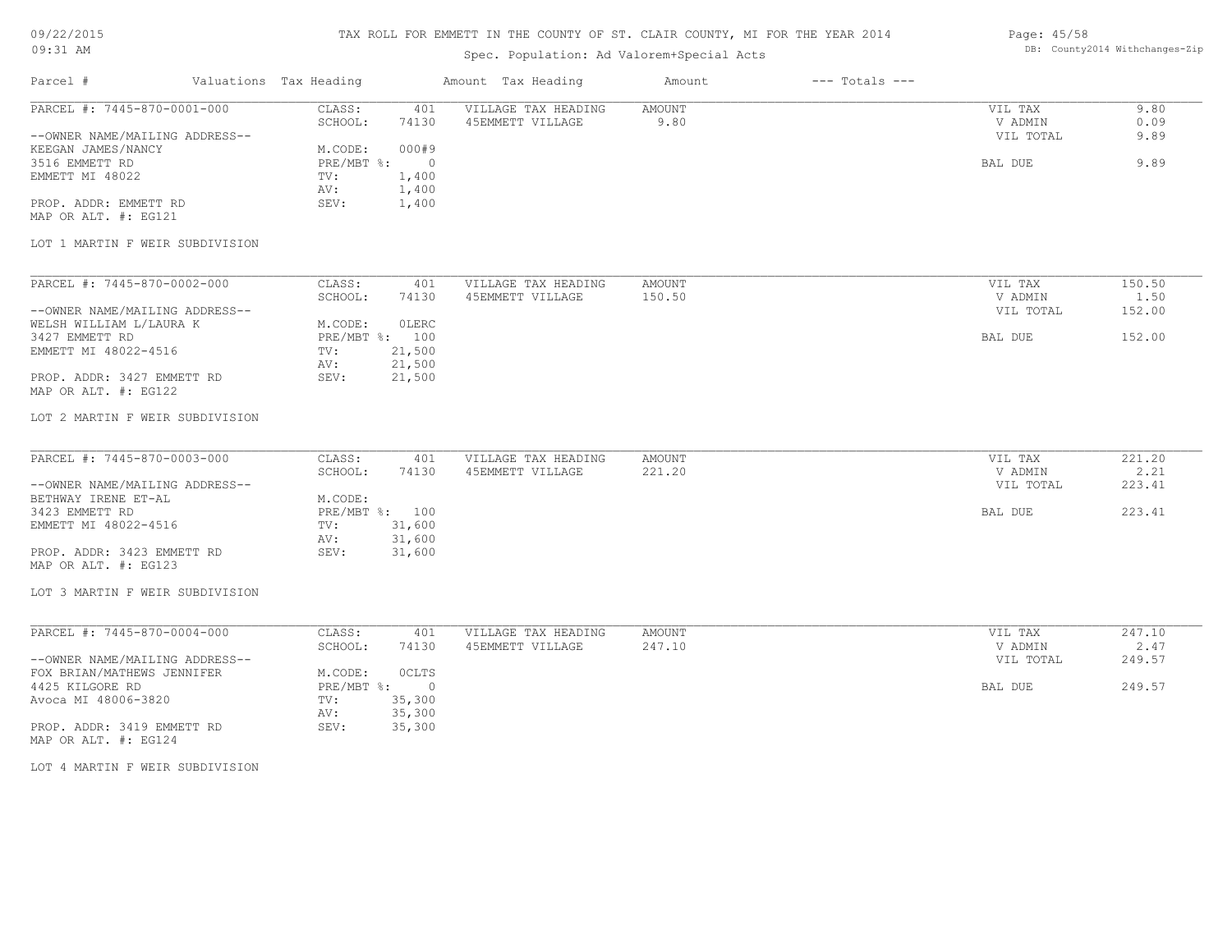# 09/22/2015

#### TAX ROLL FOR EMMETT IN THE COUNTY OF ST. CLAIR COUNTY, MI FOR THE YEAR 2014 Page: 45/58

| $09:31$ AM                                                                          |                                                             | Spec. Population: Ad Valorem+Special Acts |                         |                    |                                 | DB: County2014 Withchanges-Zip |
|-------------------------------------------------------------------------------------|-------------------------------------------------------------|-------------------------------------------|-------------------------|--------------------|---------------------------------|--------------------------------|
| Parcel #                                                                            | Valuations Tax Heading                                      | Amount Tax Heading                        | Amount                  | $---$ Totals $---$ |                                 |                                |
| PARCEL #: 7445-870-0001-000<br>--OWNER NAME/MAILING ADDRESS--<br>KEEGAN JAMES/NANCY | CLASS:<br>401<br>SCHOOL:<br>74130<br>000#9<br>M.CODE:       | VILLAGE TAX HEADING<br>45EMMETT VILLAGE   | AMOUNT<br>9.80          |                    | VIL TAX<br>V ADMIN<br>VIL TOTAL | 9.80<br>0.09<br>9.89           |
| 3516 EMMETT RD<br>EMMETT MI 48022<br>PROP. ADDR: EMMETT RD                          | PRE/MBT %:<br>1,400<br>TV:<br>1,400<br>AV:<br>SEV:<br>1,400 | $\circ$                                   |                         |                    | BAL DUE                         | 9.89                           |
| MAP OR ALT. #: EG121<br>LOT 1 MARTIN F WEIR SUBDIVISION                             |                                                             |                                           |                         |                    |                                 |                                |
| PARCEL #: 7445-870-0002-000                                                         | CLASS:<br>401<br>SCHOOL:<br>74130                           | VILLAGE TAX HEADING<br>45EMMETT VILLAGE   | AMOUNT<br>150.50        |                    | VIL TAX<br>V ADMIN              | 150.50<br>1.50                 |
| --OWNER NAME/MAILING ADDRESS--<br>WELSH WILLIAM L/LAURA K                           | M.CODE:<br>OLERC                                            |                                           |                         |                    | VIL TOTAL                       | 152.00                         |
| 3427 EMMETT RD<br>EMMETT MI 48022-4516                                              | PRE/MBT %: 100<br>21,500<br>TV:<br>21,500<br>AV:<br>SEV:    |                                           |                         |                    | BAL DUE                         | 152.00                         |
| PROP. ADDR: 3427 EMMETT RD<br>MAP OR ALT. #: EG122                                  | 21,500                                                      |                                           |                         |                    |                                 |                                |
| LOT 2 MARTIN F WEIR SUBDIVISION                                                     |                                                             |                                           |                         |                    |                                 |                                |
| PARCEL #: 7445-870-0003-000                                                         | CLASS:<br>401<br>SCHOOL:<br>74130                           | VILLAGE TAX HEADING<br>45EMMETT VILLAGE   | <b>AMOUNT</b><br>221.20 |                    | VIL TAX<br>V ADMIN              | 221.20<br>2.21                 |
| --OWNER NAME/MAILING ADDRESS--<br>BETHWAY IRENE ET-AL                               | M.CODE:                                                     |                                           |                         |                    | VIL TOTAL                       | 223.41                         |
| 3423 EMMETT RD<br>EMMETT MI 48022-4516                                              | PRE/MBT %: 100<br>31,600<br>TV:<br>31,600<br>AV:            |                                           |                         |                    | BAL DUE                         | 223.41                         |
| PROP. ADDR: 3423 EMMETT RD<br>MAP OR ALT. #: EG123                                  | SEV:<br>31,600                                              |                                           |                         |                    |                                 |                                |
| LOT 3 MARTIN F WEIR SUBDIVISION                                                     |                                                             |                                           |                         |                    |                                 |                                |
| PARCEL #: 7445-870-0004-000                                                         | CLASS:<br>401<br>SCHOOL:<br>74130                           | VILLAGE TAX HEADING<br>45EMMETT VILLAGE   | AMOUNT<br>247.10        |                    | VIL TAX<br>V ADMIN              | 247.10<br>2.47                 |
| --OWNER NAME/MAILING ADDRESS--<br>FOX BRIAN/MATHEWS JENNIFER                        | M.CODE:<br>OCLTS                                            |                                           |                         |                    | VIL TOTAL                       | 249.57                         |
| 4425 KILGORE RD<br>Avoca MI 48006-3820                                              | $PRE/MBT$ $\div$<br>35,300<br>TV:<br>35,300<br>AV:          | $\circ$                                   |                         |                    | BAL DUE                         | 249.57                         |
| PROP. ADDR: 3419 EMMETT RD<br>MAP OR ALT. #: EG124                                  | 35,300<br>SEV:                                              |                                           |                         |                    |                                 |                                |
| LOT 4 MARTIN F WEIR SUBDIVISION                                                     |                                                             |                                           |                         |                    |                                 |                                |
|                                                                                     |                                                             |                                           |                         |                    |                                 |                                |
|                                                                                     |                                                             |                                           |                         |                    |                                 |                                |
|                                                                                     |                                                             |                                           |                         |                    |                                 |                                |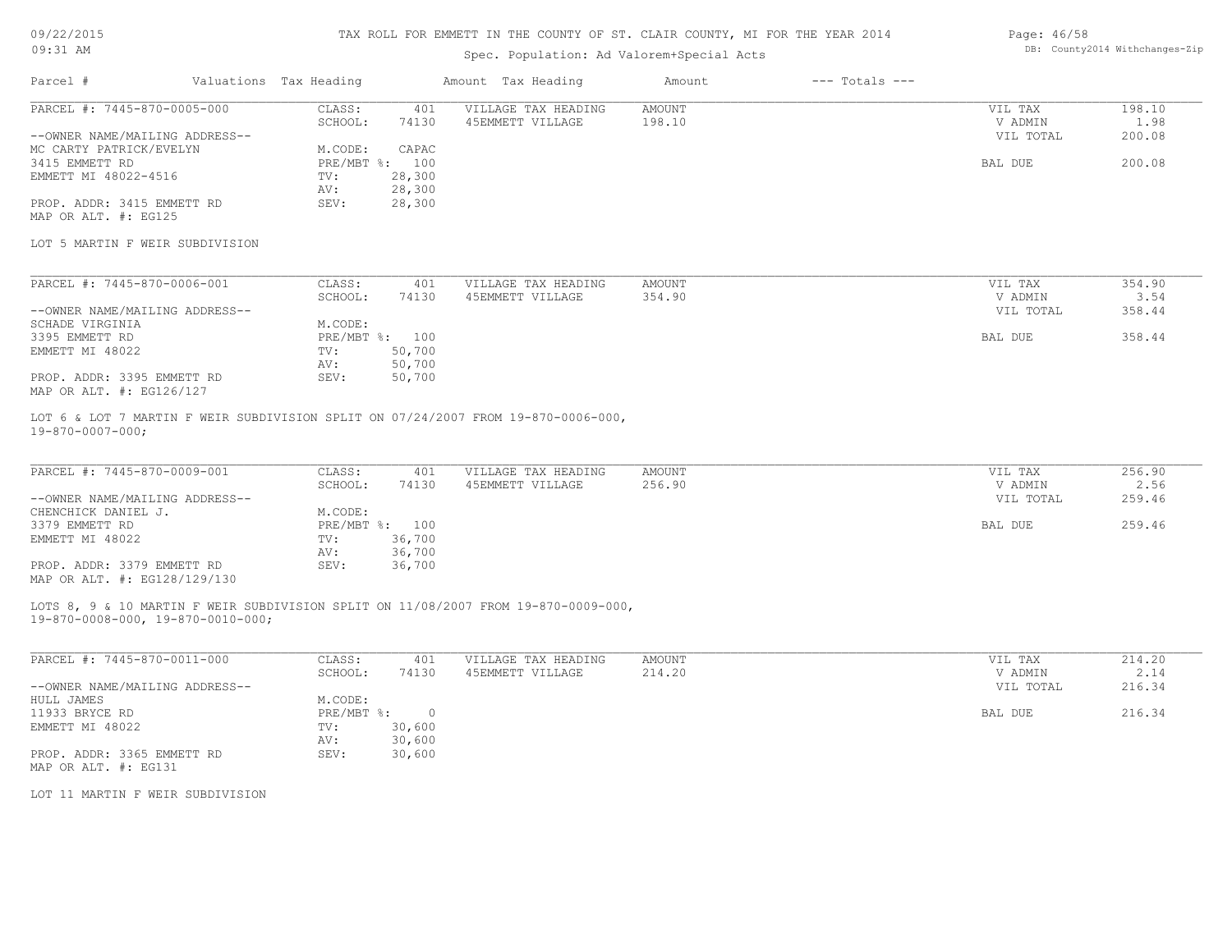### 09/22/2015 09:31 AM

### TAX ROLL FOR EMMETT IN THE COUNTY OF ST. CLAIR COUNTY, MI FOR THE YEAR 2014

## Spec. Population: Ad Valorem+Special Acts

#### Page: 46/58 DB: County2014 Withchanges-Zip

| Parcel #                       | Valuations Tax Heading |                | Amount Tax Heading  | Amount | $---$ Totals $---$ |           |        |
|--------------------------------|------------------------|----------------|---------------------|--------|--------------------|-----------|--------|
| PARCEL #: 7445-870-0005-000    | CLASS:                 | 401            | VILLAGE TAX HEADING | AMOUNT |                    | VIL TAX   | 198.10 |
|                                | SCHOOL:                | 74130          | 45EMMETT VILLAGE    | 198.10 |                    | V ADMIN   | 1.98   |
| --OWNER NAME/MAILING ADDRESS-- |                        |                |                     |        |                    | VIL TOTAL | 200.08 |
| MC CARTY PATRICK/EVELYN        | M.CODE:                | CAPAC          |                     |        |                    |           |        |
| 3415 EMMETT RD                 |                        | PRE/MBT %: 100 |                     |        |                    | BAL DUE   | 200.08 |
| EMMETT MI 48022-4516           | TV:                    | 28,300         |                     |        |                    |           |        |
|                                | AV:                    | 28,300         |                     |        |                    |           |        |
| PROP. ADDR: 3415 EMMETT RD     | SEV:                   | 28,300         |                     |        |                    |           |        |
| MAP OR ALT. #: EG125           |                        |                |                     |        |                    |           |        |

#### LOT 5 MARTIN F WEIR SUBDIVISION

| PARCEL #: 7445-870-0006-001    | CLASS:     | 401    | VILLAGE TAX HEADING | AMOUNT | VIL TAX   | 354.90 |
|--------------------------------|------------|--------|---------------------|--------|-----------|--------|
|                                | SCHOOL:    | 74130  | 45EMMETT VILLAGE    | 354.90 | V ADMIN   | 3.54   |
| --OWNER NAME/MAILING ADDRESS-- |            |        |                     |        | VIL TOTAL | 358.44 |
| SCHADE VIRGINIA                | M.CODE:    |        |                     |        |           |        |
| 3395 EMMETT RD                 | PRE/MBT %: | 100    |                     |        | BAL DUE   | 358.44 |
| EMMETT MI 48022                | TV:        | 50,700 |                     |        |           |        |
|                                | AV:        | 50,700 |                     |        |           |        |
| PROP. ADDR: 3395 EMMETT RD     | SEV:       | 50,700 |                     |        |           |        |
| MAP OR ALT. #: EG126/127       |            |        |                     |        |           |        |

19-870-0007-000; LOT 6 & LOT 7 MARTIN F WEIR SUBDIVISION SPLIT ON 07/24/2007 FROM 19-870-0006-000,

| PARCEL #: 7445-870-0009-001    | CLASS:  | 401            | VILLAGE TAX HEADING | AMOUNT | VIL TAX   | 256.90 |
|--------------------------------|---------|----------------|---------------------|--------|-----------|--------|
|                                | SCHOOL: | 74130          | 45EMMETT VILLAGE    | 256.90 | V ADMIN   | 2.56   |
| --OWNER NAME/MAILING ADDRESS-- |         |                |                     |        | VIL TOTAL | 259.46 |
| CHENCHICK DANIEL J.            | M.CODE: |                |                     |        |           |        |
| 3379 EMMETT RD                 |         | PRE/MBT %: 100 |                     |        | BAL DUE   | 259.46 |
| EMMETT MI 48022                | TV:     | 36,700         |                     |        |           |        |
|                                | AV:     | 36,700         |                     |        |           |        |
| PROP. ADDR: 3379 EMMETT RD     | SEV:    | 36,700         |                     |        |           |        |
| MAP OR ALT. #: EG128/129/130   |         |                |                     |        |           |        |

#### 19-870-0008-000, 19-870-0010-000; LOTS 8, 9 & 10 MARTIN F WEIR SUBDIVISION SPLIT ON 11/08/2007 FROM 19-870-0009-000,

| PARCEL #: 7445-870-0011-000    | CLASS:     | 401    | VILLAGE TAX HEADING | AMOUNT | VIL TAX   | 214.20 |
|--------------------------------|------------|--------|---------------------|--------|-----------|--------|
|                                | SCHOOL:    | 74130  | 45EMMETT VILLAGE    | 214.20 | V ADMIN   | 2.14   |
| --OWNER NAME/MAILING ADDRESS-- |            |        |                     |        | VIL TOTAL | 216.34 |
| HULL JAMES                     | M.CODE:    |        |                     |        |           |        |
| 11933 BRYCE RD                 | PRE/MBT %: |        |                     |        | BAL DUE   | 216.34 |
| EMMETT MI 48022                | TV:        | 30,600 |                     |        |           |        |
|                                | AV:        | 30,600 |                     |        |           |        |
| PROP. ADDR: 3365 EMMETT RD     | SEV:       | 30,600 |                     |        |           |        |
| MAP OR ALT. #: EG131           |            |        |                     |        |           |        |

LOT 11 MARTIN F WEIR SUBDIVISION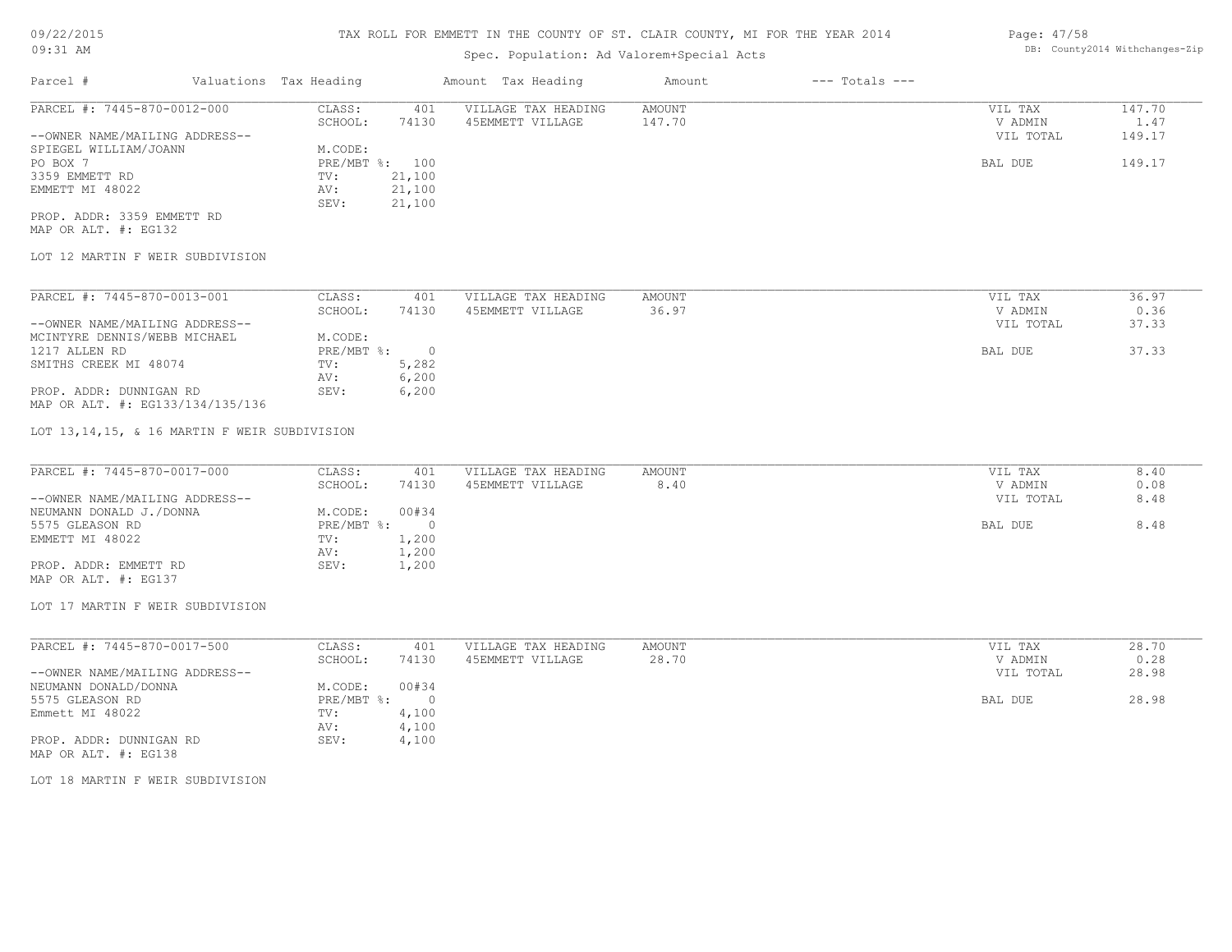# 09/22/2015

09:31 AM

## TAX ROLL FOR EMMETT IN THE COUNTY OF ST. CLAIR COUNTY, MI FOR THE YEAR 2014

## Spec. Population: Ad Valorem+Special Acts

| Page: 47/58 |                                |
|-------------|--------------------------------|
|             | DB: County2014 Withchanges-Zip |

| Parcel #                       |  | Valuations Tax Heading |        | Amount Tax Heading  | Amount | $---$ Totals $---$ |           |        |
|--------------------------------|--|------------------------|--------|---------------------|--------|--------------------|-----------|--------|
| PARCEL #: 7445-870-0012-000    |  | CLASS:                 | 401    | VILLAGE TAX HEADING | AMOUNT |                    | VIL TAX   | 147.70 |
|                                |  | SCHOOL:                | 74130  | 45EMMETT VILLAGE    | 147.70 |                    | V ADMIN   | 1.47   |
| --OWNER NAME/MAILING ADDRESS-- |  |                        |        |                     |        |                    | VIL TOTAL | 149.17 |
| SPIEGEL WILLIAM/JOANN          |  | M.CODE:                |        |                     |        |                    |           |        |
| PO BOX 7                       |  | PRE/MBT %: 100         |        |                     |        |                    | BAL DUE   | 149.17 |
| 3359 EMMETT RD                 |  | TV:                    | 21,100 |                     |        |                    |           |        |
| EMMETT MI 48022                |  | AV:                    | 21,100 |                     |        |                    |           |        |
|                                |  | SEV:                   | 21,100 |                     |        |                    |           |        |
| PROP. ADDR: 3359 EMMETT RD     |  |                        |        |                     |        |                    |           |        |

MAP OR ALT. #: EG132

## LOT 12 MARTIN F WEIR SUBDIVISION

| PARCEL #: 7445-870-0013-001      | CLASS:     | 401   | VILLAGE TAX HEADING | AMOUNT | VIL TAX   | 36.97 |
|----------------------------------|------------|-------|---------------------|--------|-----------|-------|
|                                  | SCHOOL:    | 74130 | 45EMMETT VILLAGE    | 36.97  | V ADMIN   | 0.36  |
| --OWNER NAME/MAILING ADDRESS--   |            |       |                     |        | VIL TOTAL | 37.33 |
| MCINTYRE DENNIS/WEBB MICHAEL     | M.CODE:    |       |                     |        |           |       |
| 1217 ALLEN RD                    | PRE/MBT %: |       |                     |        | BAL DUE   | 37.33 |
| SMITHS CREEK MI 48074            | TV:        | 5,282 |                     |        |           |       |
|                                  | AV:        | 6,200 |                     |        |           |       |
| PROP. ADDR: DUNNIGAN RD          | SEV:       | 6,200 |                     |        |           |       |
| MAP OR ALT. #: EG133/134/135/136 |            |       |                     |        |           |       |

LOT 13,14,15, & 16 MARTIN F WEIR SUBDIVISION

| PARCEL #: 7445-870-0017-000    | CLASS:       | 401   | VILLAGE TAX HEADING | AMOUNT | VIL TAX   | 8.40 |
|--------------------------------|--------------|-------|---------------------|--------|-----------|------|
|                                | SCHOOL:      | 74130 | 45EMMETT VILLAGE    | 8.40   | V ADMIN   | 0.08 |
| --OWNER NAME/MAILING ADDRESS-- |              |       |                     |        | VIL TOTAL | 8.48 |
| NEUMANN DONALD J./DONNA        | M.CODE:      | 00#34 |                     |        |           |      |
| 5575 GLEASON RD                | $PRE/MBT$ %: |       |                     |        | BAL DUE   | 8.48 |
| EMMETT MI 48022                | TV:          | 1,200 |                     |        |           |      |
|                                | AV:          | 1,200 |                     |        |           |      |
| PROP. ADDR: EMMETT RD          | SEV:         | 1,200 |                     |        |           |      |
| MAP OR ALT. #: EG137           |              |       |                     |        |           |      |

# LOT 17 MARTIN F WEIR SUBDIVISION

| PARCEL #: 7445-870-0017-500    | CLASS:     | 401   | VILLAGE TAX HEADING | AMOUNT |         | VIL TAX   | 28.70 |
|--------------------------------|------------|-------|---------------------|--------|---------|-----------|-------|
|                                | SCHOOL:    | 74130 | 45EMMETT VILLAGE    | 28.70  |         | V ADMIN   | 0.28  |
| --OWNER NAME/MAILING ADDRESS-- |            |       |                     |        |         | VIL TOTAL | 28.98 |
| NEUMANN DONALD/DONNA           | M.CODE:    | 00#34 |                     |        |         |           |       |
| 5575 GLEASON RD                | PRE/MBT %: |       |                     |        | BAL DUE |           | 28.98 |
| Emmett MI 48022                | TV:        | 4,100 |                     |        |         |           |       |
|                                | AV:        | 4,100 |                     |        |         |           |       |
| PROP. ADDR: DUNNIGAN RD        | SEV:       | 4,100 |                     |        |         |           |       |
|                                |            |       |                     |        |         |           |       |

MAP OR ALT. #: EG138

LOT 18 MARTIN F WEIR SUBDIVISION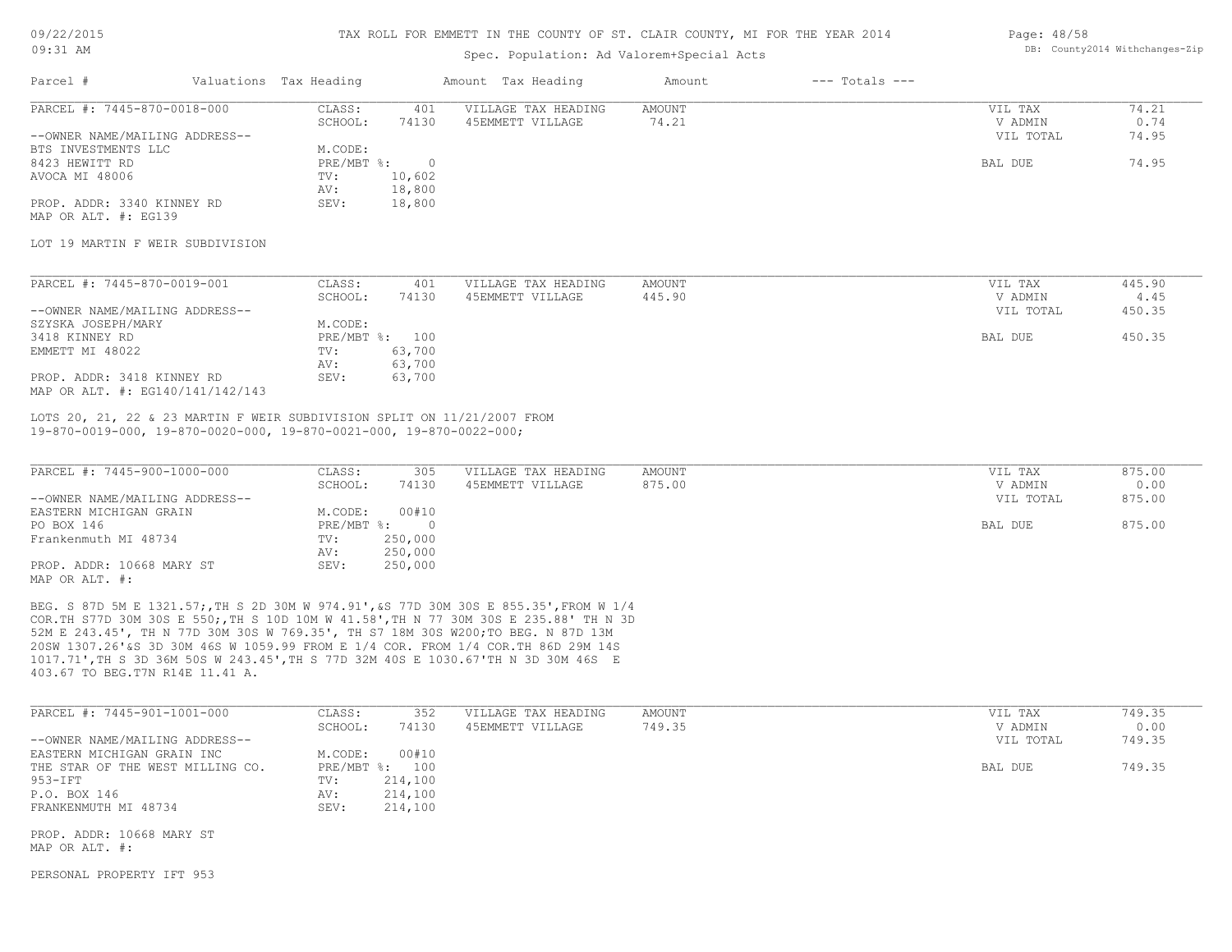#### 09/22/2015 09:31 AM

#### TAX ROLL FOR EMMETT IN THE COUNTY OF ST. CLAIR COUNTY, MI FOR THE YEAR 2014

## Spec. Population: Ad Valorem+Special Acts

#### Page: 48/58 DB: County2014 Withchanges-Zip

| Parcel #                       | Valuations Tax Heading |        | Amount Tax Heading  | Amount | $---$ Totals $---$ |           |       |
|--------------------------------|------------------------|--------|---------------------|--------|--------------------|-----------|-------|
| PARCEL #: 7445-870-0018-000    | CLASS:                 | 401    | VILLAGE TAX HEADING | AMOUNT |                    | VIL TAX   | 74.21 |
|                                | SCHOOL:                | 74130  | 45EMMETT VILLAGE    | 74.21  |                    | V ADMIN   | 0.74  |
| --OWNER NAME/MAILING ADDRESS-- |                        |        |                     |        |                    | VIL TOTAL | 74.95 |
| BTS INVESTMENTS LLC            | M.CODE:                |        |                     |        |                    |           |       |
| 8423 HEWITT RD                 | PRE/MBT %:             |        |                     |        |                    | BAL DUE   | 74.95 |
| AVOCA MI 48006                 | TV:                    | 10,602 |                     |        |                    |           |       |
|                                | AV:                    | 18,800 |                     |        |                    |           |       |
| PROP. ADDR: 3340 KINNEY RD     | SEV:                   | 18,800 |                     |        |                    |           |       |
| MAP OR ALT. #: EG139           |                        |        |                     |        |                    |           |       |

#### LOT 19 MARTIN F WEIR SUBDIVISION

| PARCEL #: 7445-870-0019-001      | CLASS:  | 401            | VILLAGE TAX HEADING | AMOUNT |         | VIL TAX   | 445.90 |
|----------------------------------|---------|----------------|---------------------|--------|---------|-----------|--------|
|                                  | SCHOOL: | 74130          | 45EMMETT VILLAGE    | 445.90 |         | V ADMIN   | 4.45   |
| --OWNER NAME/MAILING ADDRESS--   |         |                |                     |        |         | VIL TOTAL | 450.35 |
| SZYSKA JOSEPH/MARY               | M.CODE: |                |                     |        |         |           |        |
| 3418 KINNEY RD                   |         | PRE/MBT %: 100 |                     |        | BAL DUE |           | 450.35 |
| EMMETT MI 48022                  | TV:     | 63,700         |                     |        |         |           |        |
|                                  | AV:     | 63,700         |                     |        |         |           |        |
| PROP. ADDR: 3418 KINNEY RD       | SEV:    | 63,700         |                     |        |         |           |        |
| MAP OR ALT. #: EG140/141/142/143 |         |                |                     |        |         |           |        |

19-870-0019-000, 19-870-0020-000, 19-870-0021-000, 19-870-0022-000; LOTS 20, 21, 22 & 23 MARTIN F WEIR SUBDIVISION SPLIT ON 11/21/2007 FROM

| PARCEL #: 7445-900-1000-000    | CLASS:       | 305     | VILLAGE TAX HEADING | AMOUNT | VIL TAX   | 875.00 |
|--------------------------------|--------------|---------|---------------------|--------|-----------|--------|
|                                | SCHOOL:      | 74130   | 45EMMETT VILLAGE    | 875.00 | V ADMIN   | 0.00   |
| --OWNER NAME/MAILING ADDRESS-- |              |         |                     |        | VIL TOTAL | 875.00 |
| EASTERN MICHIGAN GRAIN         | M.CODE:      | 00#10   |                     |        |           |        |
| PO BOX 146                     | $PRE/MBT$ %: |         |                     |        | BAL DUE   | 875.00 |
| Frankenmuth MI 48734           | TV:          | 250,000 |                     |        |           |        |
|                                | AV:          | 250,000 |                     |        |           |        |
| PROP. ADDR: 10668 MARY ST      | SEV:         | 250,000 |                     |        |           |        |
| MAP OR ALT. #:                 |              |         |                     |        |           |        |

403.67 TO BEG.T7N R14E 11.41 A. 1017.71',TH S 3D 36M 50S W 243.45',TH S 77D 32M 40S E 1030.67'TH N 3D 30M 46S E 20SW 1307.26'&S 3D 30M 46S W 1059.99 FROM E 1/4 COR. FROM 1/4 COR.TH 86D 29M 14S 52M E 243.45', TH N 77D 30M 30S W 769.35', TH S7 18M 30S W200;TO BEG. N 87D 13M COR.TH S77D 30M 30S E 550;,TH S 10D 10M W 41.58',TH N 77 30M 30S E 235.88' TH N 3D BEG. S 87D 5M E 1321.57;,TH S 2D 30M W 974.91',&S 77D 30M 30S E 855.35',FROM W 1/4

| PARCEL #: 7445-901-1001-000      | CLASS:       | 352     | VILLAGE TAX HEADING | AMOUNT | VIL TAX   | 749.35 |
|----------------------------------|--------------|---------|---------------------|--------|-----------|--------|
|                                  | SCHOOL:      | 74130   | 45EMMETT VILLAGE    | 749.35 | V ADMIN   | 0.00   |
| --OWNER NAME/MAILING ADDRESS--   |              |         |                     |        | VIL TOTAL | 749.35 |
| EASTERN MICHIGAN GRAIN INC       | M.CODE:      | 00#10   |                     |        |           |        |
| THE STAR OF THE WEST MILLING CO. | $PRE/MBT$ %: | 100     |                     |        | BAL DUE   | 749.35 |
| 953-IFT                          | TV:          | 214,100 |                     |        |           |        |
| P.O. BOX 146                     | AV:          | 214,100 |                     |        |           |        |
| FRANKENMUTH MI 48734             | SEV:         | 214,100 |                     |        |           |        |
|                                  |              |         |                     |        |           |        |
| PROP. ADDR: 10668 MARY ST        |              |         |                     |        |           |        |
| MAP OR ALT. #:                   |              |         |                     |        |           |        |

PERSONAL PROPERTY IFT 953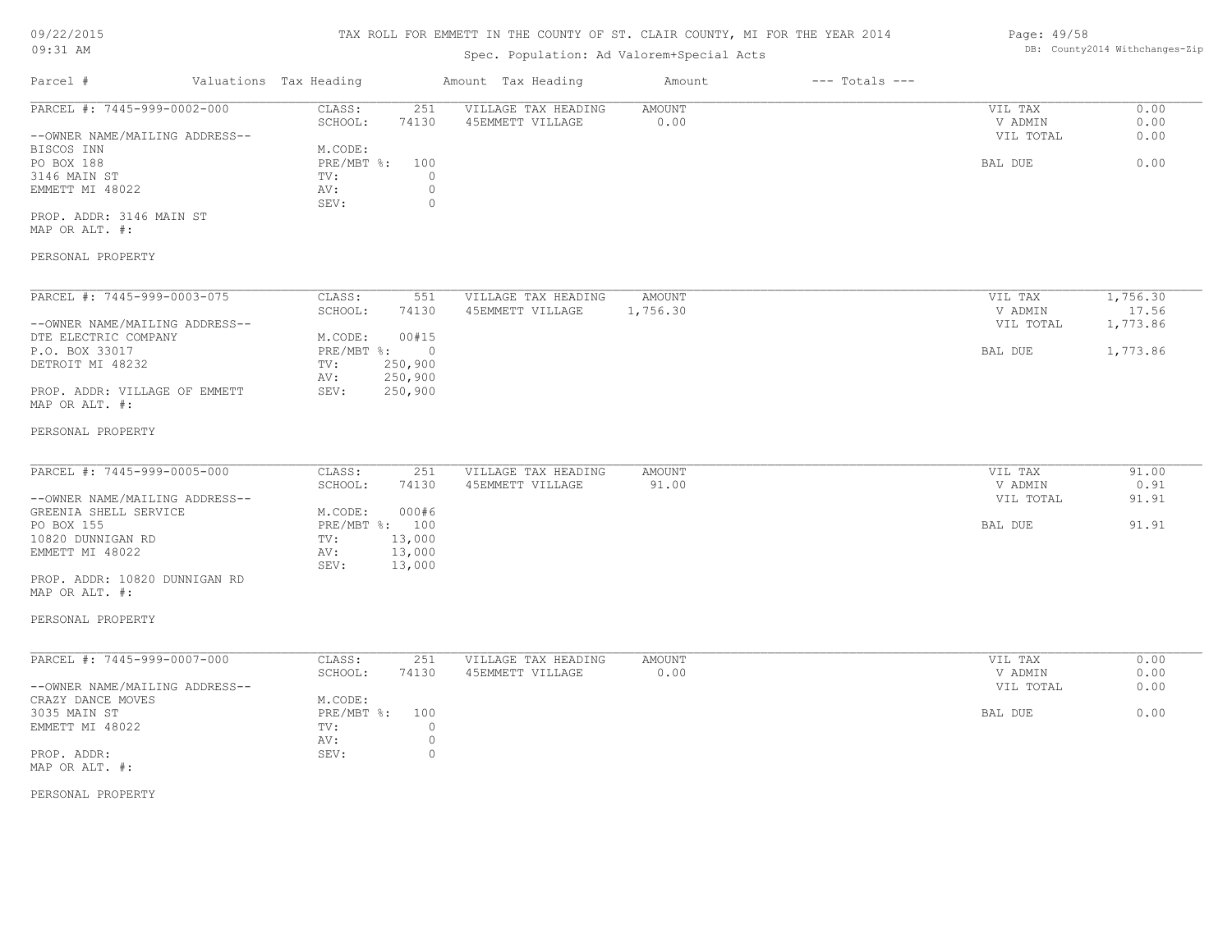## 09/22/2015

#### 09:31 AM

#### TAX ROLL FOR EMMETT IN THE COUNTY OF ST. CLAIR COUNTY, MI FOR THE YEAR 2014

## Spec. Population: Ad Valorem+Special Acts

# Parcel # Valuations Tax Heading Amount Tax Heading Amount --- Totals ---EMMETT MI 48022 AV: 0 <br/>
8EV: 0 <br/>
8EV: 0 <br/>
9 3146 MAIN ST TV: 0 PO BOX 188 PRE NBT %: 100 PRE/MBT %: 100 PO BAL DUE 6.00 BISCOS INN M.CODE: --OWNER NAME/MAILING ADDRESS-- VIL TOTAL 0.00 SCHOOL: 74130 45EMMETT VILLAGE 0.00 0.00 0.00 V ADMIN 0.00 PARCEL #: 7445-999-0002-000 CLASS: 251 VILLAGE TAX HEADING AMOUNT AMOUNT VIL TAX 0.00<br>SCHOOL: 74130 45EMMETT VILLAGE 0.00 0 VADMIN 0.00  $\mathcal{L}_\mathcal{L} = \mathcal{L}_\mathcal{L} = \mathcal{L}_\mathcal{L} = \mathcal{L}_\mathcal{L} = \mathcal{L}_\mathcal{L} = \mathcal{L}_\mathcal{L} = \mathcal{L}_\mathcal{L} = \mathcal{L}_\mathcal{L} = \mathcal{L}_\mathcal{L} = \mathcal{L}_\mathcal{L} = \mathcal{L}_\mathcal{L} = \mathcal{L}_\mathcal{L} = \mathcal{L}_\mathcal{L} = \mathcal{L}_\mathcal{L} = \mathcal{L}_\mathcal{L} = \mathcal{L}_\mathcal{L} = \mathcal{L}_\mathcal{L}$

MAP OR ALT. #: PROP. ADDR: 3146 MAIN ST

SEV: 0

#### PERSONAL PROPERTY

| PARCEL #: 7445-999-0003-075    | CLASS:     | 551      | VILLAGE TAX HEADING | AMOUNT   | VIL TAX   | 1,756.30 |
|--------------------------------|------------|----------|---------------------|----------|-----------|----------|
|                                | SCHOOL:    | 74130    | 45EMMETT VILLAGE    | 1,756.30 | V ADMIN   | 17.56    |
| --OWNER NAME/MAILING ADDRESS-- |            |          |                     |          | VIL TOTAL | 1,773.86 |
| DTE ELECTRIC COMPANY           | M.CODE:    | 00#15    |                     |          |           |          |
| P.O. BOX 33017                 | PRE/MBT %: | $\Omega$ |                     |          | BAL DUE   | 1,773.86 |
| DETROIT MI 48232               | TV:        | 250,900  |                     |          |           |          |
|                                | AV:        | 250,900  |                     |          |           |          |
| PROP. ADDR: VILLAGE OF EMMETT  | SEV:       | 250,900  |                     |          |           |          |
| MAP OR ALT. #:                 |            |          |                     |          |           |          |

#### PERSONAL PROPERTY

| PARCEL #: 7445-999-0005-000    | CLASS:  | 251            | VILLAGE TAX HEADING | AMOUNT | VIL TAX   | 91.00 |
|--------------------------------|---------|----------------|---------------------|--------|-----------|-------|
|                                | SCHOOL: | 74130          | 45EMMETT VILLAGE    | 91.00  | V ADMIN   | 0.91  |
| --OWNER NAME/MAILING ADDRESS-- |         |                |                     |        | VIL TOTAL | 91.91 |
| GREENIA SHELL SERVICE          | M.CODE: | 000#6          |                     |        |           |       |
| PO BOX 155                     |         | PRE/MBT %: 100 |                     |        | BAL DUE   | 91.91 |
| 10820 DUNNIGAN RD              | TV:     | 13,000         |                     |        |           |       |
| EMMETT MI 48022                | AV:     | 13,000         |                     |        |           |       |
|                                | SEV:    | 13,000         |                     |        |           |       |
| PROP. ADDR: 10820 DUNNIGAN RD  |         |                |                     |        |           |       |

# MAP OR ALT. #:

## PERSONAL PROPERTY

| PARCEL #: 7445-999-0007-000    | CLASS:     | 251   | VILLAGE TAX HEADING | AMOUNT | VIL TAX   | 0.00 |
|--------------------------------|------------|-------|---------------------|--------|-----------|------|
|                                | SCHOOL:    | 74130 | 45EMMETT VILLAGE    | 0.00   | V ADMIN   | 0.00 |
| --OWNER NAME/MAILING ADDRESS-- |            |       |                     |        | VIL TOTAL | 0.00 |
| CRAZY DANCE MOVES              | M.CODE:    |       |                     |        |           |      |
| 3035 MAIN ST                   | PRE/MBT %: | 100   |                     |        | BAL DUE   | 0.00 |
| EMMETT MI 48022                | TV:        |       |                     |        |           |      |
|                                | AV:        |       |                     |        |           |      |
| PROP. ADDR:                    | SEV:       |       |                     |        |           |      |
| MAP OR ALT. #:                 |            |       |                     |        |           |      |

PERSONAL PROPERTY

Page: 49/58 DB: County2014 Withchanges-Zip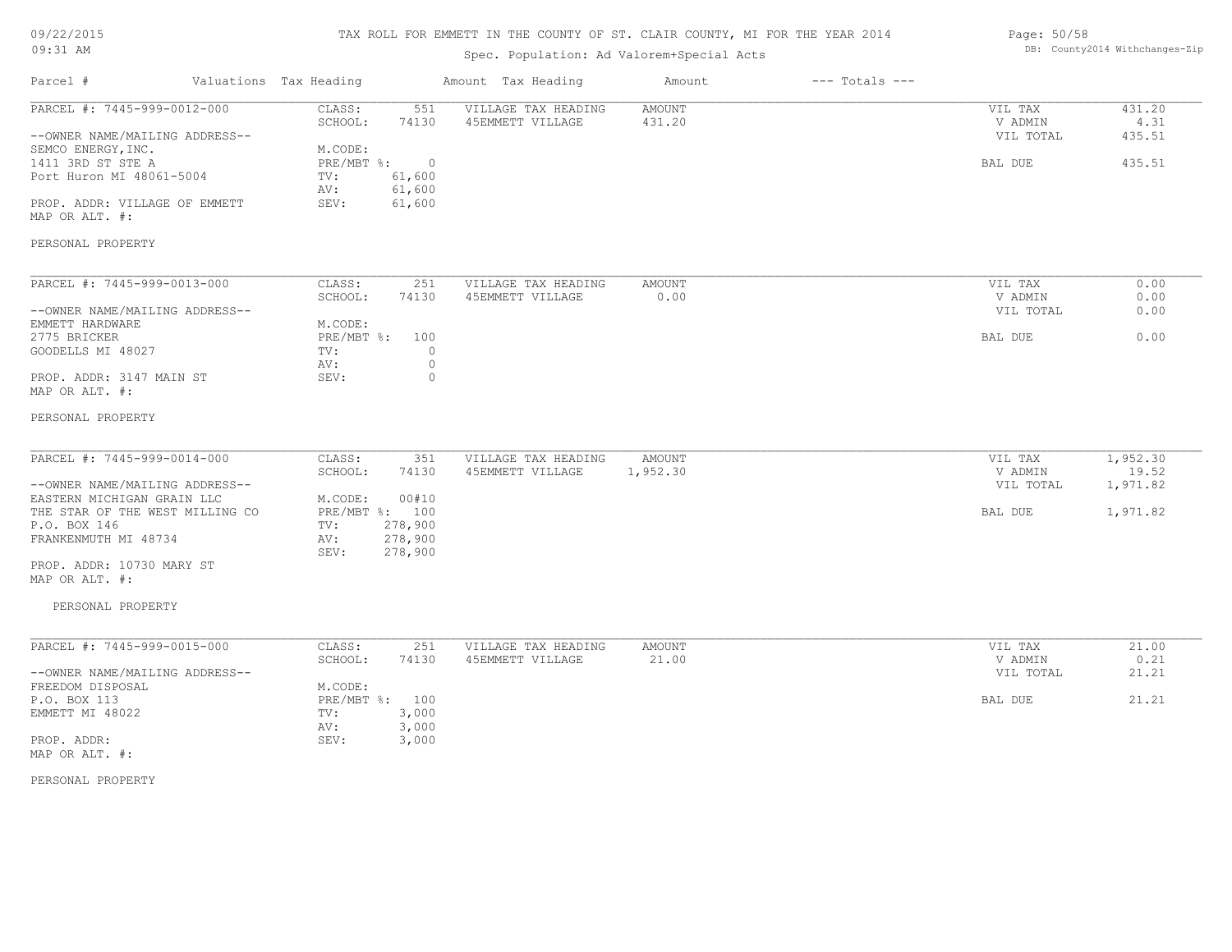## 09/22/2015 09:31 AM

# TAX ROLL FOR EMMETT IN THE COUNTY OF ST. CLAIR COUNTY, MI FOR THE YEAR 2014

## Spec. Population: Ad Valorem+Special Acts

#### Page: 50/58 DB: County2014 Withchanges-Zip

| Parcel #                                                                                                                                                                                                                                   | Valuations Tax Heading                                                                                                           | Amount Tax Heading                                                   | Amount                    | $---$ Totals $---$ |                                            |                                           |
|--------------------------------------------------------------------------------------------------------------------------------------------------------------------------------------------------------------------------------------------|----------------------------------------------------------------------------------------------------------------------------------|----------------------------------------------------------------------|---------------------------|--------------------|--------------------------------------------|-------------------------------------------|
| PARCEL #: 7445-999-0012-000<br>--OWNER NAME/MAILING ADDRESS--<br>SEMCO ENERGY, INC.<br>1411 3RD ST STE A<br>Port Huron MI 48061-5004<br>PROP. ADDR: VILLAGE OF EMMETT<br>MAP OR ALT. #:                                                    | CLASS:<br>551<br>74130<br>SCHOOL:<br>M.CODE:<br>PRE/MBT %:<br>$\overline{0}$<br>61,600<br>TV:<br>61,600<br>AV:<br>SEV:<br>61,600 | VILLAGE TAX HEADING<br>45EMMETT VILLAGE                              | <b>AMOUNT</b><br>431.20   |                    | VIL TAX<br>V ADMIN<br>VIL TOTAL<br>BAL DUE | 431.20<br>4.31<br>435.51<br>435.51        |
| PERSONAL PROPERTY                                                                                                                                                                                                                          |                                                                                                                                  |                                                                      |                           |                    |                                            |                                           |
| PARCEL #: 7445-999-0013-000<br>--OWNER NAME/MAILING ADDRESS--<br>EMMETT HARDWARE<br>2775 BRICKER<br>GOODELLS MI 48027                                                                                                                      | CLASS:<br>251<br>SCHOOL:<br>74130<br>M.CODE:<br>$PRE/MBT$ $\div$<br>100<br>TV:<br>AV:                                            | VILLAGE TAX HEADING<br>45EMMETT VILLAGE<br>$\circ$<br>$\circledcirc$ | AMOUNT<br>0.00            |                    | VIL TAX<br>V ADMIN<br>VIL TOTAL<br>BAL DUE | 0.00<br>0.00<br>0.00<br>0.00              |
| PROP. ADDR: 3147 MAIN ST<br>MAP OR ALT. #:                                                                                                                                                                                                 | SEV:                                                                                                                             | $\overline{0}$                                                       |                           |                    |                                            |                                           |
| PERSONAL PROPERTY                                                                                                                                                                                                                          |                                                                                                                                  |                                                                      |                           |                    |                                            |                                           |
| PARCEL #: 7445-999-0014-000<br>--OWNER NAME/MAILING ADDRESS--<br>EASTERN MICHIGAN GRAIN LLC<br>THE STAR OF THE WEST MILLING CO<br>P.O. BOX 146<br>FRANKENMUTH MI 48734<br>PROP. ADDR: 10730 MARY ST<br>MAP OR ALT. #:<br>PERSONAL PROPERTY | CLASS:<br>351<br>SCHOOL:<br>74130<br>00#10<br>M.CODE:<br>PRE/MBT %: 100<br>278,900<br>TV:<br>278,900<br>AV:<br>278,900<br>SEV:   | VILLAGE TAX HEADING<br>45EMMETT VILLAGE                              | <b>AMOUNT</b><br>1,952.30 |                    | VIL TAX<br>V ADMIN<br>VIL TOTAL<br>BAL DUE | 1,952.30<br>19.52<br>1,971.82<br>1,971.82 |
| PARCEL #: 7445-999-0015-000                                                                                                                                                                                                                |                                                                                                                                  |                                                                      |                           |                    |                                            |                                           |
| --OWNER NAME/MAILING ADDRESS--                                                                                                                                                                                                             | CLASS:<br>251<br>SCHOOL:<br>74130                                                                                                | VILLAGE TAX HEADING<br>45EMMETT VILLAGE                              | AMOUNT<br>21.00           |                    | VIL TAX<br>V ADMIN<br>VIL TOTAL            | 21.00<br>0.21<br>21.21                    |
| FREEDOM DISPOSAL<br>P.O. BOX 113<br>EMMETT MI 48022<br>PROP. ADDR:<br>MAP OR ALT. #:                                                                                                                                                       | M.CODE:<br>PRE/MBT %: 100<br>TV:<br>3,000<br>3,000<br>AV:<br>SEV:<br>3,000                                                       |                                                                      |                           |                    | BAL DUE                                    | 21.21                                     |
| PERSONAL PROPERTY                                                                                                                                                                                                                          |                                                                                                                                  |                                                                      |                           |                    |                                            |                                           |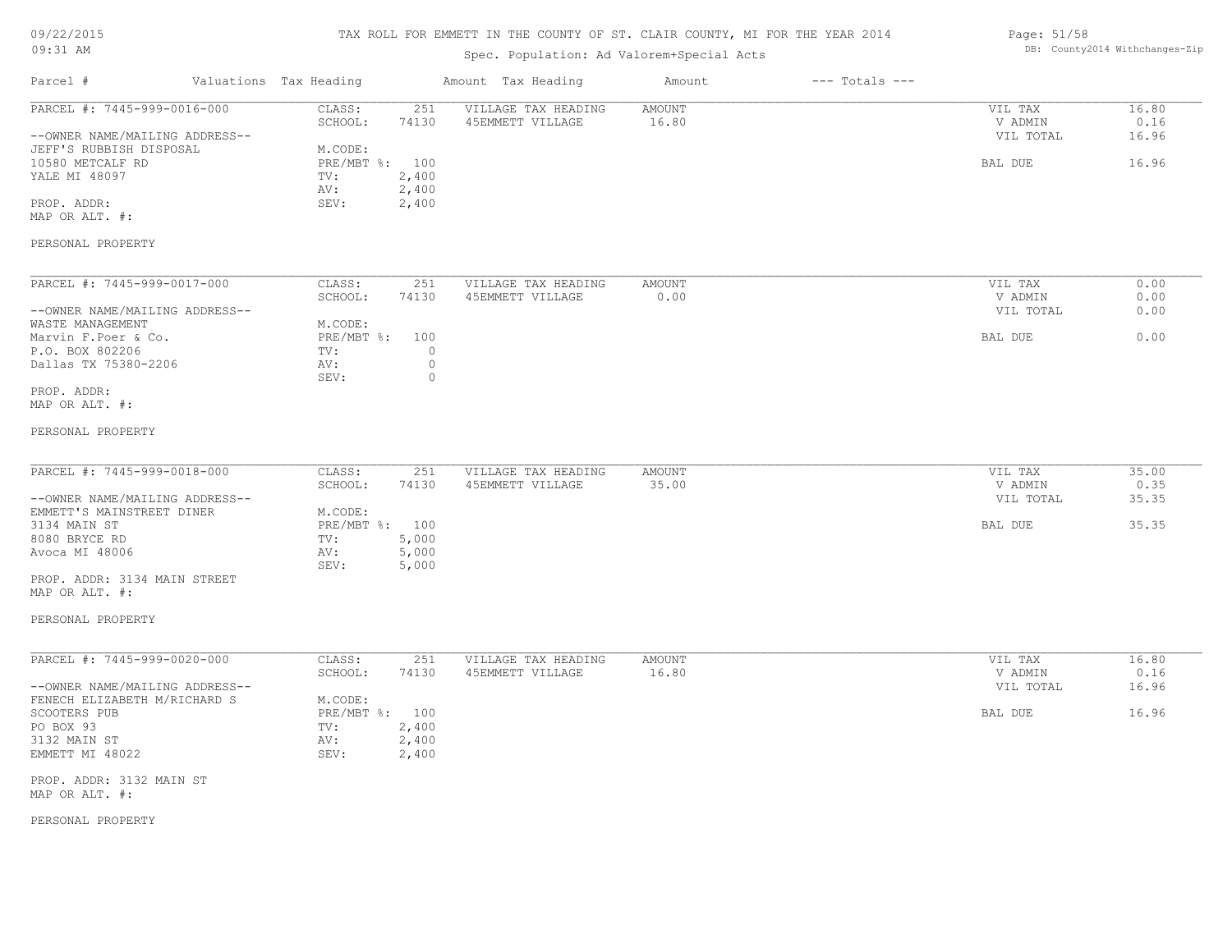| 09/22/2015 |  |
|------------|--|
| $09:31$ AM |  |

## Spec. Population: Ad Valorem+Special Acts

| Page: 51/58 |                                |
|-------------|--------------------------------|
|             | DB: County2014 Withchanges-Zip |

| Parcel #                                                                                                                                                       | Valuations Tax Heading                                                                                          | Amount Tax Heading                      | Amount                 | $---$ Totals $---$ |                                            |                                 |
|----------------------------------------------------------------------------------------------------------------------------------------------------------------|-----------------------------------------------------------------------------------------------------------------|-----------------------------------------|------------------------|--------------------|--------------------------------------------|---------------------------------|
| PARCEL #: 7445-999-0016-000<br>--OWNER NAME/MAILING ADDRESS--<br>JEFF'S RUBBISH DISPOSAL<br>10580 METCALF RD<br>YALE MI 48097<br>PROP. ADDR:<br>MAP OR ALT. #: | CLASS:<br>251<br>74130<br>SCHOOL:<br>M.CODE:<br>PRE/MBT %: 100<br>2,400<br>TV:<br>2,400<br>AV:<br>2,400<br>SEV: | VILLAGE TAX HEADING<br>45EMMETT VILLAGE | <b>AMOUNT</b><br>16.80 |                    | VIL TAX<br>V ADMIN<br>VIL TOTAL<br>BAL DUE | 16.80<br>0.16<br>16.96<br>16.96 |
| PERSONAL PROPERTY                                                                                                                                              |                                                                                                                 |                                         |                        |                    |                                            |                                 |
| PARCEL #: 7445-999-0017-000                                                                                                                                    | CLASS:<br>251                                                                                                   | VILLAGE TAX HEADING                     | AMOUNT                 |                    | VIL TAX                                    | 0.00                            |
| --OWNER NAME/MAILING ADDRESS--                                                                                                                                 | SCHOOL:<br>74130                                                                                                | 45EMMETT VILLAGE                        | 0.00                   |                    | V ADMIN<br>VIL TOTAL                       | 0.00<br>0.00                    |
| WASTE MANAGEMENT<br>Marvin F. Poer & Co.<br>P.O. BOX 802206<br>Dallas TX 75380-2206                                                                            | M.CODE:<br>PRE/MBT %:<br>100<br>$\circ$<br>TV:<br>$\circ$<br>AV:<br>SEV:<br>$\circ$                             |                                         |                        |                    | BAL DUE                                    | 0.00                            |
| PROP. ADDR:<br>MAP OR ALT. #:                                                                                                                                  |                                                                                                                 |                                         |                        |                    |                                            |                                 |
| PERSONAL PROPERTY                                                                                                                                              |                                                                                                                 |                                         |                        |                    |                                            |                                 |
| PARCEL #: 7445-999-0018-000<br>--OWNER NAME/MAILING ADDRESS--                                                                                                  | CLASS:<br>251<br>SCHOOL:<br>74130                                                                               | VILLAGE TAX HEADING<br>45EMMETT VILLAGE | AMOUNT<br>35.00        |                    | VIL TAX<br>V ADMIN<br>VIL TOTAL            | 35.00<br>0.35<br>35.35          |
| EMMETT'S MAINSTREET DINER<br>3134 MAIN ST<br>8080 BRYCE RD<br>Avoca MI 48006                                                                                   | M.CODE:<br>PRE/MBT %: 100<br>5,000<br>TV:<br>5,000<br>AV:                                                       |                                         |                        |                    | BAL DUE                                    | 35.35                           |
| PROP. ADDR: 3134 MAIN STREET<br>MAP OR ALT. #:                                                                                                                 | SEV:<br>5,000                                                                                                   |                                         |                        |                    |                                            |                                 |
| PERSONAL PROPERTY                                                                                                                                              |                                                                                                                 |                                         |                        |                    |                                            |                                 |
| PARCEL #: 7445-999-0020-000                                                                                                                                    | CLASS:<br>251                                                                                                   | VILLAGE TAX HEADING                     | <b>AMOUNT</b>          |                    | VIL TAX                                    | 16.80                           |
| --OWNER NAME/MAILING ADDRESS--<br>FENECH ELIZABETH M/RICHARD S                                                                                                 | SCHOOL:<br>74130<br>M.CODE:                                                                                     | 45EMMETT VILLAGE                        | 16.80                  |                    | V ADMIN<br>VIL TOTAL                       | 0.16<br>16.96                   |
| SCOOTERS PUB<br>PO BOX 93<br>3132 MAIN ST<br>EMMETT MI 48022                                                                                                   | PRE/MBT %: 100<br>2,400<br>TV:<br>2,400<br>AV:<br>SEV:<br>2,400                                                 |                                         |                        |                    | BAL DUE                                    | 16.96                           |
| PROP. ADDR: 3132 MAIN ST<br>MAP OR ALT. #:                                                                                                                     |                                                                                                                 |                                         |                        |                    |                                            |                                 |

PERSONAL PROPERTY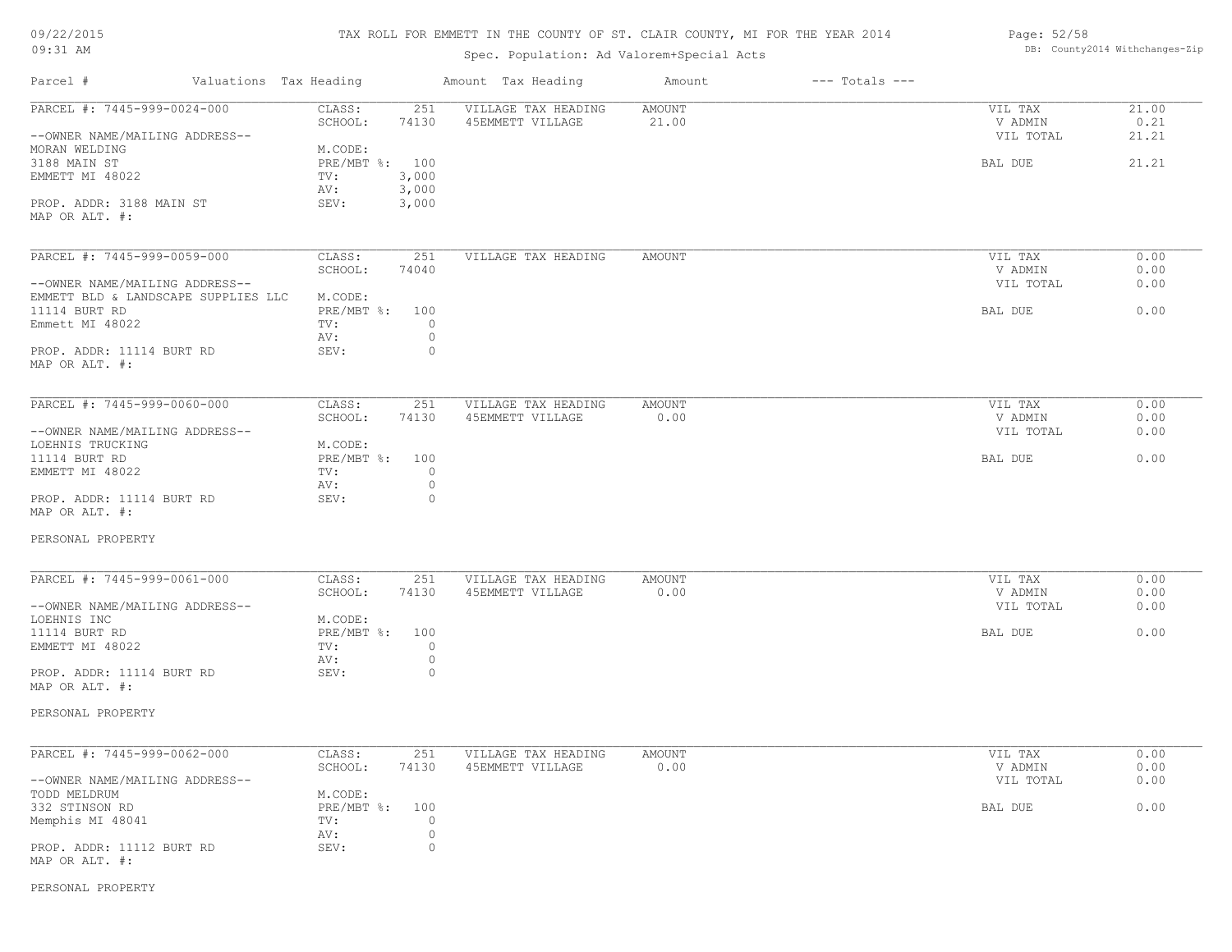| 09/22/2015 |  |
|------------|--|
| $09:31$ AM |  |

Spec. Population: Ad Valorem+Special Acts

| Page: 52/58 |                                |
|-------------|--------------------------------|
|             | DB: County2014 Withchanges-Zip |

| Parcel #                                   | Valuations Tax Heading            | Amount Tax Heading                      | Amount          | $---$ Totals $---$ |                    |               |
|--------------------------------------------|-----------------------------------|-----------------------------------------|-----------------|--------------------|--------------------|---------------|
| PARCEL #: 7445-999-0024-000                | CLASS:<br>251<br>SCHOOL:<br>74130 | VILLAGE TAX HEADING<br>45EMMETT VILLAGE | AMOUNT<br>21.00 |                    | VIL TAX<br>V ADMIN | 21.00<br>0.21 |
| --OWNER NAME/MAILING ADDRESS--             |                                   |                                         |                 |                    | VIL TOTAL          | 21.21         |
| MORAN WELDING                              | M.CODE:                           |                                         |                 |                    |                    |               |
| 3188 MAIN ST                               | PRE/MBT %: 100                    |                                         |                 |                    | BAL DUE            | 21.21         |
| EMMETT MI 48022                            | 3,000<br>TV:                      |                                         |                 |                    |                    |               |
|                                            | 3,000<br>AV:                      |                                         |                 |                    |                    |               |
| PROP. ADDR: 3188 MAIN ST<br>MAP OR ALT. #: | SEV:<br>3,000                     |                                         |                 |                    |                    |               |
| PARCEL #: 7445-999-0059-000                | CLASS:<br>251                     | VILLAGE TAX HEADING                     | <b>AMOUNT</b>   |                    | VIL TAX            | 0.00          |
|                                            | SCHOOL:<br>74040                  |                                         |                 |                    | V ADMIN            | 0.00          |
| --OWNER NAME/MAILING ADDRESS--             |                                   |                                         |                 |                    | VIL TOTAL          | 0.00          |
| EMMETT BLD & LANDSCAPE SUPPLIES LLC        | M.CODE:                           |                                         |                 |                    |                    |               |
| 11114 BURT RD                              | PRE/MBT %:<br>100                 |                                         |                 |                    | BAL DUE            | 0.00          |
| Emmett MI 48022                            | TV:                               | $\circ$                                 |                 |                    |                    |               |
|                                            | AV:                               | $\circ$                                 |                 |                    |                    |               |
| PROP. ADDR: 11114 BURT RD                  | SEV:                              | $\circ$                                 |                 |                    |                    |               |
| MAP OR ALT. #:                             |                                   |                                         |                 |                    |                    |               |
| PARCEL #: 7445-999-0060-000                | CLASS:<br>251                     | VILLAGE TAX HEADING                     | <b>AMOUNT</b>   |                    | VIL TAX            | 0.00          |
|                                            | SCHOOL:<br>74130                  | 45EMMETT VILLAGE                        | 0.00            |                    | V ADMIN            | 0.00          |
| --OWNER NAME/MAILING ADDRESS--             |                                   |                                         |                 |                    | VIL TOTAL          | 0.00          |
| LOEHNIS TRUCKING                           | M.CODE:                           |                                         |                 |                    |                    |               |
| 11114 BURT RD                              | PRE/MBT %:<br>100                 |                                         |                 |                    | BAL DUE            | 0.00          |
| EMMETT MI 48022                            | TV:                               | $\circ$                                 |                 |                    |                    |               |
|                                            | AV:                               | $\circ$                                 |                 |                    |                    |               |
| PROP. ADDR: 11114 BURT RD                  | SEV:                              | $\circ$                                 |                 |                    |                    |               |
| MAP OR ALT. #:                             |                                   |                                         |                 |                    |                    |               |
| PERSONAL PROPERTY                          |                                   |                                         |                 |                    |                    |               |
| PARCEL #: 7445-999-0061-000                | CLASS:<br>251                     | VILLAGE TAX HEADING                     | <b>AMOUNT</b>   |                    | VIL TAX            | 0.00          |
|                                            | SCHOOL:<br>74130                  | 45EMMETT VILLAGE                        | 0.00            |                    | V ADMIN            | 0.00          |
| --OWNER NAME/MAILING ADDRESS--             |                                   |                                         |                 |                    | VIL TOTAL          | 0.00          |
| LOEHNIS INC                                | M.CODE:                           |                                         |                 |                    |                    |               |
| 11114 BURT RD                              | PRE/MBT %:<br>100                 |                                         |                 |                    | BAL DUE            | 0.00          |
| EMMETT MI 48022                            | TV:                               | $\circ$                                 |                 |                    |                    |               |
|                                            | AV:                               | $\circ$                                 |                 |                    |                    |               |
| PROP. ADDR: 11114 BURT RD                  | SEV:                              | $\circ$                                 |                 |                    |                    |               |
| MAP OR ALT. #:                             |                                   |                                         |                 |                    |                    |               |
| PERSONAL PROPERTY                          |                                   |                                         |                 |                    |                    |               |
| PARCEL #: 7445-999-0062-000                | CLASS:<br>251                     | VILLAGE TAX HEADING                     | <b>AMOUNT</b>   |                    | VIL TAX            | 0.00          |
|                                            | SCHOOL:<br>74130                  | 45EMMETT VILLAGE                        | 0.00            |                    | V ADMIN            | 0.00          |
| --OWNER NAME/MAILING ADDRESS--             |                                   |                                         |                 |                    | VIL TOTAL          | 0.00          |
| TODD MELDRUM                               | M.CODE:                           |                                         |                 |                    |                    |               |
| 332 STINSON RD                             | 100<br>$PRE/MBT$ $\div$ :         |                                         |                 |                    |                    | 0.00          |
| Memphis MI 48041                           | TV:                               | $\circ$                                 |                 |                    | BAL DUE            |               |
|                                            | AV:                               | $\circ$                                 |                 |                    |                    |               |
| PROP. ADDR: 11112 BURT RD                  | SEV:                              | $\circ$                                 |                 |                    |                    |               |
| MAP OR ALT. #:                             |                                   |                                         |                 |                    |                    |               |
|                                            |                                   |                                         |                 |                    |                    |               |

PERSONAL PROPERTY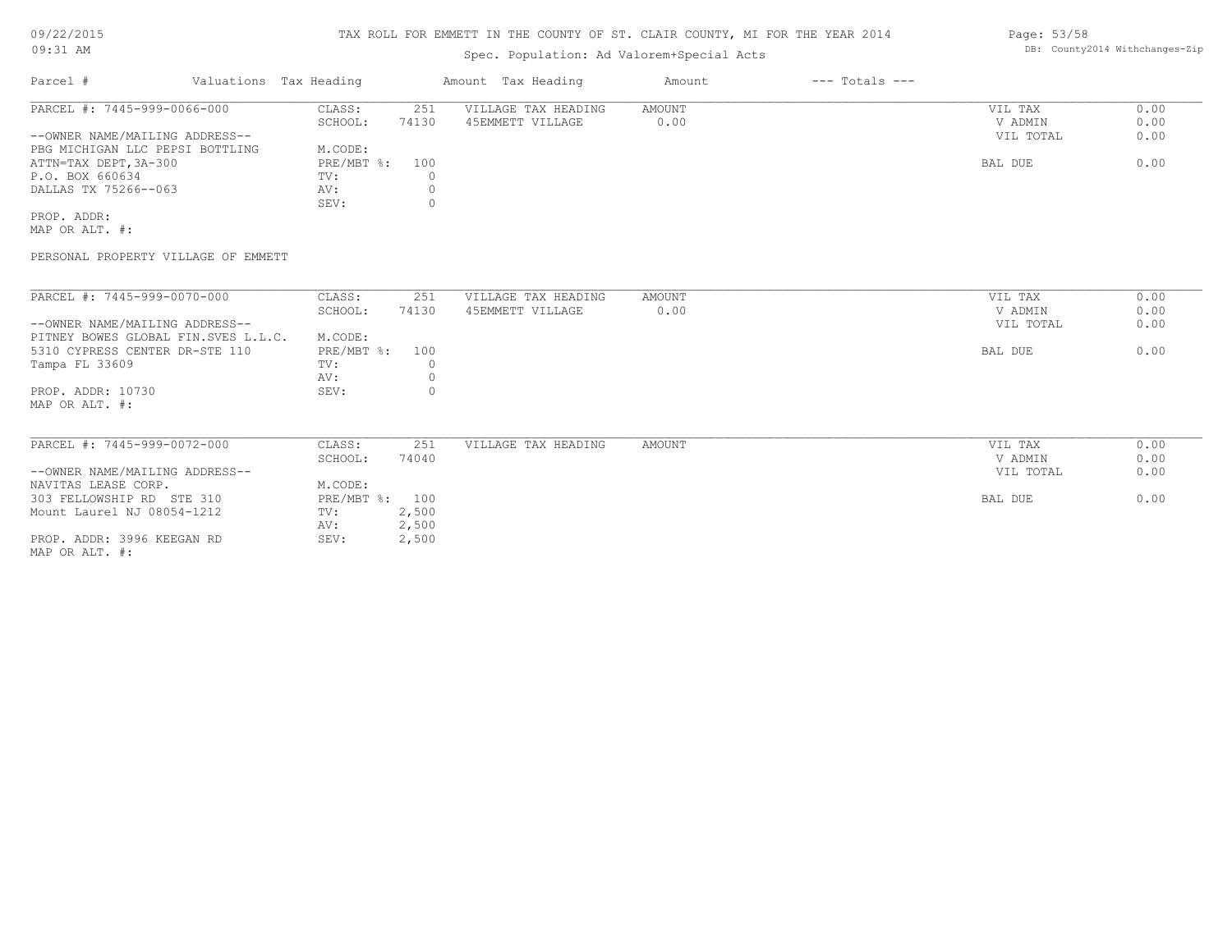## 09/22/2015 09:31 AM

## TAX ROLL FOR EMMETT IN THE COUNTY OF ST. CLAIR COUNTY, MI FOR THE YEAR 2014

## Spec. Population: Ad Valorem+Special Acts

| Parcel #                        | Valuations Tax Heading |       | Amount Tax Heading  | Amount | $---$ Totals $---$ |           |      |
|---------------------------------|------------------------|-------|---------------------|--------|--------------------|-----------|------|
| PARCEL #: 7445-999-0066-000     | CLASS:                 | 251   | VILLAGE TAX HEADING | AMOUNT |                    | VIL TAX   | 0.00 |
|                                 | SCHOOL:                | 74130 | 45EMMETT VILLAGE    | 0.00   |                    | V ADMIN   | 0.00 |
| --OWNER NAME/MAILING ADDRESS--  |                        |       |                     |        |                    | VIL TOTAL | 0.00 |
| PBG MICHIGAN LLC PEPSI BOTTLING | M.CODE:                |       |                     |        |                    |           |      |
| ATTN=TAX DEPT,3A-300            | $PRE/MBT$ %:           | 100   |                     |        |                    | BAL DUE   | 0.00 |
| P.O. BOX 660634                 | TV:                    |       |                     |        |                    |           |      |
| DALLAS TX 75266--063            | AV:                    |       |                     |        |                    |           |      |
|                                 | SEV:                   |       |                     |        |                    |           |      |
|                                 |                        |       |                     |        |                    |           |      |

MAP OR ALT. #: PROP. ADDR:

PERSONAL PROPERTY VILLAGE OF EMMETT

| PARCEL #: 7445-999-0070-000         | CLASS:       | 251   | VILLAGE TAX HEADING | AMOUNT | VIL TAX   | 0.00 |
|-------------------------------------|--------------|-------|---------------------|--------|-----------|------|
|                                     | SCHOOL:      | 74130 | 45EMMETT VILLAGE    | 0.00   | V ADMIN   | 0.00 |
| --OWNER NAME/MAILING ADDRESS--      |              |       |                     |        | VIL TOTAL | 0.00 |
| PITNEY BOWES GLOBAL FIN.SVES L.L.C. | M.CODE:      |       |                     |        |           |      |
| 5310 CYPRESS CENTER DR-STE 110      | $PRE/MBT$ %: | 100   |                     |        | BAL DUE   | 0.00 |
| Tampa FL 33609                      | TV:          |       |                     |        |           |      |
|                                     | AV:          |       |                     |        |           |      |
| PROP. ADDR: 10730                   | SEV:         |       |                     |        |           |      |
| MAP OR ALT. #:                      |              |       |                     |        |           |      |
|                                     |              |       |                     |        |           |      |
|                                     |              |       |                     |        |           |      |
| PARCEL #: 7445-999-0072-000         | CLASS:       | 251   | VILLAGE TAX HEADING | AMOUNT | VIL TAX   | 0.00 |
|                                     | SCHOOL:      | 74040 |                     |        | V ADMIN   | 0.00 |
| --OWNER NAME/MAILING ADDRESS--      |              |       |                     |        | VIL TOTAL | 0.00 |
| NAVITAS LEASE CORP.                 | M.CODE:      |       |                     |        |           |      |
| 303 FELLOWSHIP RD STE 310           | PRE/MBT %:   | 100   |                     |        | BAL DUE   | 0.00 |
| Mount Laurel NJ 08054-1212          | TV:          | 2,500 |                     |        |           |      |
|                                     | AV:          | 2,500 |                     |        |           |      |
| PROP. ADDR: 3996 KEEGAN RD          | SEV:         | 2,500 |                     |        |           |      |
| MAP OR ALT. #:                      |              |       |                     |        |           |      |

Page: 53/58 DB: County2014 Withchanges-Zip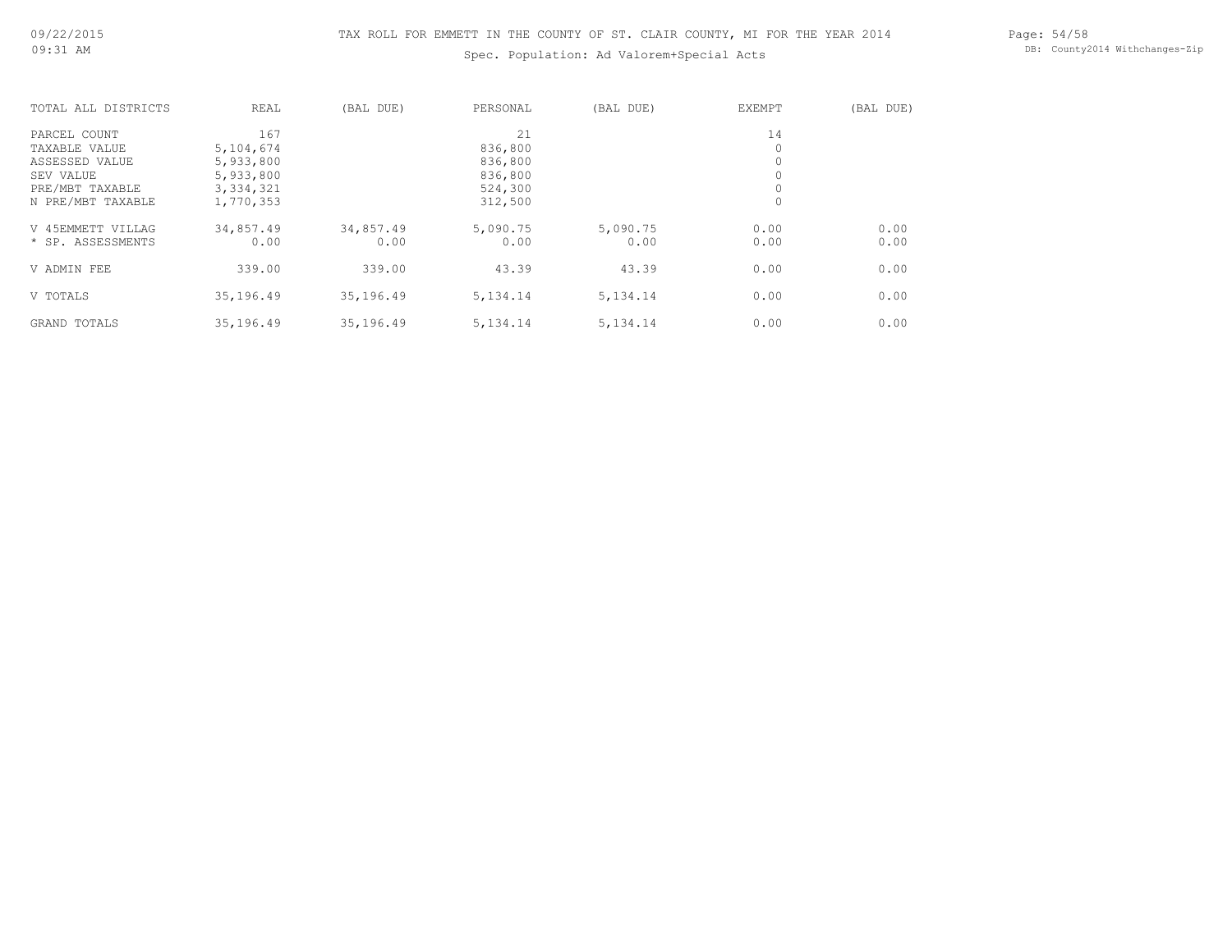Spec. Population: Ad Valorem+Special Acts

Page: 54/58 DB: County2014 Withchanges-Zip

| TOTAL ALL DISTRICTS | REAL        | (BAL DUE) | PERSONAL   | (BAL DUE)  | <b>EXEMPT</b> | (BAL DUE) |
|---------------------|-------------|-----------|------------|------------|---------------|-----------|
| PARCEL COUNT        | 167         |           | 21         |            | 14            |           |
| TAXABLE VALUE       | 5,104,674   |           | 836,800    |            | 0             |           |
| ASSESSED VALUE      | 5,933,800   |           | 836,800    |            | 0             |           |
| SEV VALUE           | 5,933,800   |           | 836,800    |            | 0             |           |
| PRE/MBT TAXABLE     | 3, 334, 321 |           | 524,300    |            | $\circ$       |           |
| N PRE/MBT TAXABLE   | 1,770,353   |           | 312,500    |            | 0             |           |
| V 45EMMETT VILLAG   | 34,857.49   | 34,857.49 | 5,090.75   | 5,090.75   | 0.00          | 0.00      |
| * SP. ASSESSMENTS   | 0.00        | 0.00      | 0.00       | 0.00       | 0.00          | 0.00      |
| V ADMIN FEE         | 339.00      | 339.00    | 43.39      | 43.39      | 0.00          | 0.00      |
| V TOTALS            | 35,196.49   | 35,196.49 | 5, 134. 14 | 5, 134. 14 | 0.00          | 0.00      |
| <b>GRAND TOTALS</b> | 35,196.49   | 35,196.49 | 5, 134. 14 | 5, 134. 14 | 0.00          | 0.00      |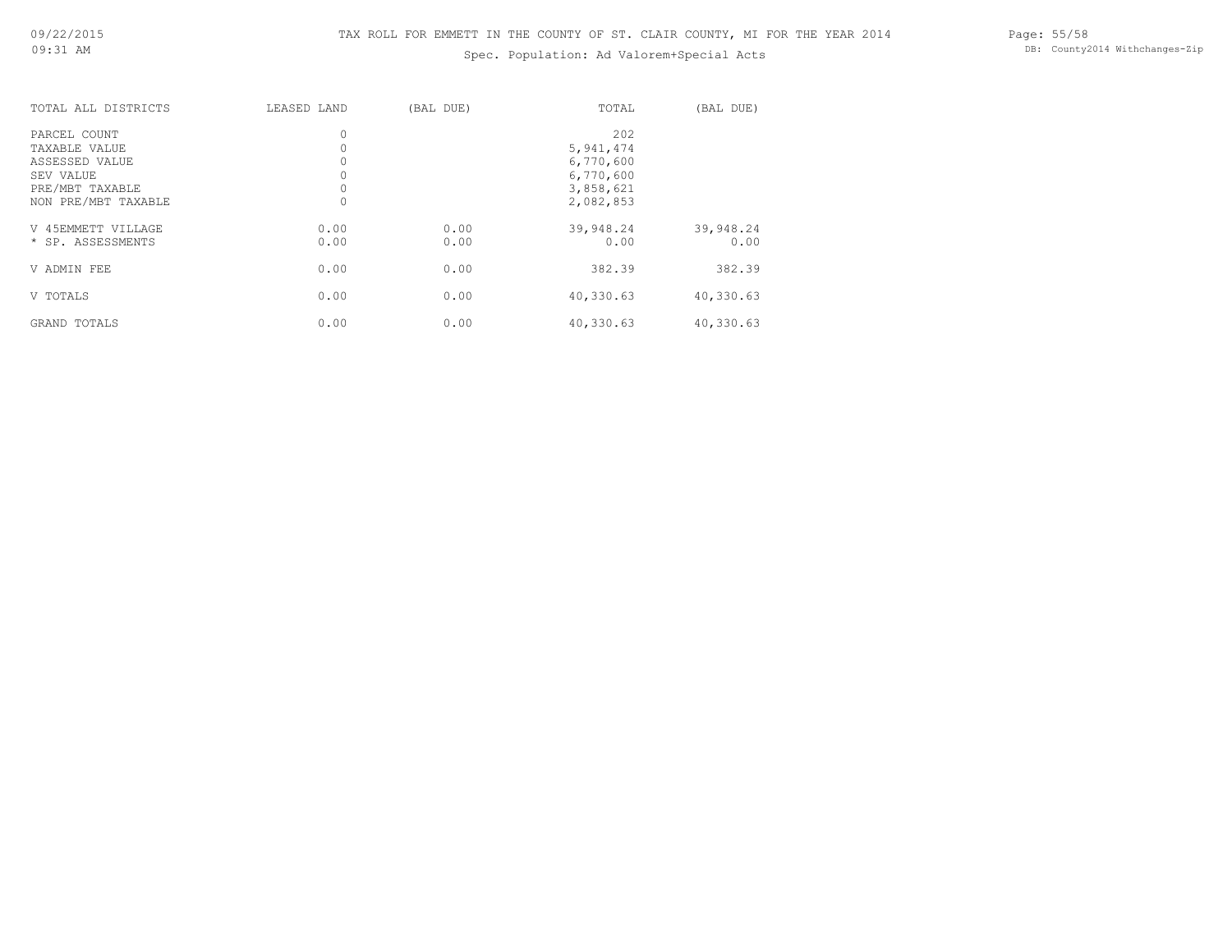## Spec. Population: Ad Valorem+Special Acts

Page: 55/58 DB: County2014 Withchanges-Zip

| TOTAL ALL DISTRICTS | LEASED LAND | (BAL DUE) | TOTAL     | (BAL DUE) |
|---------------------|-------------|-----------|-----------|-----------|
| PARCEL COUNT        | 0           |           | 202       |           |
| TAXABLE VALUE       |             |           | 5,941,474 |           |
| ASSESSED VALUE      |             |           | 6,770,600 |           |
| SEV VALUE           |             |           | 6,770,600 |           |
| PRE/MBT TAXABLE     |             |           | 3,858,621 |           |
| NON PRE/MBT TAXABLE |             |           | 2,082,853 |           |
| V 45EMMETT VILLAGE  | 0.00        | 0.00      | 39,948.24 | 39,948.24 |
| * SP. ASSESSMENTS   | 0.00        | 0.00      | 0.00      | 0.00      |
| V ADMIN FEE         | 0.00        | 0.00      | 382.39    | 382.39    |
| V TOTALS            | 0.00        | 0.00      | 40,330.63 | 40,330.63 |
| GRAND TOTALS        | 0.00        | 0.00      | 40,330.63 | 40,330.63 |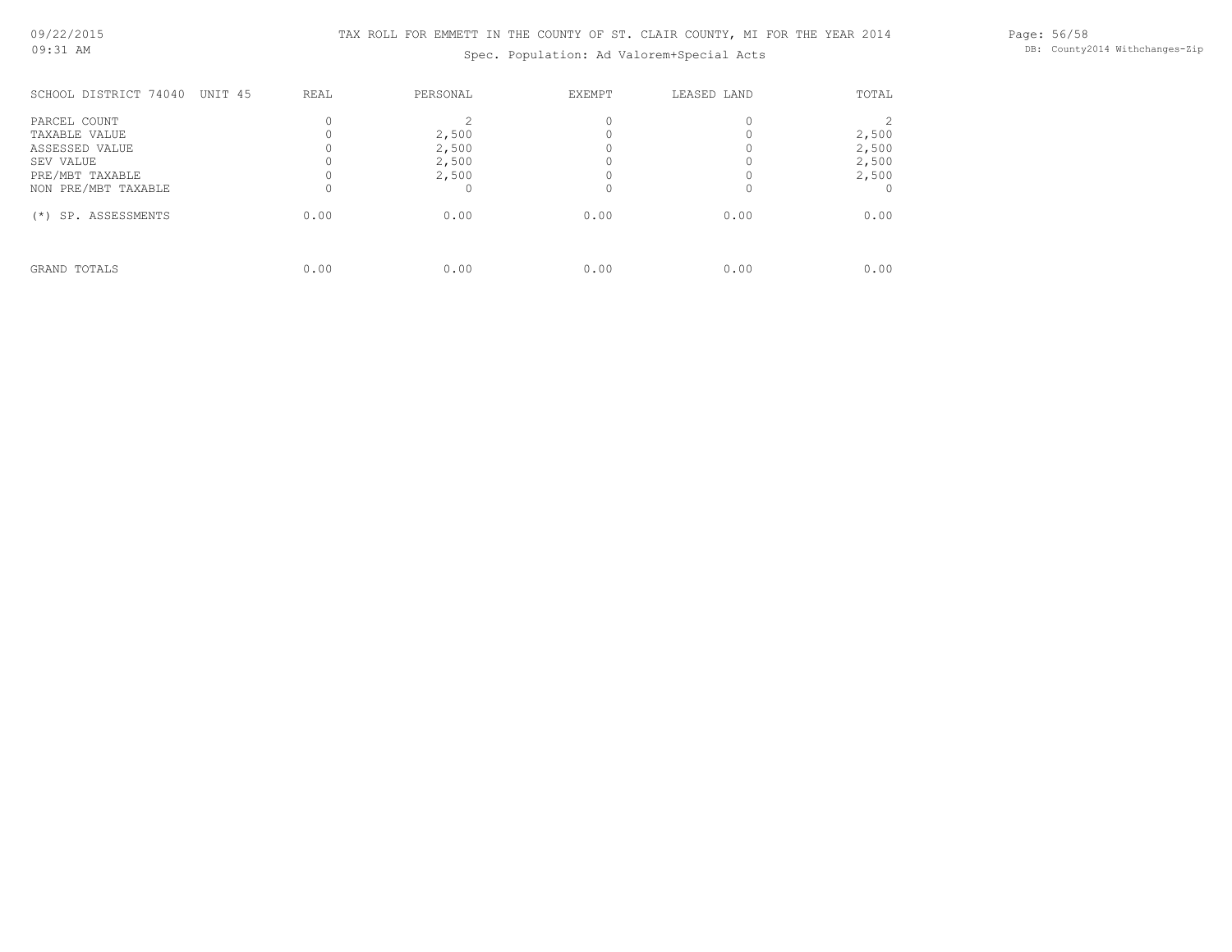Spec. Population: Ad Valorem+Special Acts

Page: 56/58 DB: County2014 Withchanges-Zip

| SCHOOL DISTRICT 74040<br>UNIT 45 | <b>REAL</b> | PERSONAL       | <b>EXEMPT</b> | LEASED LAND | TOTAL          |
|----------------------------------|-------------|----------------|---------------|-------------|----------------|
| PARCEL COUNT                     |             |                |               |             |                |
| TAXABLE VALUE<br>ASSESSED VALUE  |             | 2,500<br>2,500 |               |             | 2,500<br>2,500 |
| SEV VALUE<br>PRE/MBT TAXABLE     |             | 2,500<br>2,500 |               |             | 2,500<br>2,500 |
| NON PRE/MBT TAXABLE              |             |                |               |             |                |
| SP. ASSESSMENTS<br>$(*)$         | 0.00        | 0.00           | 0.00          | 0.00        | 0.00           |
| GRAND TOTALS                     | 0.00        | 0.00           | 0.00          | 0.00        | 0.00           |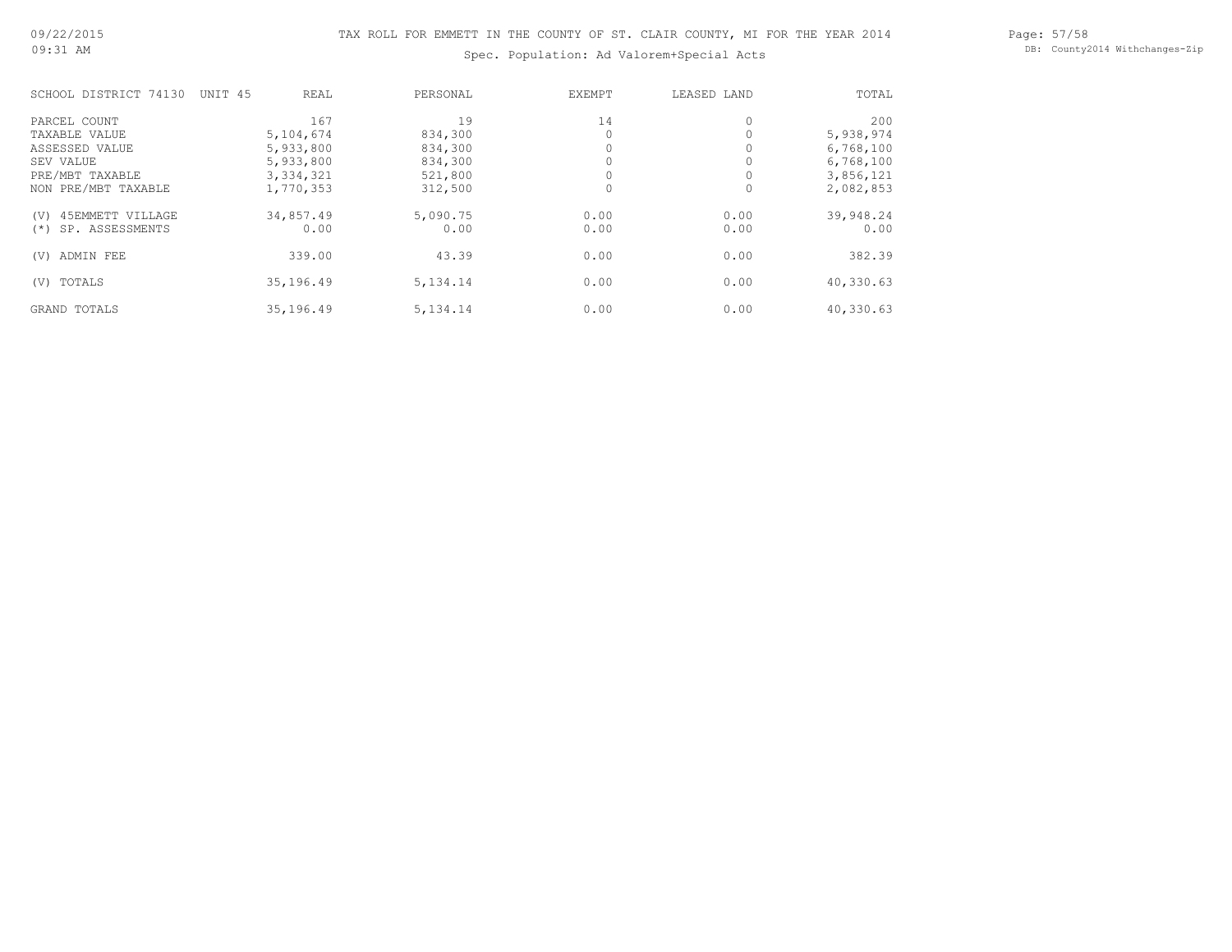Spec. Population: Ad Valorem+Special Acts

Page: 57/58 DB: County2014 Withchanges-Zip

| SCHOOL DISTRICT 74130    | UNIT 45 | REAL        | PERSONAL   | EXEMPT | LEASED LAND | TOTAL     |
|--------------------------|---------|-------------|------------|--------|-------------|-----------|
| PARCEL COUNT             |         | 167         | 19         | 14     | 0           | 200       |
| TAXABLE VALUE            |         | 5, 104, 674 | 834,300    |        |             | 5,938,974 |
| ASSESSED VALUE           |         | 5,933,800   | 834,300    |        |             | 6,768,100 |
| SEV VALUE                |         | 5,933,800   | 834,300    |        |             | 6,768,100 |
| PRE/MBT TAXABLE          |         | 3, 334, 321 | 521,800    |        |             | 3,856,121 |
| NON PRE/MBT TAXABLE      |         | 1,770,353   | 312,500    |        | $\Omega$    | 2,082,853 |
| 45EMMETT VILLAGE<br>(V)  |         | 34,857.49   | 5,090.75   | 0.00   | 0.00        | 39,948.24 |
| SP. ASSESSMENTS<br>$(*)$ |         | 0.00        | 0.00       | 0.00   | 0.00        | 0.00      |
| ADMIN FEE<br>(V)         |         | 339.00      | 43.39      | 0.00   | 0.00        | 382.39    |
| TOTALS<br>(V)            |         | 35,196.49   | 5, 134. 14 | 0.00   | 0.00        | 40,330.63 |
| <b>GRAND TOTALS</b>      |         | 35,196.49   | 5, 134. 14 | 0.00   | 0.00        | 40,330.63 |